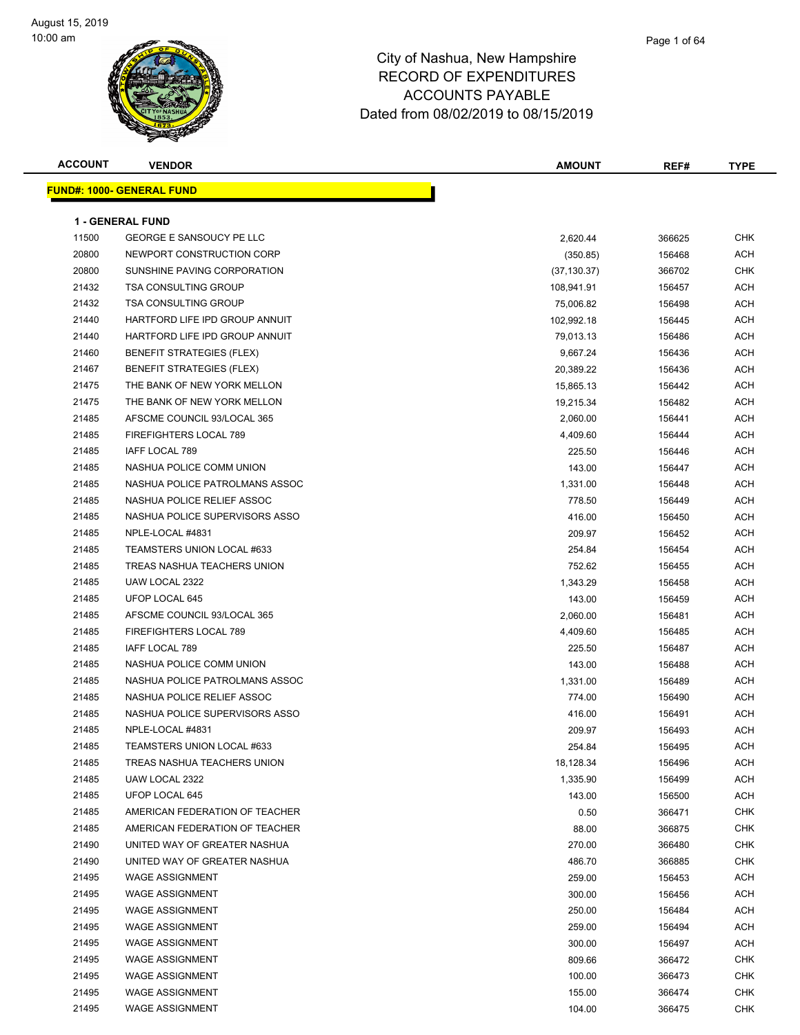#### Page 1 of 64

| <b>ACCOUNT</b> | <b>VENDOR</b>                    | <b>AMOUNT</b> | REF#   | <b>TYPE</b> |
|----------------|----------------------------------|---------------|--------|-------------|
|                | <b>FUND#: 1000- GENERAL FUND</b> |               |        |             |
|                |                                  |               |        |             |
|                | <b>1 - GENERAL FUND</b>          |               |        |             |
| 11500          | <b>GEORGE E SANSOUCY PE LLC</b>  | 2,620.44      | 366625 | <b>CHK</b>  |
| 20800          | NEWPORT CONSTRUCTION CORP        | (350.85)      | 156468 | <b>ACH</b>  |
| 20800          | SUNSHINE PAVING CORPORATION      | (37, 130.37)  | 366702 | <b>CHK</b>  |
| 21432          | <b>TSA CONSULTING GROUP</b>      | 108,941.91    | 156457 | <b>ACH</b>  |
| 21432          | <b>TSA CONSULTING GROUP</b>      | 75,006.82     | 156498 | <b>ACH</b>  |
| 21440          | HARTFORD LIFE IPD GROUP ANNUIT   | 102,992.18    | 156445 | ACH         |
| 21440          | HARTFORD LIFE IPD GROUP ANNUIT   | 79,013.13     | 156486 | <b>ACH</b>  |
| 21460          | <b>BENEFIT STRATEGIES (FLEX)</b> | 9,667.24      | 156436 | <b>ACH</b>  |
| 21467          | <b>BENEFIT STRATEGIES (FLEX)</b> | 20,389.22     | 156436 | <b>ACH</b>  |
| 21475          | THE BANK OF NEW YORK MELLON      | 15,865.13     | 156442 | <b>ACH</b>  |
| 21475          | THE BANK OF NEW YORK MELLON      | 19,215.34     | 156482 | <b>ACH</b>  |
| 21485          | AFSCME COUNCIL 93/LOCAL 365      | 2,060.00      | 156441 | ACH         |
| 21485          | FIREFIGHTERS LOCAL 789           | 4,409.60      | 156444 | <b>ACH</b>  |
| 21485          | <b>IAFF LOCAL 789</b>            | 225.50        | 156446 | ACH         |
| 21485          | NASHUA POLICE COMM UNION         | 143.00        | 156447 | ACH         |
| 21485          | NASHUA POLICE PATROLMANS ASSOC   | 1,331.00      | 156448 | <b>ACH</b>  |
| 21485          | NASHUA POLICE RELIEF ASSOC       | 778.50        | 156449 | <b>ACH</b>  |
| 21485          | NASHUA POLICE SUPERVISORS ASSO   | 416.00        | 156450 | <b>ACH</b>  |
| 21485          | NPLE-LOCAL #4831                 | 209.97        | 156452 | <b>ACH</b>  |
| 21485          | TEAMSTERS UNION LOCAL #633       | 254.84        | 156454 | ACH         |
| 21485          | TREAS NASHUA TEACHERS UNION      | 752.62        | 156455 | <b>ACH</b>  |
| 21485          | UAW LOCAL 2322                   | 1,343.29      | 156458 | <b>ACH</b>  |
| 21485          | UFOP LOCAL 645                   | 143.00        | 156459 | ACH         |
| 21485          | AFSCME COUNCIL 93/LOCAL 365      | 2,060.00      | 156481 | <b>ACH</b>  |
| 21485          | FIREFIGHTERS LOCAL 789           | 4,409.60      | 156485 | ACH         |
| 21485          | IAFF LOCAL 789                   | 225.50        | 156487 | ACH         |
| 21485          | NASHUA POLICE COMM UNION         | 143.00        | 156488 | <b>ACH</b>  |
| 21485          | NASHUA POLICE PATROLMANS ASSOC   | 1,331.00      | 156489 | ACH         |
| 21485          | NASHUA POLICE RELIEF ASSOC       | 774.00        | 156490 | <b>ACH</b>  |
| 21485          | NASHUA POLICE SUPERVISORS ASSO   | 416.00        | 156491 | <b>ACH</b>  |
| 21485          | NPLE-LOCAL #4831                 | 209.97        | 156493 | <b>ACH</b>  |
| 21485          | TEAMSTERS UNION LOCAL #633       | 254.84        | 156495 | ACH         |
| 21485          | TREAS NASHUA TEACHERS UNION      | 18,128.34     | 156496 | ACH         |
| 21485          | UAW LOCAL 2322                   | 1,335.90      | 156499 | <b>ACH</b>  |
| 21485          | UFOP LOCAL 645                   | 143.00        | 156500 | <b>ACH</b>  |
| 21485          | AMERICAN FEDERATION OF TEACHER   | 0.50          | 366471 | <b>CHK</b>  |
| 21485          | AMERICAN FEDERATION OF TEACHER   | 88.00         | 366875 | CHK         |
| 21490          | UNITED WAY OF GREATER NASHUA     | 270.00        | 366480 | CHK         |
| 21490          | UNITED WAY OF GREATER NASHUA     | 486.70        | 366885 | CHK         |
| 21495          | <b>WAGE ASSIGNMENT</b>           | 259.00        | 156453 | <b>ACH</b>  |
| 21495          | <b>WAGE ASSIGNMENT</b>           | 300.00        | 156456 | <b>ACH</b>  |
| 21495          | <b>WAGE ASSIGNMENT</b>           | 250.00        | 156484 | <b>ACH</b>  |
| 21495          | <b>WAGE ASSIGNMENT</b>           | 259.00        | 156494 | <b>ACH</b>  |
| 21495          | <b>WAGE ASSIGNMENT</b>           | 300.00        | 156497 | <b>ACH</b>  |
| 21495          | <b>WAGE ASSIGNMENT</b>           | 809.66        | 366472 | <b>CHK</b>  |
| 21495          | <b>WAGE ASSIGNMENT</b>           | 100.00        | 366473 | CHK         |
| 21495          | <b>WAGE ASSIGNMENT</b>           | 155.00        | 366474 | <b>CHK</b>  |
| 21495          | <b>WAGE ASSIGNMENT</b>           | 104.00        | 366475 | <b>CHK</b>  |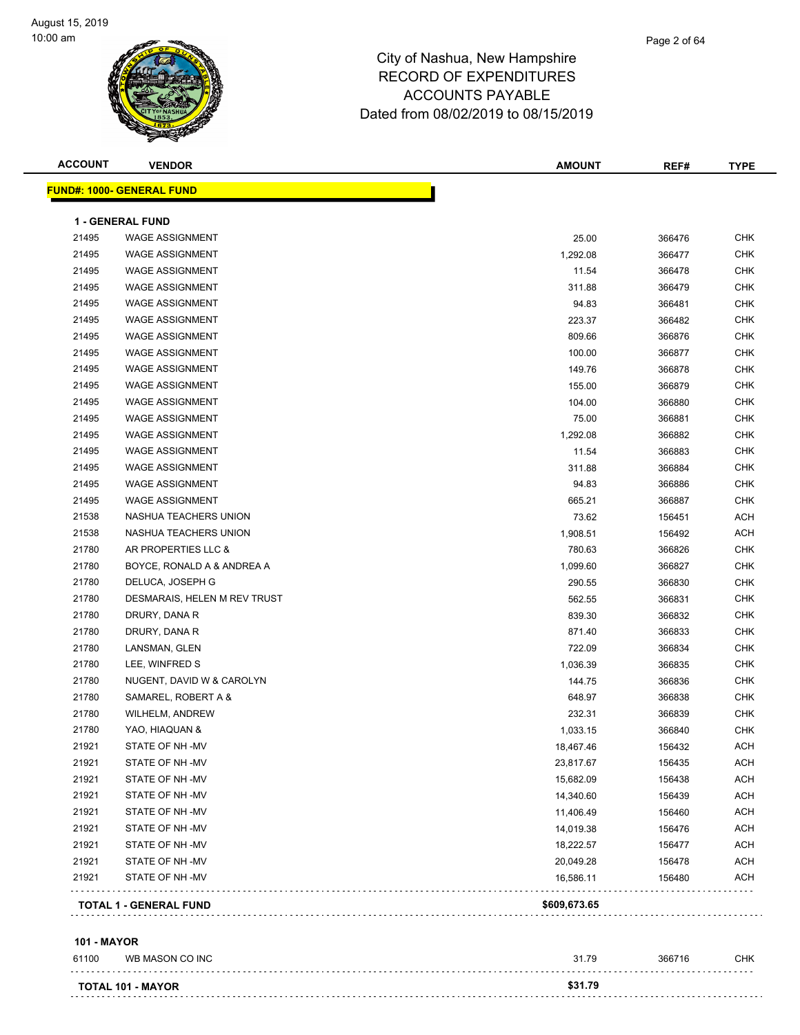

| <b>ACCOUNT</b>     | <b>VENDOR</b>                    | <b>AMOUNT</b> | REF#   | <b>TYPE</b> |
|--------------------|----------------------------------|---------------|--------|-------------|
|                    | <b>FUND#: 1000- GENERAL FUND</b> |               |        |             |
|                    | 1 - GENERAL FUND                 |               |        |             |
| 21495              | <b>WAGE ASSIGNMENT</b>           | 25.00         | 366476 | CHK         |
| 21495              | <b>WAGE ASSIGNMENT</b>           | 1,292.08      | 366477 | <b>CHK</b>  |
| 21495              | <b>WAGE ASSIGNMENT</b>           | 11.54         | 366478 | <b>CHK</b>  |
| 21495              | <b>WAGE ASSIGNMENT</b>           | 311.88        | 366479 | <b>CHK</b>  |
| 21495              | <b>WAGE ASSIGNMENT</b>           | 94.83         | 366481 | <b>CHK</b>  |
| 21495              | <b>WAGE ASSIGNMENT</b>           | 223.37        | 366482 | <b>CHK</b>  |
| 21495              | <b>WAGE ASSIGNMENT</b>           | 809.66        | 366876 | <b>CHK</b>  |
| 21495              | WAGE ASSIGNMENT                  | 100.00        | 366877 | <b>CHK</b>  |
| 21495              | WAGE ASSIGNMENT                  | 149.76        | 366878 | <b>CHK</b>  |
| 21495              | <b>WAGE ASSIGNMENT</b>           | 155.00        | 366879 | <b>CHK</b>  |
| 21495              | <b>WAGE ASSIGNMENT</b>           | 104.00        | 366880 | <b>CHK</b>  |
| 21495              | <b>WAGE ASSIGNMENT</b>           | 75.00         | 366881 | <b>CHK</b>  |
| 21495              | <b>WAGE ASSIGNMENT</b>           | 1,292.08      | 366882 | <b>CHK</b>  |
| 21495              | <b>WAGE ASSIGNMENT</b>           | 11.54         | 366883 | <b>CHK</b>  |
| 21495              | <b>WAGE ASSIGNMENT</b>           | 311.88        | 366884 | <b>CHK</b>  |
| 21495              | <b>WAGE ASSIGNMENT</b>           | 94.83         | 366886 | <b>CHK</b>  |
| 21495              | <b>WAGE ASSIGNMENT</b>           | 665.21        | 366887 | <b>CHK</b>  |
| 21538              | NASHUA TEACHERS UNION            | 73.62         | 156451 | ACH         |
| 21538              | NASHUA TEACHERS UNION            | 1,908.51      | 156492 | <b>ACH</b>  |
| 21780              | AR PROPERTIES LLC &              | 780.63        | 366826 | <b>CHK</b>  |
| 21780              | BOYCE, RONALD A & ANDREA A       | 1,099.60      | 366827 | <b>CHK</b>  |
| 21780              | DELUCA, JOSEPH G                 | 290.55        | 366830 | <b>CHK</b>  |
| 21780              | DESMARAIS, HELEN M REV TRUST     | 562.55        | 366831 | <b>CHK</b>  |
| 21780              | DRURY, DANA R                    | 839.30        | 366832 | <b>CHK</b>  |
| 21780              | DRURY, DANA R                    | 871.40        | 366833 | <b>CHK</b>  |
| 21780              | LANSMAN, GLEN                    | 722.09        | 366834 | <b>CHK</b>  |
| 21780              | LEE, WINFRED S                   | 1,036.39      | 366835 | <b>CHK</b>  |
| 21780              | NUGENT, DAVID W & CAROLYN        | 144.75        | 366836 | <b>CHK</b>  |
| 21780              | SAMAREL, ROBERT A &              | 648.97        | 366838 | <b>CHK</b>  |
| 21780              | WILHELM, ANDREW                  | 232.31        | 366839 | <b>CHK</b>  |
| 21780              | YAO, HIAQUAN &                   | 1,033.15      | 366840 | <b>CHK</b>  |
| 21921              | STATE OF NH -MV                  | 18,467.46     | 156432 | <b>ACH</b>  |
| 21921              | STATE OF NH-MV                   | 23,817.67     | 156435 | ACH         |
| 21921              | STATE OF NH-MV                   | 15,682.09     | 156438 | <b>ACH</b>  |
| 21921              | STATE OF NH-MV                   | 14,340.60     | 156439 | <b>ACH</b>  |
| 21921              | STATE OF NH-MV                   | 11,406.49     | 156460 | ACH         |
| 21921              | STATE OF NH-MV                   | 14,019.38     | 156476 | ACH         |
| 21921              | STATE OF NH-MV                   | 18,222.57     | 156477 | <b>ACH</b>  |
| 21921              | STATE OF NH-MV                   | 20,049.28     | 156478 | <b>ACH</b>  |
| 21921              | STATE OF NH-MV                   | 16,586.11     | 156480 | ACH         |
|                    | TOTAL 1 - GENERAL FUND           | \$609,673.65  |        |             |
| <b>101 - MAYOR</b> |                                  |               |        |             |
| 61100              | WB MASON CO INC                  | 31.79         | 366716 | <b>CHK</b>  |

| .         |         | .       |  |
|-----------|---------|---------|--|
|           |         |         |  |
| TOTAL 101 | - MAYOR | \$31.79 |  |
|           |         |         |  |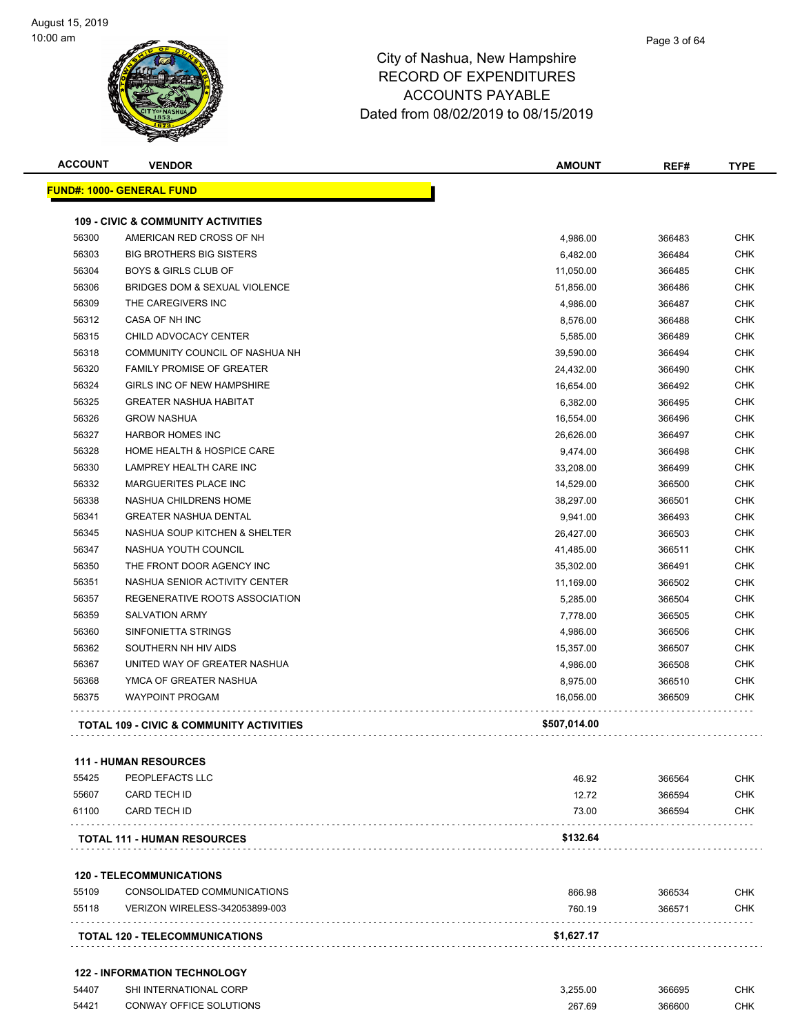| <b>ACCOUNT</b> | <b>VENDOR</b>                                       | <b>AMOUNT</b> | REF#   | <b>TYPE</b> |
|----------------|-----------------------------------------------------|---------------|--------|-------------|
|                | <b>FUND#: 1000- GENERAL FUND</b>                    |               |        |             |
|                | <b>109 - CIVIC &amp; COMMUNITY ACTIVITIES</b>       |               |        |             |
| 56300          | AMERICAN RED CROSS OF NH                            | 4,986.00      | 366483 | <b>CHK</b>  |
| 56303          | <b>BIG BROTHERS BIG SISTERS</b>                     | 6,482.00      | 366484 | <b>CHK</b>  |
| 56304          | <b>BOYS &amp; GIRLS CLUB OF</b>                     | 11,050.00     | 366485 | <b>CHK</b>  |
| 56306          | <b>BRIDGES DOM &amp; SEXUAL VIOLENCE</b>            | 51,856.00     | 366486 | <b>CHK</b>  |
| 56309          | THE CAREGIVERS INC                                  | 4,986.00      | 366487 | <b>CHK</b>  |
| 56312          | CASA OF NH INC                                      | 8,576.00      | 366488 | <b>CHK</b>  |
| 56315          | CHILD ADVOCACY CENTER                               | 5,585.00      | 366489 | <b>CHK</b>  |
| 56318          | COMMUNITY COUNCIL OF NASHUA NH                      | 39,590.00     | 366494 | CHK         |
| 56320          | <b>FAMILY PROMISE OF GREATER</b>                    | 24,432.00     | 366490 | <b>CHK</b>  |
| 56324          | GIRLS INC OF NEW HAMPSHIRE                          | 16,654.00     | 366492 | <b>CHK</b>  |
| 56325          | <b>GREATER NASHUA HABITAT</b>                       | 6,382.00      | 366495 | <b>CHK</b>  |
| 56326          | <b>GROW NASHUA</b>                                  | 16,554.00     | 366496 | <b>CHK</b>  |
| 56327          | <b>HARBOR HOMES INC</b>                             | 26,626.00     | 366497 | <b>CHK</b>  |
| 56328          | HOME HEALTH & HOSPICE CARE                          | 9,474.00      | 366498 | <b>CHK</b>  |
| 56330          | LAMPREY HEALTH CARE INC                             | 33,208.00     | 366499 | <b>CHK</b>  |
| 56332          | MARGUERITES PLACE INC                               | 14,529.00     | 366500 | <b>CHK</b>  |
| 56338          | NASHUA CHILDRENS HOME                               | 38,297.00     | 366501 | <b>CHK</b>  |
| 56341          | <b>GREATER NASHUA DENTAL</b>                        | 9,941.00      | 366493 | <b>CHK</b>  |
| 56345          | NASHUA SOUP KITCHEN & SHELTER                       | 26,427.00     | 366503 | CHK         |
| 56347          | NASHUA YOUTH COUNCIL                                | 41,485.00     | 366511 | <b>CHK</b>  |
| 56350          | THE FRONT DOOR AGENCY INC                           | 35,302.00     | 366491 | <b>CHK</b>  |
| 56351          | NASHUA SENIOR ACTIVITY CENTER                       | 11,169.00     | 366502 | <b>CHK</b>  |
| 56357          | REGENERATIVE ROOTS ASSOCIATION                      | 5,285.00      | 366504 | <b>CHK</b>  |
| 56359          | <b>SALVATION ARMY</b>                               | 7,778.00      | 366505 | <b>CHK</b>  |
| 56360          | SINFONIETTA STRINGS                                 | 4,986.00      | 366506 | <b>CHK</b>  |
| 56362          | SOUTHERN NH HIV AIDS                                | 15,357.00     | 366507 | <b>CHK</b>  |
| 56367          | UNITED WAY OF GREATER NASHUA                        | 4,986.00      | 366508 | <b>CHK</b>  |
| 56368          | YMCA OF GREATER NASHUA                              | 8,975.00      | 366510 | <b>CHK</b>  |
| 56375          | <b>WAYPOINT PROGAM</b>                              | 16,056.00     | 366509 | <b>CHK</b>  |
|                | <b>TOTAL 109 - CIVIC &amp; COMMUNITY ACTIVITIES</b> | \$507,014.00  |        |             |
|                | <b>111 - HUMAN RESOURCES</b>                        |               |        |             |
| 55425          | PEOPLEFACTS LLC                                     | 46.92         | 366564 | CHK         |
| 55607          | <b>CARD TECH ID</b>                                 | 12.72         | 366594 | <b>CHK</b>  |
| 61100          | <b>CARD TECH ID</b>                                 | 73.00         | 366594 | CHK         |
|                | <b>TOTAL 111 - HUMAN RESOURCES</b>                  | \$132.64      |        |             |
|                | <b>120 - TELECOMMUNICATIONS</b>                     |               |        |             |
| 55109          | CONSOLIDATED COMMUNICATIONS                         | 866.98        | 366534 | <b>CHK</b>  |
| 55118          | VERIZON WIRELESS-342053899-003                      | 760.19        | 366571 | <b>CHK</b>  |
|                | TOTAL 120 - TELECOMMUNICATIONS                      | \$1,627.17    |        |             |
|                | <b>122 - INFORMATION TECHNOLOGY</b>                 |               |        |             |
| 54407          | SHI INTERNATIONAL CORP                              | 3,255.00      | 366695 | CHK         |

CONWAY OFFICE SOLUTIONS 267.69 366600 CHK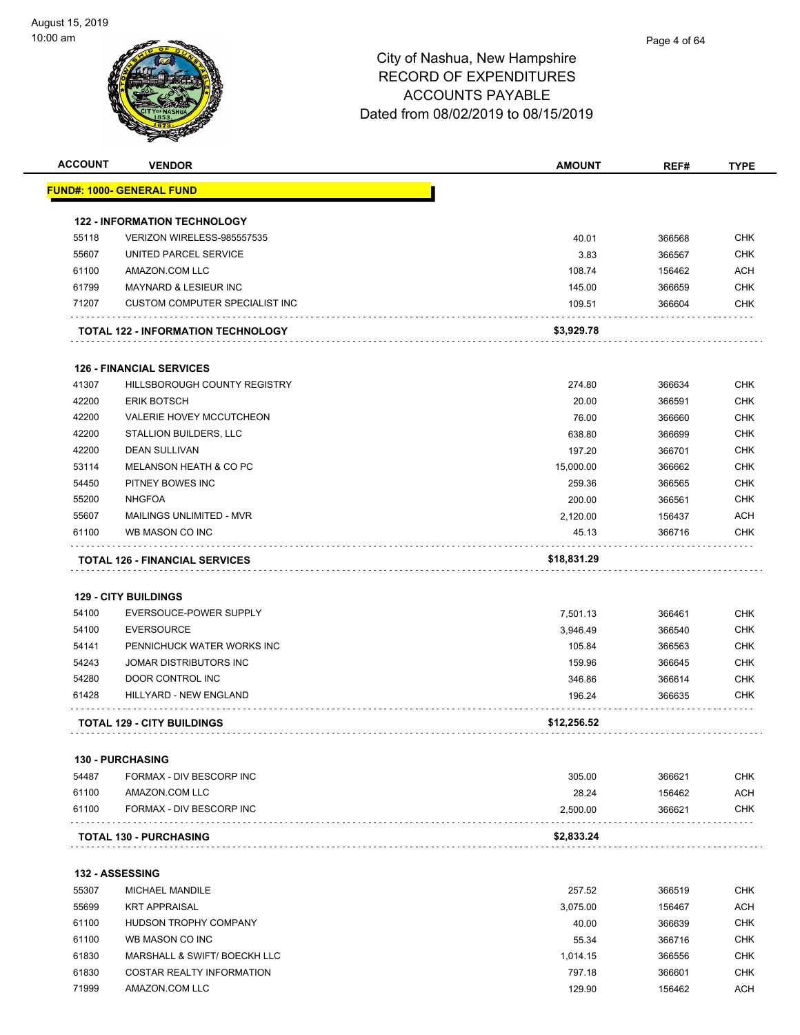| <b>ACCOUNT</b> | <b>VENDOR</b>                                      | <b>AMOUNT</b>    | REF#             | <b>TYPE</b>              |
|----------------|----------------------------------------------------|------------------|------------------|--------------------------|
|                | FUND#: 1000- GENERAL FUND                          |                  |                  |                          |
|                | <b>122 - INFORMATION TECHNOLOGY</b>                |                  |                  |                          |
| 55118          | VERIZON WIRELESS-985557535                         | 40.01            | 366568           | <b>CHK</b>               |
| 55607          | UNITED PARCEL SERVICE                              | 3.83             | 366567           | <b>CHK</b>               |
| 61100          | AMAZON.COM LLC                                     | 108.74           | 156462           | ACH                      |
| 61799          | <b>MAYNARD &amp; LESIEUR INC</b>                   | 145.00           | 366659           | <b>CHK</b>               |
| 71207          | <b>CUSTOM COMPUTER SPECIALIST INC</b>              | 109.51           | 366604           | <b>CHK</b>               |
|                | <b>TOTAL 122 - INFORMATION TECHNOLOGY</b>          | \$3,929.78       |                  |                          |
|                | <b>126 - FINANCIAL SERVICES</b>                    |                  |                  |                          |
| 41307          | HILLSBOROUGH COUNTY REGISTRY                       | 274.80           | 366634           | <b>CHK</b>               |
| 42200          | <b>ERIK BOTSCH</b>                                 | 20.00            | 366591           | <b>CHK</b>               |
| 42200          | VALERIE HOVEY MCCUTCHEON                           | 76.00            | 366660           | <b>CHK</b>               |
| 42200          | <b>STALLION BUILDERS, LLC</b>                      | 638.80           | 366699           | <b>CHK</b>               |
| 42200          | <b>DEAN SULLIVAN</b>                               | 197.20           | 366701           | <b>CHK</b>               |
| 53114          | MELANSON HEATH & CO PC                             | 15,000.00        | 366662           | <b>CHK</b>               |
| 54450          | PITNEY BOWES INC                                   | 259.36           | 366565           | <b>CHK</b>               |
| 55200          | <b>NHGFOA</b>                                      | 200.00           | 366561           | <b>CHK</b>               |
| 55607          | MAILINGS UNLIMITED - MVR                           | 2,120.00         | 156437           | ACH                      |
| 61100          | WB MASON CO INC                                    | 45.13            | 366716           | <b>CHK</b>               |
|                |                                                    | \$18,831.29      |                  |                          |
|                | <b>TOTAL 126 - FINANCIAL SERVICES</b>              |                  |                  |                          |
|                | <b>129 - CITY BUILDINGS</b>                        |                  |                  |                          |
| 54100          | EVERSOUCE-POWER SUPPLY                             | 7,501.13         | 366461           | <b>CHK</b>               |
| 54100          | <b>EVERSOURCE</b>                                  | 3,946.49         | 366540           | <b>CHK</b>               |
| 54141          | PENNICHUCK WATER WORKS INC                         | 105.84           | 366563           | <b>CHK</b>               |
| 54243          | JOMAR DISTRIBUTORS INC                             | 159.96           | 366645           | <b>CHK</b>               |
| 54280          | DOOR CONTROL INC                                   | 346.86           | 366614           | <b>CHK</b>               |
| 61428          | HILLYARD - NEW ENGLAND                             | 196.24           | 366635           | <b>CHK</b>               |
|                | <b>TOTAL 129 - CITY BUILDINGS</b>                  | \$12,256.52      |                  |                          |
|                | <b>130 - PURCHASING</b>                            |                  |                  |                          |
| 54487          | FORMAX - DIV BESCORP INC                           | 305.00           | 366621           | <b>CHK</b>               |
| 61100          | AMAZON.COM LLC                                     | 28.24            | 156462           | <b>ACH</b>               |
| 61100          | FORMAX - DIV BESCORP INC<br>.                      | 2,500.00         | 366621           | CHK                      |
|                | <b>TOTAL 130 - PURCHASING</b>                      | \$2,833.24       |                  |                          |
|                | <b>132 - ASSESSING</b>                             |                  |                  |                          |
| 55307          | <b>MICHAEL MANDILE</b>                             | 257.52           | 366519           | <b>CHK</b>               |
| 55699          | <b>KRT APPRAISAL</b>                               | 3,075.00         | 156467           | <b>ACH</b>               |
|                | HUDSON TROPHY COMPANY                              | 40.00            | 366639           | <b>CHK</b>               |
|                |                                                    | 55.34            | 366716           |                          |
| 61100          |                                                    |                  |                  |                          |
| 61100          | WB MASON CO INC                                    |                  |                  | <b>CHK</b>               |
| 61830          | MARSHALL & SWIFT/ BOECKH LLC                       | 1,014.15         | 366556           | <b>CHK</b>               |
| 61830<br>71999 | <b>COSTAR REALTY INFORMATION</b><br>AMAZON.COM LLC | 797.18<br>129.90 | 366601<br>156462 | <b>CHK</b><br><b>ACH</b> |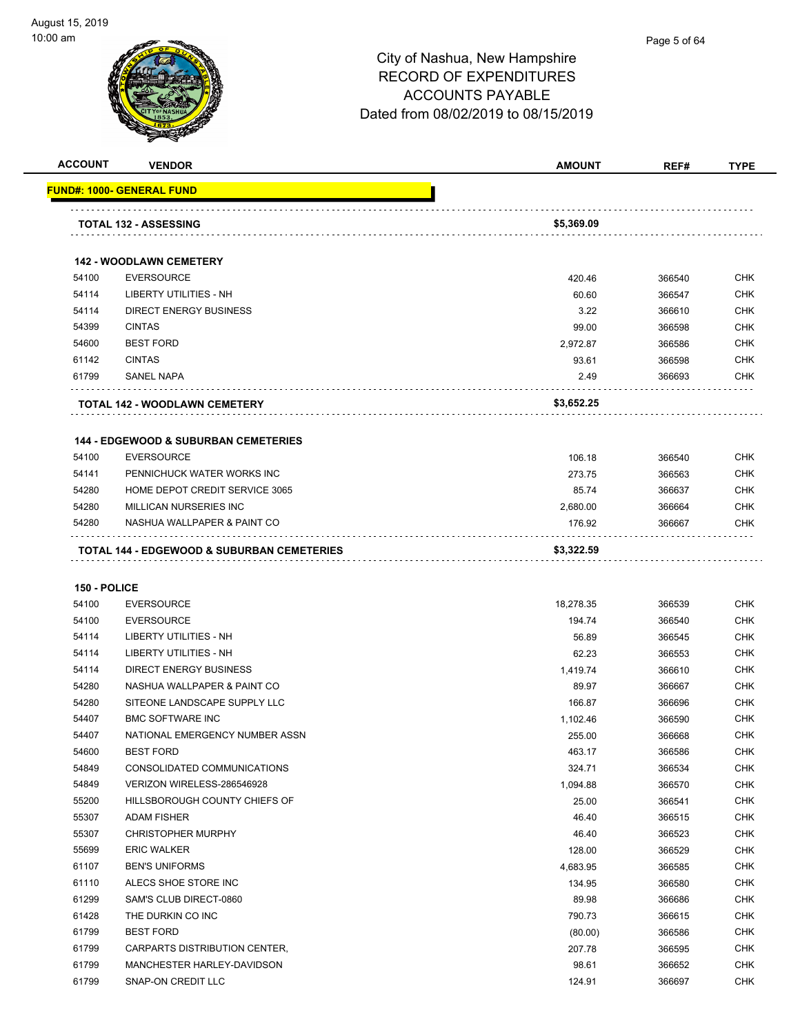

**ACCOUNT VENDOR AMOUNT REF# TYPE**

|                       | <b>TOTAL 132 - ASSESSING</b>                    | \$5,369.09      |                  |            |
|-----------------------|-------------------------------------------------|-----------------|------------------|------------|
|                       |                                                 |                 |                  |            |
|                       |                                                 |                 |                  |            |
|                       | <b>142 - WOODLAWN CEMETERY</b>                  |                 |                  |            |
| 54100                 | <b>EVERSOURCE</b>                               | 420.46          | 366540           | <b>CHK</b> |
| 54114                 | LIBERTY UTILITIES - NH                          | 60.60           | 366547           | <b>CHK</b> |
| 54114                 | <b>DIRECT ENERGY BUSINESS</b>                   | 3.22            | 366610           | <b>CHK</b> |
| 54399                 | <b>CINTAS</b>                                   | 99.00           | 366598           | <b>CHK</b> |
| 54600                 | <b>BEST FORD</b>                                | 2,972.87        | 366586           | <b>CHK</b> |
| 61142                 | <b>CINTAS</b>                                   | 93.61           | 366598           | <b>CHK</b> |
| 61799                 | <b>SANEL NAPA</b>                               | 2.49            | 366693           | <b>CHK</b> |
|                       | TOTAL 142 - WOODLAWN CEMETERY                   | \$3,652.25      |                  |            |
|                       | <b>144 - EDGEWOOD &amp; SUBURBAN CEMETERIES</b> |                 |                  |            |
| 54100                 | <b>EVERSOURCE</b>                               | 106.18          | 366540           | <b>CHK</b> |
| 54141                 | PENNICHUCK WATER WORKS INC                      | 273.75          | 366563           | <b>CHK</b> |
| 54280                 | HOME DEPOT CREDIT SERVICE 3065                  | 85.74           | 366637           | <b>CHK</b> |
| 54280                 | <b>MILLICAN NURSERIES INC</b>                   | 2,680.00        | 366664           | <b>CHK</b> |
| 54280                 | NASHUA WALLPAPER & PAINT CO                     | 176.92          | 366667           | <b>CHK</b> |
|                       | TOTAL 144 - EDGEWOOD & SUBURBAN CEMETERIES      | \$3,322.59      |                  |            |
|                       |                                                 |                 |                  |            |
| 150 - POLICE<br>54100 | <b>EVERSOURCE</b>                               | 18,278.35       | 366539           | <b>CHK</b> |
| 54100                 | <b>EVERSOURCE</b>                               | 194.74          | 366540           | <b>CHK</b> |
| 54114                 | LIBERTY UTILITIES - NH                          | 56.89           | 366545           | <b>CHK</b> |
| 54114                 | <b>LIBERTY UTILITIES - NH</b>                   | 62.23           | 366553           | <b>CHK</b> |
| 54114                 | <b>DIRECT ENERGY BUSINESS</b>                   | 1,419.74        | 366610           | <b>CHK</b> |
| 54280                 | NASHUA WALLPAPER & PAINT CO                     | 89.97           | 366667           | <b>CHK</b> |
| 54280                 | SITEONE LANDSCAPE SUPPLY LLC                    | 166.87          | 366696           | <b>CHK</b> |
| 54407                 | <b>BMC SOFTWARE INC</b>                         | 1,102.46        | 366590           | <b>CHK</b> |
| 54407                 | NATIONAL EMERGENCY NUMBER ASSN                  | 255.00          | 366668           | <b>CHK</b> |
| 54600                 | <b>BEST FORD</b>                                | 463.17          | 366586           | CHK        |
| 54849                 | CONSOLIDATED COMMUNICATIONS                     | 324.71          | 366534           | <b>CHK</b> |
| 54849                 | VERIZON WIRELESS-286546928                      | 1,094.88        | 366570           | <b>CHK</b> |
| 55200                 | HILLSBOROUGH COUNTY CHIEFS OF                   | 25.00           | 366541           | <b>CHK</b> |
| 55307                 | ADAM FISHER                                     | 46.40           | 366515           | <b>CHK</b> |
| 55307                 | <b>CHRISTOPHER MURPHY</b>                       | 46.40           | 366523           | <b>CHK</b> |
| 55699                 | <b>ERIC WALKER</b>                              | 128.00          | 366529           | <b>CHK</b> |
| 61107                 | <b>BEN'S UNIFORMS</b>                           | 4,683.95        | 366585           | <b>CHK</b> |
| 61110                 | ALECS SHOE STORE INC                            | 134.95          | 366580           | CHK        |
| 61299                 | SAM'S CLUB DIRECT-0860                          | 89.98           | 366686           | <b>CHK</b> |
| 61428                 | THE DURKIN CO INC                               | 790.73          | 366615           | <b>CHK</b> |
| 61799                 | <b>BEST FORD</b>                                | (80.00)         | 366586           | <b>CHK</b> |
| 61799                 | CARPARTS DISTRIBUTION CENTER,                   | 207.78          | 366595           | <b>CHK</b> |
| 61799                 | MANCHESTER HARLEY-DAVIDSON                      |                 |                  | <b>CHK</b> |
| 61799                 | SNAP-ON CREDIT LLC                              | 98.61<br>124.91 | 366652<br>366697 | <b>CHK</b> |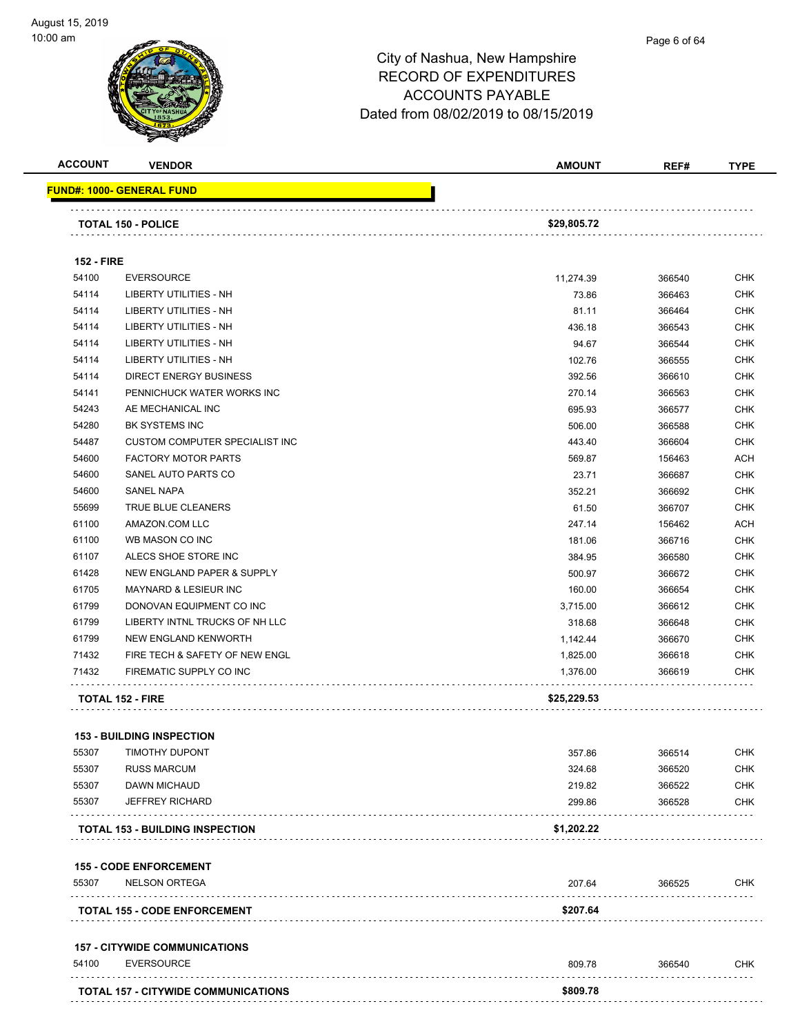

#### Page 6 of 64

## City of Nashua, New Hampshire RECORD OF EXPENDITURES ACCOUNTS PAYABLE Dated from 08/02/2019 to 08/15/2019

| <b>ACCOUNT</b>    | <b>VENDOR</b>                          | <b>AMOUNT</b> | REF#   | <b>TYPE</b> |
|-------------------|----------------------------------------|---------------|--------|-------------|
|                   | <b>FUND#: 1000- GENERAL FUND</b>       |               |        |             |
|                   | <b>TOTAL 150 - POLICE</b>              | \$29,805.72   |        |             |
| <b>152 - FIRE</b> |                                        |               |        |             |
| 54100             | <b>EVERSOURCE</b>                      | 11,274.39     | 366540 | <b>CHK</b>  |
| 54114             | <b>LIBERTY UTILITIES - NH</b>          | 73.86         | 366463 | <b>CHK</b>  |
| 54114             | <b>LIBERTY UTILITIES - NH</b>          | 81.11         | 366464 | <b>CHK</b>  |
| 54114             | LIBERTY UTILITIES - NH                 | 436.18        | 366543 | <b>CHK</b>  |
| 54114             | <b>LIBERTY UTILITIES - NH</b>          | 94.67         | 366544 | <b>CHK</b>  |
| 54114             | <b>LIBERTY UTILITIES - NH</b>          | 102.76        | 366555 | <b>CHK</b>  |
| 54114             | <b>DIRECT ENERGY BUSINESS</b>          | 392.56        | 366610 | <b>CHK</b>  |
| 54141             | PENNICHUCK WATER WORKS INC             | 270.14        | 366563 | <b>CHK</b>  |
| 54243             | AE MECHANICAL INC                      | 695.93        | 366577 | <b>CHK</b>  |
| 54280             | BK SYSTEMS INC                         | 506.00        | 366588 | <b>CHK</b>  |
| 54487             | <b>CUSTOM COMPUTER SPECIALIST INC</b>  | 443.40        | 366604 | <b>CHK</b>  |
| 54600             | <b>FACTORY MOTOR PARTS</b>             | 569.87        | 156463 | <b>ACH</b>  |
| 54600             | SANEL AUTO PARTS CO                    | 23.71         | 366687 | <b>CHK</b>  |
| 54600             | SANEL NAPA                             | 352.21        | 366692 | <b>CHK</b>  |
| 55699             | TRUE BLUE CLEANERS                     | 61.50         | 366707 | <b>CHK</b>  |
| 61100             | AMAZON.COM LLC                         | 247.14        | 156462 | <b>ACH</b>  |
| 61100             | WB MASON CO INC                        | 181.06        | 366716 | <b>CHK</b>  |
| 61107             | ALECS SHOE STORE INC                   | 384.95        | 366580 | <b>CHK</b>  |
| 61428             | NEW ENGLAND PAPER & SUPPLY             | 500.97        | 366672 | <b>CHK</b>  |
| 61705             | <b>MAYNARD &amp; LESIEUR INC</b>       | 160.00        | 366654 | <b>CHK</b>  |
| 61799             | DONOVAN EQUIPMENT CO INC               | 3,715.00      | 366612 | <b>CHK</b>  |
| 61799             | LIBERTY INTNL TRUCKS OF NH LLC         | 318.68        | 366648 | <b>CHK</b>  |
| 61799             | NEW ENGLAND KENWORTH                   | 1,142.44      | 366670 | <b>CHK</b>  |
| 71432             | FIRE TECH & SAFETY OF NEW ENGL         | 1,825.00      | 366618 | <b>CHK</b>  |
| 71432             | FIREMATIC SUPPLY CO INC                | 1,376.00      | 366619 | <b>CHK</b>  |
|                   | <b>TOTAL 152 - FIRE</b>                | \$25,229.53   |        |             |
|                   |                                        |               |        |             |
|                   | <b>153 - BUILDING INSPECTION</b>       |               |        |             |
| 55307             | <b>TIMOTHY DUPONT</b>                  | 357.86        | 366514 | <b>CHK</b>  |
| 55307             | <b>RUSS MARCUM</b>                     | 324.68        | 366520 | <b>CHK</b>  |
| 55307             | DAWN MICHAUD                           | 219.82        | 366522 | <b>CHK</b>  |
| 55307             | <b>JEFFREY RICHARD</b><br>.            | 299.86        | 366528 | <b>CHK</b>  |
|                   | <b>TOTAL 153 - BUILDING INSPECTION</b> | \$1,202.22    |        |             |
|                   | <b>155 - CODE ENFORCEMENT</b>          |               |        |             |
| 55307             | <b>NELSON ORTEGA</b>                   | 207.64        | 366525 | CHK         |
|                   | <b>TOTAL 155 - CODE ENFORCEMENT</b>    | \$207.64      |        |             |
|                   | <b>157 - CITYWIDE COMMUNICATIONS</b>   |               |        |             |
| 54100             | <b>EVERSOURCE</b>                      | 809.78        | 366540 | CHK         |
|                   |                                        |               |        |             |

**TOTAL 157 - CITYWIDE COMMUNICATIONS \$809.78**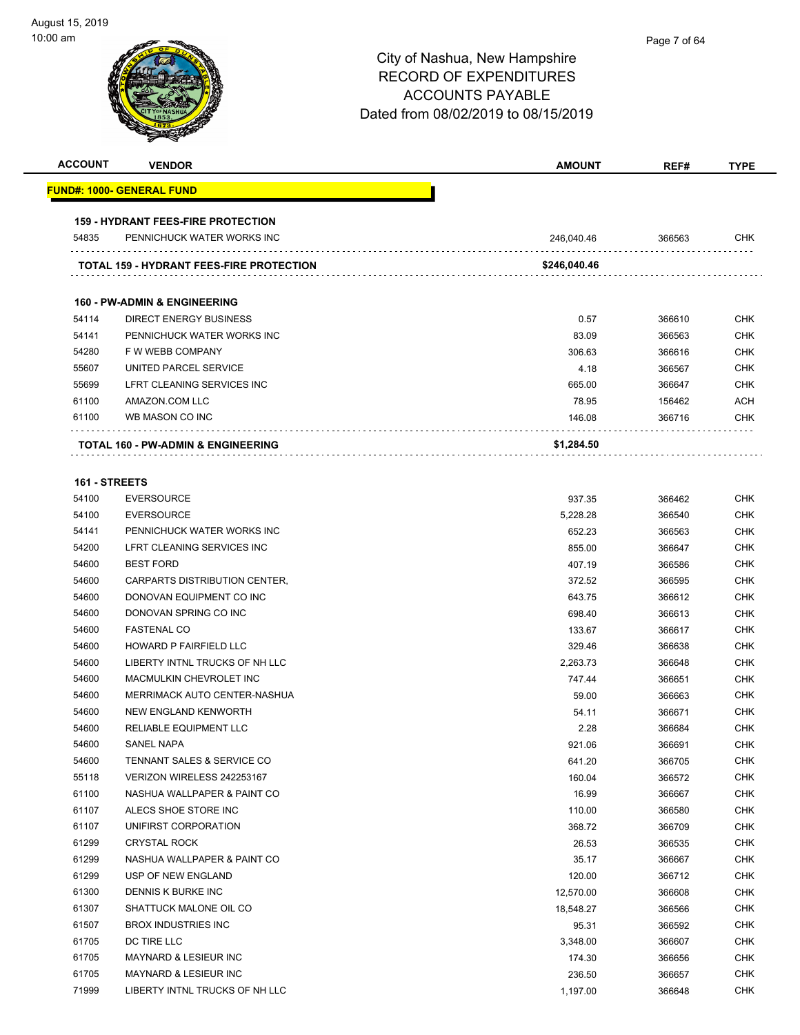| <b>ACCOUNT</b> | <b>VENDOR</b>                                   | <b>AMOUNT</b> | REF#   | <b>TYPE</b> |
|----------------|-------------------------------------------------|---------------|--------|-------------|
|                | <u> FUND#: 1000- GENERAL FUND</u>               |               |        |             |
|                | <b>159 - HYDRANT FEES-FIRE PROTECTION</b>       |               |        |             |
| 54835          | PENNICHUCK WATER WORKS INC                      | 246,040.46    | 366563 | CHK         |
|                | <b>TOTAL 159 - HYDRANT FEES-FIRE PROTECTION</b> | \$246,040.46  |        |             |
|                |                                                 |               |        |             |
|                | <b>160 - PW-ADMIN &amp; ENGINEERING</b>         |               |        |             |
| 54114          | <b>DIRECT ENERGY BUSINESS</b>                   | 0.57          | 366610 | <b>CHK</b>  |
| 54141          | PENNICHUCK WATER WORKS INC                      | 83.09         | 366563 | <b>CHK</b>  |
| 54280          | F W WEBB COMPANY                                | 306.63        | 366616 | <b>CHK</b>  |
| 55607          | UNITED PARCEL SERVICE                           | 4.18          | 366567 | <b>CHK</b>  |
| 55699          | LFRT CLEANING SERVICES INC                      | 665.00        | 366647 | <b>CHK</b>  |
| 61100          | AMAZON.COM LLC                                  | 78.95         | 156462 | ACH         |
| 61100          | WB MASON CO INC                                 | 146.08        | 366716 | CHK         |
|                | TOTAL 160 - PW-ADMIN & ENGINEERING              | \$1,284.50    |        |             |
| 161 - STREETS  |                                                 |               |        |             |
| 54100          | <b>EVERSOURCE</b>                               | 937.35        | 366462 | <b>CHK</b>  |
| 54100          | <b>EVERSOURCE</b>                               | 5,228.28      | 366540 | <b>CHK</b>  |
| 54141          | PENNICHUCK WATER WORKS INC                      | 652.23        | 366563 | <b>CHK</b>  |
| 54200          | LFRT CLEANING SERVICES INC                      | 855.00        | 366647 | <b>CHK</b>  |
| 54600          | <b>BEST FORD</b>                                | 407.19        | 366586 | <b>CHK</b>  |
| 54600          | CARPARTS DISTRIBUTION CENTER,                   | 372.52        | 366595 | <b>CHK</b>  |
| 54600          | DONOVAN EQUIPMENT CO INC                        |               |        | <b>CHK</b>  |
|                |                                                 | 643.75        | 366612 |             |
| 54600          | DONOVAN SPRING CO INC                           | 698.40        | 366613 | <b>CHK</b>  |
| 54600          | <b>FASTENAL CO</b>                              | 133.67        | 366617 | <b>CHK</b>  |
| 54600          | HOWARD P FAIRFIELD LLC                          | 329.46        | 366638 | <b>CHK</b>  |
| 54600          | LIBERTY INTNL TRUCKS OF NH LLC                  | 2,263.73      | 366648 | <b>CHK</b>  |
| 54600          | MACMULKIN CHEVROLET INC                         | 747.44        | 366651 | <b>CHK</b>  |
| 54600          | MERRIMACK AUTO CENTER-NASHUA                    | 59.00         | 366663 | <b>CHK</b>  |
| 54600          | NEW ENGLAND KENWORTH                            | 54.11         | 366671 | <b>CHK</b>  |
| 54600          | RELIABLE EQUIPMENT LLC                          | 2.28          | 366684 | <b>CHK</b>  |
| 54600          | SANEL NAPA                                      | 921.06        | 366691 | <b>CHK</b>  |
| 54600          | TENNANT SALES & SERVICE CO                      | 641.20        | 366705 | <b>CHK</b>  |
| 55118          | VERIZON WIRELESS 242253167                      | 160.04        | 366572 | <b>CHK</b>  |
| 61100          | NASHUA WALLPAPER & PAINT CO                     | 16.99         | 366667 | <b>CHK</b>  |
| 61107          | ALECS SHOE STORE INC                            | 110.00        | 366580 | <b>CHK</b>  |
| 61107          | UNIFIRST CORPORATION                            | 368.72        | 366709 | <b>CHK</b>  |
| 61299          | <b>CRYSTAL ROCK</b>                             | 26.53         | 366535 | <b>CHK</b>  |
| 61299          | NASHUA WALLPAPER & PAINT CO                     | 35.17         | 366667 | <b>CHK</b>  |
| 61299          | USP OF NEW ENGLAND                              | 120.00        | 366712 | <b>CHK</b>  |
| 61300          | DENNIS K BURKE INC                              | 12,570.00     | 366608 | <b>CHK</b>  |
| 61307          | SHATTUCK MALONE OIL CO                          | 18,548.27     | 366566 | <b>CHK</b>  |
| 61507          | <b>BROX INDUSTRIES INC</b>                      | 95.31         | 366592 | <b>CHK</b>  |
| 61705          | DC TIRE LLC                                     | 3,348.00      | 366607 | <b>CHK</b>  |
| 61705          | MAYNARD & LESIEUR INC                           | 174.30        | 366656 | <b>CHK</b>  |
| 61705          | <b>MAYNARD &amp; LESIEUR INC</b>                | 236.50        | 366657 | <b>CHK</b>  |
| 71999          | LIBERTY INTNL TRUCKS OF NH LLC                  | 1,197.00      | 366648 | <b>CHK</b>  |
|                |                                                 |               |        |             |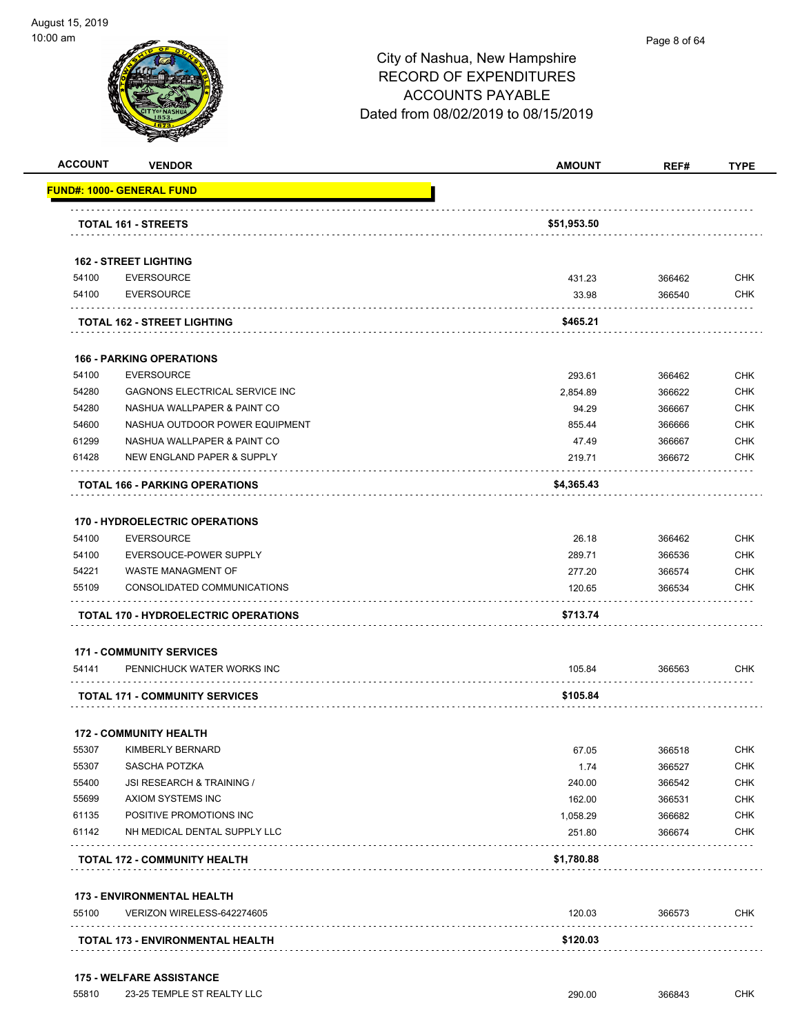

#### Page 8 of 64

| <b>ACCOUNT</b> | <b>VENDOR</b>                               | <b>AMOUNT</b> | REF#   | <b>TYPE</b> |
|----------------|---------------------------------------------|---------------|--------|-------------|
|                | <u> FUND#: 1000- GENERAL FUND</u>           |               |        |             |
|                |                                             |               |        |             |
|                | <b>TOTAL 161 - STREETS</b>                  | \$51,953.50   |        |             |
|                | <b>162 - STREET LIGHTING</b>                |               |        |             |
| 54100          | <b>EVERSOURCE</b>                           | 431.23        | 366462 | <b>CHK</b>  |
| 54100          | <b>EVERSOURCE</b>                           | 33.98         | 366540 | <b>CHK</b>  |
|                | <b>TOTAL 162 - STREET LIGHTING</b>          | \$465.21      |        |             |
|                | <b>166 - PARKING OPERATIONS</b>             |               |        |             |
| 54100          | <b>EVERSOURCE</b>                           | 293.61        | 366462 | <b>CHK</b>  |
| 54280          | GAGNONS ELECTRICAL SERVICE INC              | 2,854.89      | 366622 | <b>CHK</b>  |
| 54280          | NASHUA WALLPAPER & PAINT CO                 | 94.29         | 366667 | <b>CHK</b>  |
| 54600          | NASHUA OUTDOOR POWER EQUIPMENT              | 855.44        | 366666 | <b>CHK</b>  |
| 61299          | NASHUA WALLPAPER & PAINT CO                 | 47.49         | 366667 | <b>CHK</b>  |
| 61428          | NEW ENGLAND PAPER & SUPPLY                  | 219.71        | 366672 | CHK         |
|                | <b>TOTAL 166 - PARKING OPERATIONS</b>       | \$4,365.43    |        |             |
|                | <b>170 - HYDROELECTRIC OPERATIONS</b>       |               |        |             |
| 54100          | <b>EVERSOURCE</b>                           | 26.18         | 366462 | <b>CHK</b>  |
| 54100          | EVERSOUCE-POWER SUPPLY                      | 289.71        | 366536 | <b>CHK</b>  |
| 54221          | WASTE MANAGMENT OF                          | 277.20        | 366574 | <b>CHK</b>  |
| 55109          | CONSOLIDATED COMMUNICATIONS                 | 120.65        | 366534 | СНК         |
|                | <b>TOTAL 170 - HYDROELECTRIC OPERATIONS</b> | \$713.74      |        |             |
|                | <b>171 - COMMUNITY SERVICES</b>             |               |        |             |
| 54141          | PENNICHUCK WATER WORKS INC                  | 105.84        | 366563 | CHK         |
|                | <b>TOTAL 171 - COMMUNITY SERVICES</b>       | \$105.84      |        |             |
|                | <b>172 - COMMUNITY HEALTH</b>               |               |        |             |
| 55307          | KIMBERLY BERNARD                            | 67.05         | 366518 | <b>CHK</b>  |
| 55307          | SASCHA POTZKA                               | 1.74          | 366527 | <b>CHK</b>  |
| 55400          | JSI RESEARCH & TRAINING /                   | 240.00        | 366542 | <b>CHK</b>  |
| 55699          | AXIOM SYSTEMS INC                           | 162.00        | 366531 | <b>CHK</b>  |
| 61135          | POSITIVE PROMOTIONS INC                     | 1,058.29      | 366682 | <b>CHK</b>  |
| 61142          | NH MEDICAL DENTAL SUPPLY LLC                | 251.80        | 366674 | <b>CHK</b>  |
|                | <b>TOTAL 172 - COMMUNITY HEALTH</b>         | \$1,780.88    |        |             |
|                | <b>173 - ENVIRONMENTAL HEALTH</b>           |               |        |             |
| 55100          | VERIZON WIRELESS-642274605                  | 120.03        | 366573 | <b>CHK</b>  |
|                |                                             |               |        |             |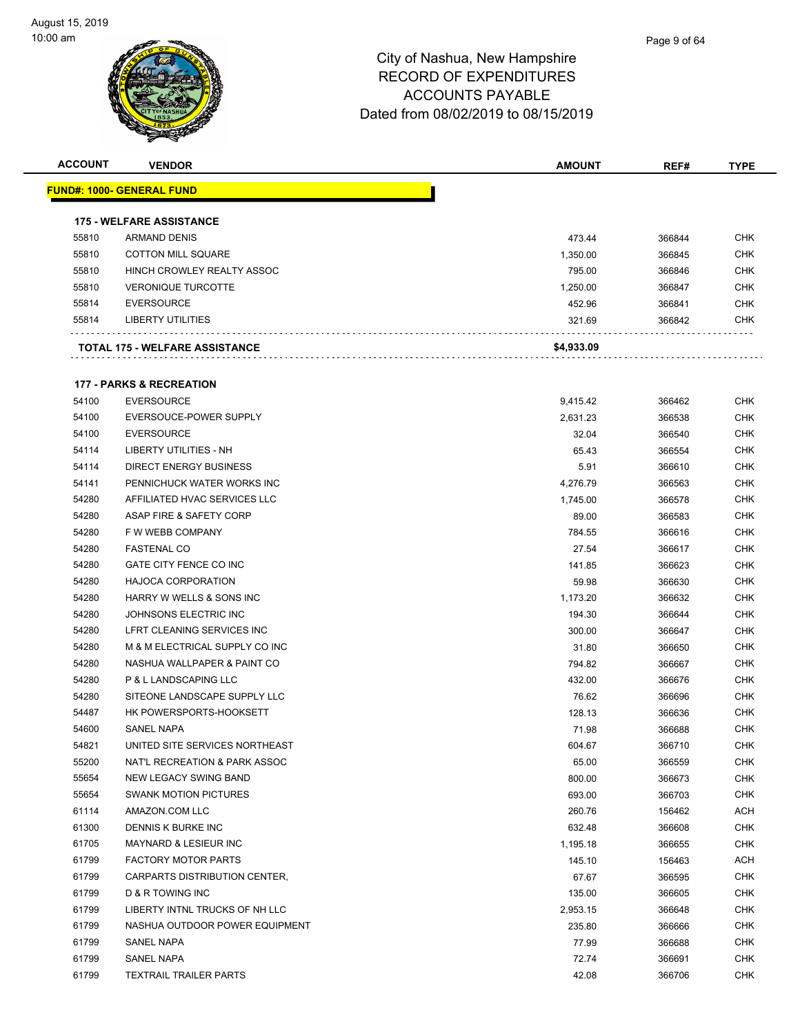| <b>ACCOUNT</b> | <b>VENDOR</b>                         | <b>AMOUNT</b> | REF#   | TYPE       |
|----------------|---------------------------------------|---------------|--------|------------|
|                | <u> FUND#: 1000- GENERAL FUND</u>     |               |        |            |
|                |                                       |               |        |            |
|                | <b>175 - WELFARE ASSISTANCE</b>       |               |        |            |
| 55810          | <b>ARMAND DENIS</b>                   | 473.44        | 366844 | <b>CHK</b> |
| 55810          | <b>COTTON MILL SQUARE</b>             | 1,350.00      | 366845 | <b>CHK</b> |
| 55810          | HINCH CROWLEY REALTY ASSOC            | 795.00        | 366846 | <b>CHK</b> |
| 55810          | <b>VERONIQUE TURCOTTE</b>             | 1,250.00      | 366847 | <b>CHK</b> |
| 55814          | <b>EVERSOURCE</b>                     | 452.96        | 366841 | <b>CHK</b> |
| 55814          | <b>LIBERTY UTILITIES</b>              | 321.69        | 366842 | <b>CHK</b> |
|                | <b>TOTAL 175 - WELFARE ASSISTANCE</b> | \$4,933.09    |        |            |
|                |                                       |               |        |            |
|                | <b>177 - PARKS &amp; RECREATION</b>   |               |        |            |
| 54100          | <b>EVERSOURCE</b>                     | 9,415.42      | 366462 | <b>CHK</b> |
| 54100          | EVERSOUCE-POWER SUPPLY                | 2,631.23      | 366538 | <b>CHK</b> |
| 54100          | <b>EVERSOURCE</b>                     | 32.04         | 366540 | <b>CHK</b> |
| 54114          | LIBERTY UTILITIES - NH                | 65.43         | 366554 | <b>CHK</b> |
| 54114          | <b>DIRECT ENERGY BUSINESS</b>         | 5.91          | 366610 | <b>CHK</b> |
| 54141          | PENNICHUCK WATER WORKS INC            | 4,276.79      | 366563 | <b>CHK</b> |
| 54280          | AFFILIATED HVAC SERVICES LLC          | 1.745.00      | 366578 | <b>CHK</b> |
| 54280          | ASAP FIRE & SAFETY CORP               | 89.00         | 366583 | <b>CHK</b> |
| 54280          | F W WEBB COMPANY                      | 784.55        | 366616 | <b>CHK</b> |
| 54280          | <b>FASTENAL CO</b>                    | 27.54         | 366617 | <b>CHK</b> |
| 54280          | GATE CITY FENCE CO INC                | 141.85        | 366623 | <b>CHK</b> |
| 54280          | <b>HAJOCA CORPORATION</b>             | 59.98         | 366630 | <b>CHK</b> |
| 54280          | HARRY W WELLS & SONS INC              | 1,173.20      | 366632 | <b>CHK</b> |
| 54280          | JOHNSONS ELECTRIC INC                 | 194.30        | 366644 | <b>CHK</b> |
| 54280          | LFRT CLEANING SERVICES INC            | 300.00        | 366647 | <b>CHK</b> |
| 54280          | M & M ELECTRICAL SUPPLY CO INC        | 31.80         | 366650 | <b>CHK</b> |
| 54280          | NASHUA WALLPAPER & PAINT CO           | 794.82        | 366667 | <b>CHK</b> |
| 54280          | P & L LANDSCAPING LLC                 | 432.00        | 366676 | <b>CHK</b> |
| 54280          | SITEONE LANDSCAPE SUPPLY LLC          | 76.62         | 366696 | <b>CHK</b> |
| 54487          | HK POWERSPORTS-HOOKSETT               | 128.13        | 366636 | <b>CHK</b> |
| 54600          | <b>SANEL NAPA</b>                     | 71.98         | 366688 | <b>CHK</b> |
| 54821          | UNITED SITE SERVICES NORTHEAST        | 604.67        | 366710 | <b>CHK</b> |
| 55200          | NAT'L RECREATION & PARK ASSOC         | 65.00         | 366559 | <b>CHK</b> |
| 55654          | NEW LEGACY SWING BAND                 | 800.00        | 366673 | <b>CHK</b> |
| 55654          | <b>SWANK MOTION PICTURES</b>          | 693.00        | 366703 | <b>CHK</b> |
| 61114          | AMAZON.COM LLC                        | 260.76        | 156462 | <b>ACH</b> |
| 61300          | DENNIS K BURKE INC                    | 632.48        | 366608 | <b>CHK</b> |
| 61705          | MAYNARD & LESIEUR INC                 | 1,195.18      | 366655 | <b>CHK</b> |
| 61799          | <b>FACTORY MOTOR PARTS</b>            | 145.10        | 156463 | <b>ACH</b> |
| 61799          | CARPARTS DISTRIBUTION CENTER,         | 67.67         | 366595 | <b>CHK</b> |
| 61799          | <b>D &amp; R TOWING INC</b>           | 135.00        | 366605 | <b>CHK</b> |
| 61799          | LIBERTY INTNL TRUCKS OF NH LLC        | 2,953.15      | 366648 | <b>CHK</b> |
| 61799          | NASHUA OUTDOOR POWER EQUIPMENT        | 235.80        | 366666 | <b>CHK</b> |
| 61799          | SANEL NAPA                            | 77.99         | 366688 | <b>CHK</b> |
| 61799          | SANEL NAPA                            | 72.74         | 366691 | <b>CHK</b> |
| 61799          | <b>TEXTRAIL TRAILER PARTS</b>         | 42.08         | 366706 | <b>CHK</b> |
|                |                                       |               |        |            |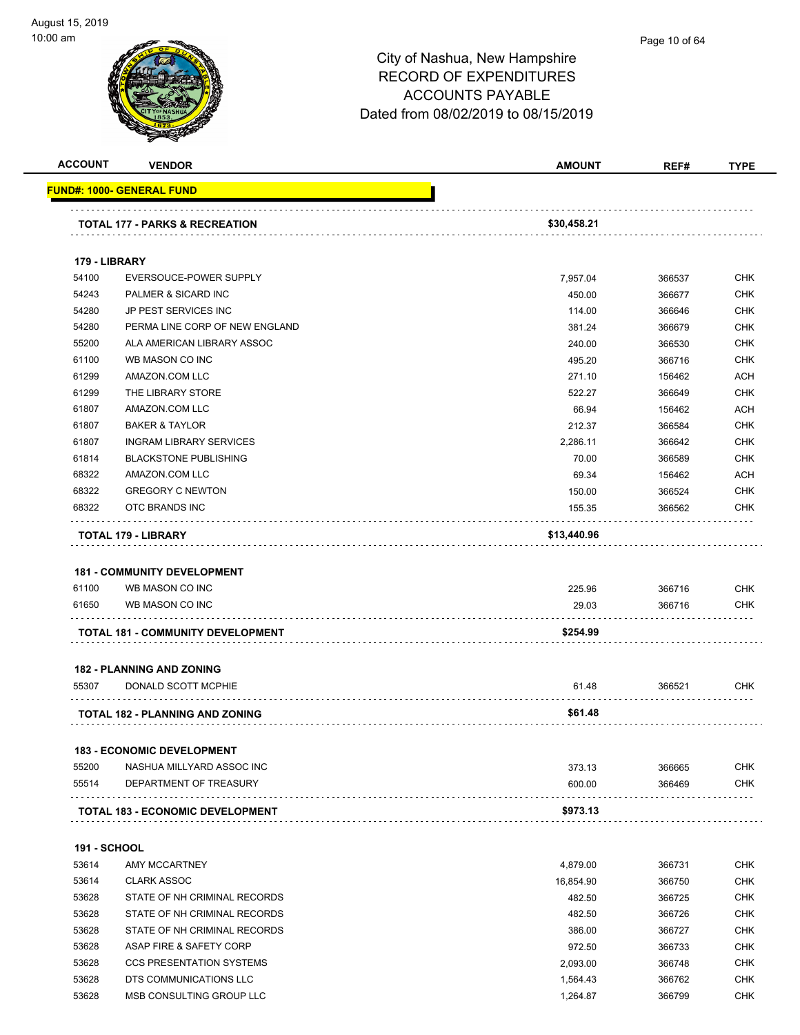#### Page 10 of 64

| <b>ACCOUNT</b>      | <b>VENDOR</b>                             | <b>AMOUNT</b>   | REF#             | <b>TYPE</b>       |
|---------------------|-------------------------------------------|-----------------|------------------|-------------------|
|                     | <b>FUND#: 1000- GENERAL FUND</b>          |                 |                  |                   |
|                     |                                           |                 |                  |                   |
|                     | <b>TOTAL 177 - PARKS &amp; RECREATION</b> | \$30,458.21     |                  |                   |
| 179 - LIBRARY       |                                           |                 |                  |                   |
| 54100               | EVERSOUCE-POWER SUPPLY                    | 7,957.04        | 366537           | <b>CHK</b>        |
| 54243               | PALMER & SICARD INC                       | 450.00          | 366677           | <b>CHK</b>        |
| 54280               | JP PEST SERVICES INC                      | 114.00          | 366646           | CHK               |
| 54280               | PERMA LINE CORP OF NEW ENGLAND            | 381.24          | 366679           | <b>CHK</b>        |
| 55200               | ALA AMERICAN LIBRARY ASSOC                | 240.00          | 366530           | <b>CHK</b>        |
| 61100               | WB MASON CO INC                           | 495.20          | 366716           | <b>CHK</b>        |
| 61299               | AMAZON.COM LLC                            | 271.10          | 156462           | <b>ACH</b>        |
| 61299               | THE LIBRARY STORE                         | 522.27          | 366649           | <b>CHK</b>        |
| 61807               | AMAZON.COM LLC                            | 66.94           | 156462           | <b>ACH</b>        |
| 61807               | <b>BAKER &amp; TAYLOR</b>                 | 212.37          | 366584           | <b>CHK</b>        |
| 61807               | <b>INGRAM LIBRARY SERVICES</b>            | 2,286.11        | 366642           | <b>CHK</b>        |
| 61814               | <b>BLACKSTONE PUBLISHING</b>              | 70.00           | 366589           | <b>CHK</b>        |
| 68322               | AMAZON.COM LLC                            | 69.34           | 156462           | <b>ACH</b>        |
| 68322               | <b>GREGORY C NEWTON</b>                   | 150.00          | 366524           | <b>CHK</b>        |
| 68322               |                                           |                 |                  | <b>CHK</b>        |
|                     | OTC BRANDS INC                            | 155.35          | 366562           |                   |
|                     | <b>TOTAL 179 - LIBRARY</b>                | \$13,440.96     |                  |                   |
| 61100<br>61650      | WB MASON CO INC<br>WB MASON CO INC        | 225.96<br>29.03 | 366716<br>366716 | CHK<br><b>CHK</b> |
|                     | TOTAL 181 - COMMUNITY DEVELOPMENT         | \$254.99        |                  |                   |
|                     | <b>182 - PLANNING AND ZONING</b>          |                 |                  |                   |
| 55307               | DONALD SCOTT MCPHIE                       | 61.48           | 366521           | CHK               |
|                     |                                           |                 |                  |                   |
|                     | TOTAL 182 - PLANNING AND ZONING           | \$61.48         |                  |                   |
|                     | <b>183 - ECONOMIC DEVELOPMENT</b>         |                 |                  |                   |
| 55200               | NASHUA MILLYARD ASSOC INC                 | 373.13          | 366665           | <b>CHK</b>        |
| 55514               | DEPARTMENT OF TREASURY                    | 600.00          | 366469           | <b>CHK</b>        |
|                     | <b>TOTAL 183 - ECONOMIC DEVELOPMENT</b>   | \$973.13        |                  |                   |
|                     |                                           |                 |                  |                   |
| <b>191 - SCHOOL</b> |                                           |                 |                  |                   |
| 53614               | AMY MCCARTNEY                             | 4,879.00        | 366731           | <b>CHK</b>        |
| 53614               | <b>CLARK ASSOC</b>                        | 16,854.90       | 366750           | <b>CHK</b>        |
| 53628               | STATE OF NH CRIMINAL RECORDS              | 482.50          | 366725           | <b>CHK</b>        |
| 53628               | STATE OF NH CRIMINAL RECORDS              | 482.50          | 366726           | <b>CHK</b>        |
| 53628               | STATE OF NH CRIMINAL RECORDS              | 386.00          | 366727           | <b>CHK</b>        |
| 53628               | ASAP FIRE & SAFETY CORP                   | 972.50          | 366733           | <b>CHK</b>        |
| 53628               | <b>CCS PRESENTATION SYSTEMS</b>           | 2,093.00        | 366748           | <b>CHK</b>        |
| 53628               | DTS COMMUNICATIONS LLC                    | 1,564.43        | 366762           | <b>CHK</b>        |
| 53628               | MSB CONSULTING GROUP LLC                  | 1,264.87        | 366799           | <b>CHK</b>        |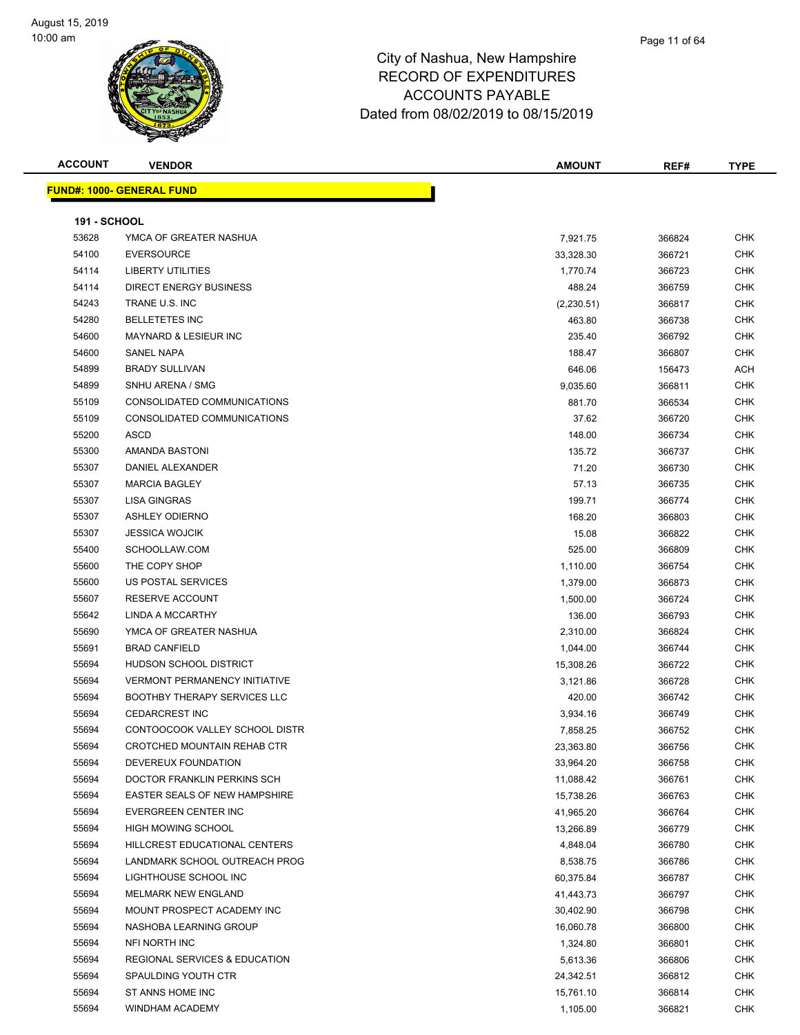

#### Page 11 of 64

| <b>ACCOUNT</b>      | <b>VENDOR</b>                            | <b>AMOUNT</b> | REF#   | TYPE       |
|---------------------|------------------------------------------|---------------|--------|------------|
|                     | <b>FUND#: 1000- GENERAL FUND</b>         |               |        |            |
|                     |                                          |               |        |            |
| <b>191 - SCHOOL</b> |                                          |               |        |            |
| 53628               | YMCA OF GREATER NASHUA                   | 7,921.75      | 366824 | CHK        |
| 54100               | <b>EVERSOURCE</b>                        | 33,328.30     | 366721 | <b>CHK</b> |
| 54114               | <b>LIBERTY UTILITIES</b>                 | 1,770.74      | 366723 | <b>CHK</b> |
| 54114               | <b>DIRECT ENERGY BUSINESS</b>            | 488.24        | 366759 | <b>CHK</b> |
| 54243               | TRANE U.S. INC                           | (2,230.51)    | 366817 | CHK        |
| 54280               | <b>BELLETETES INC</b>                    | 463.80        | 366738 | <b>CHK</b> |
| 54600               | <b>MAYNARD &amp; LESIEUR INC</b>         | 235.40        | 366792 | <b>CHK</b> |
| 54600               | <b>SANEL NAPA</b>                        | 188.47        | 366807 | <b>CHK</b> |
| 54899               | <b>BRADY SULLIVAN</b>                    | 646.06        | 156473 | ACH        |
| 54899               | SNHU ARENA / SMG                         | 9,035.60      | 366811 | <b>CHK</b> |
| 55109               | CONSOLIDATED COMMUNICATIONS              | 881.70        | 366534 | <b>CHK</b> |
| 55109               | CONSOLIDATED COMMUNICATIONS              | 37.62         | 366720 | CHK        |
| 55200               | <b>ASCD</b>                              | 148.00        | 366734 | CHK        |
| 55300               | AMANDA BASTONI                           | 135.72        | 366737 | <b>CHK</b> |
| 55307               | DANIEL ALEXANDER                         | 71.20         | 366730 | <b>CHK</b> |
| 55307               | <b>MARCIA BAGLEY</b>                     | 57.13         | 366735 | CHK        |
| 55307               | <b>LISA GINGRAS</b>                      | 199.71        | 366774 | <b>CHK</b> |
| 55307               | <b>ASHLEY ODIERNO</b>                    | 168.20        | 366803 | <b>CHK</b> |
| 55307               | <b>JESSICA WOJCIK</b>                    | 15.08         | 366822 | <b>CHK</b> |
| 55400               | SCHOOLLAW.COM                            | 525.00        | 366809 | <b>CHK</b> |
| 55600               | THE COPY SHOP                            | 1,110.00      | 366754 | CHK        |
| 55600               | US POSTAL SERVICES                       | 1,379.00      | 366873 | <b>CHK</b> |
| 55607               | RESERVE ACCOUNT                          | 1,500.00      | 366724 | <b>CHK</b> |
| 55642               | LINDA A MCCARTHY                         | 136.00        | 366793 | <b>CHK</b> |
| 55690               | YMCA OF GREATER NASHUA                   | 2,310.00      | 366824 | <b>CHK</b> |
| 55691               | <b>BRAD CANFIELD</b>                     | 1,044.00      | 366744 | <b>CHK</b> |
| 55694               | <b>HUDSON SCHOOL DISTRICT</b>            | 15,308.26     | 366722 | CHK        |
| 55694               | <b>VERMONT PERMANENCY INITIATIVE</b>     | 3,121.86      | 366728 | <b>CHK</b> |
| 55694               | <b>BOOTHBY THERAPY SERVICES LLC</b>      | 420.00        | 366742 | <b>CHK</b> |
| 55694               | <b>CEDARCREST INC</b>                    | 3,934.16      | 366749 | <b>CHK</b> |
| 55694               | CONTOOCOOK VALLEY SCHOOL DISTR           | 7,858.25      | 366752 | <b>CHK</b> |
| 55694               | CROTCHED MOUNTAIN REHAB CTR              | 23,363.80     | 366756 | CHK        |
| 55694               | DEVEREUX FOUNDATION                      | 33,964.20     | 366758 | CHK        |
| 55694               | DOCTOR FRANKLIN PERKINS SCH              | 11,088.42     | 366761 | CHK        |
| 55694               | EASTER SEALS OF NEW HAMPSHIRE            | 15,738.26     | 366763 | <b>CHK</b> |
| 55694               | EVERGREEN CENTER INC                     | 41,965.20     | 366764 | CHK        |
| 55694               | <b>HIGH MOWING SCHOOL</b>                | 13,266.89     | 366779 | CHK        |
| 55694               | HILLCREST EDUCATIONAL CENTERS            | 4,848.04      | 366780 | <b>CHK</b> |
| 55694               | LANDMARK SCHOOL OUTREACH PROG            | 8,538.75      | 366786 | <b>CHK</b> |
| 55694               | LIGHTHOUSE SCHOOL INC                    | 60,375.84     | 366787 | <b>CHK</b> |
| 55694               | MELMARK NEW ENGLAND                      | 41,443.73     | 366797 | <b>CHK</b> |
| 55694               | MOUNT PROSPECT ACADEMY INC               | 30,402.90     | 366798 | CHK        |
| 55694               | NASHOBA LEARNING GROUP                   | 16,060.78     | 366800 | CHK        |
| 55694               | NFI NORTH INC                            | 1,324.80      | 366801 | CHK        |
| 55694               | <b>REGIONAL SERVICES &amp; EDUCATION</b> | 5,613.36      | 366806 | CHK        |
| 55694               | SPAULDING YOUTH CTR                      | 24,342.51     | 366812 | CHK        |
| 55694               | ST ANNS HOME INC                         | 15,761.10     | 366814 | CHK        |
| 55694               | WINDHAM ACADEMY                          | 1,105.00      | 366821 | <b>CHK</b> |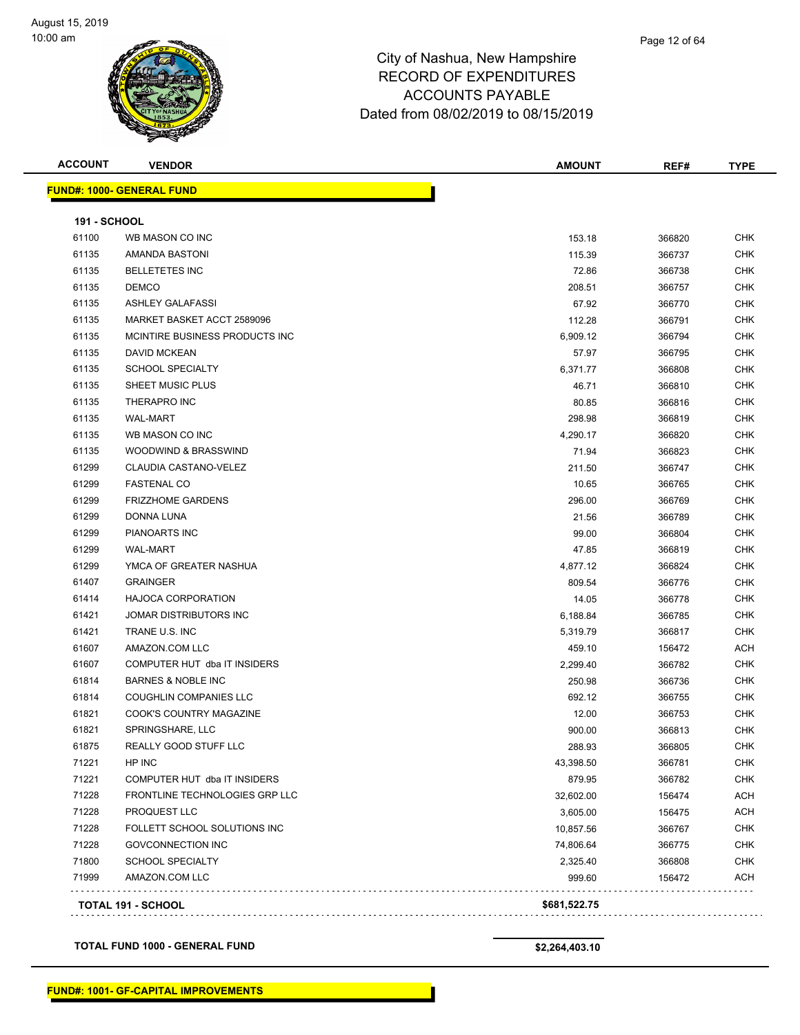#### Page 12 of 64

### City of Nashua, New Hampshire RECORD OF EXPENDITURES ACCOUNTS PAYABLE Dated from 08/02/2019 to 08/15/2019

| <b>ACCOUNT</b>      | <b>VENDOR</b>                    | <b>AMOUNT</b> | REF#   | <b>TYPE</b> |
|---------------------|----------------------------------|---------------|--------|-------------|
|                     | <b>FUND#: 1000- GENERAL FUND</b> |               |        |             |
| <b>191 - SCHOOL</b> |                                  |               |        |             |
| 61100               | WB MASON CO INC                  | 153.18        | 366820 | <b>CHK</b>  |
| 61135               | <b>AMANDA BASTONI</b>            | 115.39        | 366737 | CHK         |
| 61135               | <b>BELLETETES INC</b>            | 72.86         | 366738 | <b>CHK</b>  |
| 61135               | <b>DEMCO</b>                     | 208.51        | 366757 | <b>CHK</b>  |
| 61135               | <b>ASHLEY GALAFASSI</b>          | 67.92         | 366770 | CHK         |
| 61135               | MARKET BASKET ACCT 2589096       | 112.28        | 366791 | <b>CHK</b>  |
| 61135               | MCINTIRE BUSINESS PRODUCTS INC   | 6,909.12      | 366794 | <b>CHK</b>  |
| 61135               | <b>DAVID MCKEAN</b>              | 57.97         | 366795 | CHK         |
| 61135               | <b>SCHOOL SPECIALTY</b>          | 6,371.77      | 366808 | CHK         |
| 61135               | SHEET MUSIC PLUS                 | 46.71         | 366810 | <b>CHK</b>  |
| 61135               | <b>THERAPRO INC</b>              | 80.85         | 366816 | CHK         |
| 61135               | <b>WAL-MART</b>                  | 298.98        | 366819 | CHK         |
| 61135               | WB MASON CO INC                  | 4,290.17      | 366820 | <b>CHK</b>  |
| 61135               | WOODWIND & BRASSWIND             | 71.94         | 366823 | <b>CHK</b>  |
| 61299               | <b>CLAUDIA CASTANO-VELEZ</b>     | 211.50        | 366747 | <b>CHK</b>  |
| 61299               | <b>FASTENAL CO</b>               | 10.65         | 366765 | <b>CHK</b>  |
| 61299               | <b>FRIZZHOME GARDENS</b>         | 296.00        | 366769 | <b>CHK</b>  |
| 61299               | <b>DONNA LUNA</b>                | 21.56         | 366789 | <b>CHK</b>  |
| 61299               | <b>PIANOARTS INC</b>             | 99.00         | 366804 | <b>CHK</b>  |
| 61299               | <b>WAL-MART</b>                  | 47.85         | 366819 | <b>CHK</b>  |
| 61299               | YMCA OF GREATER NASHUA           | 4,877.12      | 366824 | <b>CHK</b>  |
| 61407               | <b>GRAINGER</b>                  | 809.54        | 366776 | <b>CHK</b>  |
| 61414               | <b>HAJOCA CORPORATION</b>        | 14.05         | 366778 | <b>CHK</b>  |
| 61421               | JOMAR DISTRIBUTORS INC           | 6,188.84      | 366785 | CHK         |
| 61421               | TRANE U.S. INC                   | 5,319.79      | 366817 | CHK         |
| 61607               | AMAZON.COM LLC                   | 459.10        | 156472 | <b>ACH</b>  |
| 61607               | COMPUTER HUT dba IT INSIDERS     | 2,299.40      | 366782 | <b>CHK</b>  |
| 61814               | <b>BARNES &amp; NOBLE INC</b>    | 250.98        | 366736 | CHK         |
| 61814               | <b>COUGHLIN COMPANIES LLC</b>    | 692.12        | 366755 | CHK         |
| 61821               | COOK'S COUNTRY MAGAZINE          | 12.00         | 366753 | <b>CHK</b>  |
| 61821               | SPRINGSHARE, LLC                 | 900.00        | 366813 | <b>CHK</b>  |
| 61875               | <b>REALLY GOOD STUFF LLC</b>     | 288.93        | 366805 | <b>CHK</b>  |
| 71221               | HP INC                           | 43,398.50     | 366781 | <b>CHK</b>  |
| 71221               | COMPUTER HUT dba IT INSIDERS     | 879.95        | 366782 | <b>CHK</b>  |
| 71228               | FRONTLINE TECHNOLOGIES GRP LLC   | 32,602.00     | 156474 | <b>ACH</b>  |
| 71228               | PROQUEST LLC                     | 3,605.00      | 156475 | <b>ACH</b>  |
| 71228               | FOLLETT SCHOOL SOLUTIONS INC     | 10,857.56     | 366767 | CHK         |

 GOVCONNECTION INC 74,806.64 366775 CHK SCHOOL SPECIALTY 2,325.40 366808 CHK AMAZON.COM LLC 999.60 156472 ACH

**TOTAL 191 - SCHOOL \$681,522.75**

**TOTAL FUND 1000 - GENERAL FUND \$2,264,403.10** 

. . . . . . . . .

. . . . . . . . . . . .

. . . . .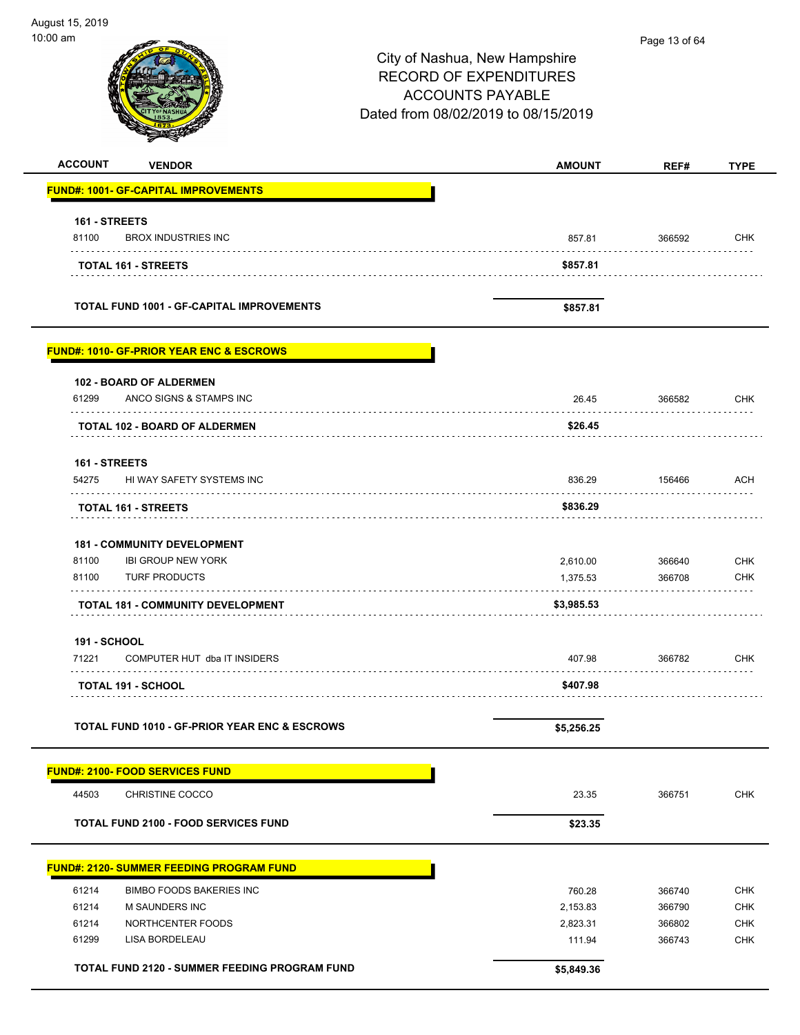$\overline{\phantom{0}}$ 

 $\overline{\phantom{0}}$ 

| 0:00 am             |                                                          | City of Nashua, New Hampshire<br><b>RECORD OF EXPENDITURES</b><br><b>ACCOUNTS PAYABLE</b><br>Dated from 08/02/2019 to 08/15/2019 | Page 13 of 64    |                          |
|---------------------|----------------------------------------------------------|----------------------------------------------------------------------------------------------------------------------------------|------------------|--------------------------|
| <b>ACCOUNT</b>      | <b>VENDOR</b>                                            | <b>AMOUNT</b>                                                                                                                    | REF#             | <b>TYPE</b>              |
|                     | <b>FUND#: 1001- GF-CAPITAL IMPROVEMENTS</b>              |                                                                                                                                  |                  |                          |
| 161 - STREETS       |                                                          |                                                                                                                                  |                  |                          |
| 81100               | <b>BROX INDUSTRIES INC</b>                               | 857.81                                                                                                                           | 366592           | <b>CHK</b>               |
|                     | TOTAL 161 - STREETS                                      | \$857.81                                                                                                                         |                  |                          |
|                     | <b>TOTAL FUND 1001 - GF-CAPITAL IMPROVEMENTS</b>         | \$857.81                                                                                                                         |                  |                          |
|                     | <b>FUND#: 1010- GF-PRIOR YEAR ENC &amp; ESCROWS</b>      |                                                                                                                                  |                  |                          |
|                     | 102 - BOARD OF ALDERMEN                                  |                                                                                                                                  |                  |                          |
| 61299               | ANCO SIGNS & STAMPS INC                                  | 26.45                                                                                                                            | 366582           | <b>CHK</b>               |
|                     | <b>TOTAL 102 - BOARD OF ALDERMEN</b>                     | \$26.45                                                                                                                          |                  |                          |
| 161 - STREETS       |                                                          |                                                                                                                                  |                  |                          |
| 54275               | HI WAY SAFETY SYSTEMS INC                                | 836.29                                                                                                                           | 156466           | <b>ACH</b>               |
|                     | <b>TOTAL 161 - STREETS</b>                               | \$836.29                                                                                                                         |                  |                          |
|                     | <b>181 - COMMUNITY DEVELOPMENT</b>                       |                                                                                                                                  |                  |                          |
| 81100               | <b>IBI GROUP NEW YORK</b>                                | 2,610.00                                                                                                                         | 366640           | <b>CHK</b>               |
| 81100               | <b>TURF PRODUCTS</b>                                     | 1,375.53                                                                                                                         | 366708           | <b>CHK</b>               |
|                     | <b>TOTAL 181 - COMMUNITY DEVELOPMENT</b>                 | \$3,985.53                                                                                                                       |                  |                          |
| <b>191 - SCHOOL</b> |                                                          |                                                                                                                                  |                  |                          |
| 71221               | COMPUTER HUT dba IT INSIDERS                             | 407.98                                                                                                                           | 366782           | <b>CHK</b>               |
|                     | TOTAL 191 - SCHOOL                                       | \$407.98                                                                                                                         |                  |                          |
|                     | <b>TOTAL FUND 1010 - GF-PRIOR YEAR ENC &amp; ESCROWS</b> | \$5,256.25                                                                                                                       |                  |                          |
|                     | <b>FUND#: 2100- FOOD SERVICES FUND</b>                   |                                                                                                                                  |                  |                          |
| 44503               | <b>CHRISTINE COCCO</b>                                   | 23.35                                                                                                                            | 366751           | <b>CHK</b>               |
|                     | <b>TOTAL FUND 2100 - FOOD SERVICES FUND</b>              | \$23.35                                                                                                                          |                  |                          |
|                     | <b>FUND#: 2120- SUMMER FEEDING PROGRAM FUND</b>          |                                                                                                                                  |                  |                          |
| 61214               | <b>BIMBO FOODS BAKERIES INC</b>                          | 760.28                                                                                                                           | 366740           | <b>CHK</b>               |
| 61214               | M SAUNDERS INC                                           | 2,153.83                                                                                                                         | 366790           | <b>CHK</b>               |
| 61214<br>61299      | NORTHCENTER FOODS<br>LISA BORDELEAU                      | 2,823.31<br>111.94                                                                                                               | 366802<br>366743 | <b>CHK</b><br><b>CHK</b> |
|                     |                                                          |                                                                                                                                  |                  |                          |
|                     | <b>TOTAL FUND 2120 - SUMMER FEEDING PROGRAM FUND</b>     | \$5,849.36                                                                                                                       |                  |                          |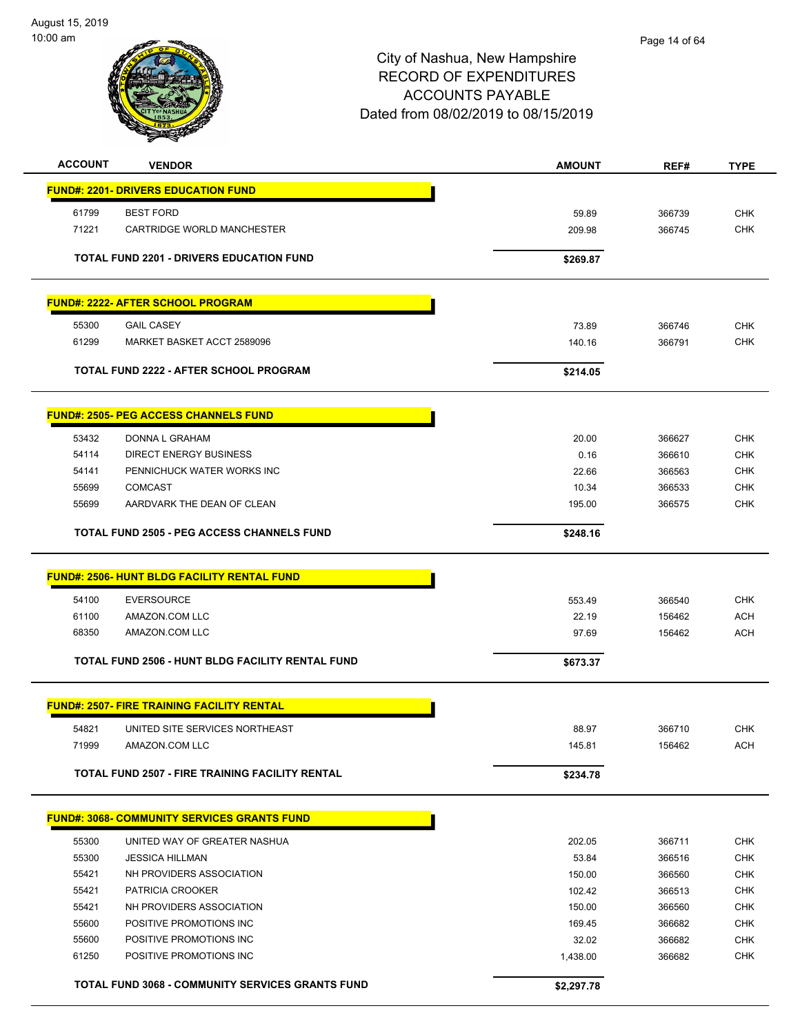

| <b>ACCOUNT</b> | <b>VENDOR</b>                                           | <b>AMOUNT</b> | REF#             | <b>TYPE</b> |
|----------------|---------------------------------------------------------|---------------|------------------|-------------|
|                | <b>FUND#: 2201- DRIVERS EDUCATION FUND</b>              |               |                  |             |
| 61799          | <b>BEST FORD</b>                                        | 59.89         | 366739           | <b>CHK</b>  |
| 71221          | CARTRIDGE WORLD MANCHESTER                              | 209.98        | 366745           | <b>CHK</b>  |
|                |                                                         |               |                  |             |
|                | <b>TOTAL FUND 2201 - DRIVERS EDUCATION FUND</b>         | \$269.87      |                  |             |
|                | <b>FUND#: 2222- AFTER SCHOOL PROGRAM</b>                |               |                  |             |
|                |                                                         |               |                  |             |
| 55300          | <b>GAIL CASEY</b>                                       | 73.89         | 366746           | <b>CHK</b>  |
| 61299          | MARKET BASKET ACCT 2589096                              | 140.16        | 366791           | <b>CHK</b>  |
|                | TOTAL FUND 2222 - AFTER SCHOOL PROGRAM                  | \$214.05      |                  |             |
|                | <b>FUND#: 2505- PEG ACCESS CHANNELS FUND</b>            |               |                  |             |
|                |                                                         |               |                  | <b>CHK</b>  |
| 53432<br>54114 | DONNA L GRAHAM<br><b>DIRECT ENERGY BUSINESS</b>         | 20.00<br>0.16 | 366627<br>366610 | <b>CHK</b>  |
| 54141          | PENNICHUCK WATER WORKS INC                              | 22.66         | 366563           | <b>CHK</b>  |
| 55699          | <b>COMCAST</b>                                          | 10.34         | 366533           | <b>CHK</b>  |
| 55699          | AARDVARK THE DEAN OF CLEAN                              | 195.00        | 366575           | <b>CHK</b>  |
|                |                                                         |               |                  |             |
|                | <b>TOTAL FUND 2505 - PEG ACCESS CHANNELS FUND</b>       | \$248.16      |                  |             |
|                | <b>FUND#: 2506- HUNT BLDG FACILITY RENTAL FUND</b>      |               |                  |             |
| 54100          | <b>EVERSOURCE</b>                                       | 553.49        | 366540           | <b>CHK</b>  |
| 61100          | AMAZON.COM LLC                                          | 22.19         | 156462           | <b>ACH</b>  |
| 68350          | AMAZON.COM LLC                                          | 97.69         | 156462           | <b>ACH</b>  |
|                | <b>TOTAL FUND 2506 - HUNT BLDG FACILITY RENTAL FUND</b> | \$673.37      |                  |             |
|                |                                                         |               |                  |             |
|                | <b>FUND#: 2507- FIRE TRAINING FACILITY RENTAL</b>       |               |                  |             |
| 54821          | UNITED SITE SERVICES NORTHEAST                          | 88.97         | 366710           | <b>CHK</b>  |
| 71999          | AMAZON.COM LLC                                          | 145.81        | 156462           | ACH         |
|                | TOTAL FUND 2507 - FIRE TRAINING FACILITY RENTAL         | \$234.78      |                  |             |
|                | <u> FUND#: 3068- COMMUNITY SERVICES GRANTS FUND</u>     |               |                  |             |
|                |                                                         |               |                  |             |
| 55300          | UNITED WAY OF GREATER NASHUA                            | 202.05        | 366711           | <b>CHK</b>  |
| 55300          | <b>JESSICA HILLMAN</b>                                  | 53.84         | 366516           | <b>CHK</b>  |
| 55421          | NH PROVIDERS ASSOCIATION                                | 150.00        | 366560           | <b>CHK</b>  |
| 55421          | PATRICIA CROOKER                                        | 102.42        | 366513           | <b>CHK</b>  |
| 55421          | NH PROVIDERS ASSOCIATION                                | 150.00        | 366560           | <b>CHK</b>  |
| 55600          | POSITIVE PROMOTIONS INC                                 | 169.45        | 366682           | <b>CHK</b>  |
| 55600          | POSITIVE PROMOTIONS INC                                 | 32.02         | 366682           | <b>CHK</b>  |
| 61250          | POSITIVE PROMOTIONS INC                                 | 1,438.00      | 366682           | <b>CHK</b>  |
|                | <b>TOTAL FUND 3068 - COMMUNITY SERVICES GRANTS FUND</b> | \$2,297.78    |                  |             |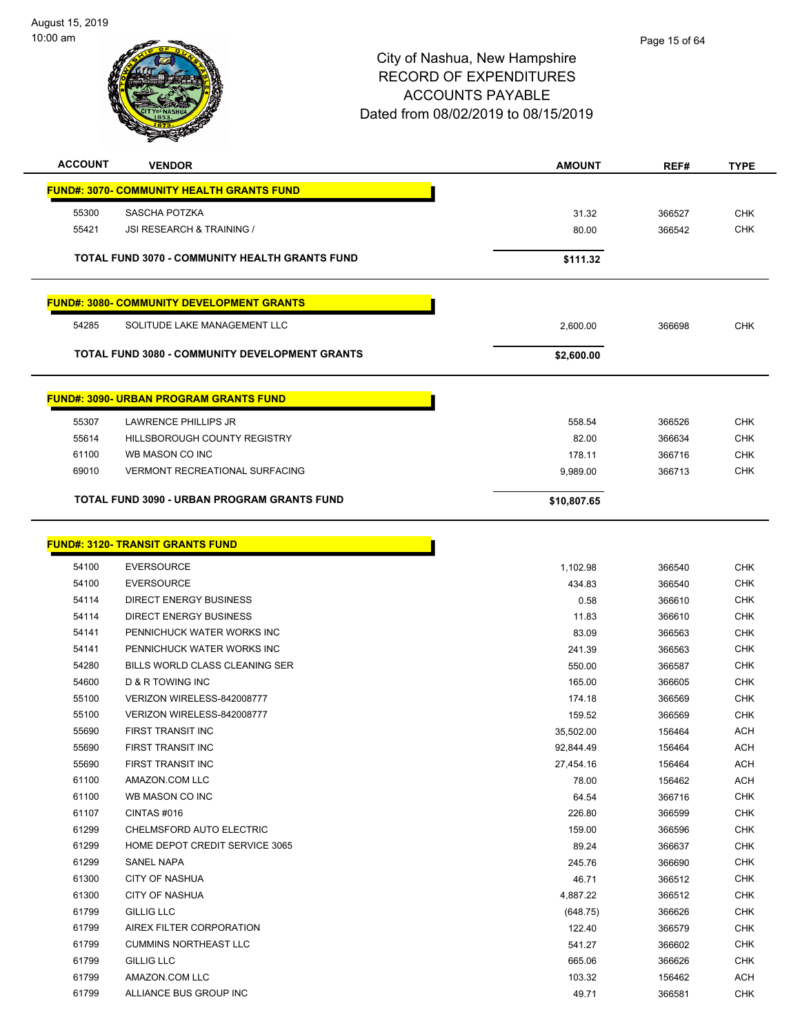

| <b>ACCOUNT</b> | <b>VENDOR</b>                                         | <b>AMOUNT</b> | REF#   | <b>TYPE</b>   |
|----------------|-------------------------------------------------------|---------------|--------|---------------|
|                | <b>FUND#: 3070- COMMUNITY HEALTH GRANTS FUND</b>      |               |        |               |
| 55300          | SASCHA POTZKA                                         | 31.32         | 366527 | <b>CHK</b>    |
| 55421          | JSI RESEARCH & TRAINING /                             | 80.00         | 366542 | <b>CHK</b>    |
|                | <b>TOTAL FUND 3070 - COMMUNITY HEALTH GRANTS FUND</b> | \$111.32      |        |               |
|                | <b>FUND#: 3080- COMMUNITY DEVELOPMENT GRANTS</b>      |               |        |               |
| 54285          | SOLITUDE LAKE MANAGEMENT LLC                          | 2,600.00      | 366698 | <b>CHK</b>    |
|                | <b>TOTAL FUND 3080 - COMMUNITY DEVELOPMENT GRANTS</b> | \$2,600.00    |        |               |
|                | <b>FUND#: 3090- URBAN PROGRAM GRANTS FUND</b>         |               |        |               |
| 55307          | <b>LAWRENCE PHILLIPS JR</b>                           | 558.54        | 366526 | <b>CHK</b>    |
| 55614          | <b>HILLSBOROUGH COUNTY REGISTRY</b>                   | 82.00         | 366634 | <b>CHK</b>    |
| 61100          | WB MASON CO INC                                       | 178.11        | 366716 | <b>CHK</b>    |
| 69010          | <b>VERMONT RECREATIONAL SURFACING</b>                 | 9,989.00      | 366713 | <b>CHK</b>    |
|                | <b>TOTAL FUND 3090 - URBAN PROGRAM GRANTS FUND</b>    | \$10,807.65   |        |               |
|                | <b>FUND#: 3120- TRANSIT GRANTS FUND</b>               |               |        |               |
| 54100          | <b>EVERSOURCE</b>                                     | 1,102.98      | 366540 | <b>CHK</b>    |
| 54100          | <b>EVERSOURCE</b>                                     | 434.83        | 366540 | <b>CHK</b>    |
| -              | BIBEAT ENFRONCENCERO                                  |               |        | $\sim$ $\sim$ |

| 54100 | <b>EVERSOURCE</b>              | 434.83    | 366540 | CHK        |
|-------|--------------------------------|-----------|--------|------------|
| 54114 | <b>DIRECT ENERGY BUSINESS</b>  | 0.58      | 366610 | <b>CHK</b> |
| 54114 | <b>DIRECT ENERGY BUSINESS</b>  | 11.83     | 366610 | <b>CHK</b> |
| 54141 | PENNICHUCK WATER WORKS INC     | 83.09     | 366563 | CHK        |
| 54141 | PENNICHUCK WATER WORKS INC     | 241.39    | 366563 | <b>CHK</b> |
| 54280 | BILLS WORLD CLASS CLEANING SER | 550.00    | 366587 | <b>CHK</b> |
| 54600 | <b>D &amp; R TOWING INC</b>    | 165.00    | 366605 | <b>CHK</b> |
| 55100 | VERIZON WIRELESS-842008777     | 174.18    | 366569 | <b>CHK</b> |
| 55100 | VERIZON WIRELESS-842008777     | 159.52    | 366569 | <b>CHK</b> |
| 55690 | <b>FIRST TRANSIT INC</b>       | 35,502.00 | 156464 | <b>ACH</b> |
| 55690 | <b>FIRST TRANSIT INC</b>       | 92,844.49 | 156464 | <b>ACH</b> |
| 55690 | FIRST TRANSIT INC              | 27,454.16 | 156464 | <b>ACH</b> |
| 61100 | AMAZON.COM LLC                 | 78.00     | 156462 | <b>ACH</b> |
| 61100 | WB MASON CO INC                | 64.54     | 366716 | <b>CHK</b> |
| 61107 | CINTAS#016                     | 226.80    | 366599 | <b>CHK</b> |
| 61299 | CHELMSFORD AUTO ELECTRIC       | 159.00    | 366596 | <b>CHK</b> |
| 61299 | HOME DEPOT CREDIT SERVICE 3065 | 89.24     | 366637 | <b>CHK</b> |
| 61299 | <b>SANEL NAPA</b>              | 245.76    | 366690 | <b>CHK</b> |
| 61300 | <b>CITY OF NASHUA</b>          | 46.71     | 366512 | <b>CHK</b> |
| 61300 | <b>CITY OF NASHUA</b>          | 4,887.22  | 366512 | <b>CHK</b> |
| 61799 | <b>GILLIG LLC</b>              | (648.75)  | 366626 | <b>CHK</b> |
| 61799 | AIREX FILTER CORPORATION       | 122.40    | 366579 | <b>CHK</b> |
| 61799 | <b>CUMMINS NORTHEAST LLC</b>   | 541.27    | 366602 | <b>CHK</b> |
| 61799 | <b>GILLIG LLC</b>              | 665.06    | 366626 | <b>CHK</b> |
| 61799 | AMAZON.COM LLC                 | 103.32    | 156462 | ACH        |
| 61799 | ALLIANCE BUS GROUP INC         | 49.71     | 366581 | <b>CHK</b> |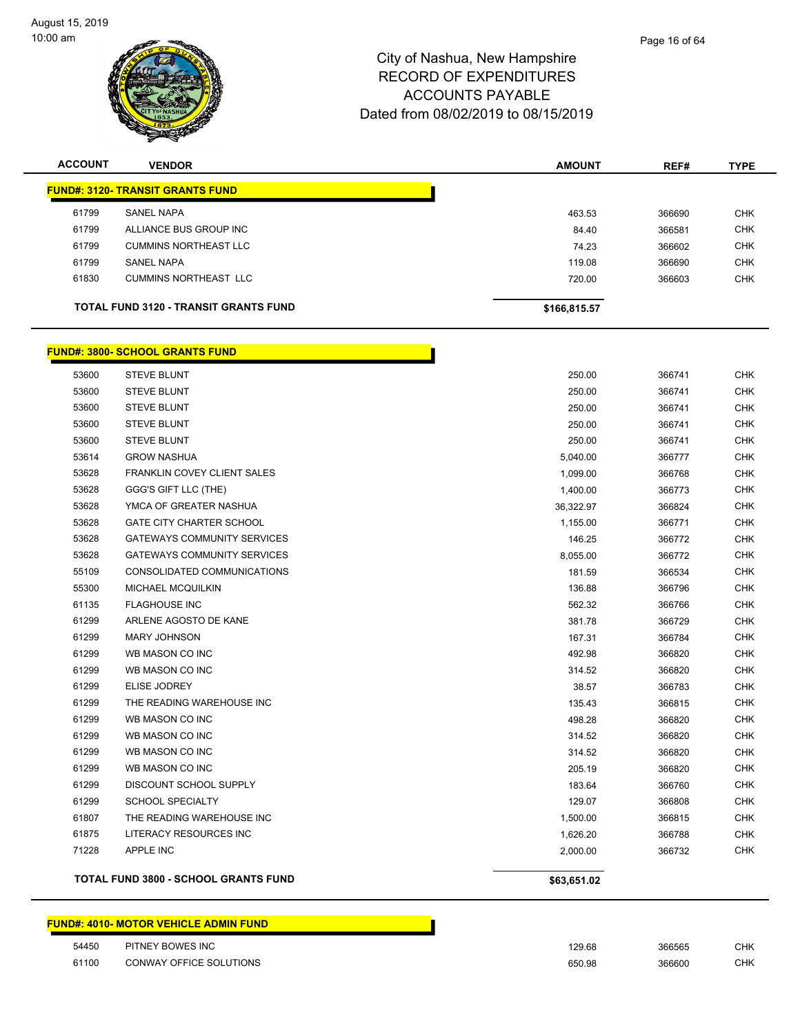

| <b>ACCOUNT</b> | <b>VENDOR</b>                                | <b>AMOUNT</b> | REF#   | <b>TYPE</b> |
|----------------|----------------------------------------------|---------------|--------|-------------|
|                | <b>FUND#: 3120- TRANSIT GRANTS FUND</b>      |               |        |             |
| 61799          | SANEL NAPA                                   | 463.53        | 366690 | <b>CHK</b>  |
| 61799          | ALLIANCE BUS GROUP INC                       | 84.40         | 366581 | <b>CHK</b>  |
| 61799          | <b>CUMMINS NORTHEAST LLC</b>                 | 74.23         | 366602 | <b>CHK</b>  |
| 61799          | SANEL NAPA                                   | 119.08        | 366690 | <b>CHK</b>  |
| 61830          | <b>CUMMINS NORTHEAST LLC</b>                 | 720.00        | 366603 | <b>CHK</b>  |
|                | <b>TOTAL FUND 3120 - TRANSIT GRANTS FUND</b> | \$166,815.57  |        |             |

|       | <b>FUND#: 3800- SCHOOL GRANTS FUND</b>      |             |        |            |
|-------|---------------------------------------------|-------------|--------|------------|
| 53600 | <b>STEVE BLUNT</b>                          | 250.00      | 366741 | <b>CHK</b> |
| 53600 | <b>STEVE BLUNT</b>                          | 250.00      | 366741 | <b>CHK</b> |
| 53600 | <b>STEVE BLUNT</b>                          | 250.00      | 366741 | <b>CHK</b> |
| 53600 | <b>STEVE BLUNT</b>                          | 250.00      | 366741 | <b>CHK</b> |
| 53600 | <b>STEVE BLUNT</b>                          | 250.00      | 366741 | <b>CHK</b> |
| 53614 | <b>GROW NASHUA</b>                          | 5,040.00    | 366777 | <b>CHK</b> |
| 53628 | FRANKLIN COVEY CLIENT SALES                 | 1,099.00    | 366768 | <b>CHK</b> |
| 53628 | GGG'S GIFT LLC (THE)                        | 1,400.00    | 366773 | <b>CHK</b> |
| 53628 | YMCA OF GREATER NASHUA                      | 36,322.97   | 366824 | <b>CHK</b> |
| 53628 | <b>GATE CITY CHARTER SCHOOL</b>             | 1,155.00    | 366771 | <b>CHK</b> |
| 53628 | <b>GATEWAYS COMMUNITY SERVICES</b>          | 146.25      | 366772 | <b>CHK</b> |
| 53628 | <b>GATEWAYS COMMUNITY SERVICES</b>          | 8,055.00    | 366772 | <b>CHK</b> |
| 55109 | CONSOLIDATED COMMUNICATIONS                 | 181.59      | 366534 | <b>CHK</b> |
| 55300 | MICHAEL MCQUILKIN                           | 136.88      | 366796 | <b>CHK</b> |
| 61135 | <b>FLAGHOUSE INC</b>                        | 562.32      | 366766 | <b>CHK</b> |
| 61299 | ARLENE AGOSTO DE KANE                       | 381.78      | 366729 | <b>CHK</b> |
| 61299 | <b>MARY JOHNSON</b>                         | 167.31      | 366784 | <b>CHK</b> |
| 61299 | WB MASON CO INC                             | 492.98      | 366820 | <b>CHK</b> |
| 61299 | WB MASON CO INC                             | 314.52      | 366820 | <b>CHK</b> |
| 61299 | <b>ELISE JODREY</b>                         | 38.57       | 366783 | <b>CHK</b> |
| 61299 | THE READING WAREHOUSE INC                   | 135.43      | 366815 | <b>CHK</b> |
| 61299 | WB MASON CO INC                             | 498.28      | 366820 | <b>CHK</b> |
| 61299 | WB MASON CO INC                             | 314.52      | 366820 | <b>CHK</b> |
| 61299 | WB MASON CO INC                             | 314.52      | 366820 | <b>CHK</b> |
| 61299 | WB MASON CO INC                             | 205.19      | 366820 | <b>CHK</b> |
| 61299 | DISCOUNT SCHOOL SUPPLY                      | 183.64      | 366760 | <b>CHK</b> |
| 61299 | <b>SCHOOL SPECIALTY</b>                     | 129.07      | 366808 | <b>CHK</b> |
| 61807 | THE READING WAREHOUSE INC                   | 1,500.00    | 366815 | <b>CHK</b> |
| 61875 | LITERACY RESOURCES INC                      | 1,626.20    | 366788 | <b>CHK</b> |
| 71228 | <b>APPLE INC</b>                            | 2,000.00    | 366732 | <b>CHK</b> |
|       | <b>TOTAL FUND 3800 - SCHOOL GRANTS FUND</b> | \$63,651.02 |        |            |

#### **FUND#: 4010- MOTOR VEHICLE ADMIN FUND**

| 54450 | PITNEY BOWES INC        | 129.68<br>. | 366565<br>. | $\sim$ 11/<br>∪⊓n   |
|-------|-------------------------|-------------|-------------|---------------------|
| 61100 | CONWAY OFFICE SOLUTIONS | 650.98      | 366600      | $\sim$ $\mu$<br>∪⊓ก |

Г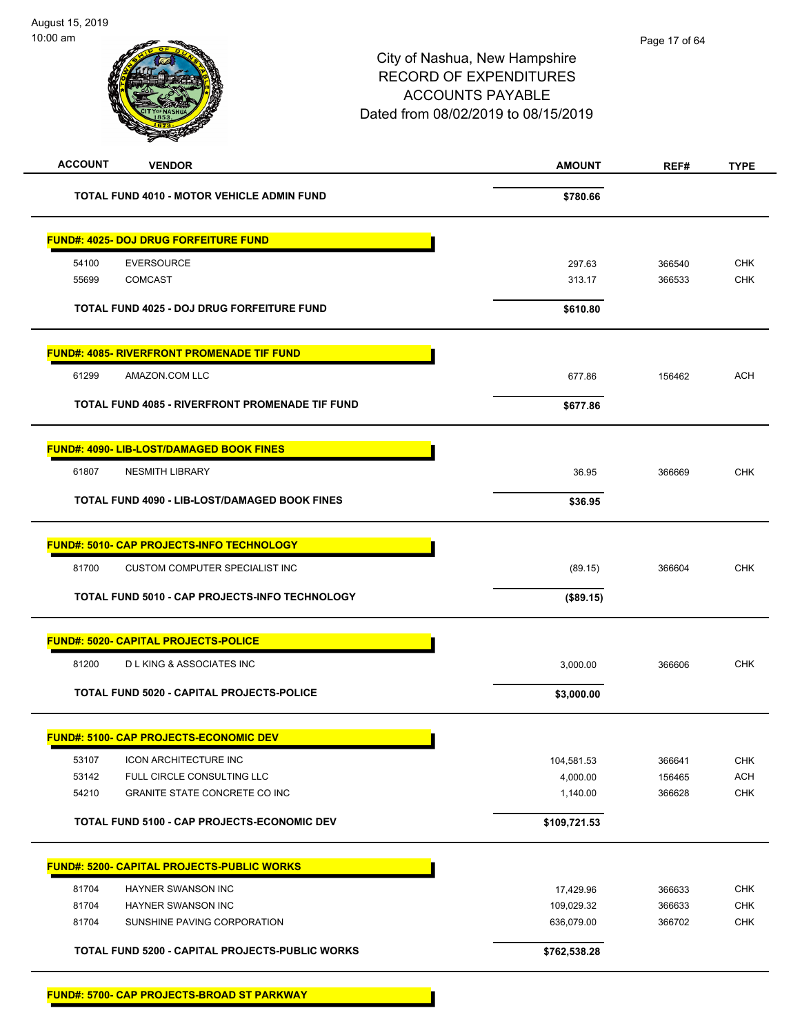| <b>ACCOUNT</b><br><b>VENDOR</b>                      | <b>AMOUNT</b> | REF#   | <b>TYPE</b> |
|------------------------------------------------------|---------------|--------|-------------|
| <b>TOTAL FUND 4010 - MOTOR VEHICLE ADMIN FUND</b>    | \$780.66      |        |             |
| <u> FUND#: 4025- DOJ DRUG FORFEITURE FUND</u>        |               |        |             |
| <b>EVERSOURCE</b><br>54100                           | 297.63        | 366540 | <b>CHK</b>  |
| 55699<br><b>COMCAST</b>                              | 313.17        | 366533 | <b>CHK</b>  |
| <b>TOTAL FUND 4025 - DOJ DRUG FORFEITURE FUND</b>    | \$610.80      |        |             |
| <b>FUND#: 4085- RIVERFRONT PROMENADE TIF FUND</b>    |               |        |             |
| 61299<br>AMAZON.COM LLC                              | 677.86        | 156462 | ACH         |
| TOTAL FUND 4085 - RIVERFRONT PROMENADE TIF FUND      | \$677.86      |        |             |
| <b>FUND#: 4090- LIB-LOST/DAMAGED BOOK FINES</b>      |               |        |             |
| 61807<br><b>NESMITH LIBRARY</b>                      | 36.95         | 366669 | <b>CHK</b>  |
| <b>TOTAL FUND 4090 - LIB-LOST/DAMAGED BOOK FINES</b> | \$36.95       |        |             |
| <b>FUND#: 5010- CAP PROJECTS-INFO TECHNOLOGY</b>     |               |        |             |
| 81700<br><b>CUSTOM COMPUTER SPECIALIST INC</b>       | (89.15)       | 366604 | <b>CHK</b>  |
| TOTAL FUND 5010 - CAP PROJECTS-INFO TECHNOLOGY       | (\$89.15)     |        |             |
| <b>FUND#: 5020- CAPITAL PROJECTS-POLICE</b>          |               |        |             |
| 81200<br><b>DLKING &amp; ASSOCIATES INC</b>          | 3,000.00      | 366606 | <b>CHK</b>  |
| TOTAL FUND 5020 - CAPITAL PROJECTS-POLICE            | \$3,000.00    |        |             |
|                                                      |               |        |             |
| <u> FUND#: 5100- CAP PROJECTS-ECONOMIC DEV</u>       |               |        |             |
| 53107<br><b>ICON ARCHITECTURE INC</b>                | 104,581.53    | 366641 | <b>CHK</b>  |
| 53142<br>FULL CIRCLE CONSULTING LLC                  | 4,000.00      | 156465 | <b>ACH</b>  |
| 54210<br>GRANITE STATE CONCRETE CO INC               | 1,140.00      | 366628 | <b>CHK</b>  |
| TOTAL FUND 5100 - CAP PROJECTS-ECONOMIC DEV          | \$109,721.53  |        |             |
| <b>FUND#: 5200- CAPITAL PROJECTS-PUBLIC WORKS</b>    |               |        |             |
| 81704<br>HAYNER SWANSON INC                          | 17,429.96     | 366633 | <b>CHK</b>  |
| 81704<br>HAYNER SWANSON INC                          | 109,029.32    | 366633 | <b>CHK</b>  |
| 81704<br>SUNSHINE PAVING CORPORATION                 | 636,079.00    | 366702 | <b>CHK</b>  |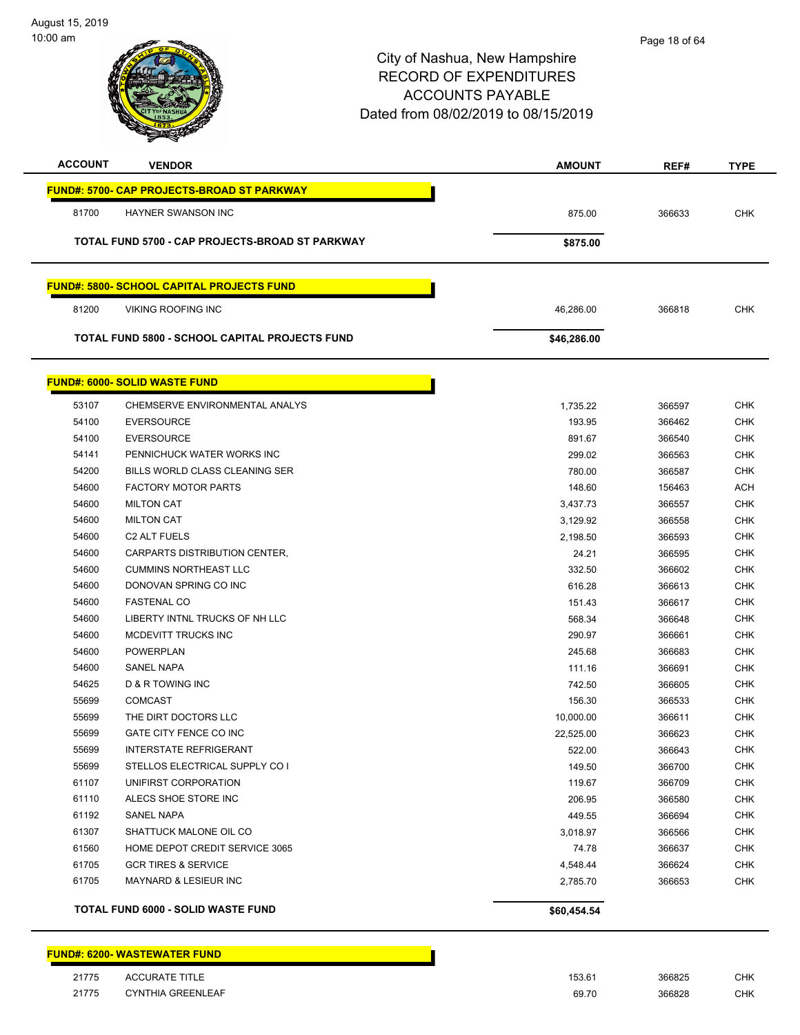

| <b>ACCOUNT</b> | <b>VENDOR</b>                                     | <b>AMOUNT</b> | REF#   | <b>TYPE</b> |
|----------------|---------------------------------------------------|---------------|--------|-------------|
|                | <b>FUND#: 5700- CAP PROJECTS-BROAD ST PARKWAY</b> |               |        |             |
| 81700          | <b>HAYNER SWANSON INC</b>                         | 875.00        | 366633 | <b>CHK</b>  |
|                | TOTAL FUND 5700 - CAP PROJECTS-BROAD ST PARKWAY   |               |        |             |
|                |                                                   | \$875.00      |        |             |
|                | <b>FUND#: 5800- SCHOOL CAPITAL PROJECTS FUND</b>  |               |        |             |
| 81200          | <b>VIKING ROOFING INC</b>                         | 46,286.00     | 366818 | <b>CHK</b>  |
|                | TOTAL FUND 5800 - SCHOOL CAPITAL PROJECTS FUND    | \$46,286.00   |        |             |
|                |                                                   |               |        |             |
|                | <b>FUND#: 6000- SOLID WASTE FUND</b>              |               |        |             |
| 53107          | CHEMSERVE ENVIRONMENTAL ANALYS                    | 1,735.22      | 366597 | <b>CHK</b>  |
| 54100          | <b>EVERSOURCE</b>                                 | 193.95        | 366462 | <b>CHK</b>  |
| 54100          | <b>EVERSOURCE</b>                                 | 891.67        | 366540 | <b>CHK</b>  |
| 54141          | PENNICHUCK WATER WORKS INC                        | 299.02        | 366563 | <b>CHK</b>  |
| 54200          | BILLS WORLD CLASS CLEANING SER                    | 780.00        | 366587 | <b>CHK</b>  |
| 54600          | <b>FACTORY MOTOR PARTS</b>                        | 148.60        | 156463 | <b>ACH</b>  |
| 54600          | <b>MILTON CAT</b>                                 | 3,437.73      | 366557 | <b>CHK</b>  |
| 54600          | <b>MILTON CAT</b>                                 | 3,129.92      | 366558 | <b>CHK</b>  |
| 54600          | C <sub>2</sub> ALT FUELS                          | 2,198.50      | 366593 | <b>CHK</b>  |
| 54600          | CARPARTS DISTRIBUTION CENTER,                     | 24.21         | 366595 | <b>CHK</b>  |
| 54600          | <b>CUMMINS NORTHEAST LLC</b>                      | 332.50        | 366602 | <b>CHK</b>  |
| 54600          | DONOVAN SPRING CO INC                             | 616.28        | 366613 | <b>CHK</b>  |
| 54600          | <b>FASTENAL CO</b>                                | 151.43        | 366617 | <b>CHK</b>  |
| 54600          | LIBERTY INTNL TRUCKS OF NH LLC                    | 568.34        | 366648 | <b>CHK</b>  |
| 54600          | MCDEVITT TRUCKS INC                               | 290.97        | 366661 | <b>CHK</b>  |
| 54600          | <b>POWERPLAN</b>                                  | 245.68        | 366683 | <b>CHK</b>  |
| 54600          | <b>SANEL NAPA</b>                                 | 111.16        | 366691 | <b>CHK</b>  |
| 54625          | <b>D &amp; R TOWING INC</b>                       | 742.50        | 366605 | <b>CHK</b>  |
| 55699          | <b>COMCAST</b>                                    | 156.30        | 366533 | <b>CHK</b>  |
| 55699          | THE DIRT DOCTORS LLC                              | 10,000.00     | 366611 | CHK         |
| 55699          | GATE CITY FENCE CO INC                            | 22,525.00     | 366623 | <b>CHK</b>  |
| 55699          | <b>INTERSTATE REFRIGERANT</b>                     | 522.00        | 366643 | <b>CHK</b>  |
| 55699          | STELLOS ELECTRICAL SUPPLY CO I                    | 149.50        | 366700 | <b>CHK</b>  |
| 61107          | UNIFIRST CORPORATION                              | 119.67        | 366709 | <b>CHK</b>  |
| 61110          | ALECS SHOE STORE INC                              | 206.95        | 366580 | <b>CHK</b>  |
| 61192          | <b>SANEL NAPA</b>                                 | 449.55        | 366694 | <b>CHK</b>  |
| 61307          | SHATTUCK MALONE OIL CO                            | 3,018.97      | 366566 | <b>CHK</b>  |
| 61560          | HOME DEPOT CREDIT SERVICE 3065                    | 74.78         | 366637 | <b>CHK</b>  |
| 61705          | <b>GCR TIRES &amp; SERVICE</b>                    | 4,548.44      | 366624 | <b>CHK</b>  |
| 61705          | <b>MAYNARD &amp; LESIEUR INC</b>                  | 2,785.70      | 366653 | <b>CHK</b>  |
|                | <b>TOTAL FUND 6000 - SOLID WASTE FUND</b>         | \$60,454.54   |        |             |
|                |                                                   |               |        |             |

<u>a sa m</u>

|       | <b>FUND#: 6200- WASTEWATER FUND</b> |  |  |
|-------|-------------------------------------|--|--|
| 21775 | <b>ACCURATE TITLE</b>               |  |  |

| 21775 | <b>ACCURATE TITLE</b>    | 153.61 | 366825 | СНК        |
|-------|--------------------------|--------|--------|------------|
| 21775 | <b>CYNTHIA GREENLEAF</b> | 69.70  | 366828 | <b>CHK</b> |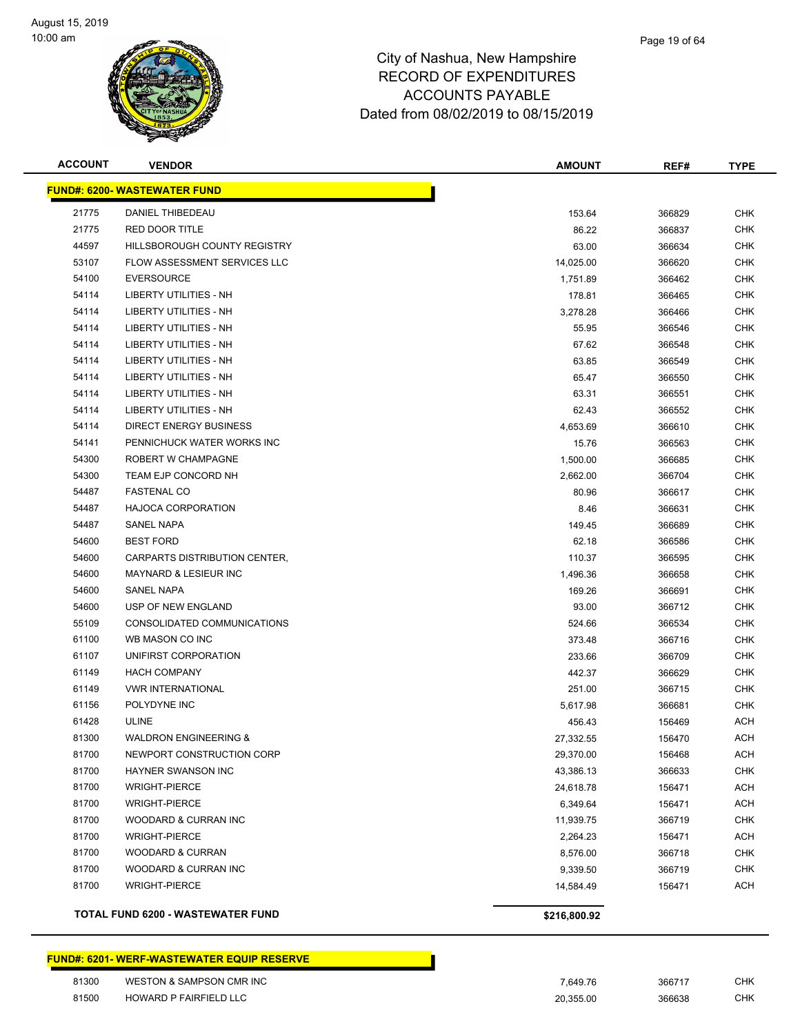

| <b>ACCOUNT</b> | <b>VENDOR</b>                       | <b>AMOUNT</b> | REF#   | <b>TYPE</b> |
|----------------|-------------------------------------|---------------|--------|-------------|
|                | <b>FUND#: 6200- WASTEWATER FUND</b> |               |        |             |
| 21775          | DANIEL THIBEDEAU                    | 153.64        | 366829 | <b>CHK</b>  |
| 21775          | <b>RED DOOR TITLE</b>               | 86.22         | 366837 | <b>CHK</b>  |
| 44597          | HILLSBOROUGH COUNTY REGISTRY        | 63.00         | 366634 | <b>CHK</b>  |
| 53107          | FLOW ASSESSMENT SERVICES LLC        | 14,025.00     | 366620 | CHK         |
| 54100          | <b>EVERSOURCE</b>                   | 1,751.89      | 366462 | <b>CHK</b>  |
| 54114          | LIBERTY UTILITIES - NH              | 178.81        | 366465 | <b>CHK</b>  |
| 54114          | <b>LIBERTY UTILITIES - NH</b>       | 3,278.28      | 366466 | <b>CHK</b>  |
| 54114          | <b>LIBERTY UTILITIES - NH</b>       | 55.95         | 366546 | <b>CHK</b>  |
| 54114          | LIBERTY UTILITIES - NH              | 67.62         | 366548 | CHK         |
| 54114          | LIBERTY UTILITIES - NH              | 63.85         | 366549 | <b>CHK</b>  |
| 54114          | <b>LIBERTY UTILITIES - NH</b>       | 65.47         | 366550 | <b>CHK</b>  |
| 54114          | LIBERTY UTILITIES - NH              | 63.31         | 366551 | <b>CHK</b>  |
| 54114          | LIBERTY UTILITIES - NH              | 62.43         | 366552 | <b>CHK</b>  |
| 54114          | <b>DIRECT ENERGY BUSINESS</b>       | 4,653.69      | 366610 | <b>CHK</b>  |
| 54141          | PENNICHUCK WATER WORKS INC          | 15.76         | 366563 | CHK         |
| 54300          | ROBERT W CHAMPAGNE                  | 1,500.00      | 366685 | <b>CHK</b>  |
| 54300          | TEAM EJP CONCORD NH                 | 2,662.00      | 366704 | <b>CHK</b>  |
| 54487          | <b>FASTENAL CO</b>                  | 80.96         | 366617 | <b>CHK</b>  |
| 54487          | <b>HAJOCA CORPORATION</b>           | 8.46          | 366631 | <b>CHK</b>  |
| 54487          | <b>SANEL NAPA</b>                   | 149.45        | 366689 | <b>CHK</b>  |
| 54600          | <b>BEST FORD</b>                    | 62.18         | 366586 | <b>CHK</b>  |
| 54600          | CARPARTS DISTRIBUTION CENTER,       | 110.37        | 366595 | <b>CHK</b>  |
| 54600          | <b>MAYNARD &amp; LESIEUR INC</b>    | 1,496.36      | 366658 | <b>CHK</b>  |
| 54600          | <b>SANEL NAPA</b>                   | 169.26        | 366691 | <b>CHK</b>  |
| 54600          | USP OF NEW ENGLAND                  | 93.00         | 366712 | <b>CHK</b>  |
| 55109          | CONSOLIDATED COMMUNICATIONS         | 524.66        | 366534 | <b>CHK</b>  |
| 61100          | WB MASON CO INC                     | 373.48        | 366716 | <b>CHK</b>  |
| 61107          | UNIFIRST CORPORATION                | 233.66        | 366709 | <b>CHK</b>  |
| 61149          | <b>HACH COMPANY</b>                 | 442.37        | 366629 | <b>CHK</b>  |
| 61149          | <b>VWR INTERNATIONAL</b>            | 251.00        | 366715 | <b>CHK</b>  |
| 61156          | POLYDYNE INC                        | 5,617.98      | 366681 | CHK         |
| 61428          | <b>ULINE</b>                        | 456.43        | 156469 | <b>ACH</b>  |
| 81300          | <b>WALDRON ENGINEERING &amp;</b>    | 27,332.55     | 156470 | <b>ACH</b>  |
| 81700          | NEWPORT CONSTRUCTION CORP           | 29,370.00     | 156468 | ACH         |
| 81700          | <b>HAYNER SWANSON INC</b>           | 43,386.13     | 366633 | <b>CHK</b>  |
| 81700          | <b>WRIGHT-PIERCE</b>                | 24,618.78     | 156471 | ACH         |
| 81700          | <b>WRIGHT-PIERCE</b>                | 6,349.64      | 156471 | <b>ACH</b>  |
| 81700          | WOODARD & CURRAN INC                | 11,939.75     | 366719 | <b>CHK</b>  |
| 81700          | <b>WRIGHT-PIERCE</b>                | 2,264.23      | 156471 | ACH         |
| 81700          | <b>WOODARD &amp; CURRAN</b>         | 8,576.00      | 366718 | <b>CHK</b>  |
| 81700          | WOODARD & CURRAN INC                | 9,339.50      | 366719 | <b>CHK</b>  |
| 81700          | <b>WRIGHT-PIERCE</b>                | 14,584.49     | 156471 | ACH         |
|                | TOTAL FUND 6200 - WASTEWATER FUND   | \$216,800.92  |        |             |

#### **FUND#: 6201- WERF-WASTEWATER EQUIP RESERVE**

| 81300 | <b>WESTON &amp; SAMPSON CMR INC</b> | 7.649.76  | 366717 | снк |
|-------|-------------------------------------|-----------|--------|-----|
| 81500 | <b>HOWARD P FAIRFIELD LLC</b>       | 20.355.00 | 366638 | снк |

| 7.649.76  | 366717 | CHK |
|-----------|--------|-----|
| 20,355.00 | 366638 | CHK |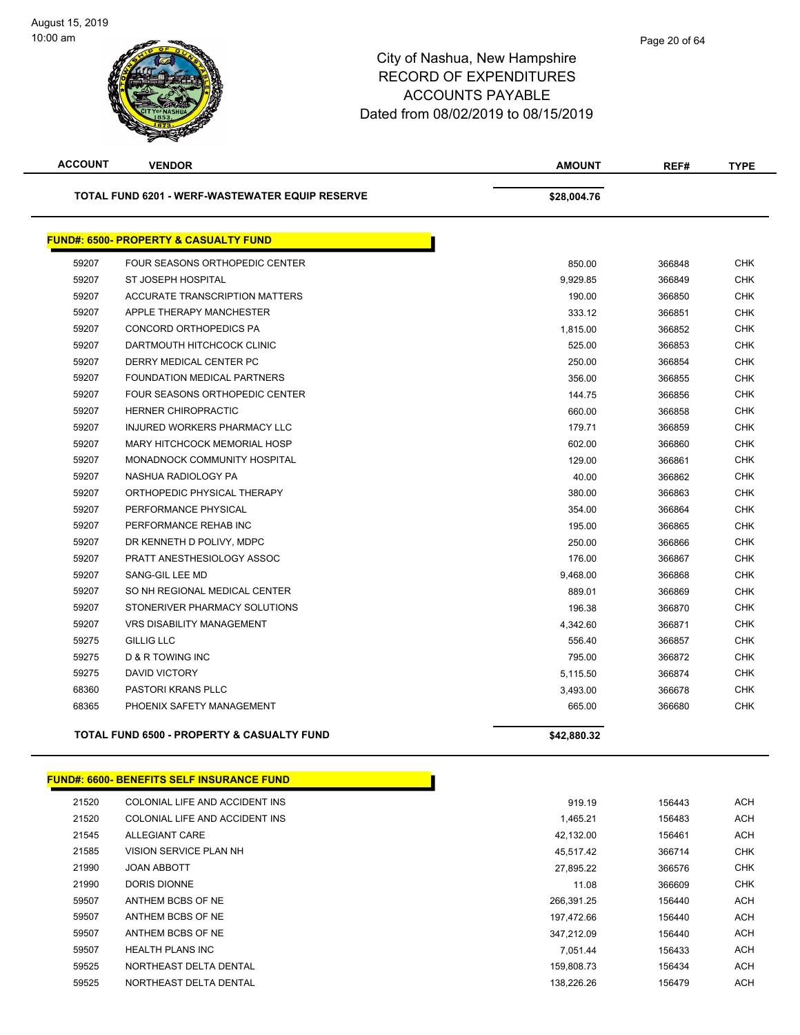| <b>ACCOUNT</b>                                  | <b>VENDOR</b>                                         | <b>AMOUNT</b> | REF#   | <b>TYPE</b> |
|-------------------------------------------------|-------------------------------------------------------|---------------|--------|-------------|
| TOTAL FUND 6201 - WERF-WASTEWATER EQUIP RESERVE |                                                       | \$28,004.76   |        |             |
|                                                 | <b>FUND#: 6500- PROPERTY &amp; CASUALTY FUND</b>      |               |        |             |
| 59207                                           | FOUR SEASONS ORTHOPEDIC CENTER                        | 850.00        | 366848 | <b>CHK</b>  |
| 59207                                           | <b>ST JOSEPH HOSPITAL</b>                             | 9,929.85      | 366849 | <b>CHK</b>  |
| 59207                                           | <b>ACCURATE TRANSCRIPTION MATTERS</b>                 | 190.00        | 366850 | <b>CHK</b>  |
| 59207                                           | APPLE THERAPY MANCHESTER                              | 333.12        | 366851 | <b>CHK</b>  |
| 59207                                           | CONCORD ORTHOPEDICS PA                                | 1,815.00      | 366852 | <b>CHK</b>  |
| 59207                                           | DARTMOUTH HITCHCOCK CLINIC                            | 525.00        | 366853 | <b>CHK</b>  |
| 59207                                           | DERRY MEDICAL CENTER PC                               | 250.00        | 366854 | <b>CHK</b>  |
| 59207                                           | FOUNDATION MEDICAL PARTNERS                           | 356.00        | 366855 | <b>CHK</b>  |
| 59207                                           | <b>FOUR SEASONS ORTHOPEDIC CENTER</b>                 | 144.75        | 366856 | <b>CHK</b>  |
| 59207                                           | <b>HERNER CHIROPRACTIC</b>                            | 660.00        | 366858 | <b>CHK</b>  |
| 59207                                           | INJURED WORKERS PHARMACY LLC                          | 179.71        | 366859 | <b>CHK</b>  |
| 59207                                           | <b>MARY HITCHCOCK MEMORIAL HOSP</b>                   | 602.00        | 366860 | <b>CHK</b>  |
| 59207                                           | MONADNOCK COMMUNITY HOSPITAL                          | 129.00        | 366861 | <b>CHK</b>  |
| 59207                                           | NASHUA RADIOLOGY PA                                   | 40.00         | 366862 | <b>CHK</b>  |
| 59207                                           | ORTHOPEDIC PHYSICAL THERAPY                           | 380.00        | 366863 | <b>CHK</b>  |
| 59207                                           | PERFORMANCE PHYSICAL                                  | 354.00        | 366864 | <b>CHK</b>  |
| 59207                                           | PERFORMANCE REHAB INC                                 | 195.00        | 366865 | <b>CHK</b>  |
| 59207                                           | DR KENNETH D POLIVY, MDPC                             | 250.00        | 366866 | <b>CHK</b>  |
| 59207                                           | PRATT ANESTHESIOLOGY ASSOC                            | 176.00        | 366867 | CHK         |
| 59207                                           | SANG-GIL LEE MD                                       | 9,468.00      | 366868 | <b>CHK</b>  |
| 59207                                           | SO NH REGIONAL MEDICAL CENTER                         | 889.01        | 366869 | <b>CHK</b>  |
| 59207                                           | STONERIVER PHARMACY SOLUTIONS                         | 196.38        | 366870 | <b>CHK</b>  |
| 59207                                           | <b>VRS DISABILITY MANAGEMENT</b>                      | 4,342.60      | 366871 | <b>CHK</b>  |
| 59275                                           | <b>GILLIG LLC</b>                                     | 556.40        | 366857 | <b>CHK</b>  |
| 59275                                           | <b>D &amp; R TOWING INC</b>                           | 795.00        | 366872 | <b>CHK</b>  |
| 59275                                           | <b>DAVID VICTORY</b>                                  | 5,115.50      | 366874 | <b>CHK</b>  |
| 68360                                           | <b>PASTORI KRANS PLLC</b>                             | 3,493.00      | 366678 | <b>CHK</b>  |
| 68365                                           | PHOENIX SAFETY MANAGEMENT                             | 665.00        | 366680 | <b>CHK</b>  |
|                                                 | <b>TOTAL FUND 6500 - PROPERTY &amp; CASUALTY FUND</b> | \$42,880.32   |        |             |

|       | <b>FUND#: 6600- BENEFITS SELF INSURANCE FUND</b> |            |        |            |
|-------|--------------------------------------------------|------------|--------|------------|
| 21520 | COLONIAL LIFE AND ACCIDENT INS                   | 919.19     | 156443 | <b>ACH</b> |
| 21520 | COLONIAL LIFE AND ACCIDENT INS                   | 1,465.21   | 156483 | <b>ACH</b> |
| 21545 | ALLEGIANT CARE                                   | 42,132.00  | 156461 | <b>ACH</b> |
| 21585 | VISION SERVICE PLAN NH                           | 45.517.42  | 366714 | CHK        |
| 21990 | <b>JOAN ABBOTT</b>                               | 27,895.22  | 366576 | CHK        |
| 21990 | DORIS DIONNE                                     | 11.08      | 366609 | CHK        |
| 59507 | ANTHEM BCBS OF NE                                | 266,391.25 | 156440 | <b>ACH</b> |
| 59507 | ANTHEM BCBS OF NE                                | 197,472.66 | 156440 | <b>ACH</b> |
| 59507 | ANTHEM BCBS OF NE                                | 347,212.09 | 156440 | <b>ACH</b> |
| 59507 | <b>HEALTH PLANS INC</b>                          | 7.051.44   | 156433 | <b>ACH</b> |
| 59525 | NORTHEAST DELTA DENTAL                           | 159,808.73 | 156434 | <b>ACH</b> |
| 59525 | NORTHEAST DELTA DENTAL                           | 138.226.26 | 156479 | <b>ACH</b> |

| 919.19     | 156443 | ACH |
|------------|--------|-----|
| 1.465.21   | 156483 | ACH |
| 42.132.00  | 156461 | ACH |
| 45.517.42  | 366714 | CHK |
| 27.895.22  | 366576 | CHK |
| 11.08      | 366609 | CHK |
| 266.391.25 | 156440 | ACH |
| 197.472.66 | 156440 | ACH |
| 347.212.09 | 156440 | ACH |
| 7.051.44   | 156433 | ACH |
| 159,808.73 | 156434 | ACH |
| 138.226.26 | 156479 | ACH |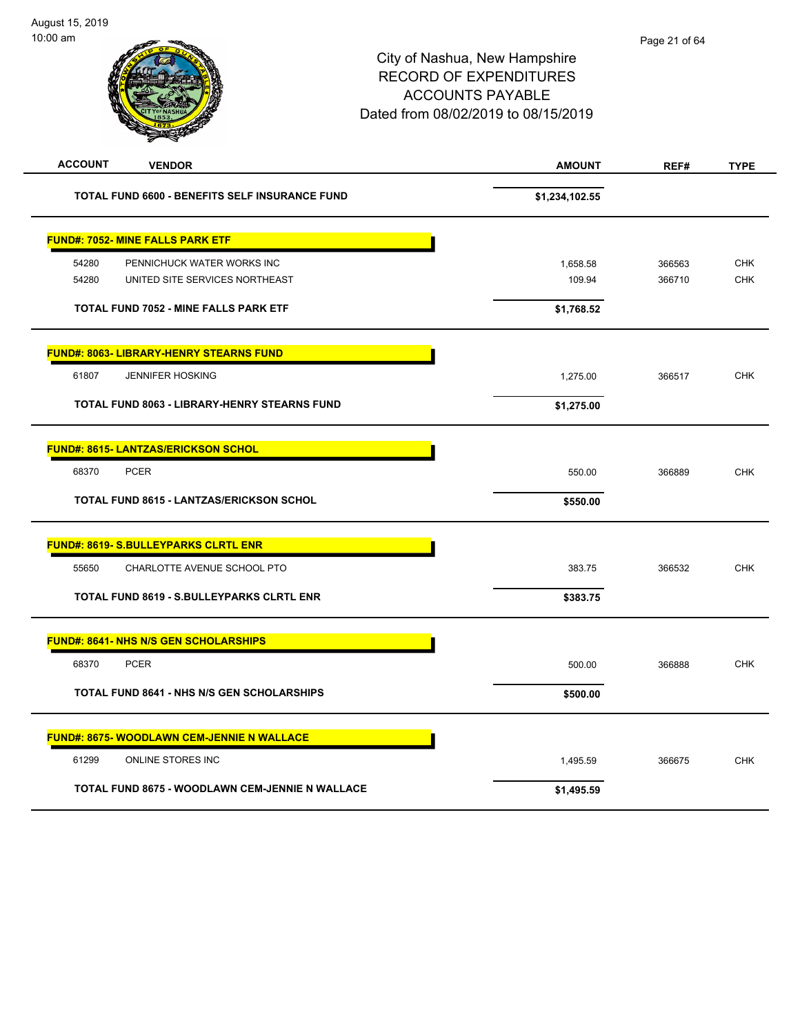| <b>ACCOUNT</b> | <b>VENDOR</b>                                                | <b>AMOUNT</b>      | REF#             | <b>TYPE</b>              |
|----------------|--------------------------------------------------------------|--------------------|------------------|--------------------------|
|                | <b>TOTAL FUND 6600 - BENEFITS SELF INSURANCE FUND</b>        | \$1,234,102.55     |                  |                          |
|                | <b>FUND#: 7052- MINE FALLS PARK ETF</b>                      |                    |                  |                          |
| 54280<br>54280 | PENNICHUCK WATER WORKS INC<br>UNITED SITE SERVICES NORTHEAST | 1,658.58<br>109.94 | 366563<br>366710 | <b>CHK</b><br><b>CHK</b> |
|                | <b>TOTAL FUND 7052 - MINE FALLS PARK ETF</b>                 | \$1,768.52         |                  |                          |
|                | <b>FUND#: 8063- LIBRARY-HENRY STEARNS FUND</b>               |                    |                  |                          |
| 61807          | <b>JENNIFER HOSKING</b>                                      | 1,275.00           | 366517           | <b>CHK</b>               |
|                | TOTAL FUND 8063 - LIBRARY-HENRY STEARNS FUND                 | \$1,275.00         |                  |                          |
|                | <b>FUND#: 8615- LANTZAS/ERICKSON SCHOL</b>                   |                    |                  |                          |
| 68370          | <b>PCER</b>                                                  | 550.00             | 366889           | <b>CHK</b>               |
|                | <b>TOTAL FUND 8615 - LANTZAS/ERICKSON SCHOL</b>              | \$550.00           |                  |                          |
|                | <b>FUND#: 8619- S.BULLEYPARKS CLRTL ENR</b>                  |                    |                  |                          |
| 55650          | CHARLOTTE AVENUE SCHOOL PTO                                  | 383.75             | 366532           | <b>CHK</b>               |
|                | <b>TOTAL FUND 8619 - S.BULLEYPARKS CLRTL ENR</b>             | \$383.75           |                  |                          |
|                | <b>FUND#: 8641- NHS N/S GEN SCHOLARSHIPS</b>                 |                    |                  |                          |
| 68370          | <b>PCER</b>                                                  | 500.00             | 366888           | <b>CHK</b>               |
|                | <b>TOTAL FUND 8641 - NHS N/S GEN SCHOLARSHIPS</b>            | \$500.00           |                  |                          |
|                | <b>FUND#: 8675- WOODLAWN CEM-JENNIE N WALLACE</b>            |                    |                  |                          |
| 61299          | ONLINE STORES INC                                            | 1,495.59           | 366675           | <b>CHK</b>               |
|                | TOTAL FUND 8675 - WOODLAWN CEM-JENNIE N WALLACE              | \$1,495.59         |                  |                          |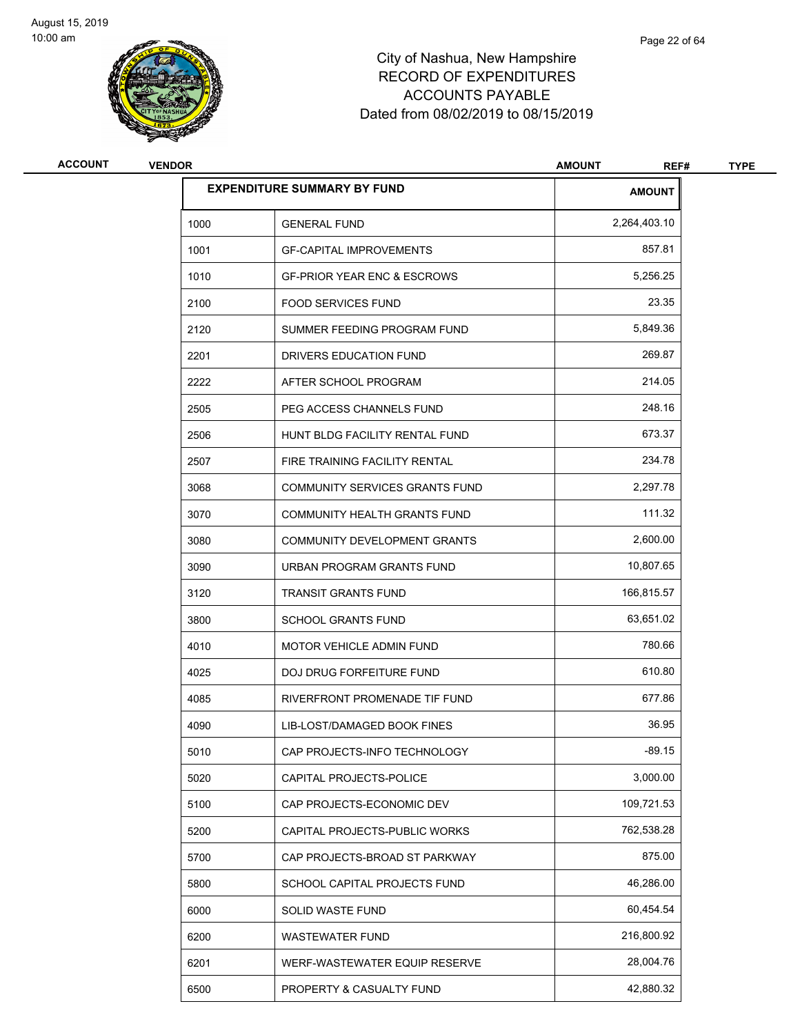

| <b>ACCOUNT</b> | <b>VENDOR</b> |                                        | <b>AMOUNT</b><br>REF# | <b>TYPE</b> |
|----------------|---------------|----------------------------------------|-----------------------|-------------|
|                |               | <b>EXPENDITURE SUMMARY BY FUND</b>     | <b>AMOUNT</b>         |             |
|                | 1000          | <b>GENERAL FUND</b>                    | 2,264,403.10          |             |
|                | 1001          | <b>GF-CAPITAL IMPROVEMENTS</b>         | 857.81                |             |
|                | 1010          | <b>GF-PRIOR YEAR ENC &amp; ESCROWS</b> | 5,256.25              |             |
|                | 2100          | <b>FOOD SERVICES FUND</b>              | 23.35                 |             |
|                | 2120          | SUMMER FEEDING PROGRAM FUND            | 5,849.36              |             |
|                | 2201          | DRIVERS EDUCATION FUND                 | 269.87                |             |
|                | 2222          | AFTER SCHOOL PROGRAM                   | 214.05                |             |
|                | 2505          | PEG ACCESS CHANNELS FUND               | 248.16                |             |
|                | 2506          | HUNT BLDG FACILITY RENTAL FUND         | 673.37                |             |
|                | 2507          | FIRE TRAINING FACILITY RENTAL          | 234.78                |             |
|                | 3068          | <b>COMMUNITY SERVICES GRANTS FUND</b>  | 2,297.78              |             |
|                | 3070          | COMMUNITY HEALTH GRANTS FUND           | 111.32                |             |
|                | 3080          | COMMUNITY DEVELOPMENT GRANTS           | 2,600.00              |             |
|                | 3090          | URBAN PROGRAM GRANTS FUND              | 10,807.65             |             |
|                | 3120          | <b>TRANSIT GRANTS FUND</b>             | 166,815.57            |             |
|                | 3800          | <b>SCHOOL GRANTS FUND</b>              | 63,651.02             |             |
|                | 4010          | <b>MOTOR VEHICLE ADMIN FUND</b>        | 780.66                |             |
|                | 4025          | DOJ DRUG FORFEITURE FUND               | 610.80                |             |
|                | 4085          | RIVERFRONT PROMENADE TIF FUND          | 677.86                |             |
|                | 4090          | LIB-LOST/DAMAGED BOOK FINES            | 36.95                 |             |
|                | 5010          | CAP PROJECTS-INFO TECHNOLOGY           | $-89.15$              |             |
|                | 5020          | CAPITAL PROJECTS-POLICE                | 3,000.00              |             |
|                | 5100          | CAP PROJECTS-ECONOMIC DEV              | 109,721.53            |             |
|                | 5200          | CAPITAL PROJECTS-PUBLIC WORKS          | 762,538.28            |             |
|                | 5700          | CAP PROJECTS-BROAD ST PARKWAY          | 875.00                |             |
|                | 5800          | SCHOOL CAPITAL PROJECTS FUND           | 46,286.00             |             |
|                | 6000          | SOLID WASTE FUND                       | 60,454.54             |             |
|                | 6200          | <b>WASTEWATER FUND</b>                 | 216,800.92            |             |
|                | 6201          | WERF-WASTEWATER EQUIP RESERVE          | 28,004.76             |             |
|                | 6500          | PROPERTY & CASUALTY FUND               | 42,880.32             |             |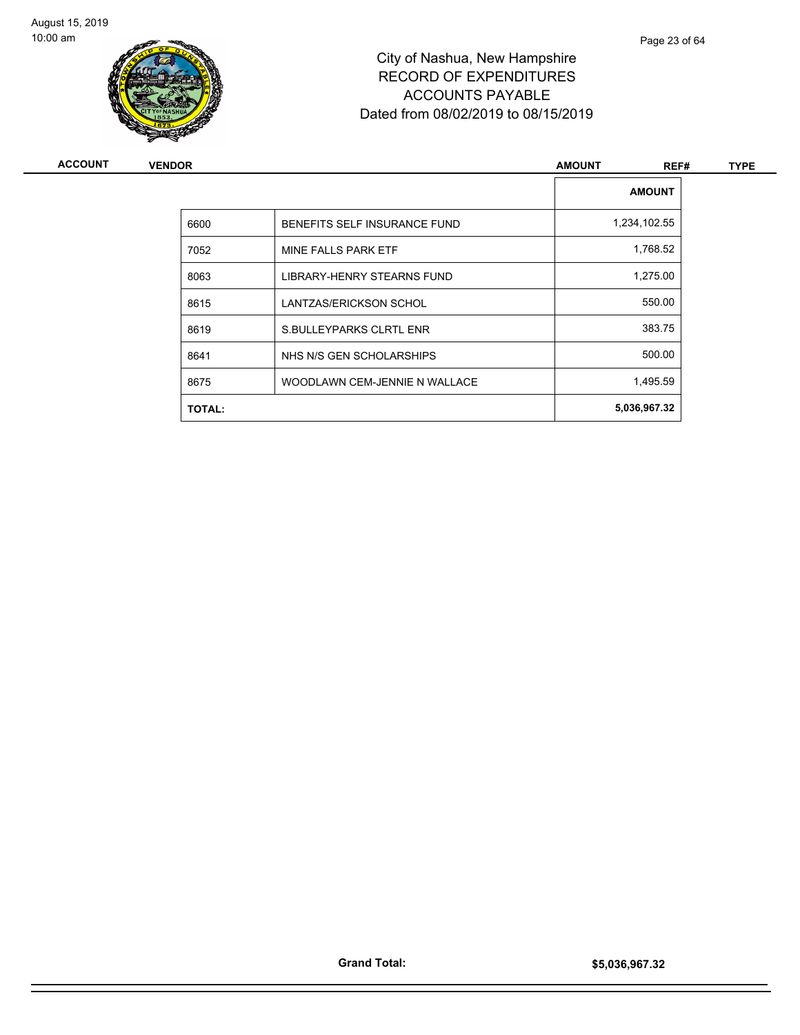

|               | <b>VENDOR</b><br><b>AMOUNT</b> |               |      |
|---------------|--------------------------------|---------------|------|
|               |                                | <b>AMOUNT</b> |      |
| 6600          | BENEFITS SELF INSURANCE FUND   | 1,234,102.55  |      |
| 7052          | MINE FALLS PARK ETF            | 1,768.52      |      |
| 8063          | LIBRARY-HENRY STEARNS FUND     | 1,275.00      |      |
| 8615          | LANTZAS/ERICKSON SCHOL         | 550.00        |      |
| 8619          | S.BULLEYPARKS CLRTL ENR        | 383.75        |      |
| 8641          | NHS N/S GEN SCHOLARSHIPS       | 500.00        |      |
| 8675          | WOODLAWN CEM-JENNIE N WALLACE  | 1,495.59      |      |
| <b>TOTAL:</b> |                                | 5,036,967.32  |      |
|               |                                |               | REF# |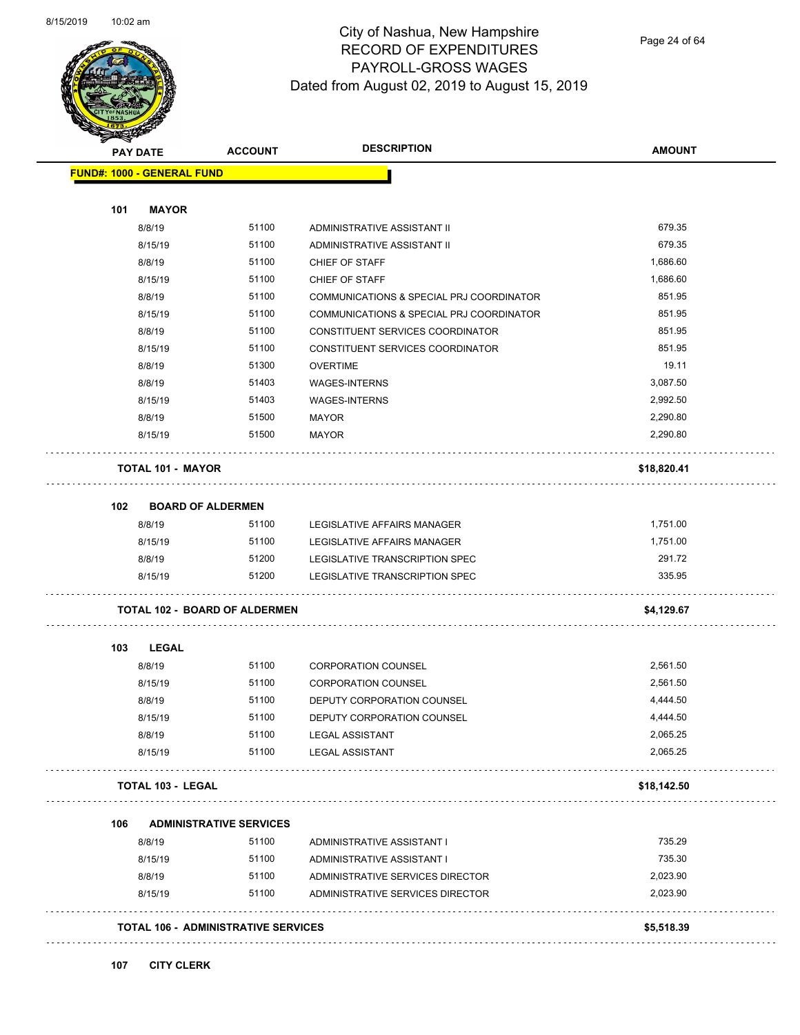

Page 24 of 64

| <b>PAY DATE</b>                   |                                            | <b>ACCOUNT</b> | <b>DESCRIPTION</b>                       | <b>AMOUNT</b> |
|-----------------------------------|--------------------------------------------|----------------|------------------------------------------|---------------|
| <b>FUND#: 1000 - GENERAL FUND</b> |                                            |                |                                          |               |
| 101                               | <b>MAYOR</b>                               |                |                                          |               |
| 8/8/19                            |                                            | 51100          | ADMINISTRATIVE ASSISTANT II              | 679.35        |
| 8/15/19                           |                                            | 51100          | ADMINISTRATIVE ASSISTANT II              | 679.35        |
| 8/8/19                            |                                            | 51100          | CHIEF OF STAFF                           | 1,686.60      |
| 8/15/19                           |                                            | 51100          | CHIEF OF STAFF                           | 1,686.60      |
| 8/8/19                            |                                            | 51100          | COMMUNICATIONS & SPECIAL PRJ COORDINATOR | 851.95        |
| 8/15/19                           |                                            | 51100          | COMMUNICATIONS & SPECIAL PRJ COORDINATOR | 851.95        |
| 8/8/19                            |                                            | 51100          | CONSTITUENT SERVICES COORDINATOR         | 851.95        |
| 8/15/19                           |                                            | 51100          | CONSTITUENT SERVICES COORDINATOR         | 851.95        |
| 8/8/19                            |                                            | 51300          | <b>OVERTIME</b>                          | 19.11         |
| 8/8/19                            |                                            | 51403          | <b>WAGES-INTERNS</b>                     | 3,087.50      |
| 8/15/19                           |                                            | 51403          | <b>WAGES-INTERNS</b>                     | 2,992.50      |
| 8/8/19                            |                                            | 51500          | <b>MAYOR</b>                             | 2,290.80      |
| 8/15/19                           |                                            | 51500          | <b>MAYOR</b>                             | 2,290.80      |
|                                   | <b>TOTAL 101 - MAYOR</b>                   |                |                                          | \$18,820.41   |
| 102                               | <b>BOARD OF ALDERMEN</b>                   |                |                                          |               |
| 8/8/19                            |                                            | 51100          | LEGISLATIVE AFFAIRS MANAGER              | 1,751.00      |
| 8/15/19                           |                                            | 51100          | LEGISLATIVE AFFAIRS MANAGER              | 1,751.00      |
| 8/8/19                            |                                            | 51200          | LEGISLATIVE TRANSCRIPTION SPEC           | 291.72        |
| 8/15/19                           |                                            | 51200          | LEGISLATIVE TRANSCRIPTION SPEC           | 335.95        |
|                                   | <b>TOTAL 102 - BOARD OF ALDERMEN</b>       |                |                                          | \$4,129.67    |
| 103                               | <b>LEGAL</b>                               |                |                                          |               |
| 8/8/19                            |                                            | 51100          | <b>CORPORATION COUNSEL</b>               | 2,561.50      |
| 8/15/19                           |                                            | 51100          | <b>CORPORATION COUNSEL</b>               | 2,561.50      |
| 8/8/19                            |                                            | 51100          | DEPUTY CORPORATION COUNSEL               | 4,444.50      |
| 8/15/19                           |                                            | 51100          | DEPUTY CORPORATION COUNSEL               | 4,444.50      |
| 8/8/19                            |                                            | 51100          | <b>LEGAL ASSISTANT</b>                   | 2,065.25      |
| 8/15/19                           |                                            | 51100          | <b>LEGAL ASSISTANT</b>                   | 2,065.25      |
|                                   | <b>TOTAL 103 - LEGAL</b>                   |                |                                          | \$18,142.50   |
| 106                               | <b>ADMINISTRATIVE SERVICES</b>             |                |                                          |               |
| 8/8/19                            |                                            | 51100          | ADMINISTRATIVE ASSISTANT I               | 735.29        |
| 8/15/19                           |                                            | 51100          | ADMINISTRATIVE ASSISTANT I               | 735.30        |
| 8/8/19                            |                                            | 51100          | ADMINISTRATIVE SERVICES DIRECTOR         | 2,023.90      |
| 8/15/19                           |                                            | 51100          | ADMINISTRATIVE SERVICES DIRECTOR         | 2,023.90      |
|                                   | <b>TOTAL 106 - ADMINISTRATIVE SERVICES</b> |                |                                          | \$5,518.39    |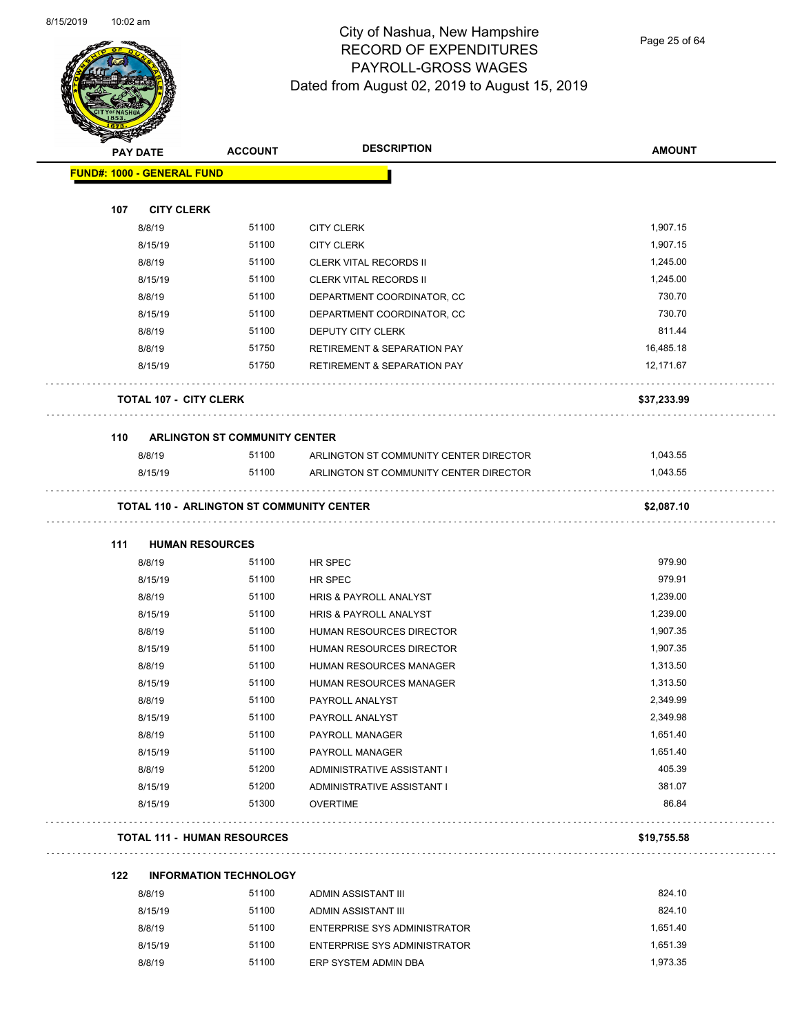Page 25 of 64

| <b>FUND#: 1000 - GENERAL FUND</b><br>107<br><b>CITY CLERK</b><br>51100<br>1,907.15<br>8/8/19<br><b>CITY CLERK</b><br>51100<br>1,907.15<br>8/15/19<br><b>CITY CLERK</b><br>8/8/19<br>51100<br>1,245.00<br><b>CLERK VITAL RECORDS II</b><br>8/15/19<br>51100<br><b>CLERK VITAL RECORDS II</b><br>1,245.00<br>51100<br>730.70<br>8/8/19<br>DEPARTMENT COORDINATOR, CC<br>730.70<br>8/15/19<br>51100<br>DEPARTMENT COORDINATOR, CC<br>811.44<br>51100<br>8/8/19<br>DEPUTY CITY CLERK<br>8/8/19<br>51750<br>16,485.18<br><b>RETIREMENT &amp; SEPARATION PAY</b><br>8/15/19<br>51750<br><b>RETIREMENT &amp; SEPARATION PAY</b><br>12,171.67<br><b>TOTAL 107 - CITY CLERK</b><br>\$37,233.99<br>110<br><b>ARLINGTON ST COMMUNITY CENTER</b><br>8/8/19<br>51100<br>ARLINGTON ST COMMUNITY CENTER DIRECTOR<br>1,043.55<br>1,043.55<br>8/15/19<br>51100<br>ARLINGTON ST COMMUNITY CENTER DIRECTOR<br><b>TOTAL 110 - ARLINGTON ST COMMUNITY CENTER</b><br>\$2,087.10<br>111<br><b>HUMAN RESOURCES</b><br>979.90<br>51100<br>8/8/19<br>HR SPEC<br>979.91<br>51100<br>8/15/19<br>HR SPEC<br>8/8/19<br>51100<br>1,239.00<br><b>HRIS &amp; PAYROLL ANALYST</b><br>8/15/19<br>51100<br>1,239.00<br>HRIS & PAYROLL ANALYST<br>51100<br>1,907.35<br>8/8/19<br>HUMAN RESOURCES DIRECTOR<br>51100<br>1,907.35<br>8/15/19<br>HUMAN RESOURCES DIRECTOR<br>51100<br>1,313.50<br>8/8/19<br>HUMAN RESOURCES MANAGER<br>8/15/19<br>51100<br>1,313.50<br><b>HUMAN RESOURCES MANAGER</b><br>8/8/19<br>51100<br>PAYROLL ANALYST<br>2,349.99<br>51100<br>2,349.98<br>8/15/19<br>PAYROLL ANALYST<br>51100<br>1,651.40<br>8/8/19<br>PAYROLL MANAGER<br>51100<br>1,651.40<br>8/15/19<br>PAYROLL MANAGER<br>405.39<br>8/8/19<br>51200<br>ADMINISTRATIVE ASSISTANT I<br>8/15/19<br>51200<br>381.07<br>ADMINISTRATIVE ASSISTANT I<br>86.84<br>51300<br>8/15/19<br><b>OVERTIME</b><br><b>TOTAL 111 - HUMAN RESOURCES</b><br>\$19,755.58<br>122<br><b>INFORMATION TECHNOLOGY</b><br>824.10<br>51100<br>8/8/19<br>ADMIN ASSISTANT III | <b>PAY DATE</b> | <b>ACCOUNT</b> | <b>DESCRIPTION</b> | <b>AMOUNT</b> |
|------------------------------------------------------------------------------------------------------------------------------------------------------------------------------------------------------------------------------------------------------------------------------------------------------------------------------------------------------------------------------------------------------------------------------------------------------------------------------------------------------------------------------------------------------------------------------------------------------------------------------------------------------------------------------------------------------------------------------------------------------------------------------------------------------------------------------------------------------------------------------------------------------------------------------------------------------------------------------------------------------------------------------------------------------------------------------------------------------------------------------------------------------------------------------------------------------------------------------------------------------------------------------------------------------------------------------------------------------------------------------------------------------------------------------------------------------------------------------------------------------------------------------------------------------------------------------------------------------------------------------------------------------------------------------------------------------------------------------------------------------------------------------------------------------------------------------------------------------------------------------------------------------------------------------------------------------------------------------------------------|-----------------|----------------|--------------------|---------------|
|                                                                                                                                                                                                                                                                                                                                                                                                                                                                                                                                                                                                                                                                                                                                                                                                                                                                                                                                                                                                                                                                                                                                                                                                                                                                                                                                                                                                                                                                                                                                                                                                                                                                                                                                                                                                                                                                                                                                                                                                |                 |                |                    |               |
|                                                                                                                                                                                                                                                                                                                                                                                                                                                                                                                                                                                                                                                                                                                                                                                                                                                                                                                                                                                                                                                                                                                                                                                                                                                                                                                                                                                                                                                                                                                                                                                                                                                                                                                                                                                                                                                                                                                                                                                                |                 |                |                    |               |
|                                                                                                                                                                                                                                                                                                                                                                                                                                                                                                                                                                                                                                                                                                                                                                                                                                                                                                                                                                                                                                                                                                                                                                                                                                                                                                                                                                                                                                                                                                                                                                                                                                                                                                                                                                                                                                                                                                                                                                                                |                 |                |                    |               |
|                                                                                                                                                                                                                                                                                                                                                                                                                                                                                                                                                                                                                                                                                                                                                                                                                                                                                                                                                                                                                                                                                                                                                                                                                                                                                                                                                                                                                                                                                                                                                                                                                                                                                                                                                                                                                                                                                                                                                                                                |                 |                |                    |               |
|                                                                                                                                                                                                                                                                                                                                                                                                                                                                                                                                                                                                                                                                                                                                                                                                                                                                                                                                                                                                                                                                                                                                                                                                                                                                                                                                                                                                                                                                                                                                                                                                                                                                                                                                                                                                                                                                                                                                                                                                |                 |                |                    |               |
|                                                                                                                                                                                                                                                                                                                                                                                                                                                                                                                                                                                                                                                                                                                                                                                                                                                                                                                                                                                                                                                                                                                                                                                                                                                                                                                                                                                                                                                                                                                                                                                                                                                                                                                                                                                                                                                                                                                                                                                                |                 |                |                    |               |
|                                                                                                                                                                                                                                                                                                                                                                                                                                                                                                                                                                                                                                                                                                                                                                                                                                                                                                                                                                                                                                                                                                                                                                                                                                                                                                                                                                                                                                                                                                                                                                                                                                                                                                                                                                                                                                                                                                                                                                                                |                 |                |                    |               |
|                                                                                                                                                                                                                                                                                                                                                                                                                                                                                                                                                                                                                                                                                                                                                                                                                                                                                                                                                                                                                                                                                                                                                                                                                                                                                                                                                                                                                                                                                                                                                                                                                                                                                                                                                                                                                                                                                                                                                                                                |                 |                |                    |               |
|                                                                                                                                                                                                                                                                                                                                                                                                                                                                                                                                                                                                                                                                                                                                                                                                                                                                                                                                                                                                                                                                                                                                                                                                                                                                                                                                                                                                                                                                                                                                                                                                                                                                                                                                                                                                                                                                                                                                                                                                |                 |                |                    |               |
|                                                                                                                                                                                                                                                                                                                                                                                                                                                                                                                                                                                                                                                                                                                                                                                                                                                                                                                                                                                                                                                                                                                                                                                                                                                                                                                                                                                                                                                                                                                                                                                                                                                                                                                                                                                                                                                                                                                                                                                                |                 |                |                    |               |
|                                                                                                                                                                                                                                                                                                                                                                                                                                                                                                                                                                                                                                                                                                                                                                                                                                                                                                                                                                                                                                                                                                                                                                                                                                                                                                                                                                                                                                                                                                                                                                                                                                                                                                                                                                                                                                                                                                                                                                                                |                 |                |                    |               |
|                                                                                                                                                                                                                                                                                                                                                                                                                                                                                                                                                                                                                                                                                                                                                                                                                                                                                                                                                                                                                                                                                                                                                                                                                                                                                                                                                                                                                                                                                                                                                                                                                                                                                                                                                                                                                                                                                                                                                                                                |                 |                |                    |               |
|                                                                                                                                                                                                                                                                                                                                                                                                                                                                                                                                                                                                                                                                                                                                                                                                                                                                                                                                                                                                                                                                                                                                                                                                                                                                                                                                                                                                                                                                                                                                                                                                                                                                                                                                                                                                                                                                                                                                                                                                |                 |                |                    |               |
|                                                                                                                                                                                                                                                                                                                                                                                                                                                                                                                                                                                                                                                                                                                                                                                                                                                                                                                                                                                                                                                                                                                                                                                                                                                                                                                                                                                                                                                                                                                                                                                                                                                                                                                                                                                                                                                                                                                                                                                                |                 |                |                    |               |
|                                                                                                                                                                                                                                                                                                                                                                                                                                                                                                                                                                                                                                                                                                                                                                                                                                                                                                                                                                                                                                                                                                                                                                                                                                                                                                                                                                                                                                                                                                                                                                                                                                                                                                                                                                                                                                                                                                                                                                                                |                 |                |                    |               |
|                                                                                                                                                                                                                                                                                                                                                                                                                                                                                                                                                                                                                                                                                                                                                                                                                                                                                                                                                                                                                                                                                                                                                                                                                                                                                                                                                                                                                                                                                                                                                                                                                                                                                                                                                                                                                                                                                                                                                                                                |                 |                |                    |               |
|                                                                                                                                                                                                                                                                                                                                                                                                                                                                                                                                                                                                                                                                                                                                                                                                                                                                                                                                                                                                                                                                                                                                                                                                                                                                                                                                                                                                                                                                                                                                                                                                                                                                                                                                                                                                                                                                                                                                                                                                |                 |                |                    |               |
|                                                                                                                                                                                                                                                                                                                                                                                                                                                                                                                                                                                                                                                                                                                                                                                                                                                                                                                                                                                                                                                                                                                                                                                                                                                                                                                                                                                                                                                                                                                                                                                                                                                                                                                                                                                                                                                                                                                                                                                                |                 |                |                    |               |
|                                                                                                                                                                                                                                                                                                                                                                                                                                                                                                                                                                                                                                                                                                                                                                                                                                                                                                                                                                                                                                                                                                                                                                                                                                                                                                                                                                                                                                                                                                                                                                                                                                                                                                                                                                                                                                                                                                                                                                                                |                 |                |                    |               |
|                                                                                                                                                                                                                                                                                                                                                                                                                                                                                                                                                                                                                                                                                                                                                                                                                                                                                                                                                                                                                                                                                                                                                                                                                                                                                                                                                                                                                                                                                                                                                                                                                                                                                                                                                                                                                                                                                                                                                                                                |                 |                |                    |               |
|                                                                                                                                                                                                                                                                                                                                                                                                                                                                                                                                                                                                                                                                                                                                                                                                                                                                                                                                                                                                                                                                                                                                                                                                                                                                                                                                                                                                                                                                                                                                                                                                                                                                                                                                                                                                                                                                                                                                                                                                |                 |                |                    |               |
|                                                                                                                                                                                                                                                                                                                                                                                                                                                                                                                                                                                                                                                                                                                                                                                                                                                                                                                                                                                                                                                                                                                                                                                                                                                                                                                                                                                                                                                                                                                                                                                                                                                                                                                                                                                                                                                                                                                                                                                                |                 |                |                    |               |
|                                                                                                                                                                                                                                                                                                                                                                                                                                                                                                                                                                                                                                                                                                                                                                                                                                                                                                                                                                                                                                                                                                                                                                                                                                                                                                                                                                                                                                                                                                                                                                                                                                                                                                                                                                                                                                                                                                                                                                                                |                 |                |                    |               |
|                                                                                                                                                                                                                                                                                                                                                                                                                                                                                                                                                                                                                                                                                                                                                                                                                                                                                                                                                                                                                                                                                                                                                                                                                                                                                                                                                                                                                                                                                                                                                                                                                                                                                                                                                                                                                                                                                                                                                                                                |                 |                |                    |               |
|                                                                                                                                                                                                                                                                                                                                                                                                                                                                                                                                                                                                                                                                                                                                                                                                                                                                                                                                                                                                                                                                                                                                                                                                                                                                                                                                                                                                                                                                                                                                                                                                                                                                                                                                                                                                                                                                                                                                                                                                |                 |                |                    |               |
|                                                                                                                                                                                                                                                                                                                                                                                                                                                                                                                                                                                                                                                                                                                                                                                                                                                                                                                                                                                                                                                                                                                                                                                                                                                                                                                                                                                                                                                                                                                                                                                                                                                                                                                                                                                                                                                                                                                                                                                                |                 |                |                    |               |
|                                                                                                                                                                                                                                                                                                                                                                                                                                                                                                                                                                                                                                                                                                                                                                                                                                                                                                                                                                                                                                                                                                                                                                                                                                                                                                                                                                                                                                                                                                                                                                                                                                                                                                                                                                                                                                                                                                                                                                                                |                 |                |                    |               |
|                                                                                                                                                                                                                                                                                                                                                                                                                                                                                                                                                                                                                                                                                                                                                                                                                                                                                                                                                                                                                                                                                                                                                                                                                                                                                                                                                                                                                                                                                                                                                                                                                                                                                                                                                                                                                                                                                                                                                                                                |                 |                |                    |               |
|                                                                                                                                                                                                                                                                                                                                                                                                                                                                                                                                                                                                                                                                                                                                                                                                                                                                                                                                                                                                                                                                                                                                                                                                                                                                                                                                                                                                                                                                                                                                                                                                                                                                                                                                                                                                                                                                                                                                                                                                |                 |                |                    |               |
|                                                                                                                                                                                                                                                                                                                                                                                                                                                                                                                                                                                                                                                                                                                                                                                                                                                                                                                                                                                                                                                                                                                                                                                                                                                                                                                                                                                                                                                                                                                                                                                                                                                                                                                                                                                                                                                                                                                                                                                                |                 |                |                    |               |
|                                                                                                                                                                                                                                                                                                                                                                                                                                                                                                                                                                                                                                                                                                                                                                                                                                                                                                                                                                                                                                                                                                                                                                                                                                                                                                                                                                                                                                                                                                                                                                                                                                                                                                                                                                                                                                                                                                                                                                                                |                 |                |                    |               |
|                                                                                                                                                                                                                                                                                                                                                                                                                                                                                                                                                                                                                                                                                                                                                                                                                                                                                                                                                                                                                                                                                                                                                                                                                                                                                                                                                                                                                                                                                                                                                                                                                                                                                                                                                                                                                                                                                                                                                                                                |                 |                |                    |               |
|                                                                                                                                                                                                                                                                                                                                                                                                                                                                                                                                                                                                                                                                                                                                                                                                                                                                                                                                                                                                                                                                                                                                                                                                                                                                                                                                                                                                                                                                                                                                                                                                                                                                                                                                                                                                                                                                                                                                                                                                |                 |                |                    |               |
|                                                                                                                                                                                                                                                                                                                                                                                                                                                                                                                                                                                                                                                                                                                                                                                                                                                                                                                                                                                                                                                                                                                                                                                                                                                                                                                                                                                                                                                                                                                                                                                                                                                                                                                                                                                                                                                                                                                                                                                                |                 |                |                    |               |
|                                                                                                                                                                                                                                                                                                                                                                                                                                                                                                                                                                                                                                                                                                                                                                                                                                                                                                                                                                                                                                                                                                                                                                                                                                                                                                                                                                                                                                                                                                                                                                                                                                                                                                                                                                                                                                                                                                                                                                                                |                 |                |                    |               |
|                                                                                                                                                                                                                                                                                                                                                                                                                                                                                                                                                                                                                                                                                                                                                                                                                                                                                                                                                                                                                                                                                                                                                                                                                                                                                                                                                                                                                                                                                                                                                                                                                                                                                                                                                                                                                                                                                                                                                                                                |                 |                |                    |               |

| 8/8/19  | 51100 | ADMIN ASSISTANT III          | 824.10   |
|---------|-------|------------------------------|----------|
| 8/15/19 | 51100 | ADMIN ASSISTANT III          | 824.10   |
| 8/8/19  | 51100 | ENTERPRISE SYS ADMINISTRATOR | 1.651.40 |
| 8/15/19 | 51100 | ENTERPRISE SYS ADMINISTRATOR | 1.651.39 |
| 8/8/19  | 51100 | ERP SYSTEM ADMIN DBA         | 1.973.35 |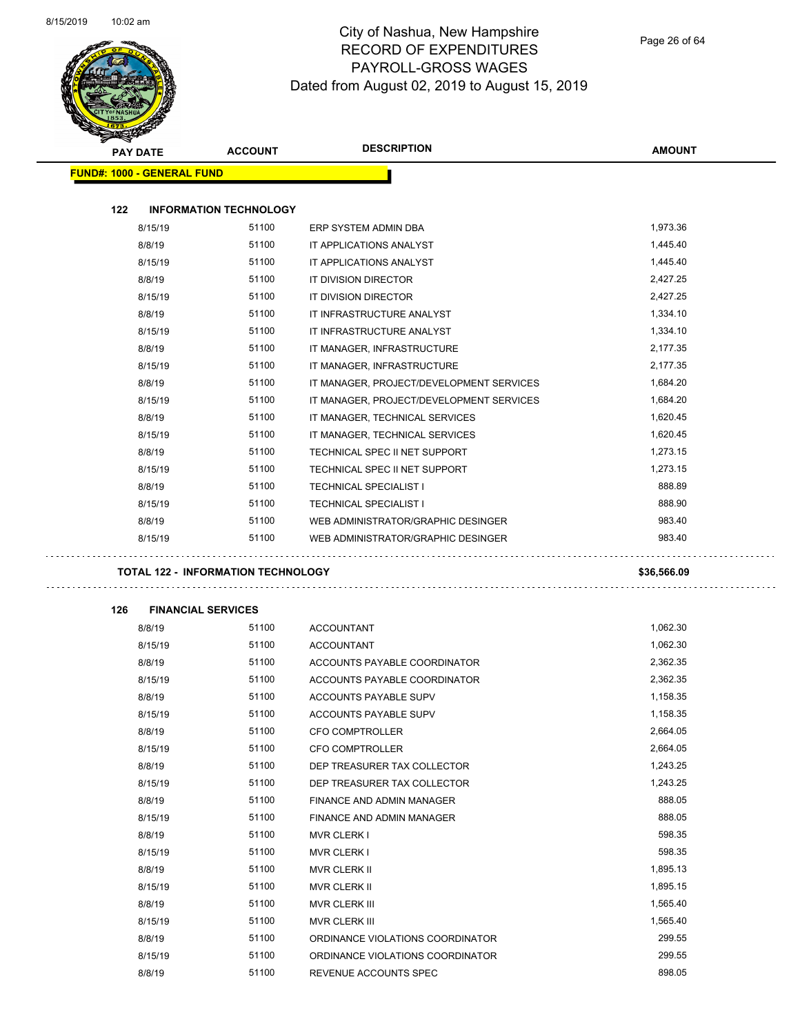

Page 26 of 64

|     | <b>PAY DATE</b>                   | <b>ACCOUNT</b>                            | <b>DESCRIPTION</b>                       | <b>AMOUNT</b> |  |
|-----|-----------------------------------|-------------------------------------------|------------------------------------------|---------------|--|
|     | <b>FUND#: 1000 - GENERAL FUND</b> |                                           |                                          |               |  |
|     |                                   |                                           |                                          |               |  |
| 122 |                                   | <b>INFORMATION TECHNOLOGY</b>             |                                          |               |  |
|     | 8/15/19                           | 51100                                     | ERP SYSTEM ADMIN DBA                     | 1,973.36      |  |
|     | 8/8/19                            | 51100                                     | IT APPLICATIONS ANALYST                  | 1,445.40      |  |
|     | 8/15/19                           | 51100                                     | IT APPLICATIONS ANALYST                  | 1,445.40      |  |
|     | 8/8/19                            | 51100                                     | IT DIVISION DIRECTOR                     | 2,427.25      |  |
|     | 8/15/19                           | 51100                                     | IT DIVISION DIRECTOR                     | 2,427.25      |  |
|     | 8/8/19                            | 51100                                     | IT INFRASTRUCTURE ANALYST                | 1,334.10      |  |
|     | 8/15/19                           | 51100                                     | IT INFRASTRUCTURE ANALYST                | 1,334.10      |  |
|     | 8/8/19                            | 51100                                     | IT MANAGER, INFRASTRUCTURE               | 2,177.35      |  |
|     | 8/15/19                           | 51100                                     | IT MANAGER, INFRASTRUCTURE               | 2,177.35      |  |
|     | 8/8/19                            | 51100                                     | IT MANAGER, PROJECT/DEVELOPMENT SERVICES | 1,684.20      |  |
|     | 8/15/19                           | 51100                                     | IT MANAGER, PROJECT/DEVELOPMENT SERVICES | 1,684.20      |  |
|     | 8/8/19                            | 51100                                     | IT MANAGER, TECHNICAL SERVICES           | 1,620.45      |  |
|     | 8/15/19                           | 51100                                     | IT MANAGER, TECHNICAL SERVICES           | 1,620.45      |  |
|     | 8/8/19                            | 51100                                     | TECHNICAL SPEC II NET SUPPORT            | 1,273.15      |  |
|     | 8/15/19                           | 51100                                     | TECHNICAL SPEC II NET SUPPORT            | 1,273.15      |  |
|     | 8/8/19                            | 51100                                     | <b>TECHNICAL SPECIALIST I</b>            | 888.89        |  |
|     | 8/15/19                           | 51100                                     | <b>TECHNICAL SPECIALIST I</b>            | 888.90        |  |
|     |                                   | 51100                                     | WEB ADMINISTRATOR/GRAPHIC DESINGER       | 983.40        |  |
|     | 8/8/19                            |                                           |                                          |               |  |
|     | 8/15/19                           | 51100                                     | WEB ADMINISTRATOR/GRAPHIC DESINGER       | 983.40        |  |
|     |                                   |                                           |                                          |               |  |
|     |                                   | <b>TOTAL 122 - INFORMATION TECHNOLOGY</b> |                                          | \$36,566.09   |  |
| 126 | <b>FINANCIAL SERVICES</b>         |                                           |                                          |               |  |
|     | 8/8/19                            | 51100                                     | <b>ACCOUNTANT</b>                        | 1,062.30      |  |
|     | 8/15/19                           | 51100                                     | <b>ACCOUNTANT</b>                        | 1,062.30      |  |
|     | 8/8/19                            | 51100                                     | ACCOUNTS PAYABLE COORDINATOR             | 2,362.35      |  |
|     | 8/15/19                           | 51100                                     | ACCOUNTS PAYABLE COORDINATOR             | 2,362.35      |  |
|     | 8/8/19                            | 51100                                     | ACCOUNTS PAYABLE SUPV                    | 1,158.35      |  |
|     | 8/15/19                           | 51100                                     | ACCOUNTS PAYABLE SUPV                    | 1,158.35      |  |
|     | 8/8/19                            | 51100                                     | CFO COMPTROLLER                          | 2,664.05      |  |
|     | 8/15/19                           | 51100                                     | CFO COMPTROLLER                          | 2,664.05      |  |
|     | 8/8/19                            | 51100                                     | DEP TREASURER TAX COLLECTOR              | 1,243.25      |  |
|     | 8/15/19                           | 51100                                     | DEP TREASURER TAX COLLECTOR              | 1,243.25      |  |
|     | 8/8/19                            | 51100                                     | FINANCE AND ADMIN MANAGER                | 888.05        |  |
|     | 8/15/19                           | 51100                                     | FINANCE AND ADMIN MANAGER                | 888.05        |  |
|     | 8/8/19                            | 51100                                     | <b>MVR CLERK I</b>                       | 598.35        |  |
|     | 8/15/19                           | 51100                                     | <b>MVR CLERK I</b>                       | 598.35        |  |
|     | 8/8/19                            | 51100                                     | MVR CLERK II                             | 1,895.13      |  |
|     | 8/15/19                           | 51100                                     | MVR CLERK II                             | 1,895.15      |  |
|     | 8/8/19                            | 51100                                     | MVR CLERK III                            | 1,565.40      |  |
|     | 8/15/19                           | 51100                                     | MVR CLERK III                            | 1,565.40      |  |
|     |                                   | 51100                                     | ORDINANCE VIOLATIONS COORDINATOR         | 299.55        |  |
|     | 8/8/19<br>8/15/19                 | 51100                                     | ORDINANCE VIOLATIONS COORDINATOR         | 299.55        |  |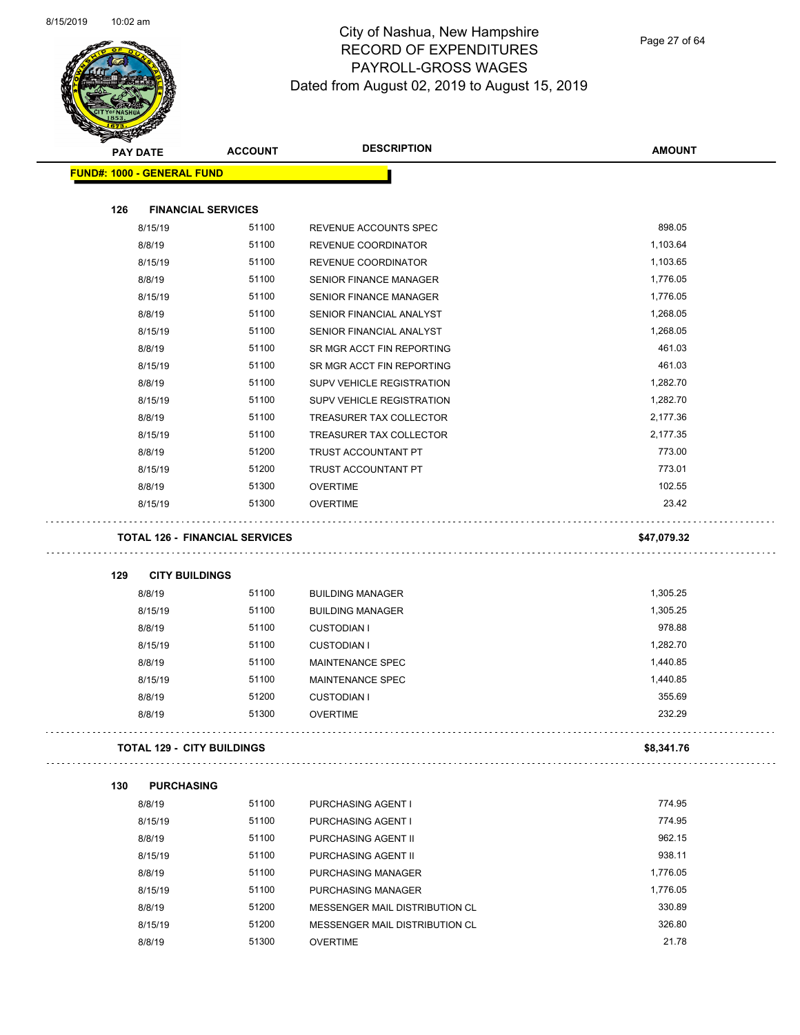

Page 27 of 64

|     | <b>PAY DATE</b>                   | <b>ACCOUNT</b>                    | <b>DESCRIPTION</b>                                               | <b>AMOUNT</b>    |
|-----|-----------------------------------|-----------------------------------|------------------------------------------------------------------|------------------|
|     | <b>FUND#: 1000 - GENERAL FUND</b> |                                   |                                                                  |                  |
| 126 |                                   | <b>FINANCIAL SERVICES</b>         |                                                                  |                  |
|     | 8/15/19                           | 51100                             | REVENUE ACCOUNTS SPEC                                            | 898.05           |
|     | 8/8/19                            | 51100                             | REVENUE COORDINATOR                                              | 1,103.64         |
|     | 8/15/19                           | 51100                             | REVENUE COORDINATOR                                              | 1,103.65         |
|     | 8/8/19                            | 51100                             | <b>SENIOR FINANCE MANAGER</b>                                    | 1,776.05         |
|     | 8/15/19                           | 51100                             | <b>SENIOR FINANCE MANAGER</b>                                    | 1,776.05         |
|     | 8/8/19                            | 51100                             | SENIOR FINANCIAL ANALYST                                         | 1,268.05         |
|     | 8/15/19                           | 51100                             | SENIOR FINANCIAL ANALYST                                         | 1,268.05         |
|     | 8/8/19                            | 51100                             | SR MGR ACCT FIN REPORTING                                        | 461.03           |
|     | 8/15/19                           | 51100                             | SR MGR ACCT FIN REPORTING                                        | 461.03           |
|     | 8/8/19                            | 51100                             | <b>SUPV VEHICLE REGISTRATION</b>                                 | 1,282.70         |
|     | 8/15/19                           | 51100                             | SUPV VEHICLE REGISTRATION                                        | 1,282.70         |
|     | 8/8/19                            | 51100                             | TREASURER TAX COLLECTOR                                          | 2,177.36         |
|     | 8/15/19                           | 51100                             | TREASURER TAX COLLECTOR                                          | 2,177.35         |
|     | 8/8/19                            | 51200                             | TRUST ACCOUNTANT PT                                              | 773.00           |
|     | 8/15/19                           | 51200                             | TRUST ACCOUNTANT PT                                              | 773.01           |
|     | 8/8/19                            | 51300                             | <b>OVERTIME</b>                                                  | 102.55           |
|     | 8/15/19                           | 51300                             | <b>OVERTIME</b>                                                  | 23.42            |
|     |                                   |                                   |                                                                  |                  |
| 129 | <b>CITY BUILDINGS</b>             |                                   |                                                                  |                  |
|     | 8/8/19                            | 51100                             | <b>BUILDING MANAGER</b>                                          | 1,305.25         |
|     | 8/15/19                           | 51100                             | <b>BUILDING MANAGER</b>                                          | 1,305.25         |
|     | 8/8/19                            | 51100                             | <b>CUSTODIAN I</b>                                               | 978.88           |
|     | 8/15/19                           | 51100                             | <b>CUSTODIAN I</b>                                               | 1,282.70         |
|     | 8/8/19                            | 51100                             | <b>MAINTENANCE SPEC</b>                                          | 1,440.85         |
|     | 8/15/19                           | 51100                             | MAINTENANCE SPEC                                                 | 1,440.85         |
|     | 8/8/19<br>8/8/19                  | 51200<br>51300                    | <b>CUSTODIAN I</b><br><b>OVERTIME</b>                            | 355.69<br>232.29 |
|     |                                   | <b>TOTAL 129 - CITY BUILDINGS</b> |                                                                  |                  |
|     |                                   |                                   |                                                                  | \$8,341.76       |
| 130 | <b>PURCHASING</b>                 |                                   |                                                                  |                  |
|     | 8/8/19                            | 51100                             | PURCHASING AGENT I                                               | 774.95           |
|     | 8/15/19                           | 51100                             | PURCHASING AGENT I                                               | 774.95           |
|     | 8/8/19                            | 51100                             | PURCHASING AGENT II                                              | 962.15           |
|     | 8/15/19                           | 51100                             | PURCHASING AGENT II                                              | 938.11           |
|     | 8/8/19                            | 51100                             | PURCHASING MANAGER                                               | 1,776.05         |
|     | 8/15/19                           | 51100                             | PURCHASING MANAGER                                               | 1,776.05         |
|     | 8/8/19<br>8/15/19                 | 51200<br>51200                    | MESSENGER MAIL DISTRIBUTION CL<br>MESSENGER MAIL DISTRIBUTION CL | 330.89<br>326.80 |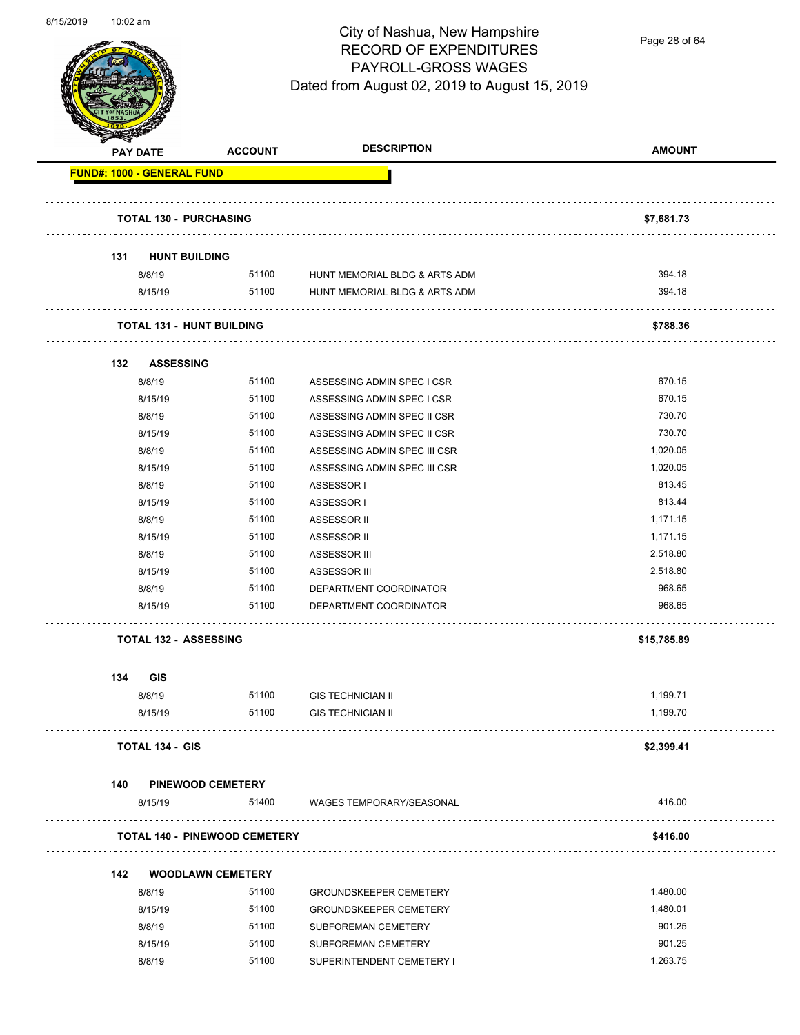

Page 28 of 64

| <b>ACCOUNT</b> |                                                                                                                                                                                                                                                                                                                   | <b>AMOUNT</b>                                                                                                                                                                                                                                                                                                                                                                                                                                                                           |
|----------------|-------------------------------------------------------------------------------------------------------------------------------------------------------------------------------------------------------------------------------------------------------------------------------------------------------------------|-----------------------------------------------------------------------------------------------------------------------------------------------------------------------------------------------------------------------------------------------------------------------------------------------------------------------------------------------------------------------------------------------------------------------------------------------------------------------------------------|
|                |                                                                                                                                                                                                                                                                                                                   |                                                                                                                                                                                                                                                                                                                                                                                                                                                                                         |
|                |                                                                                                                                                                                                                                                                                                                   | \$7,681.73                                                                                                                                                                                                                                                                                                                                                                                                                                                                              |
|                |                                                                                                                                                                                                                                                                                                                   |                                                                                                                                                                                                                                                                                                                                                                                                                                                                                         |
|                |                                                                                                                                                                                                                                                                                                                   | 394.18                                                                                                                                                                                                                                                                                                                                                                                                                                                                                  |
|                | HUNT MEMORIAL BLDG & ARTS ADM                                                                                                                                                                                                                                                                                     | 394.18                                                                                                                                                                                                                                                                                                                                                                                                                                                                                  |
|                |                                                                                                                                                                                                                                                                                                                   | \$788.36                                                                                                                                                                                                                                                                                                                                                                                                                                                                                |
|                |                                                                                                                                                                                                                                                                                                                   |                                                                                                                                                                                                                                                                                                                                                                                                                                                                                         |
|                |                                                                                                                                                                                                                                                                                                                   | 670.15                                                                                                                                                                                                                                                                                                                                                                                                                                                                                  |
| 51100          |                                                                                                                                                                                                                                                                                                                   | 670.15                                                                                                                                                                                                                                                                                                                                                                                                                                                                                  |
| 51100          | ASSESSING ADMIN SPEC II CSR                                                                                                                                                                                                                                                                                       | 730.70                                                                                                                                                                                                                                                                                                                                                                                                                                                                                  |
| 51100          |                                                                                                                                                                                                                                                                                                                   | 730.70                                                                                                                                                                                                                                                                                                                                                                                                                                                                                  |
| 51100          |                                                                                                                                                                                                                                                                                                                   | 1,020.05                                                                                                                                                                                                                                                                                                                                                                                                                                                                                |
| 51100          | ASSESSING ADMIN SPEC III CSR                                                                                                                                                                                                                                                                                      | 1,020.05                                                                                                                                                                                                                                                                                                                                                                                                                                                                                |
| 51100          | ASSESSOR I                                                                                                                                                                                                                                                                                                        | 813.45                                                                                                                                                                                                                                                                                                                                                                                                                                                                                  |
| 51100          |                                                                                                                                                                                                                                                                                                                   | 813.44                                                                                                                                                                                                                                                                                                                                                                                                                                                                                  |
| 51100          |                                                                                                                                                                                                                                                                                                                   | 1,171.15                                                                                                                                                                                                                                                                                                                                                                                                                                                                                |
|                |                                                                                                                                                                                                                                                                                                                   | 1,171.15                                                                                                                                                                                                                                                                                                                                                                                                                                                                                |
|                |                                                                                                                                                                                                                                                                                                                   | 2,518.80                                                                                                                                                                                                                                                                                                                                                                                                                                                                                |
|                |                                                                                                                                                                                                                                                                                                                   | 2,518.80                                                                                                                                                                                                                                                                                                                                                                                                                                                                                |
|                |                                                                                                                                                                                                                                                                                                                   | 968.65                                                                                                                                                                                                                                                                                                                                                                                                                                                                                  |
| 51100          | DEPARTMENT COORDINATOR                                                                                                                                                                                                                                                                                            | 968.65                                                                                                                                                                                                                                                                                                                                                                                                                                                                                  |
|                |                                                                                                                                                                                                                                                                                                                   | \$15,785.89                                                                                                                                                                                                                                                                                                                                                                                                                                                                             |
|                |                                                                                                                                                                                                                                                                                                                   |                                                                                                                                                                                                                                                                                                                                                                                                                                                                                         |
| 51100          | <b>GIS TECHNICIAN II</b>                                                                                                                                                                                                                                                                                          | 1,199.71                                                                                                                                                                                                                                                                                                                                                                                                                                                                                |
| 51100          | <b>GIS TECHNICIAN II</b>                                                                                                                                                                                                                                                                                          | 1,199.70                                                                                                                                                                                                                                                                                                                                                                                                                                                                                |
|                |                                                                                                                                                                                                                                                                                                                   | \$2,399.41                                                                                                                                                                                                                                                                                                                                                                                                                                                                              |
|                |                                                                                                                                                                                                                                                                                                                   |                                                                                                                                                                                                                                                                                                                                                                                                                                                                                         |
| 51400          |                                                                                                                                                                                                                                                                                                                   | 416.00                                                                                                                                                                                                                                                                                                                                                                                                                                                                                  |
|                |                                                                                                                                                                                                                                                                                                                   | \$416.00                                                                                                                                                                                                                                                                                                                                                                                                                                                                                |
|                |                                                                                                                                                                                                                                                                                                                   |                                                                                                                                                                                                                                                                                                                                                                                                                                                                                         |
| 51100          |                                                                                                                                                                                                                                                                                                                   | 1,480.00                                                                                                                                                                                                                                                                                                                                                                                                                                                                                |
| 51100          |                                                                                                                                                                                                                                                                                                                   | 1,480.01                                                                                                                                                                                                                                                                                                                                                                                                                                                                                |
| 51100          |                                                                                                                                                                                                                                                                                                                   | 901.25                                                                                                                                                                                                                                                                                                                                                                                                                                                                                  |
| 51100          |                                                                                                                                                                                                                                                                                                                   | 901.25                                                                                                                                                                                                                                                                                                                                                                                                                                                                                  |
| 51100          | SUPERINTENDENT CEMETERY I                                                                                                                                                                                                                                                                                         | 1,263.75                                                                                                                                                                                                                                                                                                                                                                                                                                                                                |
|                | <b>FUND#: 1000 - GENERAL FUND</b><br><b>TOTAL 130 - PURCHASING</b><br><b>HUNT BUILDING</b><br><b>TOTAL 131 - HUNT BUILDING</b><br><b>ASSESSING</b><br>51100<br>51100<br>51100<br>51100<br>51100<br><b>TOTAL 132 - ASSESSING</b><br><b>TOTAL 134 - GIS</b><br><b>PINEWOOD CEMETERY</b><br><b>WOODLAWN CEMETERY</b> | <b>DESCRIPTION</b><br>51100 HUNT MEMORIAL BLDG & ARTS ADM<br>51100<br>ASSESSING ADMIN SPEC I CSR<br>ASSESSING ADMIN SPEC I CSR<br>ASSESSING ADMIN SPEC II CSR<br>ASSESSING ADMIN SPEC III CSR<br>ASSESSOR I<br>ASSESSOR II<br>ASSESSOR II<br>ASSESSOR III<br>ASSESSOR III<br>DEPARTMENT COORDINATOR<br>WAGES TEMPORARY/SEASONAL<br><b>TOTAL 140 - PINEWOOD CEMETERY</b><br><b>GROUNDSKEEPER CEMETERY</b><br><b>GROUNDSKEEPER CEMETERY</b><br>SUBFOREMAN CEMETERY<br>SUBFOREMAN CEMETERY |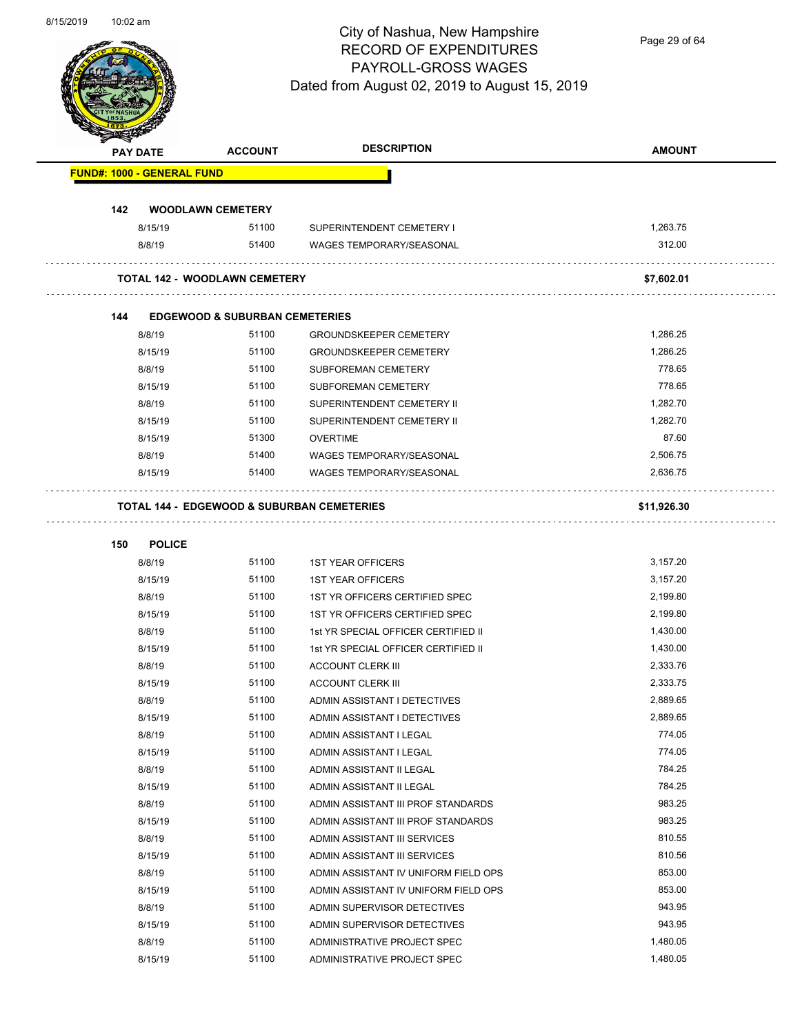Page 29 of 64

|     | <b>PAY DATE</b>                   | <b>ACCOUNT</b>                            | <b>DESCRIPTION</b>                                    | <b>AMOUNT</b> |
|-----|-----------------------------------|-------------------------------------------|-------------------------------------------------------|---------------|
|     | <b>FUND#: 1000 - GENERAL FUND</b> |                                           |                                                       |               |
| 142 |                                   | <b>WOODLAWN CEMETERY</b>                  |                                                       |               |
|     | 8/15/19                           | 51100                                     | SUPERINTENDENT CEMETERY I                             | 1,263.75      |
|     | 8/8/19                            | 51400                                     | <b>WAGES TEMPORARY/SEASONAL</b>                       | 312.00        |
|     |                                   | <b>TOTAL 142 - WOODLAWN CEMETERY</b>      |                                                       | \$7,602.01    |
| 144 |                                   | <b>EDGEWOOD &amp; SUBURBAN CEMETERIES</b> |                                                       |               |
|     | 8/8/19                            | 51100                                     | <b>GROUNDSKEEPER CEMETERY</b>                         | 1,286.25      |
|     | 8/15/19                           | 51100                                     | <b>GROUNDSKEEPER CEMETERY</b>                         | 1,286.25      |
|     | 8/8/19                            | 51100                                     | SUBFOREMAN CEMETERY                                   | 778.65        |
|     | 8/15/19                           | 51100                                     | SUBFOREMAN CEMETERY                                   | 778.65        |
|     | 8/8/19                            | 51100                                     | SUPERINTENDENT CEMETERY II                            | 1,282.70      |
|     | 8/15/19                           | 51100                                     | SUPERINTENDENT CEMETERY II                            | 1,282.70      |
|     | 8/15/19                           | 51300                                     | <b>OVERTIME</b>                                       | 87.60         |
|     | 8/8/19                            | 51400                                     | <b>WAGES TEMPORARY/SEASONAL</b>                       | 2,506.75      |
|     | 8/15/19                           | 51400                                     | <b>WAGES TEMPORARY/SEASONAL</b>                       | 2.636.75      |
|     |                                   |                                           | <b>TOTAL 144 - EDGEWOOD &amp; SUBURBAN CEMETERIES</b> | \$11,926.30   |
|     |                                   |                                           |                                                       |               |
| 150 | <b>POLICE</b>                     |                                           |                                                       |               |
|     | 8/8/19                            | 51100                                     | <b>1ST YEAR OFFICERS</b>                              | 3,157.20      |
|     | 8/15/19                           | 51100                                     | <b>1ST YEAR OFFICERS</b>                              | 3,157.20      |
|     | 8/8/19                            | 51100                                     | 1ST YR OFFICERS CERTIFIED SPEC                        | 2,199.80      |
|     | 8/15/19                           | 51100                                     | 1ST YR OFFICERS CERTIFIED SPEC                        | 2,199.80      |
|     | 8/8/19                            | 51100                                     | 1st YR SPECIAL OFFICER CERTIFIED II                   | 1,430.00      |
|     | 8/15/19                           | 51100                                     | 1st YR SPECIAL OFFICER CERTIFIED II                   | 1,430.00      |
|     | 8/8/19                            | 51100                                     | <b>ACCOUNT CLERK III</b>                              | 2,333.76      |
|     | 8/15/19                           | 51100                                     | <b>ACCOUNT CLERK III</b>                              | 2,333.75      |
|     | 8/8/19                            | 51100                                     | ADMIN ASSISTANT I DETECTIVES                          | 2.889.65      |
|     | 8/15/19                           | 51100                                     | ADMIN ASSISTANT I DETECTIVES                          | 2,889.65      |
|     | 8/8/19                            | 51100                                     | ADMIN ASSISTANT I LEGAL                               | 774.05        |
|     | 8/15/19                           | 51100                                     | ADMIN ASSISTANT I LEGAL                               | 774.05        |
|     | 8/8/19                            | 51100                                     | ADMIN ASSISTANT II LEGAL                              | 784.25        |
|     | 8/15/19                           | 51100                                     | ADMIN ASSISTANT II LEGAL                              | 784.25        |
|     | 8/8/19                            | 51100                                     | ADMIN ASSISTANT III PROF STANDARDS                    | 983.25        |
|     | 8/15/19                           | 51100                                     | ADMIN ASSISTANT III PROF STANDARDS                    | 983.25        |
|     | 8/8/19                            | 51100                                     | ADMIN ASSISTANT III SERVICES                          | 810.55        |
|     | 8/15/19                           | 51100                                     | ADMIN ASSISTANT III SERVICES                          | 810.56        |
|     | 8/8/19                            | 51100                                     | ADMIN ASSISTANT IV UNIFORM FIELD OPS                  | 853.00        |
|     | 8/15/19                           | 51100                                     | ADMIN ASSISTANT IV UNIFORM FIELD OPS                  | 853.00        |
|     | 8/8/19                            | 51100                                     | ADMIN SUPERVISOR DETECTIVES                           | 943.95        |
|     | 8/15/19                           | 51100                                     | ADMIN SUPERVISOR DETECTIVES                           | 943.95        |
|     | 8/8/19                            | 51100                                     | ADMINISTRATIVE PROJECT SPEC                           | 1,480.05      |
|     | 8/15/19                           | 51100                                     | ADMINISTRATIVE PROJECT SPEC                           | 1,480.05      |
|     |                                   |                                           |                                                       |               |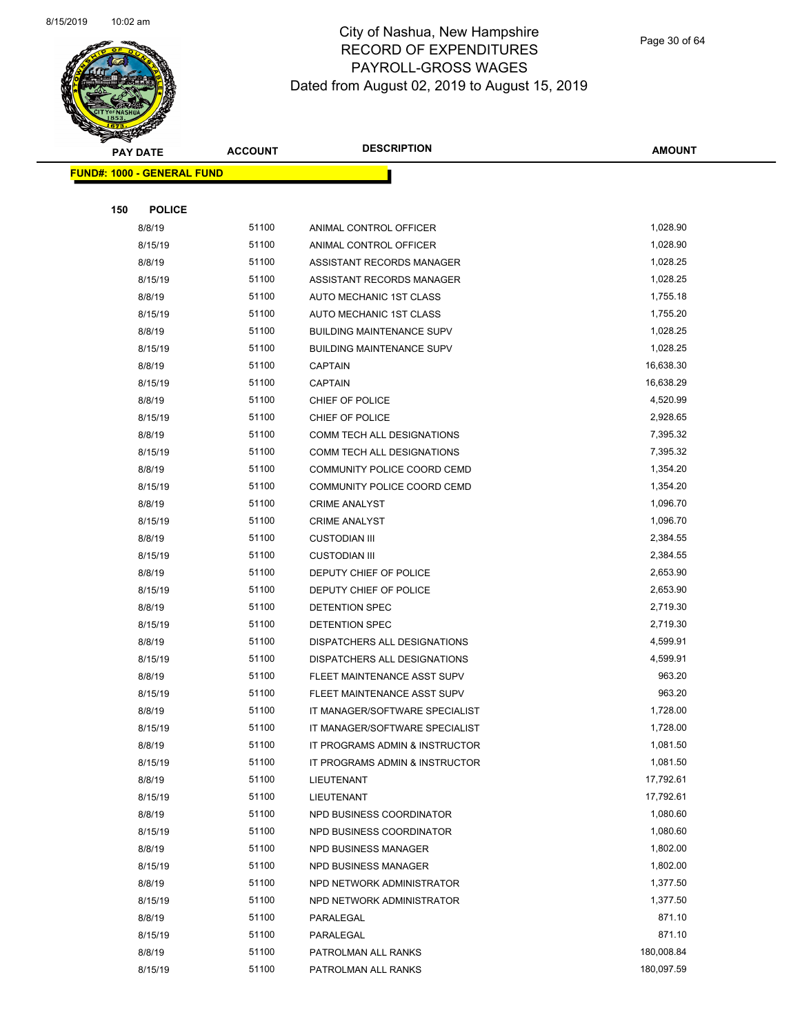

Page 30 of 64

| <b>PAY DATE</b>                   | <b>ACCOUNT</b> | <b>DESCRIPTION</b>                           | <b>AMOUNT</b>        |
|-----------------------------------|----------------|----------------------------------------------|----------------------|
| <b>FUND#: 1000 - GENERAL FUND</b> |                |                                              |                      |
|                                   |                |                                              |                      |
| 150<br><b>POLICE</b>              |                |                                              |                      |
| 8/8/19                            | 51100          | ANIMAL CONTROL OFFICER                       | 1,028.90             |
| 8/15/19                           | 51100          | ANIMAL CONTROL OFFICER                       | 1,028.90             |
| 8/8/19                            | 51100          | ASSISTANT RECORDS MANAGER                    | 1,028.25             |
| 8/15/19                           | 51100          | ASSISTANT RECORDS MANAGER                    | 1,028.25             |
| 8/8/19                            | 51100          | AUTO MECHANIC 1ST CLASS                      | 1,755.18             |
| 8/15/19                           | 51100          | AUTO MECHANIC 1ST CLASS                      | 1,755.20             |
| 8/8/19                            | 51100          | <b>BUILDING MAINTENANCE SUPV</b>             | 1,028.25             |
| 8/15/19                           | 51100          | <b>BUILDING MAINTENANCE SUPV</b>             | 1,028.25             |
| 8/8/19                            | 51100          | <b>CAPTAIN</b>                               | 16,638.30            |
| 8/15/19                           | 51100          | <b>CAPTAIN</b>                               | 16,638.29            |
| 8/8/19                            | 51100          | CHIEF OF POLICE                              | 4,520.99             |
| 8/15/19                           | 51100          | CHIEF OF POLICE                              | 2,928.65             |
| 8/8/19                            | 51100          | COMM TECH ALL DESIGNATIONS                   | 7,395.32             |
| 8/15/19                           | 51100          | COMM TECH ALL DESIGNATIONS                   | 7,395.32             |
| 8/8/19                            | 51100          | COMMUNITY POLICE COORD CEMD                  | 1,354.20             |
| 8/15/19                           | 51100          | COMMUNITY POLICE COORD CEMD                  | 1,354.20             |
| 8/8/19                            | 51100          | <b>CRIME ANALYST</b>                         | 1,096.70             |
| 8/15/19                           | 51100          | <b>CRIME ANALYST</b>                         | 1,096.70             |
| 8/8/19                            | 51100          | <b>CUSTODIAN III</b>                         | 2,384.55             |
| 8/15/19                           | 51100          | <b>CUSTODIAN III</b>                         | 2,384.55             |
| 8/8/19                            | 51100          | DEPUTY CHIEF OF POLICE                       | 2,653.90             |
| 8/15/19                           | 51100          | DEPUTY CHIEF OF POLICE                       | 2,653.90             |
| 8/8/19                            | 51100          | DETENTION SPEC                               | 2,719.30             |
| 8/15/19                           | 51100          | DETENTION SPEC                               | 2,719.30             |
| 8/8/19                            | 51100          | DISPATCHERS ALL DESIGNATIONS                 | 4,599.91             |
| 8/15/19                           | 51100          | DISPATCHERS ALL DESIGNATIONS                 | 4,599.91             |
| 8/8/19                            | 51100          | FLEET MAINTENANCE ASST SUPV                  | 963.20               |
| 8/15/19                           | 51100          | FLEET MAINTENANCE ASST SUPV                  | 963.20               |
| 8/8/19                            | 51100          | IT MANAGER/SOFTWARE SPECIALIST               | 1,728.00             |
| 8/15/19                           | 51100          | IT MANAGER/SOFTWARE SPECIALIST               | 1,728.00             |
| 8/8/19                            | 51100          | IT PROGRAMS ADMIN & INSTRUCTOR               | 1,081.50             |
| 8/15/19                           | 51100          | IT PROGRAMS ADMIN & INSTRUCTOR               | 1,081.50             |
| 8/8/19                            | 51100          | LIEUTENANT                                   | 17,792.61            |
| 8/15/19                           | 51100          | LIEUTENANT                                   | 17,792.61            |
| 8/8/19                            | 51100<br>51100 | NPD BUSINESS COORDINATOR                     | 1,080.60<br>1,080.60 |
| 8/15/19                           | 51100          | NPD BUSINESS COORDINATOR                     | 1,802.00             |
| 8/8/19                            | 51100          | NPD BUSINESS MANAGER<br>NPD BUSINESS MANAGER | 1,802.00             |
| 8/15/19<br>8/8/19                 | 51100          | NPD NETWORK ADMINISTRATOR                    | 1,377.50             |
|                                   | 51100          |                                              | 1,377.50             |
| 8/15/19<br>8/8/19                 | 51100          | NPD NETWORK ADMINISTRATOR<br>PARALEGAL       | 871.10               |
| 8/15/19                           | 51100          | PARALEGAL                                    | 871.10               |
| 8/8/19                            | 51100          | PATROLMAN ALL RANKS                          | 180,008.84           |
| 8/15/19                           | 51100          | PATROLMAN ALL RANKS                          | 180,097.59           |
|                                   |                |                                              |                      |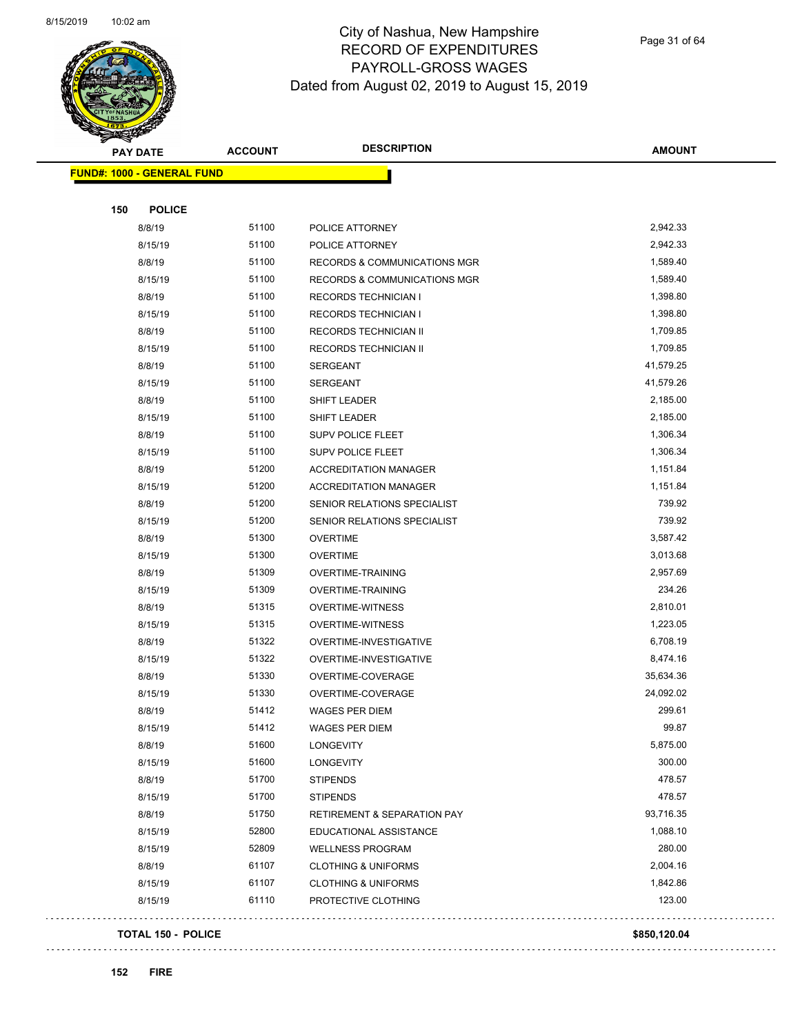

Page 31 of 64

| <b>PAY DATE</b>                   | <b>ACCOUNT</b> | <b>DESCRIPTION</b>                      | <b>AMOUNT</b> |
|-----------------------------------|----------------|-----------------------------------------|---------------|
| <b>FUND#: 1000 - GENERAL FUND</b> |                |                                         |               |
|                                   |                |                                         |               |
| <b>POLICE</b><br>150              |                |                                         |               |
| 8/8/19                            | 51100          | POLICE ATTORNEY                         | 2,942.33      |
| 8/15/19                           | 51100          | POLICE ATTORNEY                         | 2,942.33      |
| 8/8/19                            | 51100          | RECORDS & COMMUNICATIONS MGR            | 1,589.40      |
| 8/15/19                           | 51100          | <b>RECORDS &amp; COMMUNICATIONS MGR</b> | 1,589.40      |
| 8/8/19                            | 51100          | <b>RECORDS TECHNICIAN I</b>             | 1,398.80      |
| 8/15/19                           | 51100          | <b>RECORDS TECHNICIAN I</b>             | 1,398.80      |
| 8/8/19                            | 51100          | RECORDS TECHNICIAN II                   | 1,709.85      |
| 8/15/19                           | 51100          | RECORDS TECHNICIAN II                   | 1,709.85      |
| 8/8/19                            | 51100          | <b>SERGEANT</b>                         | 41,579.25     |
| 8/15/19                           | 51100          | <b>SERGEANT</b>                         | 41,579.26     |
| 8/8/19                            | 51100          | SHIFT LEADER                            | 2,185.00      |
| 8/15/19                           | 51100          | SHIFT LEADER                            | 2,185.00      |
| 8/8/19                            | 51100          | <b>SUPV POLICE FLEET</b>                | 1,306.34      |
| 8/15/19                           | 51100          | <b>SUPV POLICE FLEET</b>                | 1,306.34      |
| 8/8/19                            | 51200          | <b>ACCREDITATION MANAGER</b>            | 1,151.84      |
| 8/15/19                           | 51200          | <b>ACCREDITATION MANAGER</b>            | 1,151.84      |
| 8/8/19                            | 51200          | SENIOR RELATIONS SPECIALIST             | 739.92        |
| 8/15/19                           | 51200          | SENIOR RELATIONS SPECIALIST             | 739.92        |
| 8/8/19                            | 51300          | <b>OVERTIME</b>                         | 3,587.42      |
| 8/15/19                           | 51300          | <b>OVERTIME</b>                         | 3,013.68      |
| 8/8/19                            | 51309          | OVERTIME-TRAINING                       | 2,957.69      |
| 8/15/19                           | 51309          | <b>OVERTIME-TRAINING</b>                | 234.26        |
| 8/8/19                            | 51315          | <b>OVERTIME-WITNESS</b>                 | 2,810.01      |
| 8/15/19                           | 51315          | OVERTIME-WITNESS                        | 1,223.05      |
| 8/8/19                            | 51322          | OVERTIME-INVESTIGATIVE                  | 6,708.19      |
| 8/15/19                           | 51322          | OVERTIME-INVESTIGATIVE                  | 8,474.16      |
| 8/8/19                            | 51330          | OVERTIME-COVERAGE                       | 35,634.36     |
| 8/15/19                           | 51330          | OVERTIME-COVERAGE                       | 24,092.02     |
| 8/8/19                            | 51412          | <b>WAGES PER DIEM</b>                   | 299.61        |
| 8/15/19                           | 51412          | WAGES PER DIEM                          | 99.87         |
| 8/8/19                            | 51600          | LONGEVITY                               | 5,875.00      |
| 8/15/19                           | 51600          | LONGEVITY                               | 300.00        |
| 8/8/19                            | 51700          | <b>STIPENDS</b>                         | 478.57        |
| 8/15/19                           | 51700          | <b>STIPENDS</b>                         | 478.57        |
| 8/8/19                            | 51750          | <b>RETIREMENT &amp; SEPARATION PAY</b>  | 93,716.35     |
| 8/15/19                           | 52800          | EDUCATIONAL ASSISTANCE                  | 1,088.10      |
| 8/15/19                           | 52809          | <b>WELLNESS PROGRAM</b>                 | 280.00        |
| 8/8/19                            | 61107          | <b>CLOTHING &amp; UNIFORMS</b>          | 2,004.16      |
| 8/15/19                           | 61107          | <b>CLOTHING &amp; UNIFORMS</b>          | 1,842.86      |
| 8/15/19                           | 61110          | PROTECTIVE CLOTHING                     | 123.00        |
|                                   |                |                                         |               |

#### **TOTAL 150 - POLICE \$850,120.04**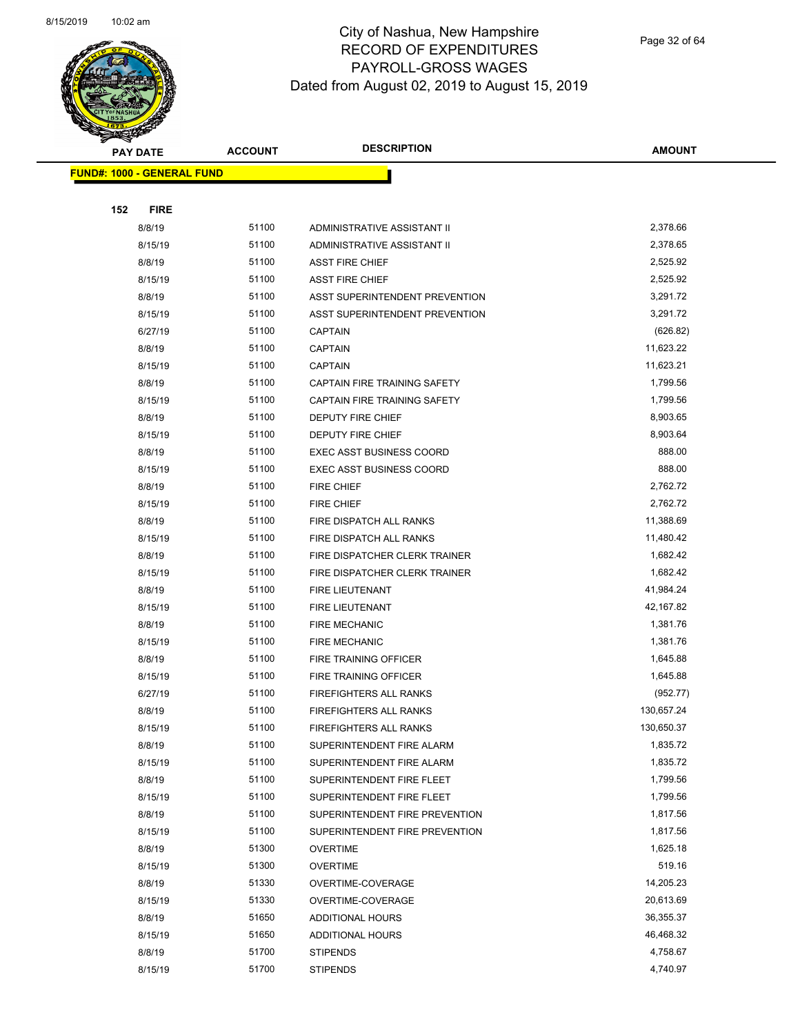

Page 32 of 64

| <b>PAY DATE</b>                   | <b>ACCOUNT</b> | <b>DESCRIPTION</b>                 | <b>AMOUNT</b>          |
|-----------------------------------|----------------|------------------------------------|------------------------|
| <b>FUND#: 1000 - GENERAL FUND</b> |                |                                    |                        |
|                                   |                |                                    |                        |
| 152<br><b>FIRE</b>                |                |                                    |                        |
| 8/8/19                            | 51100          | ADMINISTRATIVE ASSISTANT II        | 2,378.66               |
| 8/15/19                           | 51100          | ADMINISTRATIVE ASSISTANT II        | 2,378.65               |
| 8/8/19                            | 51100          | <b>ASST FIRE CHIEF</b>             | 2,525.92               |
| 8/15/19                           | 51100          | <b>ASST FIRE CHIEF</b>             | 2,525.92               |
| 8/8/19                            | 51100          | ASST SUPERINTENDENT PREVENTION     | 3,291.72               |
| 8/15/19                           | 51100          | ASST SUPERINTENDENT PREVENTION     | 3,291.72               |
| 6/27/19                           | 51100          | <b>CAPTAIN</b>                     | (626.82)               |
| 8/8/19                            | 51100          | <b>CAPTAIN</b>                     | 11,623.22              |
| 8/15/19                           | 51100          | <b>CAPTAIN</b>                     | 11,623.21              |
| 8/8/19                            | 51100          | CAPTAIN FIRE TRAINING SAFETY       | 1,799.56               |
| 8/15/19                           | 51100          | CAPTAIN FIRE TRAINING SAFETY       | 1,799.56               |
| 8/8/19                            | 51100          | <b>DEPUTY FIRE CHIEF</b>           | 8,903.65               |
| 8/15/19                           | 51100          | DEPUTY FIRE CHIEF                  | 8,903.64               |
| 8/8/19                            | 51100          | <b>EXEC ASST BUSINESS COORD</b>    | 888.00                 |
| 8/15/19                           | 51100          | <b>EXEC ASST BUSINESS COORD</b>    | 888.00                 |
| 8/8/19                            | 51100          | FIRE CHIEF                         | 2,762.72               |
| 8/15/19                           | 51100          | FIRE CHIEF                         | 2,762.72               |
| 8/8/19                            | 51100          | FIRE DISPATCH ALL RANKS            | 11,388.69              |
| 8/15/19                           | 51100          | FIRE DISPATCH ALL RANKS            | 11,480.42              |
| 8/8/19                            | 51100          | FIRE DISPATCHER CLERK TRAINER      | 1,682.42               |
| 8/15/19                           | 51100          | FIRE DISPATCHER CLERK TRAINER      | 1,682.42               |
| 8/8/19                            | 51100          | FIRE LIEUTENANT                    | 41,984.24              |
| 8/15/19                           | 51100          | <b>FIRE LIEUTENANT</b>             | 42,167.82              |
| 8/8/19                            | 51100          | <b>FIRE MECHANIC</b>               | 1,381.76               |
| 8/15/19                           | 51100          | <b>FIRE MECHANIC</b>               | 1,381.76               |
| 8/8/19                            | 51100          | FIRE TRAINING OFFICER              | 1,645.88               |
| 8/15/19                           | 51100          | FIRE TRAINING OFFICER              | 1,645.88               |
| 6/27/19                           | 51100          | FIREFIGHTERS ALL RANKS             | (952.77)               |
| 8/8/19                            | 51100          | <b>FIREFIGHTERS ALL RANKS</b>      | 130,657.24             |
| 8/15/19                           | 51100          | <b>FIREFIGHTERS ALL RANKS</b>      | 130,650.37             |
| 8/8/19                            | 51100          | SUPERINTENDENT FIRE ALARM          | 1,835.72               |
| 8/15/19                           | 51100          | SUPERINTENDENT FIRE ALARM          | 1,835.72               |
| 8/8/19                            | 51100          | SUPERINTENDENT FIRE FLEET          | 1,799.56               |
| 8/15/19                           | 51100          | SUPERINTENDENT FIRE FLEET          | 1,799.56               |
| 8/8/19                            | 51100          | SUPERINTENDENT FIRE PREVENTION     | 1,817.56               |
| 8/15/19                           | 51100          | SUPERINTENDENT FIRE PREVENTION     | 1,817.56               |
| 8/8/19                            | 51300          | <b>OVERTIME</b>                    | 1,625.18               |
| 8/15/19                           | 51300          | <b>OVERTIME</b>                    | 519.16                 |
| 8/8/19                            | 51330          | OVERTIME-COVERAGE                  | 14,205.23              |
| 8/15/19                           | 51330          | OVERTIME-COVERAGE                  | 20,613.69              |
| 8/8/19                            | 51650<br>51650 | <b>ADDITIONAL HOURS</b>            | 36,355.37<br>46,468.32 |
| 8/15/19                           |                | <b>ADDITIONAL HOURS</b>            | 4,758.67               |
| 8/8/19<br>8/15/19                 | 51700<br>51700 | <b>STIPENDS</b><br><b>STIPENDS</b> | 4,740.97               |
|                                   |                |                                    |                        |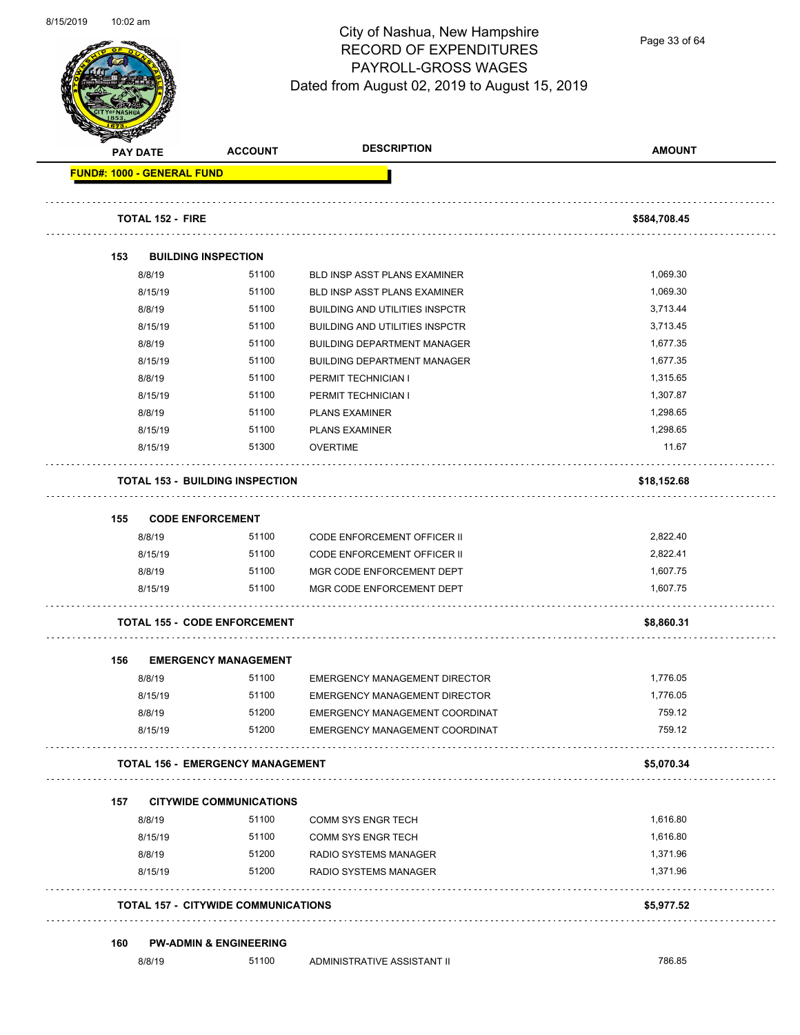

Page 33 of 64

|     | <b>PAY DATE</b>                   | <b>ACCOUNT</b>                             | <b>DESCRIPTION</b>                    | <b>AMOUNT</b> |
|-----|-----------------------------------|--------------------------------------------|---------------------------------------|---------------|
|     | <b>FUND#: 1000 - GENERAL FUND</b> |                                            |                                       |               |
|     | <b>TOTAL 152 - FIRE</b>           |                                            |                                       | \$584,708.45  |
| 153 | <b>BUILDING INSPECTION</b>        |                                            |                                       |               |
|     | 8/8/19                            | 51100                                      | <b>BLD INSP ASST PLANS EXAMINER</b>   | 1,069.30      |
|     | 8/15/19                           | 51100                                      | BLD INSP ASST PLANS EXAMINER          | 1,069.30      |
|     | 8/8/19                            | 51100                                      | <b>BUILDING AND UTILITIES INSPCTR</b> | 3,713.44      |
|     | 8/15/19                           | 51100                                      | <b>BUILDING AND UTILITIES INSPCTR</b> | 3,713.45      |
|     | 8/8/19                            | 51100                                      | <b>BUILDING DEPARTMENT MANAGER</b>    | 1,677.35      |
|     | 8/15/19                           | 51100                                      | <b>BUILDING DEPARTMENT MANAGER</b>    | 1,677.35      |
|     | 8/8/19                            | 51100                                      | PERMIT TECHNICIAN I                   | 1,315.65      |
|     | 8/15/19                           | 51100                                      | PERMIT TECHNICIAN I                   | 1,307.87      |
|     | 8/8/19                            | 51100                                      | <b>PLANS EXAMINER</b>                 | 1,298.65      |
|     | 8/15/19                           | 51100                                      | <b>PLANS EXAMINER</b>                 | 1.298.65      |
|     | 8/15/19                           | 51300                                      | <b>OVERTIME</b>                       | 11.67         |
|     |                                   | <b>TOTAL 153 - BUILDING INSPECTION</b>     |                                       | \$18,152.68   |
| 155 | <b>CODE ENFORCEMENT</b>           |                                            |                                       |               |
|     | 8/8/19                            | 51100                                      | <b>CODE ENFORCEMENT OFFICER II</b>    | 2,822.40      |
|     | 8/15/19                           | 51100                                      | <b>CODE ENFORCEMENT OFFICER II</b>    | 2,822.41      |
|     | 8/8/19                            | 51100                                      | MGR CODE ENFORCEMENT DEPT             | 1,607.75      |
|     | 8/15/19                           | 51100                                      | MGR CODE ENFORCEMENT DEPT             | 1,607.75      |
|     |                                   | <b>TOTAL 155 - CODE ENFORCEMENT</b>        |                                       | \$8,860.31    |
| 156 |                                   | <b>EMERGENCY MANAGEMENT</b>                |                                       |               |
|     | 8/8/19                            | 51100                                      | <b>EMERGENCY MANAGEMENT DIRECTOR</b>  | 1,776.05      |
|     | 8/15/19                           | 51100                                      | <b>EMERGENCY MANAGEMENT DIRECTOR</b>  | 1,776.05      |
|     | 8/8/19                            | 51200                                      | EMERGENCY MANAGEMENT COORDINAT        | 759.12        |
|     | 8/15/19                           | 51200                                      | EMERGENCY MANAGEMENT COORDINAT        | 759.12        |
|     |                                   | <b>TOTAL 156 - EMERGENCY MANAGEMENT</b>    |                                       | \$5,070.34    |
| 157 |                                   | <b>CITYWIDE COMMUNICATIONS</b>             |                                       |               |
|     | 8/8/19                            | 51100                                      | <b>COMM SYS ENGR TECH</b>             | 1,616.80      |
|     | 8/15/19                           | 51100                                      | <b>COMM SYS ENGR TECH</b>             | 1,616.80      |
|     | 8/8/19                            | 51200                                      | RADIO SYSTEMS MANAGER                 | 1,371.96      |
|     | 8/15/19                           | 51200                                      | RADIO SYSTEMS MANAGER                 | 1,371.96      |
|     |                                   | <b>TOTAL 157 - CITYWIDE COMMUNICATIONS</b> |                                       | \$5,977.52    |
| 160 |                                   | <b>PW-ADMIN &amp; ENGINEERING</b>          |                                       |               |
|     | 8/8/19                            | 51100                                      | ADMINISTRATIVE ASSISTANT II           | 786.85        |
|     |                                   |                                            |                                       |               |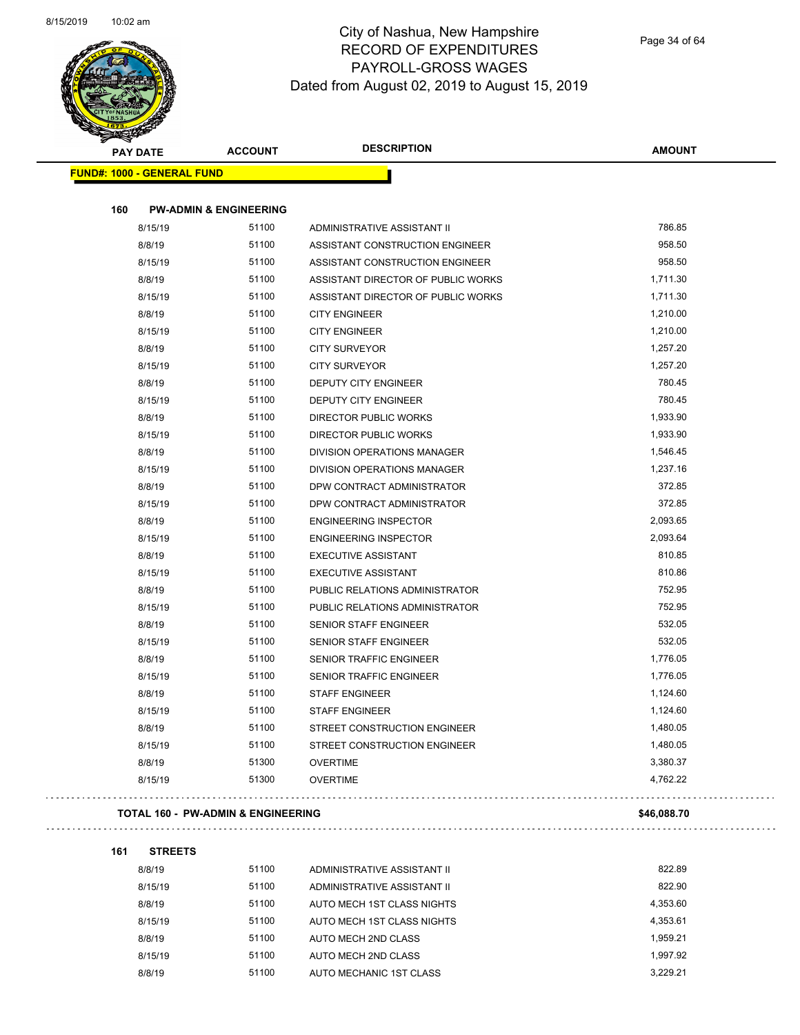

Page 34 of 64

|     | <b>PAY DATE</b>                   | <b>ACCOUNT</b> | <b>DESCRIPTION</b>                 | <b>AMOUNT</b> |
|-----|-----------------------------------|----------------|------------------------------------|---------------|
|     | <b>FUND#: 1000 - GENERAL FUND</b> |                |                                    |               |
|     |                                   |                |                                    |               |
| 160 | <b>PW-ADMIN &amp; ENGINEERING</b> |                |                                    |               |
|     | 8/15/19                           | 51100          | ADMINISTRATIVE ASSISTANT II        | 786.85        |
|     | 8/8/19                            | 51100          | ASSISTANT CONSTRUCTION ENGINEER    | 958.50        |
|     | 8/15/19                           | 51100          | ASSISTANT CONSTRUCTION ENGINEER    | 958.50        |
|     | 8/8/19                            | 51100          | ASSISTANT DIRECTOR OF PUBLIC WORKS | 1,711.30      |
|     | 8/15/19                           | 51100          | ASSISTANT DIRECTOR OF PUBLIC WORKS | 1,711.30      |
|     | 8/8/19                            | 51100          | <b>CITY ENGINEER</b>               | 1,210.00      |
|     | 8/15/19                           | 51100          | <b>CITY ENGINEER</b>               | 1,210.00      |
|     | 8/8/19                            | 51100          | <b>CITY SURVEYOR</b>               | 1,257.20      |
|     | 8/15/19                           | 51100          | <b>CITY SURVEYOR</b>               | 1,257.20      |
|     | 8/8/19                            | 51100          | DEPUTY CITY ENGINEER               | 780.45        |
|     | 8/15/19                           | 51100          | DEPUTY CITY ENGINEER               | 780.45        |
|     | 8/8/19                            | 51100          | <b>DIRECTOR PUBLIC WORKS</b>       | 1,933.90      |
|     | 8/15/19                           | 51100          | DIRECTOR PUBLIC WORKS              | 1,933.90      |
|     | 8/8/19                            | 51100          | DIVISION OPERATIONS MANAGER        | 1,546.45      |
|     | 8/15/19                           | 51100          | <b>DIVISION OPERATIONS MANAGER</b> | 1,237.16      |
|     | 8/8/19                            | 51100          | DPW CONTRACT ADMINISTRATOR         | 372.85        |
|     | 8/15/19                           | 51100          | DPW CONTRACT ADMINISTRATOR         | 372.85        |
|     | 8/8/19                            | 51100          | <b>ENGINEERING INSPECTOR</b>       | 2,093.65      |
|     | 8/15/19                           | 51100          | <b>ENGINEERING INSPECTOR</b>       | 2,093.64      |
|     | 8/8/19                            | 51100          | <b>EXECUTIVE ASSISTANT</b>         | 810.85        |
|     | 8/15/19                           | 51100          | <b>EXECUTIVE ASSISTANT</b>         | 810.86        |
|     | 8/8/19                            | 51100          | PUBLIC RELATIONS ADMINISTRATOR     | 752.95        |
|     | 8/15/19                           | 51100          | PUBLIC RELATIONS ADMINISTRATOR     | 752.95        |
|     | 8/8/19                            | 51100          | SENIOR STAFF ENGINEER              | 532.05        |
|     | 8/15/19                           | 51100          | SENIOR STAFF ENGINEER              | 532.05        |
|     | 8/8/19                            | 51100          | <b>SENIOR TRAFFIC ENGINEER</b>     | 1,776.05      |
|     | 8/15/19                           | 51100          | <b>SENIOR TRAFFIC ENGINEER</b>     | 1,776.05      |
|     | 8/8/19                            | 51100          | <b>STAFF ENGINEER</b>              | 1,124.60      |
|     | 8/15/19                           | 51100          | STAFF ENGINEER                     | 1,124.60      |
|     | 8/8/19                            | 51100          | STREET CONSTRUCTION ENGINEER       | 1,480.05      |
|     | 8/15/19                           | 51100          | STREET CONSTRUCTION ENGINEER       | 1,480.05      |
|     | 8/8/19                            | 51300          | <b>OVERTIME</b>                    | 3,380.37      |
|     | 8/15/19                           | 51300          | <b>OVERTIME</b>                    | 4,762.22      |

#### **TOTAL 160 - PW-ADMIN & ENGINEERING \$46,088.70**

#### **161 STREETS**

 $\Box$  .

| 8/8/19  | 51100 | ADMINISTRATIVE ASSISTANT II | 822.89   |
|---------|-------|-----------------------------|----------|
| 8/15/19 | 51100 | ADMINISTRATIVE ASSISTANT II | 822.90   |
| 8/8/19  | 51100 | AUTO MECH 1ST CLASS NIGHTS  | 4.353.60 |
| 8/15/19 | 51100 | AUTO MECH 1ST CLASS NIGHTS  | 4.353.61 |
| 8/8/19  | 51100 | AUTO MECH 2ND CLASS         | 1.959.21 |
| 8/15/19 | 51100 | AUTO MECH 2ND CLASS         | 1.997.92 |
| 8/8/19  | 51100 | AUTO MECHANIC 1ST CLASS     | 3.229.21 |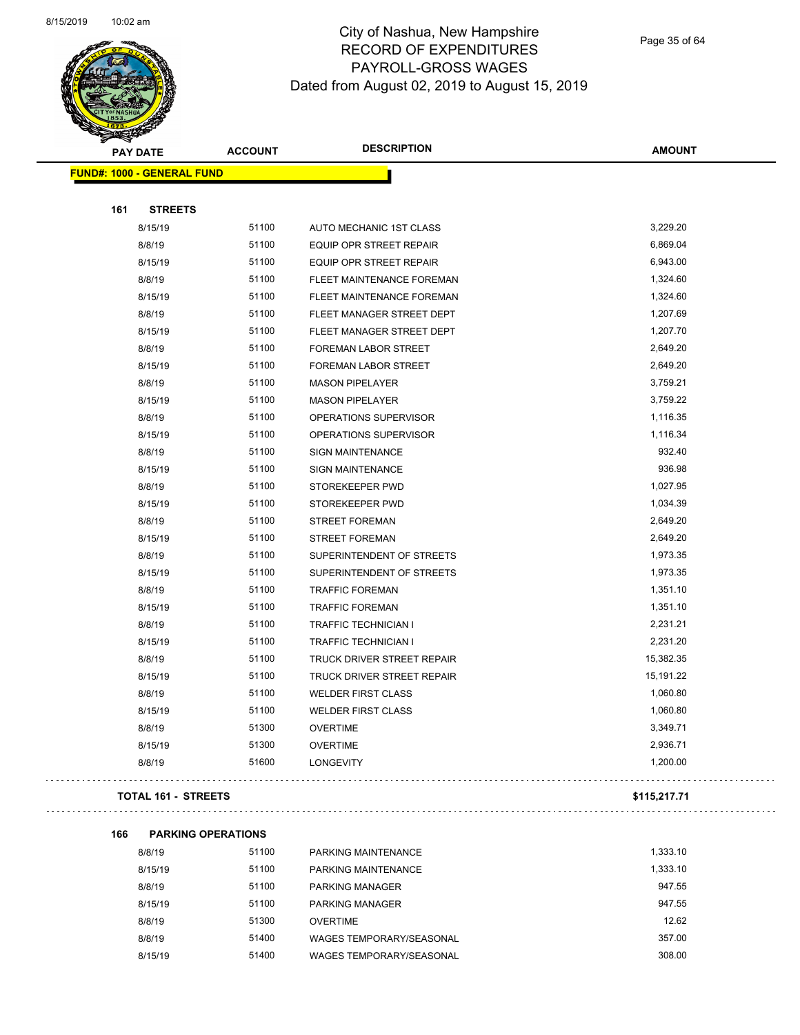

Page 35 of 64

| <b>PAY DATE</b>                   | <b>ACCOUNT</b> | <b>DESCRIPTION</b>                | <b>AMOUNT</b> |
|-----------------------------------|----------------|-----------------------------------|---------------|
| <b>FUND#: 1000 - GENERAL FUND</b> |                |                                   |               |
|                                   |                |                                   |               |
| 161<br><b>STREETS</b>             |                |                                   |               |
| 8/15/19                           | 51100          | AUTO MECHANIC 1ST CLASS           | 3,229.20      |
| 8/8/19                            | 51100          | EQUIP OPR STREET REPAIR           | 6,869.04      |
| 8/15/19                           | 51100          | EQUIP OPR STREET REPAIR           | 6,943.00      |
| 8/8/19                            | 51100          | FLEET MAINTENANCE FOREMAN         | 1,324.60      |
| 8/15/19                           | 51100          | FLEET MAINTENANCE FOREMAN         | 1,324.60      |
| 8/8/19                            | 51100          | FLEET MANAGER STREET DEPT         | 1,207.69      |
| 8/15/19                           | 51100          | FLEET MANAGER STREET DEPT         | 1,207.70      |
| 8/8/19                            | 51100          | FOREMAN LABOR STREET              | 2,649.20      |
| 8/15/19                           | 51100          | FOREMAN LABOR STREET              | 2,649.20      |
| 8/8/19                            | 51100          | <b>MASON PIPELAYER</b>            | 3,759.21      |
| 8/15/19                           | 51100          | <b>MASON PIPELAYER</b>            | 3,759.22      |
| 8/8/19                            | 51100          | OPERATIONS SUPERVISOR             | 1,116.35      |
| 8/15/19                           | 51100          | OPERATIONS SUPERVISOR             | 1,116.34      |
| 8/8/19                            | 51100          | <b>SIGN MAINTENANCE</b>           | 932.40        |
| 8/15/19                           | 51100          | <b>SIGN MAINTENANCE</b>           | 936.98        |
| 8/8/19                            | 51100          | STOREKEEPER PWD                   | 1,027.95      |
| 8/15/19                           | 51100          | STOREKEEPER PWD                   | 1,034.39      |
| 8/8/19                            | 51100          | <b>STREET FOREMAN</b>             | 2,649.20      |
| 8/15/19                           | 51100          | <b>STREET FOREMAN</b>             | 2,649.20      |
| 8/8/19                            | 51100          | SUPERINTENDENT OF STREETS         | 1,973.35      |
| 8/15/19                           | 51100          | SUPERINTENDENT OF STREETS         | 1,973.35      |
| 8/8/19                            | 51100          | <b>TRAFFIC FOREMAN</b>            | 1,351.10      |
| 8/15/19                           | 51100          | <b>TRAFFIC FOREMAN</b>            | 1,351.10      |
| 8/8/19                            | 51100          | <b>TRAFFIC TECHNICIAN I</b>       | 2,231.21      |
| 8/15/19                           | 51100          | <b>TRAFFIC TECHNICIAN I</b>       | 2,231.20      |
| 8/8/19                            | 51100          | TRUCK DRIVER STREET REPAIR        | 15,382.35     |
| 8/15/19                           | 51100          | <b>TRUCK DRIVER STREET REPAIR</b> | 15,191.22     |
| 8/8/19                            | 51100          | <b>WELDER FIRST CLASS</b>         | 1,060.80      |
| 8/15/19                           | 51100          | <b>WELDER FIRST CLASS</b>         | 1,060.80      |
| 8/8/19                            | 51300          | <b>OVERTIME</b>                   | 3,349.71      |
| 8/15/19                           | 51300          | <b>OVERTIME</b>                   | 2,936.71      |
| 8/8/19                            | 51600          | <b>LONGEVITY</b>                  | 1,200.00      |
|                                   |                |                                   |               |

#### **TOTAL 161 - STREETS \$115,217.71**

```
166 PARKING OPERATIONS
```

| 8/8/19  | 51100 | PARKING MAINTENANCE      | 1.333.10 |
|---------|-------|--------------------------|----------|
| 8/15/19 | 51100 | PARKING MAINTENANCE      | 1.333.10 |
| 8/8/19  | 51100 | <b>PARKING MANAGER</b>   | 947.55   |
| 8/15/19 | 51100 | <b>PARKING MANAGER</b>   | 947.55   |
| 8/8/19  | 51300 | <b>OVERTIME</b>          | 12.62    |
| 8/8/19  | 51400 | WAGES TEMPORARY/SEASONAL | 357.00   |
| 8/15/19 | 51400 | WAGES TEMPORARY/SEASONAL | 308.00   |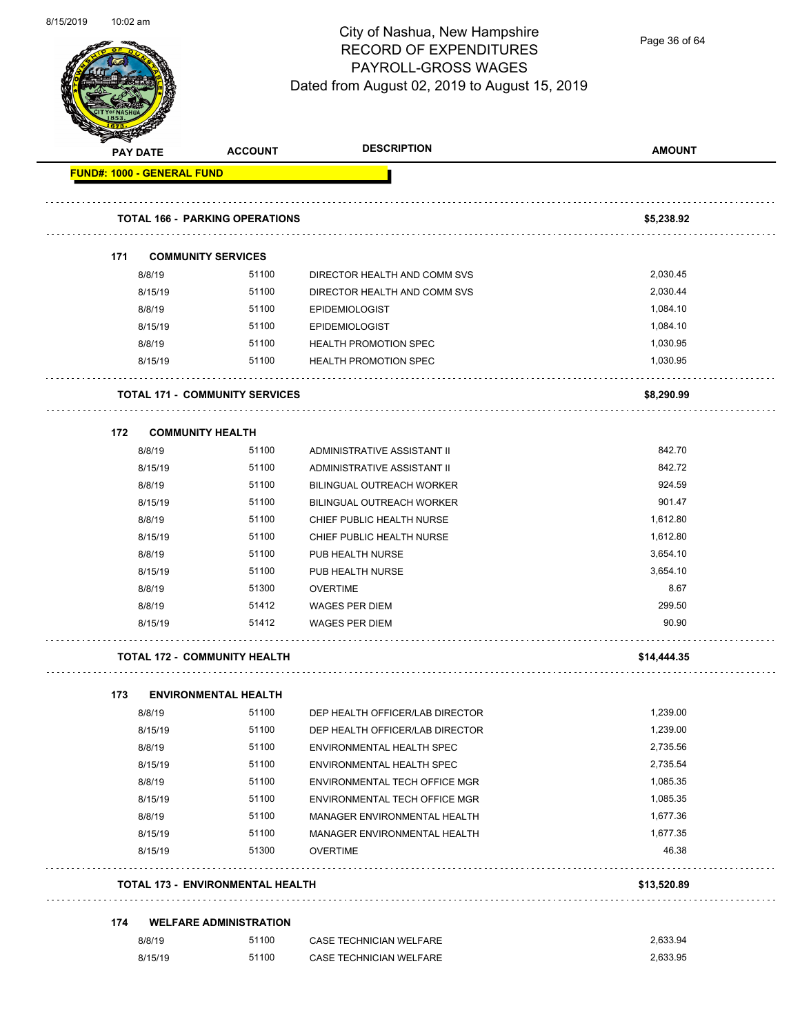

Page 36 of 64

|                                   | <b>PAY DATE</b>   | <b>ACCOUNT</b>                          | <b>DESCRIPTION</b>                                     | <b>AMOUNT</b>        |
|-----------------------------------|-------------------|-----------------------------------------|--------------------------------------------------------|----------------------|
| <b>FUND#: 1000 - GENERAL FUND</b> |                   |                                         |                                                        |                      |
|                                   |                   |                                         |                                                        |                      |
|                                   |                   | <b>TOTAL 166 - PARKING OPERATIONS</b>   |                                                        | \$5,238.92           |
| 171                               |                   | <b>COMMUNITY SERVICES</b>               |                                                        |                      |
|                                   | 8/8/19            | 51100                                   | DIRECTOR HEALTH AND COMM SVS                           | 2,030.45             |
|                                   | 8/15/19           | 51100                                   | DIRECTOR HEALTH AND COMM SVS                           | 2,030.44             |
|                                   | 8/8/19            | 51100                                   | <b>EPIDEMIOLOGIST</b>                                  | 1,084.10             |
|                                   | 8/15/19           | 51100                                   | <b>EPIDEMIOLOGIST</b>                                  | 1,084.10             |
|                                   | 8/8/19            | 51100                                   | <b>HEALTH PROMOTION SPEC</b>                           | 1,030.95             |
|                                   | 8/15/19           | 51100                                   | <b>HEALTH PROMOTION SPEC</b>                           | 1,030.95             |
|                                   |                   |                                         |                                                        |                      |
|                                   |                   | <b>TOTAL 171 - COMMUNITY SERVICES</b>   |                                                        | \$8,290.99           |
| 172                               |                   | <b>COMMUNITY HEALTH</b>                 |                                                        |                      |
|                                   | 8/8/19            | 51100                                   | ADMINISTRATIVE ASSISTANT II                            | 842.70               |
|                                   | 8/15/19           | 51100                                   | ADMINISTRATIVE ASSISTANT II                            | 842.72               |
|                                   | 8/8/19            | 51100                                   | <b>BILINGUAL OUTREACH WORKER</b>                       | 924.59               |
|                                   | 8/15/19           | 51100                                   | <b>BILINGUAL OUTREACH WORKER</b>                       | 901.47               |
|                                   | 8/8/19            | 51100                                   | CHIEF PUBLIC HEALTH NURSE                              | 1,612.80             |
|                                   | 8/15/19           | 51100                                   | CHIEF PUBLIC HEALTH NURSE                              | 1,612.80             |
|                                   | 8/8/19            | 51100                                   | PUB HEALTH NURSE                                       | 3,654.10             |
|                                   | 8/15/19           | 51100                                   | PUB HEALTH NURSE                                       | 3,654.10             |
|                                   | 8/8/19            | 51300                                   | <b>OVERTIME</b>                                        | 8.67                 |
|                                   | 8/8/19            | 51412                                   | <b>WAGES PER DIEM</b>                                  | 299.50               |
|                                   | 8/15/19           | 51412                                   | <b>WAGES PER DIEM</b>                                  | 90.90                |
|                                   |                   | <b>TOTAL 172 - COMMUNITY HEALTH</b>     |                                                        | \$14,444.35          |
|                                   |                   |                                         |                                                        |                      |
| 173                               |                   | <b>ENVIRONMENTAL HEALTH</b>             |                                                        |                      |
|                                   | 8/8/19            | 51100                                   | DEP HEALTH OFFICER/LAB DIRECTOR                        | 1,239.00             |
|                                   | 8/15/19           | 51100                                   | DEP HEALTH OFFICER/LAB DIRECTOR                        | 1,239.00             |
|                                   | 8/8/19            | 51100<br>51100                          | ENVIRONMENTAL HEALTH SPEC<br>ENVIRONMENTAL HEALTH SPEC | 2,735.56<br>2,735.54 |
|                                   | 8/15/19<br>8/8/19 | 51100                                   | ENVIRONMENTAL TECH OFFICE MGR                          | 1,085.35             |
|                                   | 8/15/19           | 51100                                   | ENVIRONMENTAL TECH OFFICE MGR                          | 1,085.35             |
|                                   | 8/8/19            | 51100                                   | MANAGER ENVIRONMENTAL HEALTH                           | 1,677.36             |
|                                   | 8/15/19           | 51100                                   | MANAGER ENVIRONMENTAL HEALTH                           | 1,677.35             |
|                                   | 8/15/19           | 51300                                   | <b>OVERTIME</b>                                        | 46.38                |
|                                   |                   |                                         |                                                        |                      |
|                                   |                   | <b>TOTAL 173 - ENVIRONMENTAL HEALTH</b> |                                                        | \$13,520.89          |
| 174                               |                   | <b>WELFARE ADMINISTRATION</b>           |                                                        |                      |
|                                   | 8/8/19            | 51100                                   | CASE TECHNICIAN WELFARE                                | 2,633.94             |
|                                   | 8/15/19           | 51100                                   | CASE TECHNICIAN WELFARE                                | 2,633.95             |
|                                   |                   |                                         |                                                        |                      |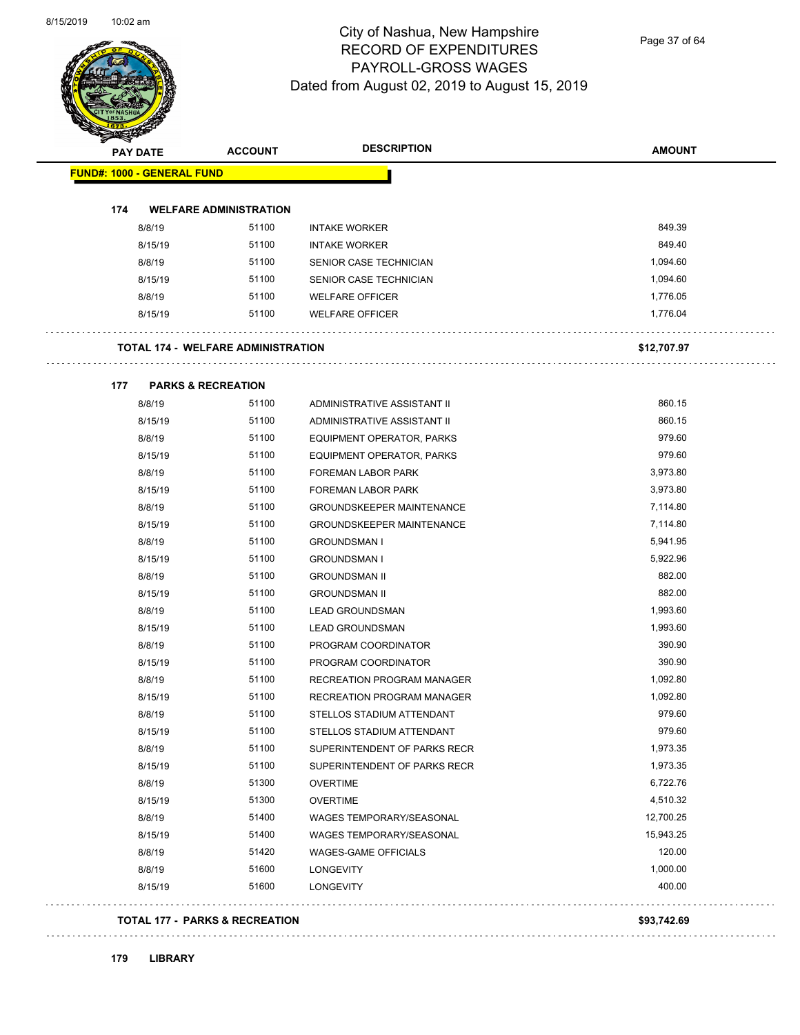

Page 37 of 64

| <b>PAY DATE</b>                   | <b>ACCOUNT</b>                            | <b>DESCRIPTION</b>                | <b>AMOUNT</b> |
|-----------------------------------|-------------------------------------------|-----------------------------------|---------------|
| <b>FUND#: 1000 - GENERAL FUND</b> |                                           |                                   |               |
| 174                               | <b>WELFARE ADMINISTRATION</b>             |                                   |               |
| 8/8/19                            | 51100                                     | <b>INTAKE WORKER</b>              | 849.39        |
| 8/15/19                           | 51100                                     | <b>INTAKE WORKER</b>              | 849.40        |
| 8/8/19                            | 51100                                     | SENIOR CASE TECHNICIAN            | 1,094.60      |
| 8/15/19                           | 51100                                     | SENIOR CASE TECHNICIAN            | 1,094.60      |
| 8/8/19                            | 51100                                     | <b>WELFARE OFFICER</b>            | 1,776.05      |
| 8/15/19                           | 51100                                     | <b>WELFARE OFFICER</b>            | 1,776.04      |
|                                   |                                           |                                   |               |
|                                   | <b>TOTAL 174 - WELFARE ADMINISTRATION</b> |                                   | \$12,707.97   |
| 177                               | <b>PARKS &amp; RECREATION</b>             |                                   |               |
| 8/8/19                            | 51100                                     | ADMINISTRATIVE ASSISTANT II       | 860.15        |
| 8/15/19                           | 51100                                     | ADMINISTRATIVE ASSISTANT II       | 860.15        |
| 8/8/19                            | 51100                                     | EQUIPMENT OPERATOR, PARKS         | 979.60        |
| 8/15/19                           | 51100                                     | EQUIPMENT OPERATOR, PARKS         | 979.60        |
| 8/8/19                            | 51100                                     | <b>FOREMAN LABOR PARK</b>         | 3,973.80      |
| 8/15/19                           | 51100                                     | <b>FOREMAN LABOR PARK</b>         | 3,973.80      |
| 8/8/19                            | 51100                                     | <b>GROUNDSKEEPER MAINTENANCE</b>  | 7,114.80      |
| 8/15/19                           | 51100                                     | GROUNDSKEEPER MAINTENANCE         | 7,114.80      |
| 8/8/19                            | 51100                                     | <b>GROUNDSMAN I</b>               | 5,941.95      |
| 8/15/19                           | 51100                                     | <b>GROUNDSMAN I</b>               | 5,922.96      |
| 8/8/19                            | 51100                                     | <b>GROUNDSMAN II</b>              | 882.00        |
| 8/15/19                           | 51100                                     | <b>GROUNDSMAN II</b>              | 882.00        |
| 8/8/19                            | 51100                                     | <b>LEAD GROUNDSMAN</b>            | 1,993.60      |
| 8/15/19                           | 51100                                     | <b>LEAD GROUNDSMAN</b>            | 1,993.60      |
| 8/8/19                            | 51100                                     | PROGRAM COORDINATOR               | 390.90        |
| 8/15/19                           | 51100                                     | PROGRAM COORDINATOR               | 390.90        |
| 8/8/19                            | 51100                                     | RECREATION PROGRAM MANAGER        | 1,092.80      |
| 8/15/19                           | 51100                                     | <b>RECREATION PROGRAM MANAGER</b> | 1,092.80      |
| 8/8/19                            | 51100                                     | STELLOS STADIUM ATTENDANT         | 979.60        |
| 8/15/19                           | 51100                                     | STELLOS STADIUM ATTENDANT         | 979.60        |
| 8/8/19                            | 51100                                     | SUPERINTENDENT OF PARKS RECR      | 1,973.35      |
| 8/15/19                           | 51100                                     | SUPERINTENDENT OF PARKS RECR      | 1,973.35      |
| 8/8/19                            | 51300                                     | <b>OVERTIME</b>                   | 6,722.76      |
| 8/15/19                           | 51300                                     | <b>OVERTIME</b>                   | 4,510.32      |
| 8/8/19                            | 51400                                     | WAGES TEMPORARY/SEASONAL          | 12,700.25     |
| 8/15/19                           | 51400                                     | WAGES TEMPORARY/SEASONAL          | 15,943.25     |
| 8/8/19                            | 51420                                     | WAGES-GAME OFFICIALS              | 120.00        |
| 8/8/19                            | 51600                                     | <b>LONGEVITY</b>                  | 1,000.00      |
| 8/15/19                           | 51600                                     | <b>LONGEVITY</b>                  | 400.00        |

#### **TOTAL 177 - PARKS & RECREATION \$93,742.69**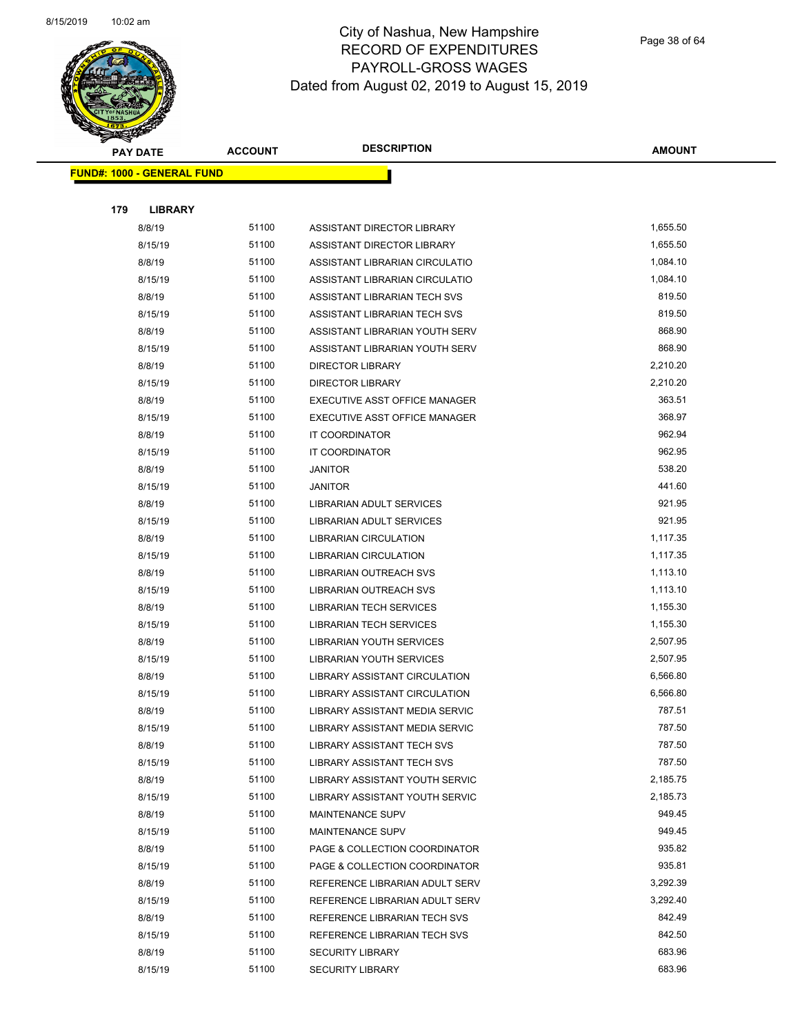

|     | <b>PAY DATE</b>                    | <b>ACCOUNT</b> | <b>DESCRIPTION</b>                   | <b>AMOUNT</b> |
|-----|------------------------------------|----------------|--------------------------------------|---------------|
|     | <u> FUND#: 1000 - GENERAL FUND</u> |                |                                      |               |
|     |                                    |                |                                      |               |
| 179 | <b>LIBRARY</b>                     |                |                                      |               |
|     | 8/8/19                             | 51100          | ASSISTANT DIRECTOR LIBRARY           | 1,655.50      |
|     | 8/15/19                            | 51100          | ASSISTANT DIRECTOR LIBRARY           | 1,655.50      |
|     | 8/8/19                             | 51100          | ASSISTANT LIBRARIAN CIRCULATIO       | 1,084.10      |
|     | 8/15/19                            | 51100          | ASSISTANT LIBRARIAN CIRCULATIO       | 1,084.10      |
|     | 8/8/19                             | 51100          | ASSISTANT LIBRARIAN TECH SVS         | 819.50        |
|     | 8/15/19                            | 51100          | ASSISTANT LIBRARIAN TECH SVS         | 819.50        |
|     | 8/8/19                             | 51100          | ASSISTANT LIBRARIAN YOUTH SERV       | 868.90        |
|     | 8/15/19                            | 51100          | ASSISTANT LIBRARIAN YOUTH SERV       | 868.90        |
|     | 8/8/19                             | 51100          | <b>DIRECTOR LIBRARY</b>              | 2,210.20      |
|     | 8/15/19                            | 51100          | <b>DIRECTOR LIBRARY</b>              | 2,210.20      |
|     | 8/8/19                             | 51100          | EXECUTIVE ASST OFFICE MANAGER        | 363.51        |
|     | 8/15/19                            | 51100          | EXECUTIVE ASST OFFICE MANAGER        | 368.97        |
|     | 8/8/19                             | 51100          | IT COORDINATOR                       | 962.94        |
|     | 8/15/19                            | 51100          | IT COORDINATOR                       | 962.95        |
|     | 8/8/19                             | 51100          | <b>JANITOR</b>                       | 538.20        |
|     | 8/15/19                            | 51100          | <b>JANITOR</b>                       | 441.60        |
|     | 8/8/19                             | 51100          | <b>LIBRARIAN ADULT SERVICES</b>      | 921.95        |
|     | 8/15/19                            | 51100          | LIBRARIAN ADULT SERVICES             | 921.95        |
|     | 8/8/19                             | 51100          | LIBRARIAN CIRCULATION                | 1,117.35      |
|     | 8/15/19                            | 51100          | LIBRARIAN CIRCULATION                | 1,117.35      |
|     | 8/8/19                             | 51100          | LIBRARIAN OUTREACH SVS               | 1,113.10      |
|     | 8/15/19                            | 51100          | LIBRARIAN OUTREACH SVS               | 1,113.10      |
|     | 8/8/19                             | 51100          | <b>LIBRARIAN TECH SERVICES</b>       | 1,155.30      |
|     | 8/15/19                            | 51100          | <b>LIBRARIAN TECH SERVICES</b>       | 1,155.30      |
|     | 8/8/19                             | 51100          | LIBRARIAN YOUTH SERVICES             | 2,507.95      |
|     | 8/15/19                            | 51100          | LIBRARIAN YOUTH SERVICES             | 2,507.95      |
|     | 8/8/19                             | 51100          | LIBRARY ASSISTANT CIRCULATION        | 6,566.80      |
|     | 8/15/19                            | 51100          | <b>LIBRARY ASSISTANT CIRCULATION</b> | 6,566.80      |
|     | 8/8/19                             | 51100          | LIBRARY ASSISTANT MEDIA SERVIC       | 787.51        |
|     | 8/15/19                            | 51100          | LIBRARY ASSISTANT MEDIA SERVIC       | 787.50        |
|     | 8/8/19                             | 51100          | LIBRARY ASSISTANT TECH SVS           | 787.50        |
|     | 8/15/19                            | 51100          | LIBRARY ASSISTANT TECH SVS           | 787.50        |
|     | 8/8/19                             | 51100          | LIBRARY ASSISTANT YOUTH SERVIC       | 2,185.75      |
|     | 8/15/19                            | 51100          | LIBRARY ASSISTANT YOUTH SERVIC       | 2,185.73      |
|     | 8/8/19                             | 51100          | MAINTENANCE SUPV                     | 949.45        |
|     | 8/15/19                            | 51100          | <b>MAINTENANCE SUPV</b>              | 949.45        |
|     | 8/8/19                             | 51100          | PAGE & COLLECTION COORDINATOR        | 935.82        |
|     | 8/15/19                            | 51100          | PAGE & COLLECTION COORDINATOR        | 935.81        |
|     | 8/8/19                             | 51100          | REFERENCE LIBRARIAN ADULT SERV       | 3,292.39      |
|     | 8/15/19                            | 51100          | REFERENCE LIBRARIAN ADULT SERV       | 3,292.40      |
|     | 8/8/19                             | 51100          | REFERENCE LIBRARIAN TECH SVS         | 842.49        |
|     | 8/15/19                            | 51100          | REFERENCE LIBRARIAN TECH SVS         | 842.50        |
|     | 8/8/19                             | 51100          | <b>SECURITY LIBRARY</b>              | 683.96        |
|     | 8/15/19                            | 51100          | <b>SECURITY LIBRARY</b>              | 683.96        |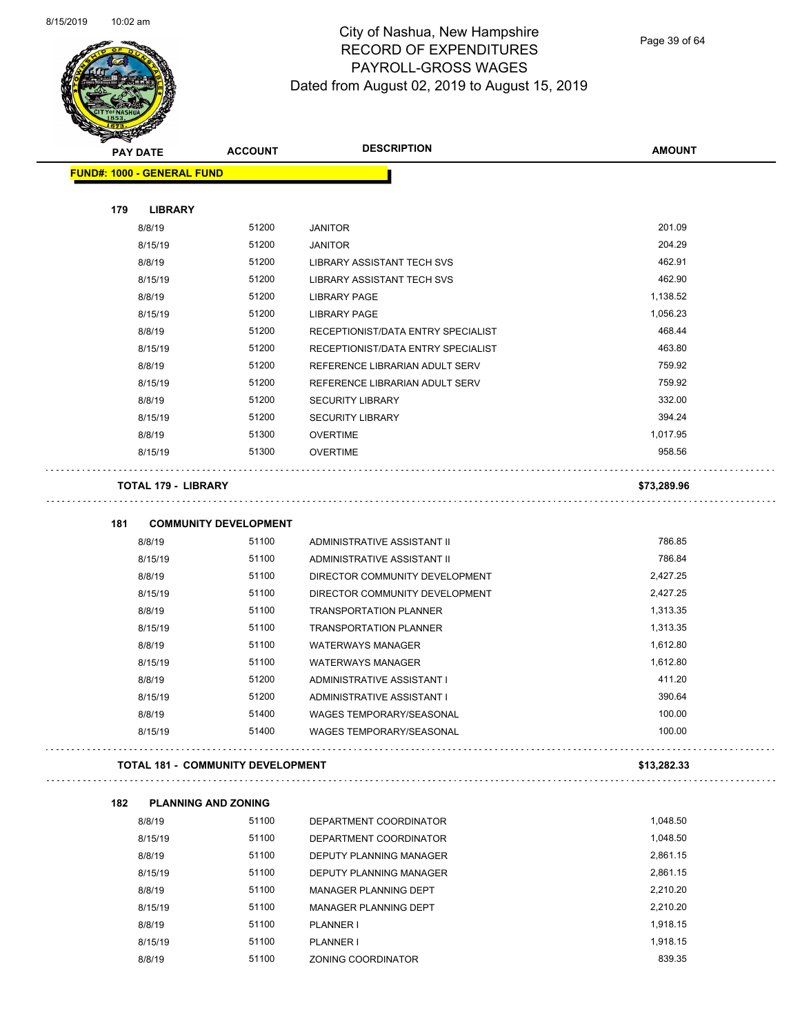Page 39 of 64

| <b>PAY DATE</b>                   | <b>ACCOUNT</b>                           | <b>DESCRIPTION</b>                                        | <b>AMOUNT</b>    |
|-----------------------------------|------------------------------------------|-----------------------------------------------------------|------------------|
| <b>FUND#: 1000 - GENERAL FUND</b> |                                          |                                                           |                  |
|                                   |                                          |                                                           |                  |
| 179<br><b>LIBRARY</b>             |                                          |                                                           |                  |
| 8/8/19                            | 51200                                    | <b>JANITOR</b>                                            | 201.09           |
| 8/15/19                           | 51200                                    | <b>JANITOR</b>                                            | 204.29           |
| 8/8/19                            | 51200                                    | <b>LIBRARY ASSISTANT TECH SVS</b>                         | 462.91           |
| 8/15/19                           | 51200                                    | LIBRARY ASSISTANT TECH SVS                                | 462.90           |
| 8/8/19                            | 51200                                    | <b>LIBRARY PAGE</b>                                       | 1,138.52         |
| 8/15/19                           | 51200                                    | <b>LIBRARY PAGE</b>                                       | 1,056.23         |
| 8/8/19                            | 51200                                    | RECEPTIONIST/DATA ENTRY SPECIALIST                        | 468.44           |
| 8/15/19                           | 51200                                    | RECEPTIONIST/DATA ENTRY SPECIALIST                        | 463.80<br>759.92 |
| 8/8/19                            | 51200                                    | REFERENCE LIBRARIAN ADULT SERV                            | 759.92           |
| 8/15/19                           | 51200<br>51200                           | REFERENCE LIBRARIAN ADULT SERV<br><b>SECURITY LIBRARY</b> | 332.00           |
| 8/8/19<br>8/15/19                 | 51200                                    | <b>SECURITY LIBRARY</b>                                   | 394.24           |
| 8/8/19                            | 51300                                    | <b>OVERTIME</b>                                           | 1,017.95         |
| 8/15/19                           | 51300                                    | <b>OVERTIME</b>                                           | 958.56           |
|                                   |                                          |                                                           |                  |
| <b>TOTAL 179 - LIBRARY</b>        |                                          |                                                           | \$73,289.96      |
| 181                               | <b>COMMUNITY DEVELOPMENT</b>             |                                                           |                  |
| 8/8/19                            | 51100                                    | ADMINISTRATIVE ASSISTANT II                               | 786.85           |
| 8/15/19                           | 51100                                    | ADMINISTRATIVE ASSISTANT II                               | 786.84           |
| 8/8/19                            | 51100                                    | DIRECTOR COMMUNITY DEVELOPMENT                            | 2,427.25         |
| 8/15/19                           | 51100                                    | DIRECTOR COMMUNITY DEVELOPMENT                            | 2,427.25         |
| 8/8/19                            | 51100                                    | <b>TRANSPORTATION PLANNER</b>                             | 1,313.35         |
| 8/15/19                           | 51100                                    | <b>TRANSPORTATION PLANNER</b>                             | 1,313.35         |
| 8/8/19                            | 51100                                    | <b>WATERWAYS MANAGER</b>                                  | 1,612.80         |
| 8/15/19                           | 51100                                    | <b>WATERWAYS MANAGER</b>                                  | 1,612.80         |
| 8/8/19                            | 51200                                    | ADMINISTRATIVE ASSISTANT I                                | 411.20           |
| 8/15/19                           | 51200                                    | ADMINISTRATIVE ASSISTANT I                                | 390.64           |
| 8/8/19                            | 51400                                    | WAGES TEMPORARY/SEASONAL                                  | 100.00           |
| 8/15/19                           | 51400                                    | <b>WAGES TEMPORARY/SEASONAL</b>                           | 100.00           |
|                                   | <b>TOTAL 181 - COMMUNITY DEVELOPMENT</b> |                                                           | \$13,282.33      |
| 182                               | <b>PLANNING AND ZONING</b>               |                                                           |                  |
| 8/8/19                            | 51100                                    | DEPARTMENT COORDINATOR                                    | 1,048.50         |
| 8/15/19                           | 51100                                    | DEPARTMENT COORDINATOR                                    | 1,048.50         |
| 8/8/19                            | 51100                                    | DEPUTY PLANNING MANAGER                                   | 2,861.15         |
| 8/15/19                           | 51100                                    | DEPUTY PLANNING MANAGER                                   | 2,861.15         |
| 8/8/19                            | 51100                                    | MANAGER PLANNING DEPT                                     | 2,210.20         |
| 8/15/19                           | 51100                                    | MANAGER PLANNING DEPT                                     | 2,210.20         |
| 8/8/19                            | 51100                                    | PLANNER I                                                 | 1,918.15         |
| 8/15/19                           | 51100                                    | PLANNER I                                                 | 1,918.15         |

8/8/19 51100 ZONING COORDINATOR 839.35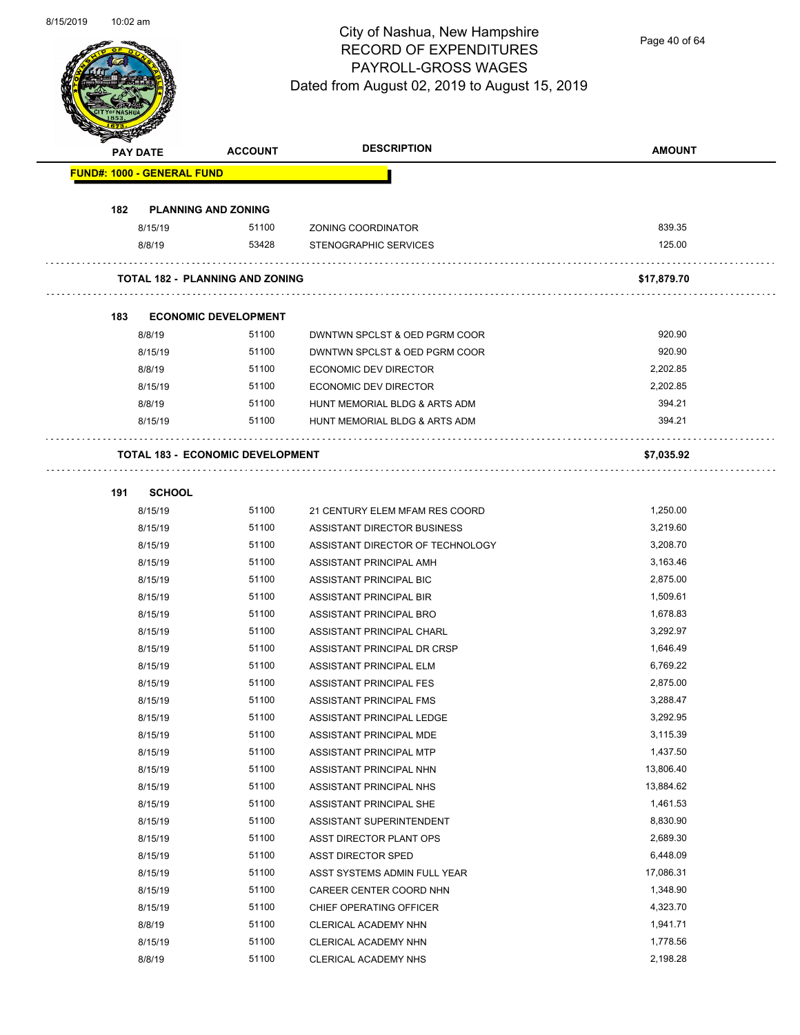

Page 40 of 64

|                                   | <b>PAY DATE</b> | <b>ACCOUNT</b>                          | <b>DESCRIPTION</b>               | <b>AMOUNT</b> |
|-----------------------------------|-----------------|-----------------------------------------|----------------------------------|---------------|
| <b>FUND#: 1000 - GENERAL FUND</b> |                 |                                         |                                  |               |
|                                   |                 |                                         |                                  |               |
| 182                               |                 | <b>PLANNING AND ZONING</b>              |                                  |               |
|                                   | 8/15/19         | 51100                                   | ZONING COORDINATOR               | 839.35        |
|                                   | 8/8/19          | 53428                                   | STENOGRAPHIC SERVICES            | 125.00        |
|                                   |                 |                                         |                                  |               |
|                                   |                 | <b>TOTAL 182 - PLANNING AND ZONING</b>  |                                  | \$17,879.70   |
|                                   |                 |                                         |                                  |               |
| 183                               |                 | <b>ECONOMIC DEVELOPMENT</b>             |                                  |               |
|                                   | 8/8/19          | 51100                                   | DWNTWN SPCLST & OED PGRM COOR    | 920.90        |
|                                   | 8/15/19         | 51100                                   | DWNTWN SPCLST & OED PGRM COOR    | 920.90        |
|                                   | 8/8/19          | 51100                                   | ECONOMIC DEV DIRECTOR            | 2,202.85      |
|                                   | 8/15/19         | 51100                                   | ECONOMIC DEV DIRECTOR            | 2,202.85      |
|                                   | 8/8/19          | 51100                                   | HUNT MEMORIAL BLDG & ARTS ADM    | 394.21        |
|                                   | 8/15/19         | 51100                                   | HUNT MEMORIAL BLDG & ARTS ADM    | 394.21        |
|                                   |                 |                                         |                                  |               |
|                                   |                 | <b>TOTAL 183 - ECONOMIC DEVELOPMENT</b> |                                  | \$7,035.92    |
|                                   |                 |                                         |                                  |               |
| 191                               | <b>SCHOOL</b>   |                                         |                                  |               |
|                                   | 8/15/19         | 51100                                   | 21 CENTURY ELEM MFAM RES COORD   | 1,250.00      |
|                                   | 8/15/19         | 51100                                   | ASSISTANT DIRECTOR BUSINESS      | 3,219.60      |
|                                   | 8/15/19         | 51100                                   | ASSISTANT DIRECTOR OF TECHNOLOGY | 3,208.70      |
|                                   | 8/15/19         | 51100                                   | ASSISTANT PRINCIPAL AMH          | 3,163.46      |
|                                   | 8/15/19         | 51100                                   | ASSISTANT PRINCIPAL BIC          | 2,875.00      |
|                                   | 8/15/19         | 51100                                   | ASSISTANT PRINCIPAL BIR          | 1,509.61      |
|                                   | 8/15/19         | 51100                                   | ASSISTANT PRINCIPAL BRO          | 1,678.83      |
|                                   | 8/15/19         | 51100                                   | ASSISTANT PRINCIPAL CHARL        | 3,292.97      |
|                                   | 8/15/19         | 51100                                   | ASSISTANT PRINCIPAL DR CRSP      | 1,646.49      |
|                                   | 8/15/19         | 51100                                   | ASSISTANT PRINCIPAL ELM          | 6,769.22      |
|                                   | 8/15/19         | 51100                                   | ASSISTANT PRINCIPAL FES          | 2,875.00      |
|                                   | 8/15/19         | 51100                                   | <b>ASSISTANT PRINCIPAL FMS</b>   | 3,288.47      |
|                                   | 8/15/19         | 51100                                   | ASSISTANT PRINCIPAL LEDGE        | 3,292.95      |
|                                   | 8/15/19         | 51100                                   | ASSISTANT PRINCIPAL MDE          | 3,115.39      |
|                                   | 8/15/19         | 51100                                   | ASSISTANT PRINCIPAL MTP          | 1,437.50      |
|                                   | 8/15/19         | 51100                                   | ASSISTANT PRINCIPAL NHN          | 13,806.40     |
|                                   | 8/15/19         | 51100                                   | ASSISTANT PRINCIPAL NHS          | 13,884.62     |
|                                   | 8/15/19         | 51100                                   | ASSISTANT PRINCIPAL SHE          | 1,461.53      |
|                                   | 8/15/19         | 51100                                   | ASSISTANT SUPERINTENDENT         | 8,830.90      |
|                                   | 8/15/19         | 51100                                   | ASST DIRECTOR PLANT OPS          | 2,689.30      |
|                                   | 8/15/19         | 51100                                   | <b>ASST DIRECTOR SPED</b>        | 6,448.09      |
|                                   | 8/15/19         | 51100                                   | ASST SYSTEMS ADMIN FULL YEAR     | 17,086.31     |
|                                   | 8/15/19         | 51100                                   | CAREER CENTER COORD NHN          | 1,348.90      |
|                                   | 8/15/19         | 51100                                   | CHIEF OPERATING OFFICER          | 4,323.70      |
|                                   | 8/8/19          | 51100                                   | CLERICAL ACADEMY NHN             | 1,941.71      |
|                                   | 8/15/19         | 51100                                   | CLERICAL ACADEMY NHN             | 1,778.56      |
|                                   | 8/8/19          | 51100                                   | CLERICAL ACADEMY NHS             | 2,198.28      |
|                                   |                 |                                         |                                  |               |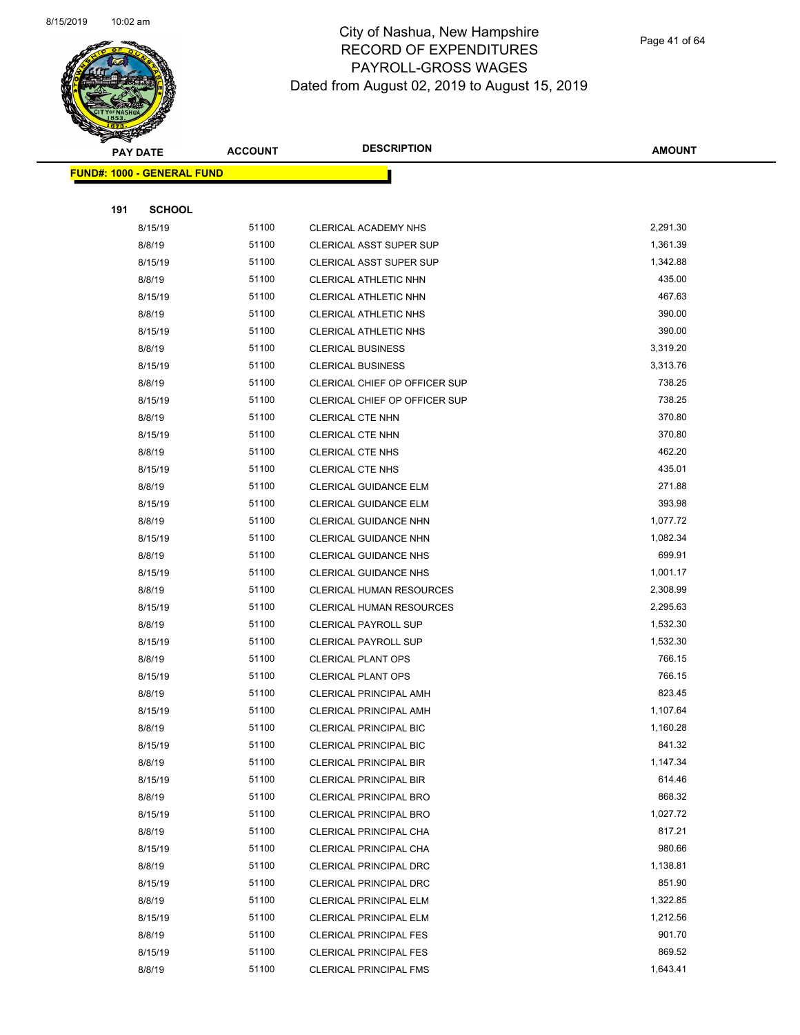

Page 41 of 64

| <b>PAY DATE</b>                    | <b>ACCOUNT</b> | <b>DESCRIPTION</b>                                             | <b>AMOUNT</b>      |
|------------------------------------|----------------|----------------------------------------------------------------|--------------------|
| <u> FUND#: 1000 - GENERAL FUND</u> |                |                                                                |                    |
|                                    |                |                                                                |                    |
| 191<br><b>SCHOOL</b>               |                |                                                                |                    |
| 8/15/19                            | 51100          | CLERICAL ACADEMY NHS                                           | 2,291.30           |
| 8/8/19                             | 51100          | CLERICAL ASST SUPER SUP                                        | 1,361.39           |
| 8/15/19                            | 51100          | <b>CLERICAL ASST SUPER SUP</b>                                 | 1,342.88           |
| 8/8/19                             | 51100          | CLERICAL ATHLETIC NHN                                          | 435.00             |
| 8/15/19                            | 51100          | CLERICAL ATHLETIC NHN                                          | 467.63             |
| 8/8/19                             | 51100          | CLERICAL ATHLETIC NHS                                          | 390.00             |
| 8/15/19                            | 51100          | <b>CLERICAL ATHLETIC NHS</b>                                   | 390.00             |
| 8/8/19                             | 51100          | <b>CLERICAL BUSINESS</b>                                       | 3,319.20           |
| 8/15/19                            | 51100          | <b>CLERICAL BUSINESS</b>                                       | 3,313.76           |
| 8/8/19                             | 51100          | CLERICAL CHIEF OP OFFICER SUP                                  | 738.25             |
| 8/15/19                            | 51100          | CLERICAL CHIEF OP OFFICER SUP                                  | 738.25             |
| 8/8/19                             | 51100          | CLERICAL CTE NHN                                               | 370.80             |
| 8/15/19                            | 51100          | <b>CLERICAL CTE NHN</b>                                        | 370.80             |
| 8/8/19                             | 51100          | <b>CLERICAL CTE NHS</b>                                        | 462.20             |
| 8/15/19                            | 51100          | <b>CLERICAL CTE NHS</b>                                        | 435.01             |
| 8/8/19                             | 51100          | CLERICAL GUIDANCE ELM                                          | 271.88             |
| 8/15/19                            | 51100          | <b>CLERICAL GUIDANCE ELM</b>                                   | 393.98             |
| 8/8/19                             | 51100          | CLERICAL GUIDANCE NHN                                          | 1,077.72           |
| 8/15/19                            | 51100          | CLERICAL GUIDANCE NHN                                          | 1,082.34           |
| 8/8/19                             | 51100          | <b>CLERICAL GUIDANCE NHS</b>                                   | 699.91             |
| 8/15/19                            | 51100          | <b>CLERICAL GUIDANCE NHS</b>                                   | 1,001.17           |
| 8/8/19                             | 51100          | CLERICAL HUMAN RESOURCES                                       | 2,308.99           |
| 8/15/19                            | 51100          | <b>CLERICAL HUMAN RESOURCES</b>                                | 2,295.63           |
| 8/8/19                             | 51100          | <b>CLERICAL PAYROLL SUP</b>                                    | 1,532.30           |
| 8/15/19                            | 51100          | <b>CLERICAL PAYROLL SUP</b>                                    | 1,532.30           |
| 8/8/19                             | 51100          | <b>CLERICAL PLANT OPS</b>                                      | 766.15             |
| 8/15/19                            | 51100          | <b>CLERICAL PLANT OPS</b>                                      | 766.15             |
| 8/8/19                             | 51100          | CLERICAL PRINCIPAL AMH                                         | 823.45             |
| 8/15/19                            | 51100          | CLERICAL PRINCIPAL AMH                                         | 1,107.64           |
| 8/8/19                             | 51100          | <b>CLERICAL PRINCIPAL BIC</b>                                  | 1,160.28           |
| 8/15/19                            | 51100          | CLERICAL PRINCIPAL BIC                                         | 841.32             |
| 8/8/19                             | 51100          | <b>CLERICAL PRINCIPAL BIR</b>                                  | 1,147.34           |
| 8/15/19                            | 51100          | <b>CLERICAL PRINCIPAL BIR</b>                                  | 614.46             |
| 8/8/19                             | 51100          | CLERICAL PRINCIPAL BRO                                         | 868.32             |
| 8/15/19                            | 51100          | <b>CLERICAL PRINCIPAL BRO</b>                                  | 1,027.72           |
| 8/8/19                             | 51100          | CLERICAL PRINCIPAL CHA                                         | 817.21             |
| 8/15/19                            | 51100          | CLERICAL PRINCIPAL CHA                                         | 980.66             |
| 8/8/19                             | 51100          | CLERICAL PRINCIPAL DRC                                         | 1,138.81<br>851.90 |
| 8/15/19                            | 51100<br>51100 | CLERICAL PRINCIPAL DRC                                         | 1,322.85           |
| 8/8/19                             | 51100          | <b>CLERICAL PRINCIPAL ELM</b>                                  | 1,212.56           |
| 8/15/19                            | 51100          | <b>CLERICAL PRINCIPAL ELM</b>                                  | 901.70             |
| 8/8/19<br>8/15/19                  | 51100          | <b>CLERICAL PRINCIPAL FES</b><br><b>CLERICAL PRINCIPAL FES</b> | 869.52             |
| 8/8/19                             | 51100          | <b>CLERICAL PRINCIPAL FMS</b>                                  | 1,643.41           |
|                                    |                |                                                                |                    |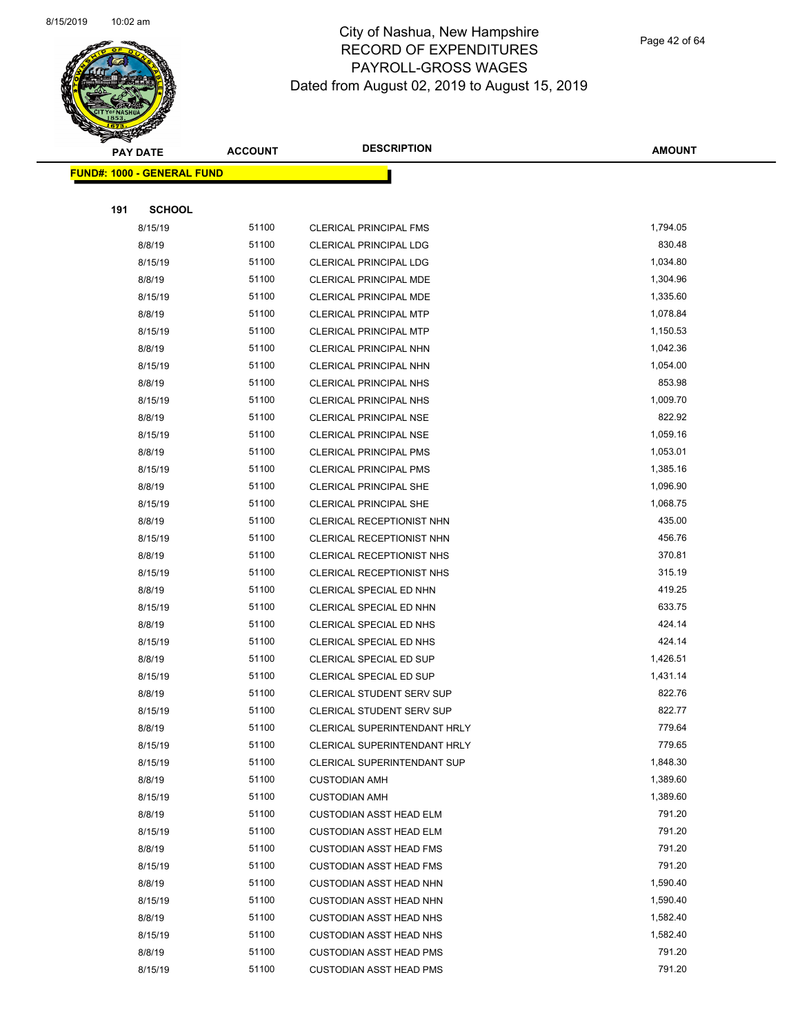

Page 42 of 64

| <b>PAY DATE</b>                    | <b>ACCOUNT</b> | <b>DESCRIPTION</b>                  | <b>AMOUNT</b>    |
|------------------------------------|----------------|-------------------------------------|------------------|
| <u> FUND#: 1000 - GENERAL FUND</u> |                |                                     |                  |
|                                    |                |                                     |                  |
| <b>SCHOOL</b><br>191               |                |                                     |                  |
| 8/15/19                            | 51100          | CLERICAL PRINCIPAL FMS              | 1,794.05         |
| 8/8/19                             | 51100          | <b>CLERICAL PRINCIPAL LDG</b>       | 830.48           |
| 8/15/19                            | 51100          | <b>CLERICAL PRINCIPAL LDG</b>       | 1,034.80         |
| 8/8/19                             | 51100          | <b>CLERICAL PRINCIPAL MDE</b>       | 1,304.96         |
| 8/15/19                            | 51100          | <b>CLERICAL PRINCIPAL MDE</b>       | 1,335.60         |
| 8/8/19                             | 51100          | CLERICAL PRINCIPAL MTP              | 1,078.84         |
| 8/15/19                            | 51100          | <b>CLERICAL PRINCIPAL MTP</b>       | 1,150.53         |
| 8/8/19                             | 51100          | CLERICAL PRINCIPAL NHN              | 1,042.36         |
| 8/15/19                            | 51100          | CLERICAL PRINCIPAL NHN              | 1,054.00         |
| 8/8/19                             | 51100          | <b>CLERICAL PRINCIPAL NHS</b>       | 853.98           |
| 8/15/19                            | 51100          | CLERICAL PRINCIPAL NHS              | 1,009.70         |
| 8/8/19                             | 51100          | <b>CLERICAL PRINCIPAL NSE</b>       | 822.92           |
| 8/15/19                            | 51100          | <b>CLERICAL PRINCIPAL NSE</b>       | 1,059.16         |
| 8/8/19                             | 51100          | <b>CLERICAL PRINCIPAL PMS</b>       | 1,053.01         |
| 8/15/19                            | 51100          | <b>CLERICAL PRINCIPAL PMS</b>       | 1,385.16         |
| 8/8/19                             | 51100          | CLERICAL PRINCIPAL SHE              | 1,096.90         |
| 8/15/19                            | 51100          | CLERICAL PRINCIPAL SHE              | 1,068.75         |
| 8/8/19                             | 51100          | CLERICAL RECEPTIONIST NHN           | 435.00           |
| 8/15/19                            | 51100          | CLERICAL RECEPTIONIST NHN           | 456.76           |
| 8/8/19                             | 51100          | CLERICAL RECEPTIONIST NHS           | 370.81           |
| 8/15/19                            | 51100          | CLERICAL RECEPTIONIST NHS           | 315.19           |
| 8/8/19                             | 51100          | CLERICAL SPECIAL ED NHN             | 419.25           |
| 8/15/19                            | 51100          | CLERICAL SPECIAL ED NHN             | 633.75           |
| 8/8/19                             | 51100          | CLERICAL SPECIAL ED NHS             | 424.14           |
| 8/15/19                            | 51100          | CLERICAL SPECIAL ED NHS             | 424.14           |
| 8/8/19                             | 51100          | CLERICAL SPECIAL ED SUP             | 1,426.51         |
| 8/15/19                            | 51100          | CLERICAL SPECIAL ED SUP             | 1,431.14         |
| 8/8/19                             | 51100          | <b>CLERICAL STUDENT SERV SUP</b>    | 822.76           |
| 8/15/19                            | 51100          | <b>CLERICAL STUDENT SERV SUP</b>    | 822.77           |
| 8/8/19                             | 51100          | <b>CLERICAL SUPERINTENDANT HRLY</b> | 779.64           |
| 8/15/19                            | 51100          | CLERICAL SUPERINTENDANT HRLY        | 779.65           |
| 8/15/19                            | 51100          | <b>CLERICAL SUPERINTENDANT SUP</b>  | 1,848.30         |
| 8/8/19                             | 51100          | <b>CUSTODIAN AMH</b>                | 1,389.60         |
| 8/15/19                            | 51100          | <b>CUSTODIAN AMH</b>                | 1,389.60         |
| 8/8/19                             | 51100          | <b>CUSTODIAN ASST HEAD ELM</b>      | 791.20           |
| 8/15/19                            | 51100          | <b>CUSTODIAN ASST HEAD ELM</b>      | 791.20           |
| 8/8/19                             | 51100          | <b>CUSTODIAN ASST HEAD FMS</b>      | 791.20           |
| 8/15/19                            | 51100          | <b>CUSTODIAN ASST HEAD FMS</b>      | 791.20           |
| 8/8/19                             | 51100          | <b>CUSTODIAN ASST HEAD NHN</b>      | 1,590.40         |
| 8/15/19                            | 51100          | <b>CUSTODIAN ASST HEAD NHN</b>      | 1,590.40         |
| 8/8/19                             | 51100          | <b>CUSTODIAN ASST HEAD NHS</b>      | 1,582.40         |
| 8/15/19                            | 51100          | <b>CUSTODIAN ASST HEAD NHS</b>      | 1,582.40         |
| 8/8/19                             | 51100<br>51100 | <b>CUSTODIAN ASST HEAD PMS</b>      | 791.20<br>791.20 |
| 8/15/19                            |                | <b>CUSTODIAN ASST HEAD PMS</b>      |                  |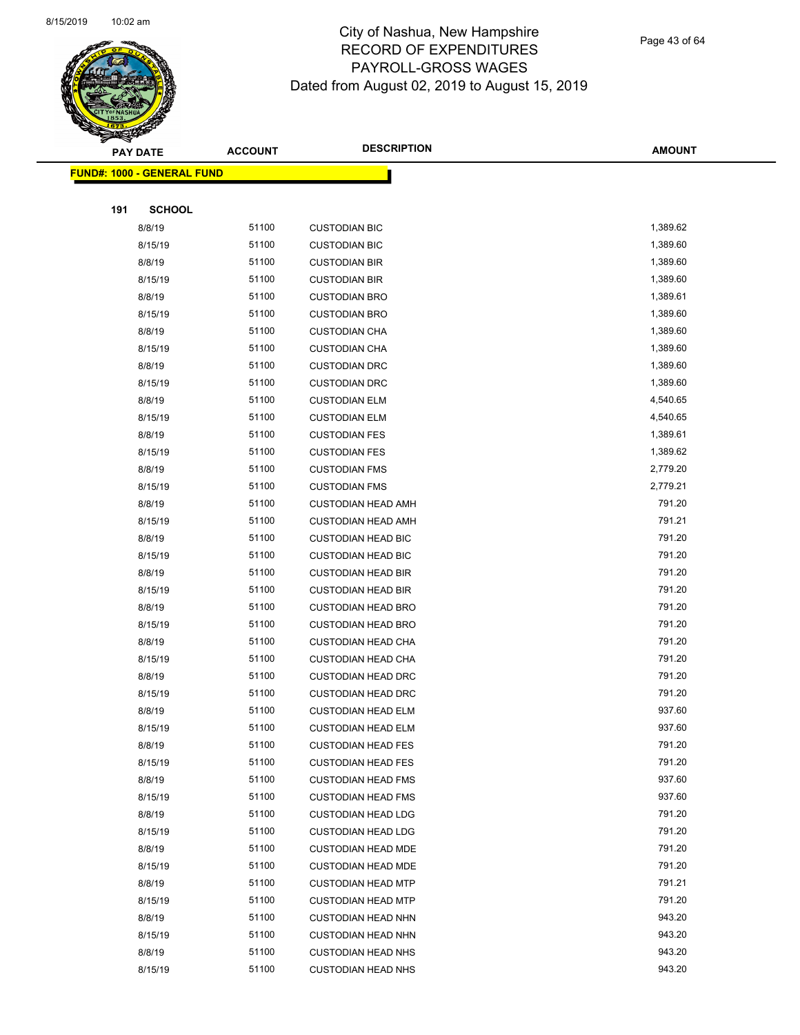

Page 43 of 64

|     | <b>PAY DATE</b>                    | <b>ACCOUNT</b> | <b>DESCRIPTION</b>        | <b>AMOUNT</b> |
|-----|------------------------------------|----------------|---------------------------|---------------|
|     | <u> FUND#: 1000 - GENERAL FUND</u> |                |                           |               |
|     |                                    |                |                           |               |
| 191 | <b>SCHOOL</b>                      |                |                           |               |
|     | 8/8/19                             | 51100          | <b>CUSTODIAN BIC</b>      | 1,389.62      |
|     | 8/15/19                            | 51100          | <b>CUSTODIAN BIC</b>      | 1,389.60      |
|     | 8/8/19                             | 51100          | <b>CUSTODIAN BIR</b>      | 1,389.60      |
|     | 8/15/19                            | 51100          | <b>CUSTODIAN BIR</b>      | 1,389.60      |
|     | 8/8/19                             | 51100          | <b>CUSTODIAN BRO</b>      | 1,389.61      |
|     | 8/15/19                            | 51100          | <b>CUSTODIAN BRO</b>      | 1,389.60      |
|     | 8/8/19                             | 51100          | <b>CUSTODIAN CHA</b>      | 1,389.60      |
|     | 8/15/19                            | 51100          | <b>CUSTODIAN CHA</b>      | 1,389.60      |
|     | 8/8/19                             | 51100          | <b>CUSTODIAN DRC</b>      | 1,389.60      |
|     | 8/15/19                            | 51100          | <b>CUSTODIAN DRC</b>      | 1,389.60      |
|     | 8/8/19                             | 51100          | <b>CUSTODIAN ELM</b>      | 4,540.65      |
|     | 8/15/19                            | 51100          | <b>CUSTODIAN ELM</b>      | 4,540.65      |
|     | 8/8/19                             | 51100          | <b>CUSTODIAN FES</b>      | 1,389.61      |
|     | 8/15/19                            | 51100          | <b>CUSTODIAN FES</b>      | 1,389.62      |
|     | 8/8/19                             | 51100          | <b>CUSTODIAN FMS</b>      | 2,779.20      |
|     | 8/15/19                            | 51100          | <b>CUSTODIAN FMS</b>      | 2,779.21      |
|     | 8/8/19                             | 51100          | <b>CUSTODIAN HEAD AMH</b> | 791.20        |
|     | 8/15/19                            | 51100          | <b>CUSTODIAN HEAD AMH</b> | 791.21        |
|     | 8/8/19                             | 51100          | <b>CUSTODIAN HEAD BIC</b> | 791.20        |
|     | 8/15/19                            | 51100          | <b>CUSTODIAN HEAD BIC</b> | 791.20        |
|     | 8/8/19                             | 51100          | <b>CUSTODIAN HEAD BIR</b> | 791.20        |
|     | 8/15/19                            | 51100          | <b>CUSTODIAN HEAD BIR</b> | 791.20        |
|     | 8/8/19                             | 51100          | <b>CUSTODIAN HEAD BRO</b> | 791.20        |
|     | 8/15/19                            | 51100          | <b>CUSTODIAN HEAD BRO</b> | 791.20        |
|     | 8/8/19                             | 51100          | <b>CUSTODIAN HEAD CHA</b> | 791.20        |
|     | 8/15/19                            | 51100          | <b>CUSTODIAN HEAD CHA</b> | 791.20        |
|     | 8/8/19                             | 51100          | <b>CUSTODIAN HEAD DRC</b> | 791.20        |
|     | 8/15/19                            | 51100          | <b>CUSTODIAN HEAD DRC</b> | 791.20        |
|     | 8/8/19                             | 51100          | <b>CUSTODIAN HEAD ELM</b> | 937.60        |
|     | 8/15/19                            | 51100          | <b>CUSTODIAN HEAD ELM</b> | 937.60        |
|     | 8/8/19                             | 51100          | <b>CUSTODIAN HEAD FES</b> | 791.20        |
|     | 8/15/19                            | 51100          | <b>CUSTODIAN HEAD FES</b> | 791.20        |
|     | 8/8/19                             | 51100          | <b>CUSTODIAN HEAD FMS</b> | 937.60        |
|     | 8/15/19                            | 51100          | <b>CUSTODIAN HEAD FMS</b> | 937.60        |
|     | 8/8/19                             | 51100          | <b>CUSTODIAN HEAD LDG</b> | 791.20        |
|     | 8/15/19                            | 51100          | <b>CUSTODIAN HEAD LDG</b> | 791.20        |
|     | 8/8/19                             | 51100          | <b>CUSTODIAN HEAD MDE</b> | 791.20        |
|     | 8/15/19                            | 51100          | <b>CUSTODIAN HEAD MDE</b> | 791.20        |
|     | 8/8/19                             | 51100          | <b>CUSTODIAN HEAD MTP</b> | 791.21        |
|     | 8/15/19                            | 51100          | <b>CUSTODIAN HEAD MTP</b> | 791.20        |
|     | 8/8/19                             | 51100          | <b>CUSTODIAN HEAD NHN</b> | 943.20        |
|     | 8/15/19                            | 51100          | <b>CUSTODIAN HEAD NHN</b> | 943.20        |
|     | 8/8/19                             | 51100          | <b>CUSTODIAN HEAD NHS</b> | 943.20        |
|     | 8/15/19                            | 51100          | <b>CUSTODIAN HEAD NHS</b> | 943.20        |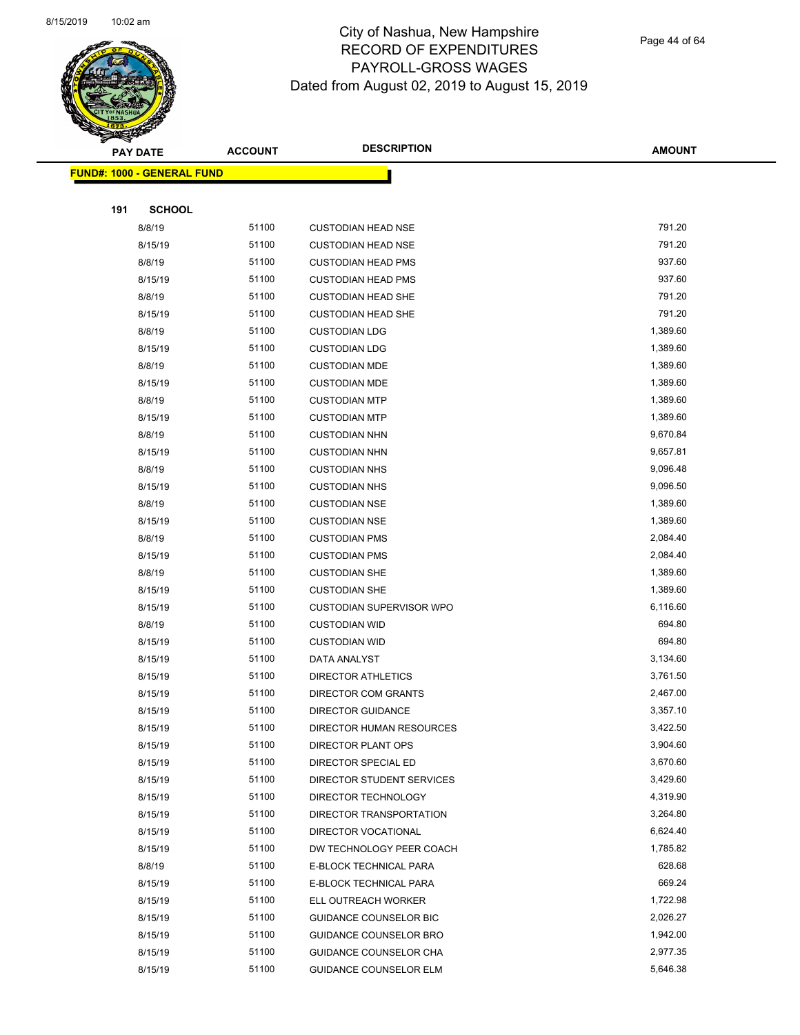

Page 44 of 64

|     | <b>PAY DATE</b>                   | <b>ACCOUNT</b> | <b>DESCRIPTION</b>                               | <b>AMOUNT</b>      |
|-----|-----------------------------------|----------------|--------------------------------------------------|--------------------|
|     | <b>FUND#: 1000 - GENERAL FUND</b> |                |                                                  |                    |
|     |                                   |                |                                                  |                    |
| 191 | <b>SCHOOL</b>                     |                |                                                  |                    |
|     | 8/8/19                            | 51100          | <b>CUSTODIAN HEAD NSE</b>                        | 791.20             |
|     | 8/15/19                           | 51100          | <b>CUSTODIAN HEAD NSE</b>                        | 791.20             |
|     | 8/8/19                            | 51100          | <b>CUSTODIAN HEAD PMS</b>                        | 937.60             |
|     | 8/15/19                           | 51100          | <b>CUSTODIAN HEAD PMS</b>                        | 937.60             |
|     | 8/8/19                            | 51100          | <b>CUSTODIAN HEAD SHE</b>                        | 791.20             |
|     | 8/15/19                           | 51100          | <b>CUSTODIAN HEAD SHE</b>                        | 791.20             |
|     | 8/8/19                            | 51100          | <b>CUSTODIAN LDG</b>                             | 1,389.60           |
|     | 8/15/19                           | 51100          | <b>CUSTODIAN LDG</b>                             | 1,389.60           |
|     | 8/8/19                            | 51100          | <b>CUSTODIAN MDE</b>                             | 1,389.60           |
|     | 8/15/19                           | 51100          | <b>CUSTODIAN MDE</b>                             | 1,389.60           |
|     | 8/8/19                            | 51100          | <b>CUSTODIAN MTP</b>                             | 1,389.60           |
|     | 8/15/19                           | 51100          | <b>CUSTODIAN MTP</b>                             | 1,389.60           |
|     | 8/8/19                            | 51100          | <b>CUSTODIAN NHN</b>                             | 9,670.84           |
|     | 8/15/19                           | 51100          | <b>CUSTODIAN NHN</b>                             | 9,657.81           |
|     | 8/8/19                            | 51100          | <b>CUSTODIAN NHS</b>                             | 9,096.48           |
|     | 8/15/19                           | 51100          | <b>CUSTODIAN NHS</b>                             | 9,096.50           |
|     | 8/8/19                            | 51100          | <b>CUSTODIAN NSE</b>                             | 1,389.60           |
|     | 8/15/19                           | 51100          | <b>CUSTODIAN NSE</b>                             | 1,389.60           |
|     | 8/8/19                            | 51100          | <b>CUSTODIAN PMS</b>                             | 2,084.40           |
|     | 8/15/19                           | 51100          | <b>CUSTODIAN PMS</b>                             | 2,084.40           |
|     | 8/8/19                            | 51100          | <b>CUSTODIAN SHE</b>                             | 1,389.60           |
|     | 8/15/19                           | 51100          | <b>CUSTODIAN SHE</b>                             | 1,389.60           |
|     | 8/15/19                           | 51100          | CUSTODIAN SUPERVISOR WPO                         | 6,116.60           |
|     | 8/8/19                            | 51100          | <b>CUSTODIAN WID</b>                             | 694.80             |
|     | 8/15/19                           | 51100          | <b>CUSTODIAN WID</b>                             | 694.80             |
|     | 8/15/19                           | 51100          | DATA ANALYST                                     | 3,134.60           |
|     | 8/15/19                           | 51100          | DIRECTOR ATHLETICS                               | 3,761.50           |
|     | 8/15/19                           | 51100          | DIRECTOR COM GRANTS                              | 2,467.00           |
|     | 8/15/19                           | 51100          | <b>DIRECTOR GUIDANCE</b>                         | 3,357.10           |
|     | 8/15/19                           | 51100          | DIRECTOR HUMAN RESOURCES                         | 3,422.50           |
|     | 8/15/19                           | 51100          | DIRECTOR PLANT OPS                               | 3,904.60           |
|     | 8/15/19                           | 51100          | DIRECTOR SPECIAL ED                              | 3,670.60           |
|     | 8/15/19                           | 51100          | DIRECTOR STUDENT SERVICES                        | 3,429.60           |
|     | 8/15/19                           | 51100          | DIRECTOR TECHNOLOGY                              | 4,319.90           |
|     | 8/15/19                           | 51100          | DIRECTOR TRANSPORTATION                          | 3,264.80           |
|     | 8/15/19                           | 51100          | DIRECTOR VOCATIONAL                              | 6,624.40           |
|     | 8/15/19                           | 51100          | DW TECHNOLOGY PEER COACH                         | 1,785.82           |
|     | 8/8/19                            | 51100          | E-BLOCK TECHNICAL PARA                           | 628.68             |
|     | 8/15/19                           | 51100          | E-BLOCK TECHNICAL PARA                           | 669.24<br>1,722.98 |
|     | 8/15/19                           | 51100<br>51100 | ELL OUTREACH WORKER                              | 2,026.27           |
|     | 8/15/19                           | 51100          | GUIDANCE COUNSELOR BIC                           | 1,942.00           |
|     | 8/15/19<br>8/15/19                | 51100          | GUIDANCE COUNSELOR BRO<br>GUIDANCE COUNSELOR CHA | 2,977.35           |
|     | 8/15/19                           | 51100          | <b>GUIDANCE COUNSELOR ELM</b>                    | 5,646.38           |
|     |                                   |                |                                                  |                    |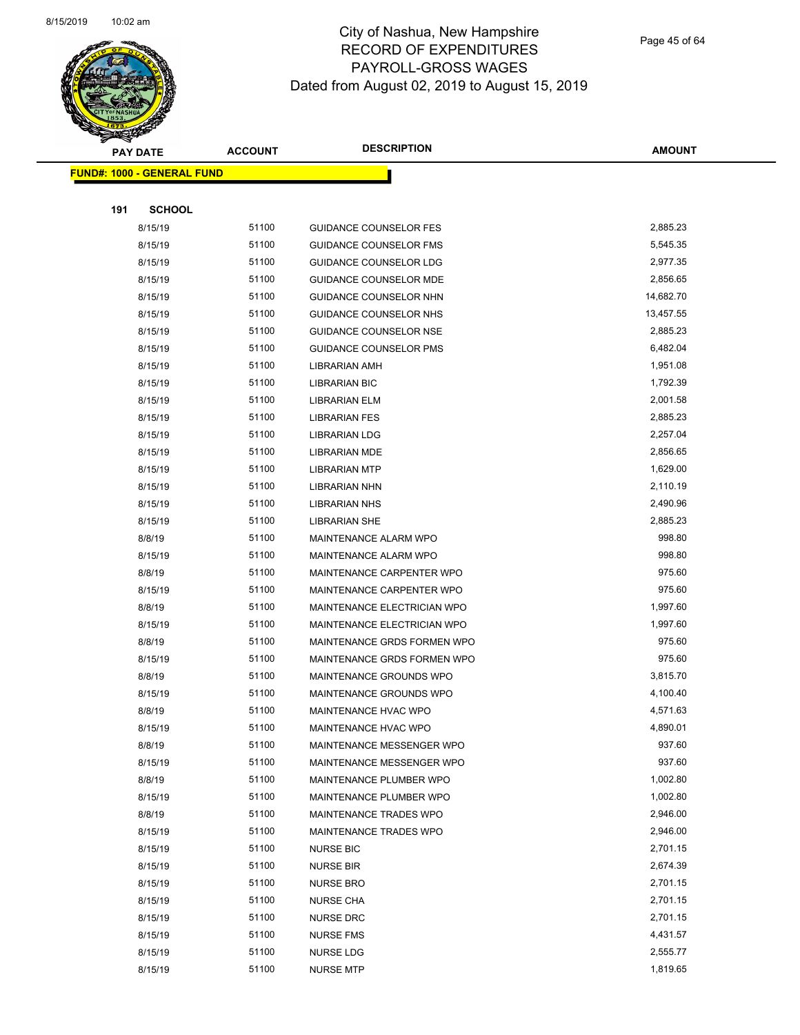

Page 45 of 64

|     | <b>PAY DATE</b>                   | <b>ACCOUNT</b> | <b>DESCRIPTION</b>            | <b>AMOUNT</b> |
|-----|-----------------------------------|----------------|-------------------------------|---------------|
|     | <b>FUND#: 1000 - GENERAL FUND</b> |                |                               |               |
|     |                                   |                |                               |               |
| 191 | <b>SCHOOL</b>                     |                |                               |               |
|     | 8/15/19                           | 51100          | <b>GUIDANCE COUNSELOR FES</b> | 2,885.23      |
|     | 8/15/19                           | 51100          | <b>GUIDANCE COUNSELOR FMS</b> | 5,545.35      |
|     | 8/15/19                           | 51100          | GUIDANCE COUNSELOR LDG        | 2,977.35      |
|     | 8/15/19                           | 51100          | <b>GUIDANCE COUNSELOR MDE</b> | 2,856.65      |
|     | 8/15/19                           | 51100          | GUIDANCE COUNSELOR NHN        | 14,682.70     |
|     | 8/15/19                           | 51100          | GUIDANCE COUNSELOR NHS        | 13,457.55     |
|     | 8/15/19                           | 51100          | GUIDANCE COUNSELOR NSE        | 2,885.23      |
|     | 8/15/19                           | 51100          | GUIDANCE COUNSELOR PMS        | 6,482.04      |
|     | 8/15/19                           | 51100          | LIBRARIAN AMH                 | 1,951.08      |
|     | 8/15/19                           | 51100          | <b>LIBRARIAN BIC</b>          | 1,792.39      |
|     | 8/15/19                           | 51100          | <b>LIBRARIAN ELM</b>          | 2,001.58      |
|     | 8/15/19                           | 51100          | <b>LIBRARIAN FES</b>          | 2,885.23      |
|     | 8/15/19                           | 51100          | <b>LIBRARIAN LDG</b>          | 2,257.04      |
|     | 8/15/19                           | 51100          | <b>LIBRARIAN MDE</b>          | 2,856.65      |
|     | 8/15/19                           | 51100          | <b>LIBRARIAN MTP</b>          | 1,629.00      |
|     | 8/15/19                           | 51100          | LIBRARIAN NHN                 | 2,110.19      |
|     | 8/15/19                           | 51100          | <b>LIBRARIAN NHS</b>          | 2,490.96      |
|     | 8/15/19                           | 51100          | LIBRARIAN SHE                 | 2,885.23      |
|     | 8/8/19                            | 51100          | MAINTENANCE ALARM WPO         | 998.80        |
|     | 8/15/19                           | 51100          | MAINTENANCE ALARM WPO         | 998.80        |
|     | 8/8/19                            | 51100          | MAINTENANCE CARPENTER WPO     | 975.60        |
|     | 8/15/19                           | 51100          | MAINTENANCE CARPENTER WPO     | 975.60        |
|     | 8/8/19                            | 51100          | MAINTENANCE ELECTRICIAN WPO   | 1,997.60      |
|     | 8/15/19                           | 51100          | MAINTENANCE ELECTRICIAN WPO   | 1,997.60      |
|     | 8/8/19                            | 51100          | MAINTENANCE GRDS FORMEN WPO   | 975.60        |
|     | 8/15/19                           | 51100          | MAINTENANCE GRDS FORMEN WPO   | 975.60        |
|     | 8/8/19                            | 51100          | MAINTENANCE GROUNDS WPO       | 3,815.70      |
|     | 8/15/19                           | 51100          | MAINTENANCE GROUNDS WPO       | 4,100.40      |
|     | 8/8/19                            | 51100          | MAINTENANCE HVAC WPO          | 4,571.63      |
|     | 8/15/19                           | 51100          | MAINTENANCE HVAC WPO          | 4,890.01      |
|     | 8/8/19                            | 51100          | MAINTENANCE MESSENGER WPO     | 937.60        |
|     | 8/15/19                           | 51100          | MAINTENANCE MESSENGER WPO     | 937.60        |
|     | 8/8/19                            | 51100          | MAINTENANCE PLUMBER WPO       | 1,002.80      |
|     | 8/15/19                           | 51100          | MAINTENANCE PLUMBER WPO       | 1,002.80      |
|     | 8/8/19                            | 51100          | MAINTENANCE TRADES WPO        | 2,946.00      |
|     | 8/15/19                           | 51100          | MAINTENANCE TRADES WPO        | 2,946.00      |
|     | 8/15/19                           | 51100          | <b>NURSE BIC</b>              | 2,701.15      |
|     | 8/15/19                           | 51100          | <b>NURSE BIR</b>              | 2,674.39      |
|     | 8/15/19                           | 51100          | <b>NURSE BRO</b>              | 2,701.15      |
|     | 8/15/19                           | 51100          | <b>NURSE CHA</b>              | 2,701.15      |
|     | 8/15/19                           | 51100          | <b>NURSE DRC</b>              | 2,701.15      |
|     | 8/15/19                           | 51100          | <b>NURSE FMS</b>              | 4,431.57      |
|     | 8/15/19                           | 51100          | <b>NURSE LDG</b>              | 2,555.77      |
|     | 8/15/19                           | 51100          | <b>NURSE MTP</b>              | 1,819.65      |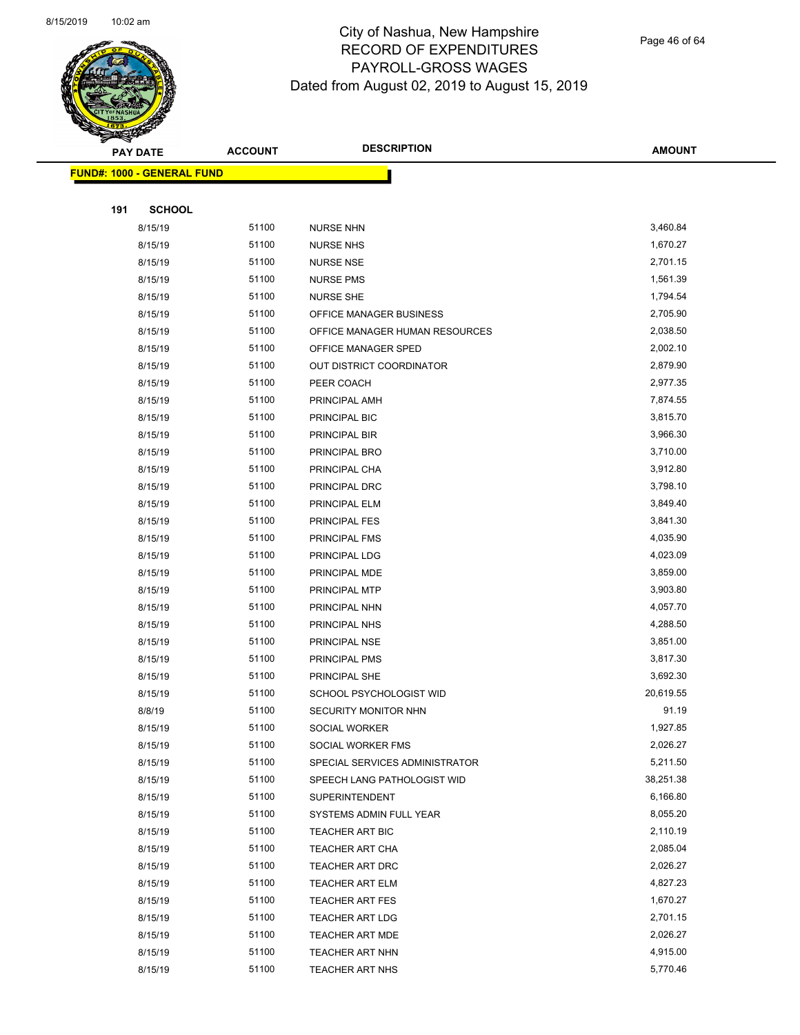

Page 46 of 64

|     | <b>PAY DATE</b>                   | <b>ACCOUNT</b> | <b>DESCRIPTION</b>             | <b>AMOUNT</b> |
|-----|-----------------------------------|----------------|--------------------------------|---------------|
|     | <b>FUND#: 1000 - GENERAL FUND</b> |                |                                |               |
|     |                                   |                |                                |               |
| 191 | <b>SCHOOL</b>                     |                |                                |               |
|     | 8/15/19                           | 51100          | <b>NURSE NHN</b>               | 3,460.84      |
|     | 8/15/19                           | 51100          | <b>NURSE NHS</b>               | 1,670.27      |
|     | 8/15/19                           | 51100          | <b>NURSE NSE</b>               | 2,701.15      |
|     | 8/15/19                           | 51100          | <b>NURSE PMS</b>               | 1,561.39      |
|     | 8/15/19                           | 51100          | <b>NURSE SHE</b>               | 1,794.54      |
|     | 8/15/19                           | 51100          | OFFICE MANAGER BUSINESS        | 2,705.90      |
|     | 8/15/19                           | 51100          | OFFICE MANAGER HUMAN RESOURCES | 2,038.50      |
|     | 8/15/19                           | 51100          | OFFICE MANAGER SPED            | 2,002.10      |
|     | 8/15/19                           | 51100          | OUT DISTRICT COORDINATOR       | 2,879.90      |
|     | 8/15/19                           | 51100          | PEER COACH                     | 2,977.35      |
|     | 8/15/19                           | 51100          | PRINCIPAL AMH                  | 7,874.55      |
|     | 8/15/19                           | 51100          | PRINCIPAL BIC                  | 3,815.70      |
|     | 8/15/19                           | 51100          | PRINCIPAL BIR                  | 3,966.30      |
|     | 8/15/19                           | 51100          | PRINCIPAL BRO                  | 3,710.00      |
|     | 8/15/19                           | 51100          | PRINCIPAL CHA                  | 3,912.80      |
|     | 8/15/19                           | 51100          | PRINCIPAL DRC                  | 3,798.10      |
|     | 8/15/19                           | 51100          | PRINCIPAL ELM                  | 3,849.40      |
|     | 8/15/19                           | 51100          | PRINCIPAL FES                  | 3,841.30      |
|     | 8/15/19                           | 51100          | PRINCIPAL FMS                  | 4,035.90      |
|     | 8/15/19                           | 51100          | PRINCIPAL LDG                  | 4,023.09      |
|     | 8/15/19                           | 51100          | PRINCIPAL MDE                  | 3,859.00      |
|     | 8/15/19                           | 51100          | PRINCIPAL MTP                  | 3,903.80      |
|     | 8/15/19                           | 51100          | PRINCIPAL NHN                  | 4,057.70      |
|     | 8/15/19                           | 51100          | PRINCIPAL NHS                  | 4,288.50      |
|     | 8/15/19                           | 51100          | PRINCIPAL NSE                  | 3,851.00      |
|     | 8/15/19                           | 51100          | PRINCIPAL PMS                  | 3,817.30      |
|     | 8/15/19                           | 51100          | PRINCIPAL SHE                  | 3,692.30      |
|     | 8/15/19                           | 51100          | SCHOOL PSYCHOLOGIST WID        | 20,619.55     |
|     | 8/8/19                            | 51100          | SECURITY MONITOR NHN           | 91.19         |
|     | 8/15/19                           | 51100          | SOCIAL WORKER                  | 1,927.85      |
|     | 8/15/19                           | 51100          | SOCIAL WORKER FMS              | 2,026.27      |
|     | 8/15/19                           | 51100          | SPECIAL SERVICES ADMINISTRATOR | 5,211.50      |
|     | 8/15/19                           | 51100          | SPEECH LANG PATHOLOGIST WID    | 38,251.38     |
|     | 8/15/19                           | 51100          | SUPERINTENDENT                 | 6,166.80      |
|     | 8/15/19                           | 51100          | SYSTEMS ADMIN FULL YEAR        | 8,055.20      |
|     | 8/15/19                           | 51100          | TEACHER ART BIC                | 2,110.19      |
|     | 8/15/19                           | 51100          | <b>TEACHER ART CHA</b>         | 2,085.04      |
|     | 8/15/19                           | 51100          | TEACHER ART DRC                | 2,026.27      |
|     | 8/15/19                           | 51100          | TEACHER ART ELM                | 4,827.23      |
|     | 8/15/19                           | 51100          | <b>TEACHER ART FES</b>         | 1,670.27      |
|     | 8/15/19                           | 51100          | <b>TEACHER ART LDG</b>         | 2,701.15      |
|     | 8/15/19                           | 51100          | TEACHER ART MDE                | 2,026.27      |
|     | 8/15/19                           | 51100          | <b>TEACHER ART NHN</b>         | 4,915.00      |
|     | 8/15/19                           | 51100          | TEACHER ART NHS                | 5,770.46      |
|     |                                   |                |                                |               |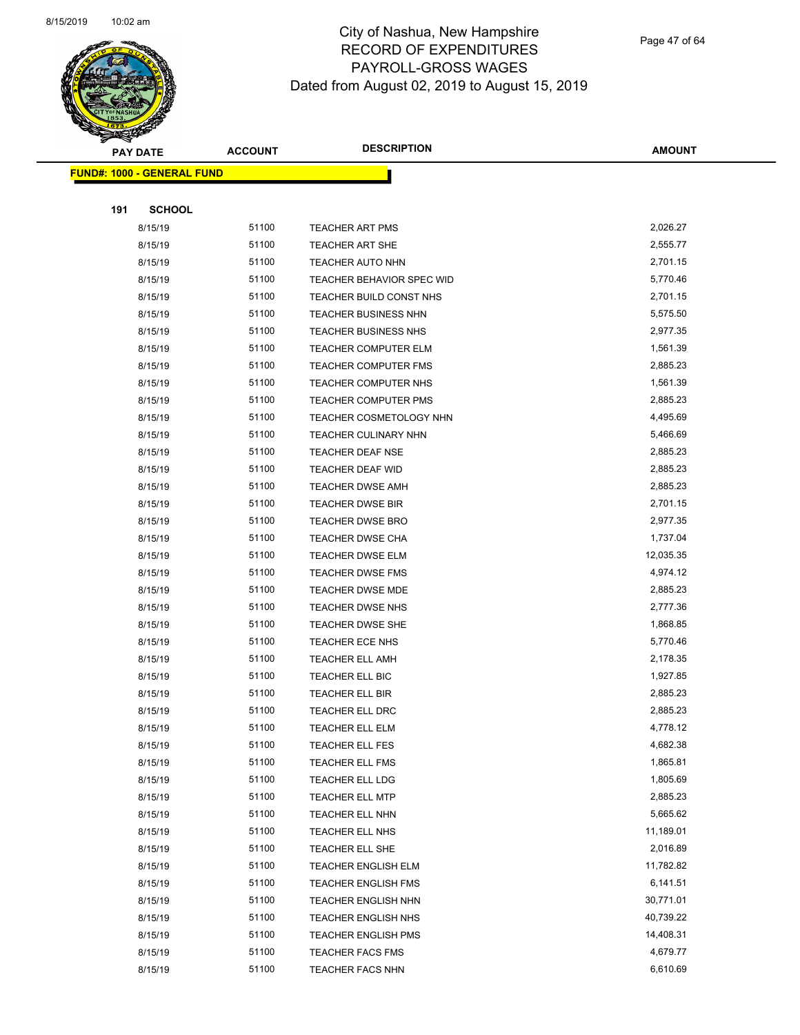

Page 47 of 64

| <b>PAY DATE</b>                   | <b>ACCOUNT</b> | <b>DESCRIPTION</b>             | <b>AMOUNT</b> |
|-----------------------------------|----------------|--------------------------------|---------------|
| <b>FUND#: 1000 - GENERAL FUND</b> |                |                                |               |
|                                   |                |                                |               |
| 191<br><b>SCHOOL</b>              |                |                                |               |
| 8/15/19                           | 51100          | <b>TEACHER ART PMS</b>         | 2,026.27      |
| 8/15/19                           | 51100          | <b>TEACHER ART SHE</b>         | 2,555.77      |
| 8/15/19                           | 51100          | TEACHER AUTO NHN               | 2,701.15      |
| 8/15/19                           | 51100          | TEACHER BEHAVIOR SPEC WID      | 5,770.46      |
| 8/15/19                           | 51100          | TEACHER BUILD CONST NHS        | 2,701.15      |
| 8/15/19                           | 51100          | <b>TEACHER BUSINESS NHN</b>    | 5,575.50      |
| 8/15/19                           | 51100          | <b>TEACHER BUSINESS NHS</b>    | 2,977.35      |
| 8/15/19                           | 51100          | <b>TEACHER COMPUTER ELM</b>    | 1,561.39      |
| 8/15/19                           | 51100          | TEACHER COMPUTER FMS           | 2,885.23      |
| 8/15/19                           | 51100          | TEACHER COMPUTER NHS           | 1,561.39      |
| 8/15/19                           | 51100          | <b>TEACHER COMPUTER PMS</b>    | 2,885.23      |
| 8/15/19                           | 51100          | <b>TEACHER COSMETOLOGY NHN</b> | 4,495.69      |
| 8/15/19                           | 51100          | TEACHER CULINARY NHN           | 5,466.69      |
| 8/15/19                           | 51100          | <b>TEACHER DEAF NSE</b>        | 2,885.23      |
| 8/15/19                           | 51100          | <b>TEACHER DEAF WID</b>        | 2,885.23      |
| 8/15/19                           | 51100          | TEACHER DWSE AMH               | 2,885.23      |
| 8/15/19                           | 51100          | <b>TEACHER DWSE BIR</b>        | 2,701.15      |
| 8/15/19                           | 51100          | <b>TEACHER DWSE BRO</b>        | 2,977.35      |
| 8/15/19                           | 51100          | <b>TEACHER DWSE CHA</b>        | 1,737.04      |
| 8/15/19                           | 51100          | <b>TEACHER DWSE ELM</b>        | 12,035.35     |
| 8/15/19                           | 51100          | TEACHER DWSE FMS               | 4,974.12      |
| 8/15/19                           | 51100          | <b>TEACHER DWSE MDE</b>        | 2,885.23      |
| 8/15/19                           | 51100          | TEACHER DWSE NHS               | 2,777.36      |
| 8/15/19                           | 51100          | <b>TEACHER DWSE SHE</b>        | 1,868.85      |
| 8/15/19                           | 51100          | TEACHER ECE NHS                | 5,770.46      |
| 8/15/19                           | 51100          | <b>TEACHER ELL AMH</b>         | 2,178.35      |
| 8/15/19                           | 51100          | TEACHER ELL BIC                | 1,927.85      |
| 8/15/19                           | 51100          | <b>TEACHER ELL BIR</b>         | 2,885.23      |
| 8/15/19                           | 51100          | TEACHER ELL DRC                | 2,885.23      |
| 8/15/19                           | 51100          | <b>TEACHER ELL ELM</b>         | 4,778.12      |
| 8/15/19                           | 51100          | TEACHER ELL FES                | 4,682.38      |
| 8/15/19                           | 51100          | TEACHER ELL FMS                | 1,865.81      |
| 8/15/19                           | 51100          | TEACHER ELL LDG                | 1,805.69      |
| 8/15/19                           | 51100          | <b>TEACHER ELL MTP</b>         | 2,885.23      |
| 8/15/19                           | 51100          | TEACHER ELL NHN                | 5,665.62      |
| 8/15/19                           | 51100          | TEACHER ELL NHS                | 11,189.01     |
| 8/15/19                           | 51100          | TEACHER ELL SHE                | 2,016.89      |
| 8/15/19                           | 51100          | <b>TEACHER ENGLISH ELM</b>     | 11,782.82     |
| 8/15/19                           | 51100          | <b>TEACHER ENGLISH FMS</b>     | 6,141.51      |
| 8/15/19                           | 51100          | <b>TEACHER ENGLISH NHN</b>     | 30,771.01     |
| 8/15/19                           | 51100          | <b>TEACHER ENGLISH NHS</b>     | 40,739.22     |
| 8/15/19                           | 51100          | <b>TEACHER ENGLISH PMS</b>     | 14,408.31     |
| 8/15/19                           | 51100          | <b>TEACHER FACS FMS</b>        | 4,679.77      |
| 8/15/19                           | 51100          | TEACHER FACS NHN               | 6,610.69      |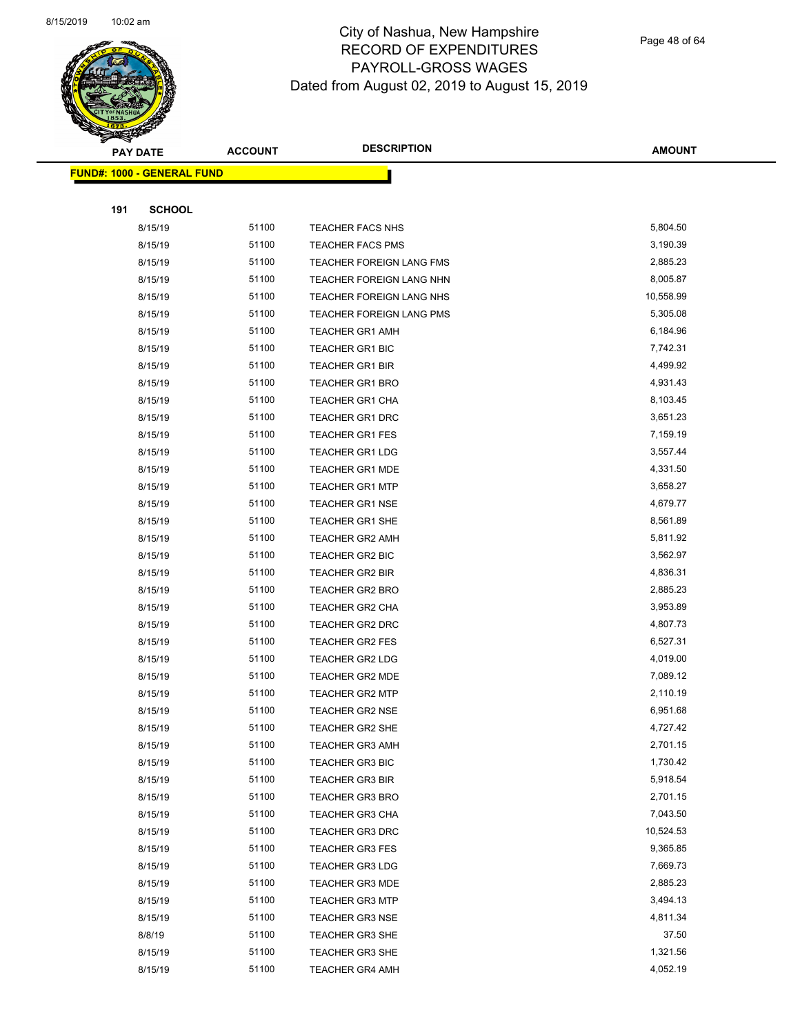

Page 48 of 64

|     | <b>PAY DATE</b>                   | <b>ACCOUNT</b> | <b>DESCRIPTION</b>                               | <b>AMOUNT</b>        |
|-----|-----------------------------------|----------------|--------------------------------------------------|----------------------|
|     | <b>FUND#: 1000 - GENERAL FUND</b> |                |                                                  |                      |
|     |                                   |                |                                                  |                      |
| 191 | <b>SCHOOL</b>                     |                |                                                  |                      |
|     | 8/15/19                           | 51100          | TEACHER FACS NHS                                 | 5,804.50             |
|     | 8/15/19                           | 51100          | <b>TEACHER FACS PMS</b>                          | 3,190.39             |
|     | 8/15/19                           | 51100          | TEACHER FOREIGN LANG FMS                         | 2,885.23             |
|     | 8/15/19                           | 51100          | TEACHER FOREIGN LANG NHN                         | 8,005.87             |
|     | 8/15/19                           | 51100          | TEACHER FOREIGN LANG NHS                         | 10,558.99            |
|     | 8/15/19                           | 51100          | TEACHER FOREIGN LANG PMS                         | 5,305.08             |
|     | 8/15/19                           | 51100          | <b>TEACHER GR1 AMH</b>                           | 6,184.96             |
|     | 8/15/19                           | 51100          | TEACHER GR1 BIC                                  | 7,742.31             |
|     | 8/15/19                           | 51100          | TEACHER GR1 BIR                                  | 4,499.92             |
|     | 8/15/19                           | 51100          | <b>TEACHER GR1 BRO</b>                           | 4,931.43             |
|     | 8/15/19                           | 51100          | <b>TEACHER GR1 CHA</b>                           | 8,103.45             |
|     | 8/15/19                           | 51100          | <b>TEACHER GR1 DRC</b>                           | 3,651.23             |
|     | 8/15/19                           | 51100          | <b>TEACHER GR1 FES</b>                           | 7,159.19             |
|     | 8/15/19                           | 51100          | <b>TEACHER GR1 LDG</b>                           | 3,557.44             |
|     | 8/15/19                           | 51100          | <b>TEACHER GR1 MDE</b>                           | 4,331.50             |
|     | 8/15/19                           | 51100          | <b>TEACHER GR1 MTP</b>                           | 3,658.27             |
|     | 8/15/19                           | 51100          | <b>TEACHER GR1 NSE</b>                           | 4,679.77             |
|     | 8/15/19                           | 51100          | <b>TEACHER GR1 SHE</b>                           | 8,561.89             |
|     | 8/15/19                           | 51100          | <b>TEACHER GR2 AMH</b>                           | 5,811.92             |
|     | 8/15/19                           | 51100          | TEACHER GR2 BIC                                  | 3,562.97             |
|     | 8/15/19                           | 51100          | <b>TEACHER GR2 BIR</b>                           | 4,836.31             |
|     | 8/15/19                           | 51100          | <b>TEACHER GR2 BRO</b>                           | 2,885.23             |
|     | 8/15/19                           | 51100          | <b>TEACHER GR2 CHA</b>                           | 3,953.89             |
|     | 8/15/19                           | 51100          | TEACHER GR2 DRC                                  | 4,807.73             |
|     | 8/15/19                           | 51100          | TEACHER GR2 FES                                  | 6,527.31             |
|     | 8/15/19                           | 51100          | <b>TEACHER GR2 LDG</b>                           | 4,019.00             |
|     | 8/15/19                           | 51100          | TEACHER GR2 MDE                                  | 7,089.12             |
|     | 8/15/19                           | 51100          | <b>TEACHER GR2 MTP</b>                           | 2,110.19             |
|     | 8/15/19                           | 51100          | <b>TEACHER GR2 NSE</b>                           | 6,951.68             |
|     | 8/15/19                           | 51100          | TEACHER GR2 SHE                                  | 4,727.42             |
|     | 8/15/19                           | 51100          | <b>TEACHER GR3 AMH</b>                           | 2,701.15             |
|     | 8/15/19                           | 51100          | <b>TEACHER GR3 BIC</b>                           | 1,730.42             |
|     | 8/15/19                           | 51100<br>51100 | <b>TEACHER GR3 BIR</b>                           | 5,918.54<br>2,701.15 |
|     | 8/15/19                           | 51100          | <b>TEACHER GR3 BRO</b><br><b>TEACHER GR3 CHA</b> | 7,043.50             |
|     | 8/15/19<br>8/15/19                | 51100          | <b>TEACHER GR3 DRC</b>                           | 10,524.53            |
|     | 8/15/19                           | 51100          | <b>TEACHER GR3 FES</b>                           | 9,365.85             |
|     | 8/15/19                           | 51100          | <b>TEACHER GR3 LDG</b>                           | 7,669.73             |
|     | 8/15/19                           | 51100          | <b>TEACHER GR3 MDE</b>                           | 2,885.23             |
|     | 8/15/19                           | 51100          | <b>TEACHER GR3 MTP</b>                           | 3,494.13             |
|     | 8/15/19                           | 51100          | <b>TEACHER GR3 NSE</b>                           | 4,811.34             |
|     | 8/8/19                            | 51100          | TEACHER GR3 SHE                                  | 37.50                |
|     | 8/15/19                           | 51100          | <b>TEACHER GR3 SHE</b>                           | 1,321.56             |
|     | 8/15/19                           | 51100          | <b>TEACHER GR4 AMH</b>                           | 4,052.19             |
|     |                                   |                |                                                  |                      |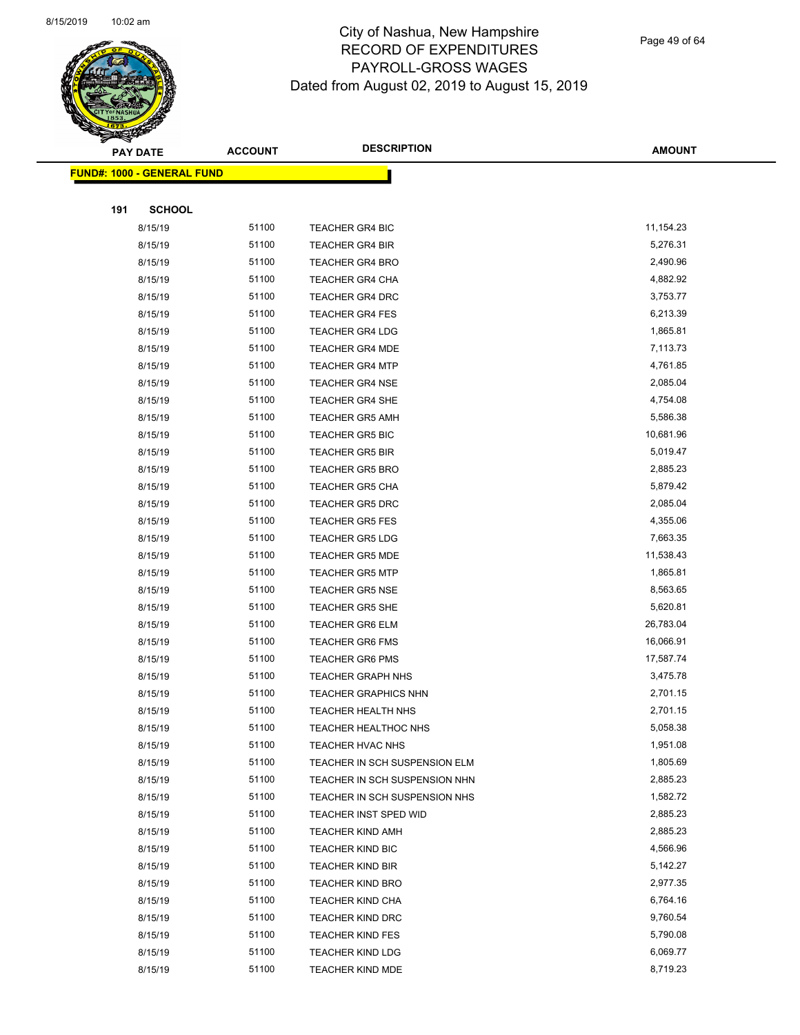

Page 49 of 64

| <b>PAY DATE</b>                    | <b>ACCOUNT</b> | <b>DESCRIPTION</b>            | <b>AMOUNT</b>        |
|------------------------------------|----------------|-------------------------------|----------------------|
| <u> FUND#: 1000 - GENERAL FUND</u> |                |                               |                      |
|                                    |                |                               |                      |
| 191<br><b>SCHOOL</b>               |                |                               |                      |
| 8/15/19                            | 51100          | <b>TEACHER GR4 BIC</b>        | 11,154.23            |
| 8/15/19                            | 51100          | <b>TEACHER GR4 BIR</b>        | 5,276.31             |
| 8/15/19                            | 51100          | <b>TEACHER GR4 BRO</b>        | 2,490.96             |
| 8/15/19                            | 51100          | <b>TEACHER GR4 CHA</b>        | 4,882.92             |
| 8/15/19                            | 51100          | <b>TEACHER GR4 DRC</b>        | 3,753.77             |
| 8/15/19                            | 51100          | <b>TEACHER GR4 FES</b>        | 6,213.39             |
| 8/15/19                            | 51100          | <b>TEACHER GR4 LDG</b>        | 1,865.81             |
| 8/15/19                            | 51100          | <b>TEACHER GR4 MDE</b>        | 7,113.73             |
| 8/15/19                            | 51100          | <b>TEACHER GR4 MTP</b>        | 4,761.85             |
| 8/15/19                            | 51100          | <b>TEACHER GR4 NSE</b>        | 2,085.04             |
| 8/15/19                            | 51100          | TEACHER GR4 SHE               | 4,754.08             |
| 8/15/19                            | 51100          | <b>TEACHER GR5 AMH</b>        | 5,586.38             |
| 8/15/19                            | 51100          | <b>TEACHER GR5 BIC</b>        | 10,681.96            |
| 8/15/19                            | 51100          | <b>TEACHER GR5 BIR</b>        | 5,019.47             |
| 8/15/19                            | 51100          | <b>TEACHER GR5 BRO</b>        | 2,885.23             |
| 8/15/19                            | 51100          | <b>TEACHER GR5 CHA</b>        | 5,879.42             |
| 8/15/19                            | 51100          | <b>TEACHER GR5 DRC</b>        | 2,085.04             |
| 8/15/19                            | 51100          | <b>TEACHER GR5 FES</b>        | 4,355.06             |
| 8/15/19                            | 51100          | <b>TEACHER GR5 LDG</b>        | 7,663.35             |
| 8/15/19                            | 51100          | <b>TEACHER GR5 MDE</b>        | 11,538.43            |
| 8/15/19                            | 51100          | <b>TEACHER GR5 MTP</b>        | 1,865.81             |
| 8/15/19                            | 51100          | <b>TEACHER GR5 NSE</b>        | 8,563.65             |
| 8/15/19                            | 51100          | <b>TEACHER GR5 SHE</b>        | 5,620.81             |
| 8/15/19                            | 51100          | TEACHER GR6 ELM               | 26,783.04            |
| 8/15/19                            | 51100          | <b>TEACHER GR6 FMS</b>        | 16,066.91            |
| 8/15/19                            | 51100          | <b>TEACHER GR6 PMS</b>        | 17,587.74            |
| 8/15/19                            | 51100          | <b>TEACHER GRAPH NHS</b>      | 3,475.78             |
| 8/15/19                            | 51100          | <b>TEACHER GRAPHICS NHN</b>   | 2,701.15             |
| 8/15/19                            | 51100          | TEACHER HEALTH NHS            | 2,701.15             |
| 8/15/19                            | 51100          | <b>TEACHER HEALTHOC NHS</b>   | 5,058.38             |
| 8/15/19                            | 51100          | TEACHER HVAC NHS              | 1,951.08             |
| 8/15/19                            | 51100          | TEACHER IN SCH SUSPENSION ELM | 1,805.69             |
| 8/15/19                            | 51100          | TEACHER IN SCH SUSPENSION NHN | 2,885.23             |
| 8/15/19                            | 51100          | TEACHER IN SCH SUSPENSION NHS | 1,582.72             |
| 8/15/19                            | 51100          | TEACHER INST SPED WID         | 2,885.23             |
| 8/15/19                            | 51100          | <b>TEACHER KIND AMH</b>       | 2,885.23             |
| 8/15/19                            | 51100          | <b>TEACHER KIND BIC</b>       | 4,566.96             |
| 8/15/19                            | 51100          | <b>TEACHER KIND BIR</b>       | 5,142.27             |
| 8/15/19                            | 51100          | <b>TEACHER KIND BRO</b>       | 2,977.35             |
| 8/15/19                            | 51100<br>51100 | TEACHER KIND CHA              | 6,764.16             |
| 8/15/19                            |                | <b>TEACHER KIND DRC</b>       | 9,760.54<br>5,790.08 |
| 8/15/19                            | 51100          | <b>TEACHER KIND FES</b>       | 6,069.77             |
| 8/15/19                            | 51100<br>51100 | <b>TEACHER KIND LDG</b>       | 8,719.23             |
| 8/15/19                            |                | TEACHER KIND MDE              |                      |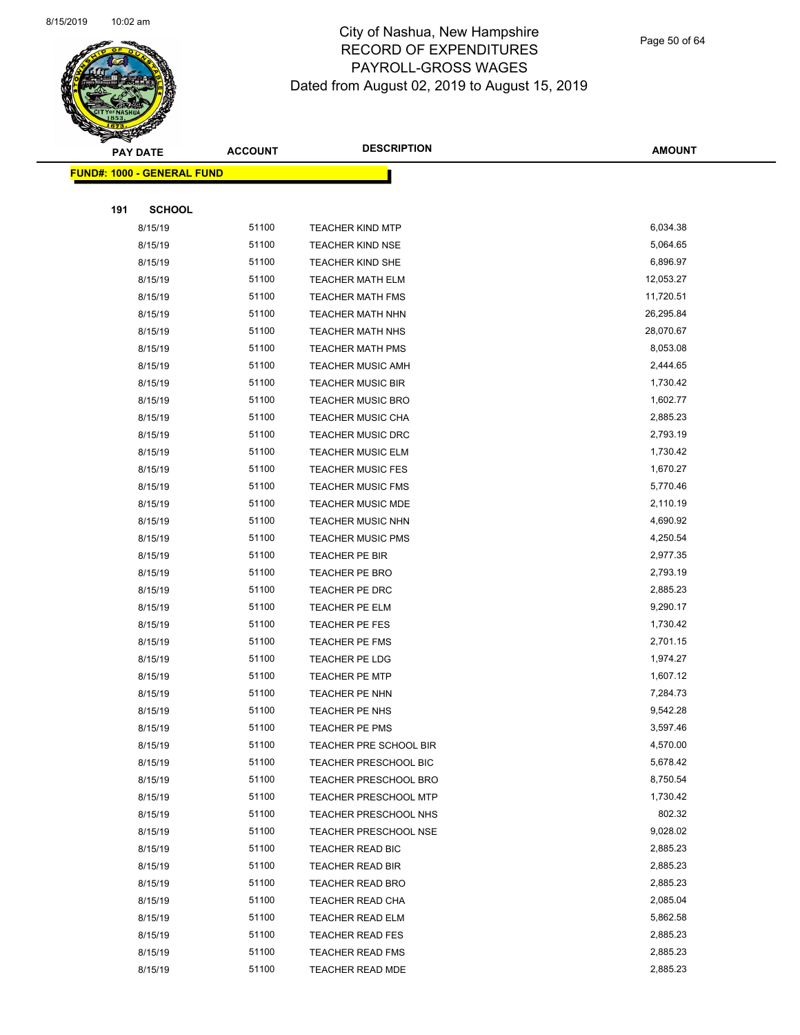

Page 50 of 64

|     | <b>PAY DATE</b>                    | <b>ACCOUNT</b> | <b>DESCRIPTION</b>           | <b>AMOUNT</b> |  |
|-----|------------------------------------|----------------|------------------------------|---------------|--|
|     | <u> FUND#: 1000 - GENERAL FUND</u> |                |                              |               |  |
|     |                                    |                |                              |               |  |
| 191 | <b>SCHOOL</b>                      |                |                              |               |  |
|     | 8/15/19                            | 51100          | <b>TEACHER KIND MTP</b>      | 6,034.38      |  |
|     | 8/15/19                            | 51100          | <b>TEACHER KIND NSE</b>      | 5,064.65      |  |
|     | 8/15/19                            | 51100          | TEACHER KIND SHE             | 6,896.97      |  |
|     | 8/15/19                            | 51100          | <b>TEACHER MATH ELM</b>      | 12,053.27     |  |
|     | 8/15/19                            | 51100          | <b>TEACHER MATH FMS</b>      | 11,720.51     |  |
|     | 8/15/19                            | 51100          | <b>TEACHER MATH NHN</b>      | 26,295.84     |  |
|     | 8/15/19                            | 51100          | <b>TEACHER MATH NHS</b>      | 28,070.67     |  |
|     | 8/15/19                            | 51100          | <b>TEACHER MATH PMS</b>      | 8,053.08      |  |
|     | 8/15/19                            | 51100          | <b>TEACHER MUSIC AMH</b>     | 2,444.65      |  |
|     | 8/15/19                            | 51100          | <b>TEACHER MUSIC BIR</b>     | 1,730.42      |  |
|     | 8/15/19                            | 51100          | <b>TEACHER MUSIC BRO</b>     | 1,602.77      |  |
|     | 8/15/19                            | 51100          | <b>TEACHER MUSIC CHA</b>     | 2,885.23      |  |
|     | 8/15/19                            | 51100          | <b>TEACHER MUSIC DRC</b>     | 2,793.19      |  |
|     | 8/15/19                            | 51100          | <b>TEACHER MUSIC ELM</b>     | 1,730.42      |  |
|     | 8/15/19                            | 51100          | <b>TEACHER MUSIC FES</b>     | 1,670.27      |  |
|     | 8/15/19                            | 51100          | <b>TEACHER MUSIC FMS</b>     | 5,770.46      |  |
|     | 8/15/19                            | 51100          | <b>TEACHER MUSIC MDE</b>     | 2,110.19      |  |
|     | 8/15/19                            | 51100          | <b>TEACHER MUSIC NHN</b>     | 4,690.92      |  |
|     | 8/15/19                            | 51100          | <b>TEACHER MUSIC PMS</b>     | 4,250.54      |  |
|     | 8/15/19                            | 51100          | <b>TEACHER PE BIR</b>        | 2,977.35      |  |
|     | 8/15/19                            | 51100          | TEACHER PE BRO               | 2,793.19      |  |
|     | 8/15/19                            | 51100          | TEACHER PE DRC               | 2,885.23      |  |
|     | 8/15/19                            | 51100          | <b>TEACHER PE ELM</b>        | 9,290.17      |  |
|     | 8/15/19                            | 51100          | TEACHER PE FES               | 1,730.42      |  |
|     | 8/15/19                            | 51100          | <b>TEACHER PE FMS</b>        | 2,701.15      |  |
|     | 8/15/19                            | 51100          | TEACHER PE LDG               | 1,974.27      |  |
|     | 8/15/19                            | 51100          | <b>TEACHER PE MTP</b>        | 1,607.12      |  |
|     | 8/15/19                            | 51100          | TEACHER PE NHN               | 7,284.73      |  |
|     | 8/15/19                            | 51100          | TEACHER PE NHS               | 9,542.28      |  |
|     | 8/15/19                            | 51100          | <b>TEACHER PE PMS</b>        | 3,597.46      |  |
|     | 8/15/19                            | 51100          | TEACHER PRE SCHOOL BIR       | 4,570.00      |  |
|     | 8/15/19                            | 51100          | <b>TEACHER PRESCHOOL BIC</b> | 5,678.42      |  |
|     | 8/15/19                            | 51100          | <b>TEACHER PRESCHOOL BRO</b> | 8,750.54      |  |
|     | 8/15/19                            | 51100          | <b>TEACHER PRESCHOOL MTP</b> | 1,730.42      |  |
|     | 8/15/19                            | 51100          | <b>TEACHER PRESCHOOL NHS</b> | 802.32        |  |
|     | 8/15/19                            | 51100          | <b>TEACHER PRESCHOOL NSE</b> | 9,028.02      |  |
|     | 8/15/19                            | 51100          | TEACHER READ BIC             | 2,885.23      |  |
|     | 8/15/19                            | 51100          | TEACHER READ BIR             | 2,885.23      |  |
|     | 8/15/19                            | 51100          | TEACHER READ BRO             | 2,885.23      |  |
|     | 8/15/19                            | 51100          | TEACHER READ CHA             | 2,085.04      |  |
|     | 8/15/19                            | 51100          | <b>TEACHER READ ELM</b>      | 5,862.58      |  |
|     | 8/15/19                            | 51100          | <b>TEACHER READ FES</b>      | 2,885.23      |  |
|     | 8/15/19                            | 51100          | <b>TEACHER READ FMS</b>      | 2,885.23      |  |
|     | 8/15/19                            | 51100          | <b>TEACHER READ MDE</b>      | 2,885.23      |  |
|     |                                    |                |                              |               |  |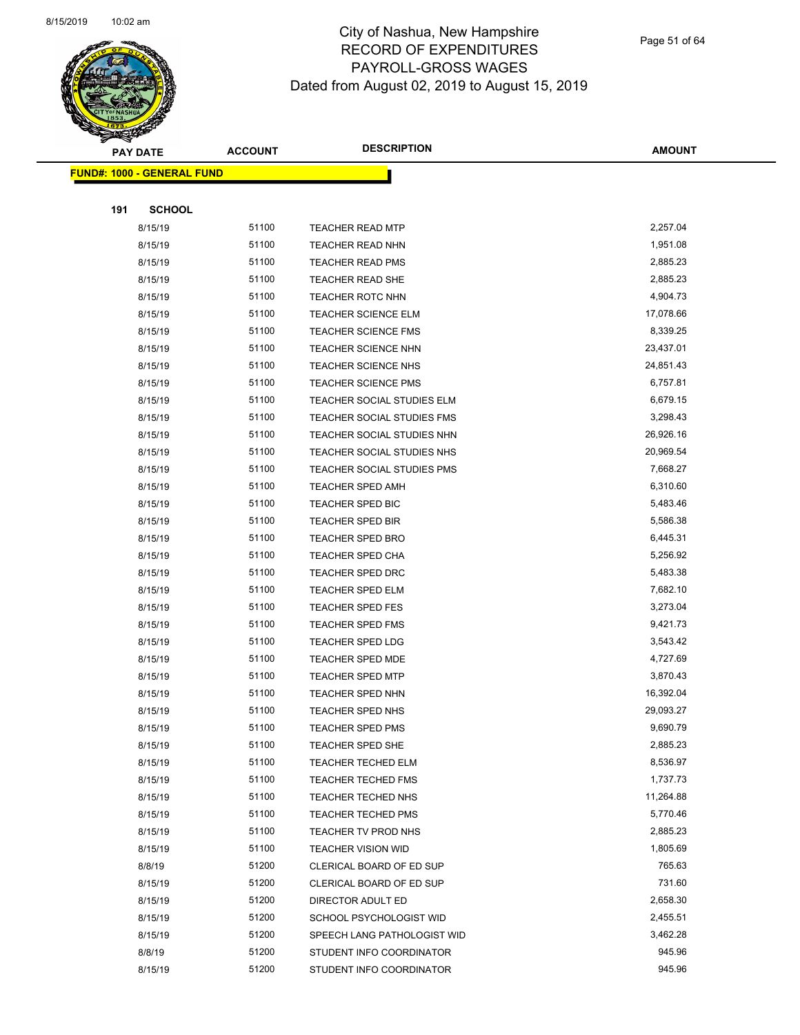

Page 51 of 64

|     | <b>PAY DATE</b>                    | <b>ACCOUNT</b> | <b>DESCRIPTION</b>          | <b>AMOUNT</b>      |  |
|-----|------------------------------------|----------------|-----------------------------|--------------------|--|
|     | <u> FUND#: 1000 - GENERAL FUND</u> |                |                             |                    |  |
|     |                                    |                |                             |                    |  |
| 191 | <b>SCHOOL</b>                      |                |                             |                    |  |
|     | 8/15/19                            | 51100          | <b>TEACHER READ MTP</b>     | 2,257.04           |  |
|     | 8/15/19                            | 51100          | <b>TEACHER READ NHN</b>     | 1,951.08           |  |
|     | 8/15/19                            | 51100          | <b>TEACHER READ PMS</b>     | 2,885.23           |  |
|     | 8/15/19                            | 51100          | TEACHER READ SHE            | 2,885.23           |  |
|     | 8/15/19                            | 51100          | <b>TEACHER ROTC NHN</b>     | 4,904.73           |  |
|     | 8/15/19                            | 51100          | TEACHER SCIENCE ELM         | 17,078.66          |  |
|     | 8/15/19                            | 51100          | TEACHER SCIENCE FMS         | 8,339.25           |  |
|     | 8/15/19                            | 51100          | <b>TEACHER SCIENCE NHN</b>  | 23,437.01          |  |
|     | 8/15/19                            | 51100          | <b>TEACHER SCIENCE NHS</b>  | 24,851.43          |  |
|     | 8/15/19                            | 51100          | TEACHER SCIENCE PMS         | 6,757.81           |  |
|     | 8/15/19                            | 51100          | TEACHER SOCIAL STUDIES ELM  | 6,679.15           |  |
|     | 8/15/19                            | 51100          | TEACHER SOCIAL STUDIES FMS  | 3,298.43           |  |
|     | 8/15/19                            | 51100          | TEACHER SOCIAL STUDIES NHN  | 26,926.16          |  |
|     | 8/15/19                            | 51100          | TEACHER SOCIAL STUDIES NHS  | 20,969.54          |  |
|     | 8/15/19                            | 51100          | TEACHER SOCIAL STUDIES PMS  | 7,668.27           |  |
|     | 8/15/19                            | 51100          | TEACHER SPED AMH            | 6,310.60           |  |
|     | 8/15/19                            | 51100          | TEACHER SPED BIC            | 5,483.46           |  |
|     | 8/15/19                            | 51100          | <b>TEACHER SPED BIR</b>     | 5,586.38           |  |
|     | 8/15/19                            | 51100          | <b>TEACHER SPED BRO</b>     | 6,445.31           |  |
|     | 8/15/19                            | 51100          | TEACHER SPED CHA            | 5,256.92           |  |
|     | 8/15/19                            | 51100          | TEACHER SPED DRC            | 5,483.38           |  |
|     | 8/15/19                            | 51100          | <b>TEACHER SPED ELM</b>     | 7,682.10           |  |
|     | 8/15/19                            | 51100          | <b>TEACHER SPED FES</b>     | 3,273.04           |  |
|     | 8/15/19                            | 51100          | <b>TEACHER SPED FMS</b>     | 9,421.73           |  |
|     | 8/15/19                            | 51100          | TEACHER SPED LDG            | 3,543.42           |  |
|     | 8/15/19                            | 51100          | TEACHER SPED MDE            | 4,727.69           |  |
|     | 8/15/19                            | 51100          | <b>TEACHER SPED MTP</b>     | 3,870.43           |  |
|     | 8/15/19                            | 51100          | TEACHER SPED NHN            | 16,392.04          |  |
|     | 8/15/19                            | 51100          | TEACHER SPED NHS            | 29,093.27          |  |
|     | 8/15/19                            | 51100          | TEACHER SPED PMS            | 9,690.79           |  |
|     | 8/15/19                            | 51100          | TEACHER SPED SHE            | 2,885.23           |  |
|     | 8/15/19                            | 51100          | <b>TEACHER TECHED ELM</b>   | 8,536.97           |  |
|     | 8/15/19                            | 51100          | <b>TEACHER TECHED FMS</b>   | 1,737.73           |  |
|     | 8/15/19                            | 51100          | TEACHER TECHED NHS          | 11,264.88          |  |
|     | 8/15/19                            | 51100          | <b>TEACHER TECHED PMS</b>   | 5,770.46           |  |
|     | 8/15/19                            | 51100          | TEACHER TV PROD NHS         | 2,885.23           |  |
|     | 8/15/19                            | 51100          | <b>TEACHER VISION WID</b>   | 1,805.69           |  |
|     | 8/8/19                             | 51200          | CLERICAL BOARD OF ED SUP    | 765.63             |  |
|     | 8/15/19                            | 51200          | CLERICAL BOARD OF ED SUP    | 731.60             |  |
|     | 8/15/19                            | 51200          | DIRECTOR ADULT ED           | 2,658.30           |  |
|     | 8/15/19                            | 51200<br>51200 | SCHOOL PSYCHOLOGIST WID     | 2,455.51           |  |
|     | 8/15/19                            | 51200          | SPEECH LANG PATHOLOGIST WID | 3,462.28<br>945.96 |  |
|     | 8/8/19                             |                | STUDENT INFO COORDINATOR    |                    |  |
|     | 8/15/19                            | 51200          | STUDENT INFO COORDINATOR    | 945.96             |  |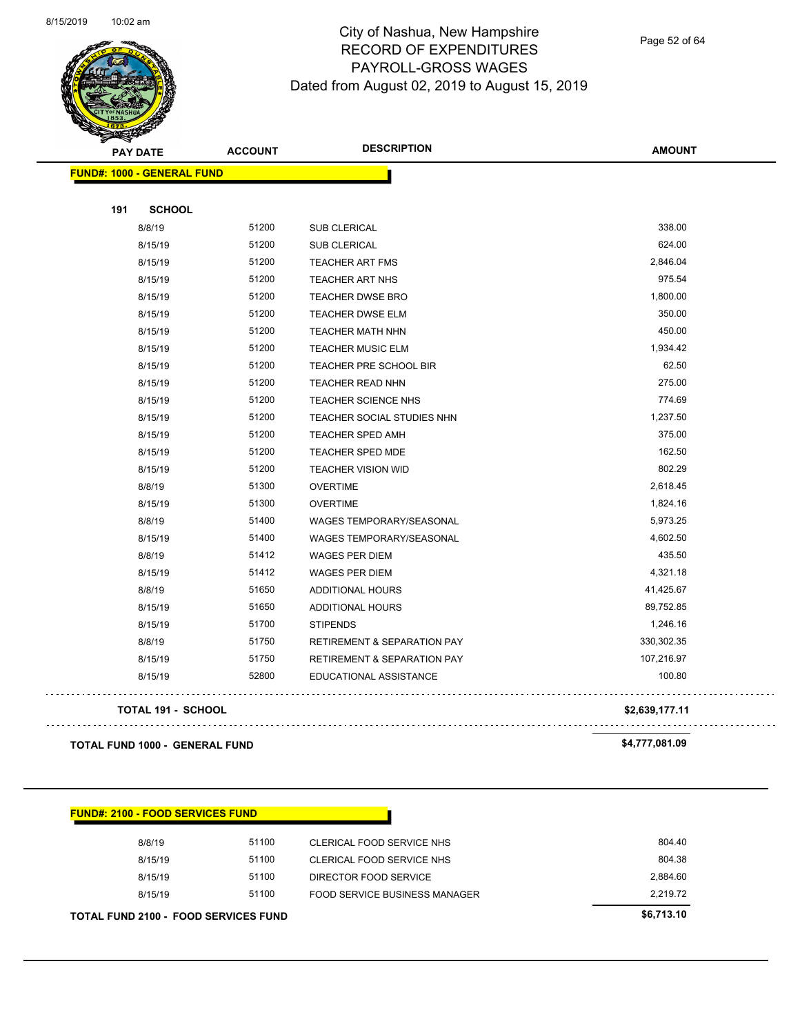

Page 52 of 64

| $\sum_{i=1}^n a_i$<br><b>PAY DATE</b> | <b>DESCRIPTION</b><br><b>ACCOUNT</b> |                                        | <b>AMOUNT</b>  |
|---------------------------------------|--------------------------------------|----------------------------------------|----------------|
| <b>FUND#: 1000 - GENERAL FUND</b>     |                                      |                                        |                |
| 191<br><b>SCHOOL</b>                  |                                      |                                        |                |
| 8/8/19                                | 51200                                | SUB CLERICAL                           | 338.00         |
| 8/15/19                               | 51200                                | <b>SUB CLERICAL</b>                    | 624.00         |
| 8/15/19                               | 51200                                | <b>TEACHER ART FMS</b>                 | 2,846.04       |
| 8/15/19                               | 51200                                | TEACHER ART NHS                        | 975.54         |
| 8/15/19                               | 51200                                | <b>TEACHER DWSE BRO</b>                | 1,800.00       |
| 8/15/19                               | 51200                                | TEACHER DWSE ELM                       | 350.00         |
| 8/15/19                               | 51200                                | <b>TEACHER MATH NHN</b>                | 450.00         |
| 8/15/19                               | 51200                                | <b>TEACHER MUSIC ELM</b>               | 1,934.42       |
| 8/15/19                               | 51200                                | TEACHER PRE SCHOOL BIR                 | 62.50          |
| 8/15/19                               | 51200                                | TEACHER READ NHN                       | 275.00         |
| 8/15/19                               | 51200                                | TEACHER SCIENCE NHS                    | 774.69         |
| 8/15/19                               | 51200                                | TEACHER SOCIAL STUDIES NHN             | 1,237.50       |
| 8/15/19                               | 51200                                | TEACHER SPED AMH                       | 375.00         |
| 8/15/19                               | 51200                                | <b>TEACHER SPED MDE</b>                | 162.50         |
| 8/15/19                               | 51200                                | <b>TEACHER VISION WID</b>              | 802.29         |
| 8/8/19                                | 51300                                | <b>OVERTIME</b>                        | 2,618.45       |
| 8/15/19                               | 51300                                | <b>OVERTIME</b>                        | 1,824.16       |
| 8/8/19                                | 51400                                | <b>WAGES TEMPORARY/SEASONAL</b>        | 5,973.25       |
| 8/15/19                               | 51400                                | WAGES TEMPORARY/SEASONAL               | 4,602.50       |
| 8/8/19                                | 51412                                | <b>WAGES PER DIEM</b>                  | 435.50         |
| 8/15/19                               | 51412                                | <b>WAGES PER DIEM</b>                  | 4,321.18       |
| 8/8/19                                | 51650                                | ADDITIONAL HOURS                       | 41,425.67      |
| 8/15/19                               | 51650                                | ADDITIONAL HOURS                       | 89,752.85      |
| 8/15/19                               | 51700                                | <b>STIPENDS</b>                        | 1,246.16       |
| 8/8/19                                | 51750                                | <b>RETIREMENT &amp; SEPARATION PAY</b> | 330,302.35     |
| 8/15/19                               | 51750                                | <b>RETIREMENT &amp; SEPARATION PAY</b> | 107,216.97     |
| 8/15/19                               | 52800                                | EDUCATIONAL ASSISTANCE                 | 100.80         |
| <b>TOTAL 191 - SCHOOL</b>             |                                      |                                        | \$2,639,177.11 |
| <b>TOTAL FUND 1000 - GENERAL FUND</b> |                                      |                                        | \$4,777,081.09 |

| 8/15/19 | 51100 | FOOD SERVICE BUSINESS MANAGER | 2.219.72<br>\$6,713.10 |
|---------|-------|-------------------------------|------------------------|
| 8/15/19 | 51100 | DIRECTOR FOOD SERVICE         | 2.884.60               |
| 8/15/19 | 51100 | CLERICAL FOOD SERVICE NHS     | 804.38                 |
| 8/8/19  | 51100 | CLERICAL FOOD SERVICE NHS     | 804.40                 |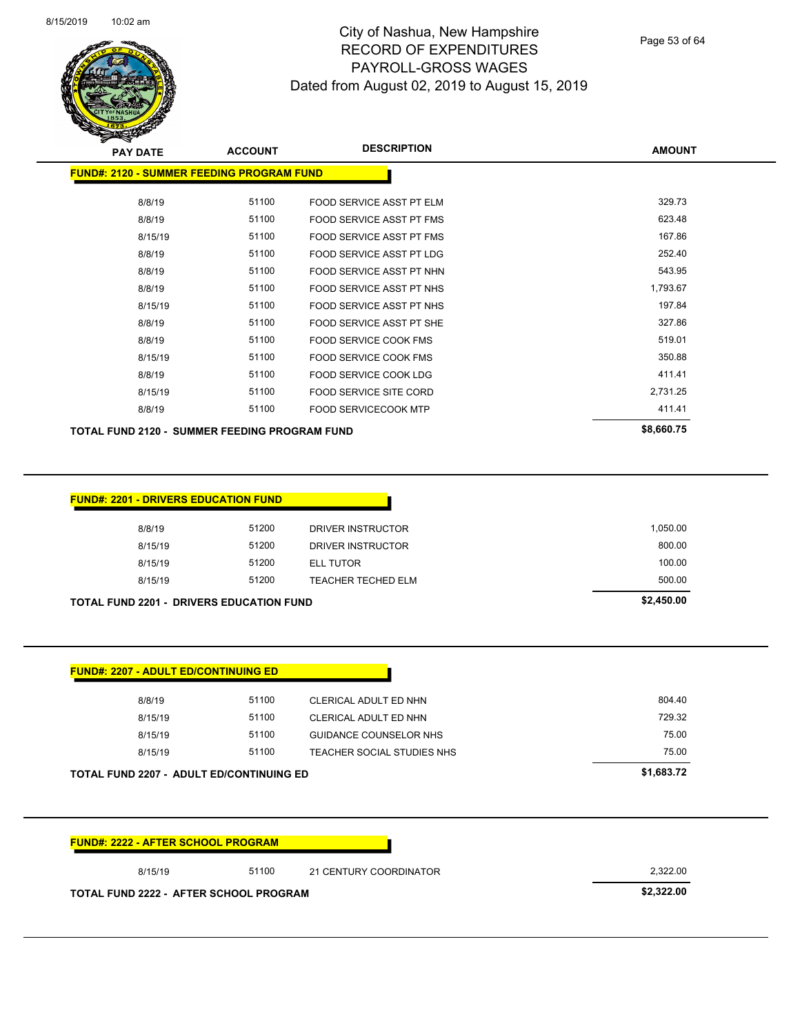| 8/15/2019 | $10:02$ am |
|-----------|------------|
|-----------|------------|



**FUND#: 2120 - SUMMER FEEDING PROGRAM FUND**

#### City of Nashua, New Hampshire RECORD OF EXPENDITURES PAYROLL-GROSS WAGES Dated from August 02, 2019 to August 15, 2019

8/8/19 51100 FOOD SERVICE ASST PT ELM 529.73

Page 53 of 64

**AMOUNT**

| 8/8/19                                               | 51100          | FOOD SERVICE ASST PT FMS        | 623.48           |
|------------------------------------------------------|----------------|---------------------------------|------------------|
| 8/15/19                                              | 51100          | FOOD SERVICE ASST PT FMS        | 167.86           |
| 8/8/19                                               | 51100          | <b>FOOD SERVICE ASST PT LDG</b> | 252.40           |
| 8/8/19                                               | 51100          | FOOD SERVICE ASST PT NHN        | 543.95           |
| 8/8/19                                               | 51100          | FOOD SERVICE ASST PT NHS        | 1,793.67         |
| 8/15/19                                              | 51100          | FOOD SERVICE ASST PT NHS        | 197.84           |
| 8/8/19                                               | 51100          | FOOD SERVICE ASST PT SHE        | 327.86           |
| 8/8/19                                               | 51100          | FOOD SERVICE COOK FMS           | 519.01           |
| 8/15/19                                              | 51100          | FOOD SERVICE COOK FMS           | 350.88           |
| 8/8/19                                               | 51100          | FOOD SERVICE COOK LDG           | 411.41           |
| 8/15/19                                              | 51100          | FOOD SERVICE SITE CORD          | 2,731.25         |
| 8/8/19                                               | 51100          | FOOD SERVICECOOK MTP            | 411.41           |
| <b>TOTAL FUND 2120 - SUMMER FEEDING PROGRAM FUND</b> |                |                                 | \$8,660.75       |
|                                                      |                |                                 |                  |
| <b>FUND#: 2201 - DRIVERS EDUCATION FUND</b>          |                |                                 |                  |
|                                                      | 51200          |                                 | 1,050.00         |
| 8/8/19                                               |                | DRIVER INSTRUCTOR               |                  |
| 8/15/19                                              | 51200          | DRIVER INSTRUCTOR               | 800.00<br>100.00 |
| 8/15/19                                              | 51200<br>51200 | <b>ELL TUTOR</b>                | 500.00           |
| 8/15/19                                              |                | TEACHER TECHED ELM              |                  |
| <b>TOTAL FUND 2201 - DRIVERS EDUCATION FUND</b>      |                |                                 | \$2,450.00       |
|                                                      |                |                                 |                  |
| <b>FUND#: 2207 - ADULT ED/CONTINUING ED</b>          |                |                                 |                  |
| 8/8/19                                               | 51100          | CLERICAL ADULT ED NHN           | 804.40           |
| 8/15/19                                              | 51100          | CLERICAL ADULT ED NHN           | 729.32           |
| 8/15/19                                              | 51100          | <b>GUIDANCE COUNSELOR NHS</b>   | 75.00            |
| 8/15/19                                              | 51100          | TEACHER SOCIAL STUDIES NHS      | 75.00            |
| TOTAL FUND 2207 - ADULT ED/CONTINUING ED             |                |                                 | \$1,683.72       |
|                                                      |                |                                 |                  |
| <b>FUND#: 2222 - AFTER SCHOOL PROGRAM</b>            |                |                                 |                  |
| 8/15/19                                              | 51100          | 21 CENTURY COORDINATOR          | 2,322.00         |

**TOTAL FUND 2222 - AFTER SCHOOL PROGRAM \$2,322.00**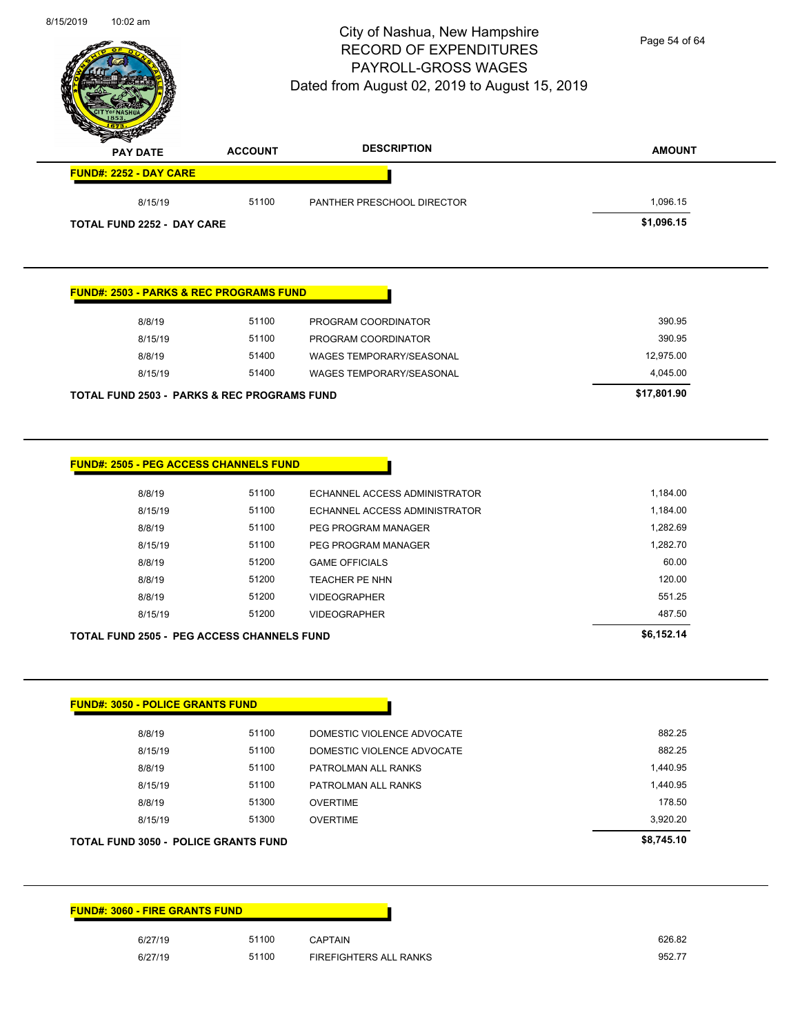| 8/15/2019 | $10:02$ am |
|-----------|------------|
|           |            |

# City of Nashua, New Hampshire RECORD OF EXPENDITURES PAYROLL-GROSS WAGES

Page 54 of 64

| <b>PAY DATE</b>                                        | <b>ACCOUNT</b> | <b>DESCRIPTION</b>              | <b>AMOUNT</b>    |
|--------------------------------------------------------|----------------|---------------------------------|------------------|
| FUND#: 2252 - DAY CARE                                 |                |                                 |                  |
| 8/15/19                                                | 51100          | PANTHER PRESCHOOL DIRECTOR      | 1,096.15         |
| <b>TOTAL FUND 2252 - DAY CARE</b>                      |                |                                 | \$1,096.15       |
| <b>FUND#: 2503 - PARKS &amp; REC PROGRAMS FUND</b>     |                |                                 |                  |
| 8/8/19                                                 | 51100          | PROGRAM COORDINATOR             | 390.95           |
| 8/15/19                                                | 51100          | PROGRAM COORDINATOR             | 390.95           |
| 8/8/19                                                 | 51400          | WAGES TEMPORARY/SEASONAL        | 12,975.00        |
| 8/15/19                                                | 51400          | <b>WAGES TEMPORARY/SEASONAL</b> | 4,045.00         |
| <b>TOTAL FUND 2503 - PARKS &amp; REC PROGRAMS FUND</b> |                |                                 | \$17,801.90      |
| FUND#: 2505 - PEG ACCESS CHANNELS FUND                 |                |                                 |                  |
| 8/8/19                                                 | 51100          | ECHANNEL ACCESS ADMINISTRATOR   | 1,184.00         |
| 8/15/19                                                | 51100          | ECHANNEL ACCESS ADMINISTRATOR   | 1,184.00         |
| 8/8/19                                                 | 51100          | PEG PROGRAM MANAGER             | 1,282.69         |
| 8/15/19                                                | 51100          | PEG PROGRAM MANAGER             | 1,282.70         |
| 8/8/19                                                 | 51200          | <b>GAME OFFICIALS</b>           | 60.00            |
| 8/8/19                                                 | 51200          | <b>TEACHER PE NHN</b>           | 120.00           |
| 8/8/19                                                 | 51200<br>51200 | <b>VIDEOGRAPHER</b>             | 551.25<br>487.50 |
| 8/15/19                                                |                | <b>VIDEOGRAPHER</b>             | \$6,152.14       |
| <b>TOTAL FUND 2505 - PEG ACCESS CHANNELS FUND</b>      |                |                                 |                  |
| <b>FUND#: 3050 - POLICE GRANTS FUND</b>                |                |                                 |                  |
| 8/8/19                                                 | 51100          | DOMESTIC VIOLENCE ADVOCATE      | 882.25           |
| 8/15/19                                                | 51100          | DOMESTIC VIOLENCE ADVOCATE      | 882.25           |
| 8/8/19                                                 | 51100          | PATROLMAN ALL RANKS             | 1,440.95         |
| 8/15/19                                                | 51100          | PATROLMAN ALL RANKS             | 1,440.95         |
| 8/8/19                                                 | 51300          | <b>OVERTIME</b>                 | 178.50           |
| 8/15/19                                                | 51300          | <b>OVERTIME</b>                 | 3,920.20         |
| <b>TOTAL FUND 3050 - POLICE GRANTS FUND</b>            |                |                                 | \$8,745.10       |
|                                                        |                |                                 |                  |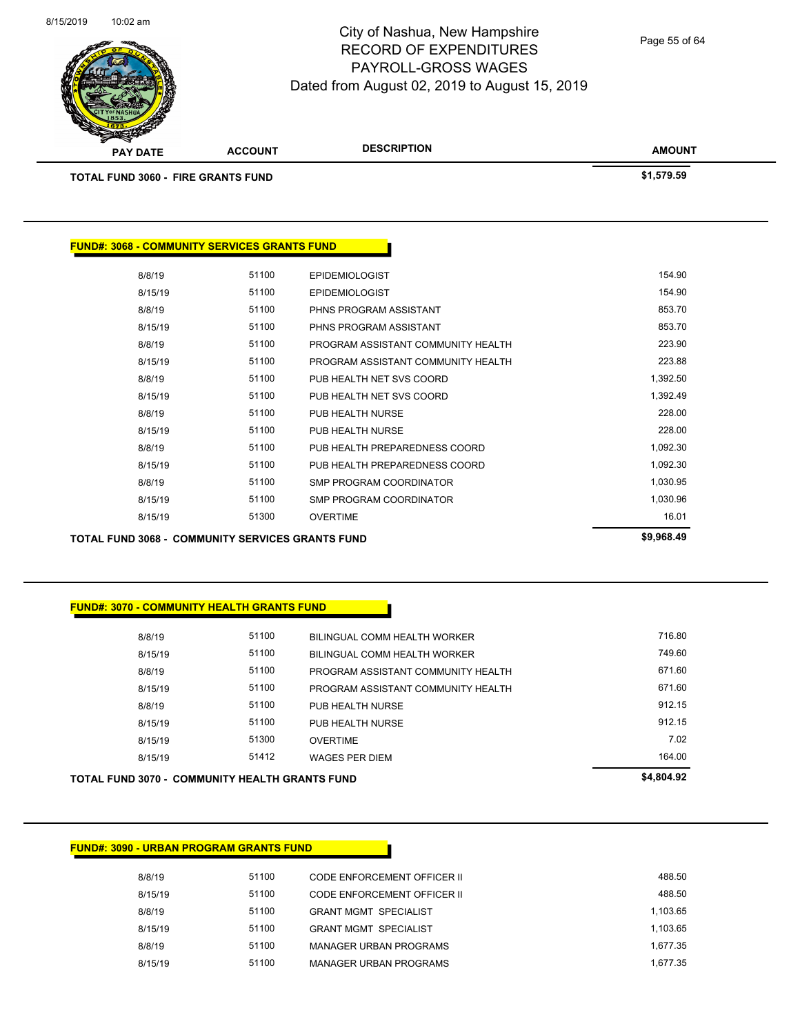

Page 55 of 64

| <b>CONSIDERATION</b><br><b>PAY DATE</b>             | <b>ACCOUNT</b> | <b>DESCRIPTION</b> | <b>AMOUNT</b> |
|-----------------------------------------------------|----------------|--------------------|---------------|
| <b>TOTAL FUND 3060 - FIRE GRANTS FUND</b>           |                |                    | \$1,579.59    |
|                                                     |                |                    |               |
|                                                     |                |                    |               |
| <b>FUND#: 3068 - COMMUNITY SERVICES GRANTS FUND</b> |                |                    |               |

| <b>TOTAL FUND 3068 - COMMUNITY SERVICES GRANTS FUND</b> | \$9,968.49 |       |                                    |          |
|---------------------------------------------------------|------------|-------|------------------------------------|----------|
|                                                         | 8/15/19    | 51300 | <b>OVERTIME</b>                    | 16.01    |
|                                                         | 8/15/19    | 51100 | SMP PROGRAM COORDINATOR            | 1,030.96 |
|                                                         | 8/8/19     | 51100 | SMP PROGRAM COORDINATOR            | 1,030.95 |
|                                                         | 8/15/19    | 51100 | PUB HEALTH PREPAREDNESS COORD      | 1,092.30 |
|                                                         | 8/8/19     | 51100 | PUB HEALTH PREPAREDNESS COORD      | 1,092.30 |
|                                                         | 8/15/19    | 51100 | PUB HEALTH NURSE                   | 228.00   |
|                                                         | 8/8/19     | 51100 | PUB HEALTH NURSE                   | 228.00   |
|                                                         | 8/15/19    | 51100 | PUB HEALTH NET SVS COORD           | 1,392.49 |
|                                                         | 8/8/19     | 51100 | PUB HEALTH NET SVS COORD           | 1,392.50 |
|                                                         | 8/15/19    | 51100 | PROGRAM ASSISTANT COMMUNITY HEALTH | 223.88   |
|                                                         | 8/8/19     | 51100 | PROGRAM ASSISTANT COMMUNITY HEALTH | 223.90   |
|                                                         | 8/15/19    | 51100 | PHNS PROGRAM ASSISTANT             | 853.70   |
|                                                         | 8/8/19     | 51100 | PHNS PROGRAM ASSISTANT             | 853.70   |
|                                                         | 8/15/19    | 51100 | <b>EPIDEMIOLOGIST</b>              | 154.90   |
|                                                         | 8/8/19     | 51100 | <b>EPIDEMIOLOGIST</b>              | 154.90   |

#### **FUND#: 3070 - COMMUNITY HEALTH GRANTS FUND**

| <b>TOTAL FUND 3070 - COMMUNITY HEALTH GRANTS FUND</b> |         | \$4,804.92 |                                    |        |
|-------------------------------------------------------|---------|------------|------------------------------------|--------|
|                                                       | 8/15/19 | 51412      | <b>WAGES PER DIEM</b>              | 164.00 |
|                                                       | 8/15/19 | 51300      | <b>OVERTIME</b>                    | 7.02   |
|                                                       | 8/15/19 | 51100      | PUB HEALTH NURSE                   | 912.15 |
|                                                       | 8/8/19  | 51100      | PUB HEALTH NURSE                   | 912.15 |
|                                                       | 8/15/19 | 51100      | PROGRAM ASSISTANT COMMUNITY HEALTH | 671.60 |
|                                                       | 8/8/19  | 51100      | PROGRAM ASSISTANT COMMUNITY HEALTH | 671.60 |
|                                                       | 8/15/19 | 51100      | BILINGUAL COMM HEALTH WORKER       | 749.60 |
|                                                       | 8/8/19  | 51100      | BILINGUAL COMM HEALTH WORKER       | 716.80 |
|                                                       |         |            |                                    |        |

#### **FUND#: 3090 - URBAN PROGRAM GRANTS FUND**

8/8/19 51100 CODE ENFORCEMENT OFFICER II 388.50 8/15/19 51100 CODE ENFORCEMENT OFFICER II 688.50 8/8/19 51100 GRANT MGMT SPECIALIST 1,103.65 8/15/19 51100 GRANT MGMT SPECIALIST 1,103.65 8/8/19 51100 MANAGER URBAN PROGRAMS 1,677.35 8/15/19 51100 MANAGER URBAN PROGRAMS 1,677.35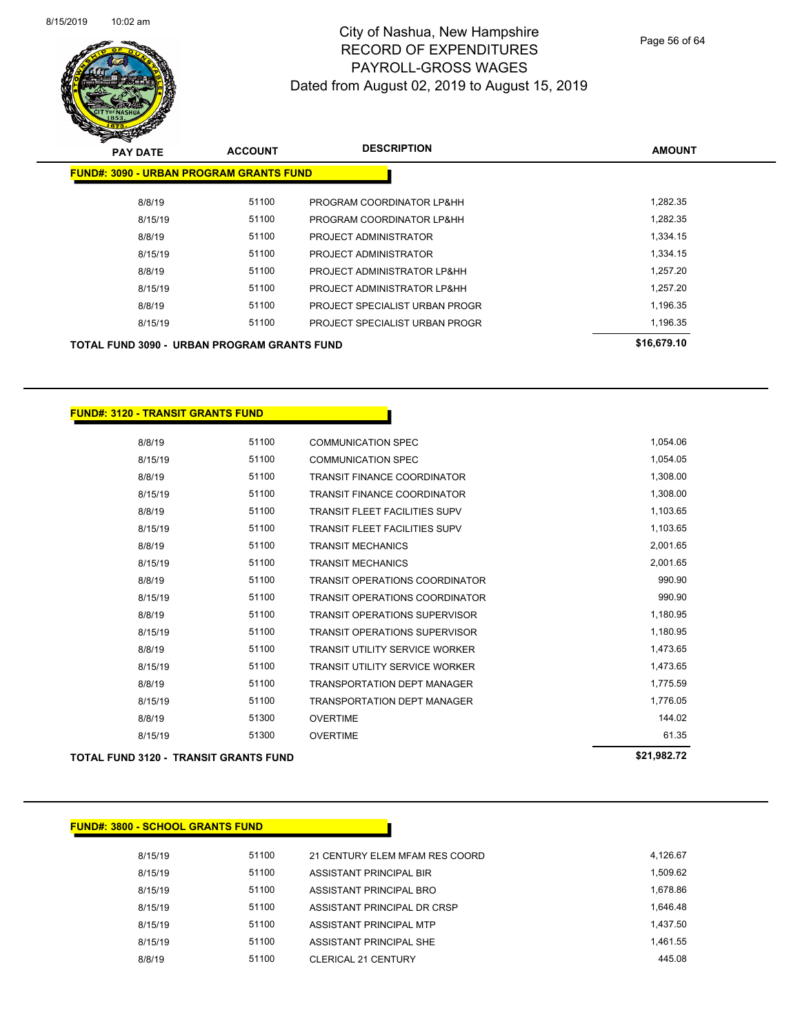

Page 56 of 64

| <b>PAY DATE</b>                                    | <b>ACCOUNT</b> | <b>DESCRIPTION</b>             | <b>AMOUNT</b> |
|----------------------------------------------------|----------------|--------------------------------|---------------|
| <b>FUND#: 3090 - URBAN PROGRAM GRANTS FUND</b>     |                |                                |               |
| 8/8/19                                             | 51100          | PROGRAM COORDINATOR LP&HH      | 1,282.35      |
| 8/15/19                                            | 51100          | PROGRAM COORDINATOR LP&HH      | 1.282.35      |
| 8/8/19                                             | 51100          | PROJECT ADMINISTRATOR          | 1,334.15      |
| 8/15/19                                            | 51100          | PROJECT ADMINISTRATOR          | 1.334.15      |
| 8/8/19                                             | 51100          | PROJECT ADMINISTRATOR LP&HH    | 1,257.20      |
| 8/15/19                                            | 51100          | PROJECT ADMINISTRATOR LP&HH    | 1.257.20      |
| 8/8/19                                             | 51100          | PROJECT SPECIALIST URBAN PROGR | 1,196.35      |
| 8/15/19                                            | 51100          | PROJECT SPECIALIST URBAN PROGR | 1,196.35      |
| <b>TOTAL FUND 3090 - URBAN PROGRAM GRANTS FUND</b> |                |                                | \$16,679.10   |

#### **FUND#: 3120 - TRANSIT GRANTS FUND**

| <b>TOTAL FUND 3120 - TRANSIT GRANTS FUND</b> | \$21,982.72 |       |                                       |          |
|----------------------------------------------|-------------|-------|---------------------------------------|----------|
|                                              | 8/15/19     | 51300 | <b>OVERTIME</b>                       | 61.35    |
|                                              | 8/8/19      | 51300 | <b>OVERTIME</b>                       | 144.02   |
|                                              | 8/15/19     | 51100 | <b>TRANSPORTATION DEPT MANAGER</b>    | 1,776.05 |
|                                              | 8/8/19      | 51100 | <b>TRANSPORTATION DEPT MANAGER</b>    | 1,775.59 |
|                                              | 8/15/19     | 51100 | <b>TRANSIT UTILITY SERVICE WORKER</b> | 1,473.65 |
|                                              | 8/8/19      | 51100 | <b>TRANSIT UTILITY SERVICE WORKER</b> | 1,473.65 |
|                                              | 8/15/19     | 51100 | <b>TRANSIT OPERATIONS SUPERVISOR</b>  | 1,180.95 |
|                                              | 8/8/19      | 51100 | <b>TRANSIT OPERATIONS SUPERVISOR</b>  | 1,180.95 |
|                                              | 8/15/19     | 51100 | <b>TRANSIT OPERATIONS COORDINATOR</b> | 990.90   |
|                                              | 8/8/19      | 51100 | <b>TRANSIT OPERATIONS COORDINATOR</b> | 990.90   |
|                                              | 8/15/19     | 51100 | <b>TRANSIT MECHANICS</b>              | 2,001.65 |
|                                              | 8/8/19      | 51100 | <b>TRANSIT MECHANICS</b>              | 2,001.65 |
|                                              | 8/15/19     | 51100 | <b>TRANSIT FLEET FACILITIES SUPV</b>  | 1,103.65 |
|                                              | 8/8/19      | 51100 | <b>TRANSIT FLEET FACILITIES SUPV</b>  | 1,103.65 |
|                                              | 8/15/19     | 51100 | TRANSIT FINANCE COORDINATOR           | 1,308.00 |
|                                              | 8/8/19      | 51100 | <b>TRANSIT FINANCE COORDINATOR</b>    | 1,308.00 |
|                                              | 8/15/19     | 51100 | <b>COMMUNICATION SPEC</b>             | 1,054.05 |
|                                              | 8/8/19      | 51100 | <b>COMMUNICATION SPEC</b>             | 1,054.06 |

#### **FUND#: 3800 - SCHOOL GRANTS FUND**

8/15/19 51100 21 CENTURY ELEM MFAM RES COORD 4,126.67 8/15/19 51100 ASSISTANT PRINCIPAL BIR 1509.62 8/15/19 51100 ASSISTANT PRINCIPAL BRO 1678.86 8/15/19 51100 ASSISTANT PRINCIPAL DR CRSP 1,646.48 8/15/19 51100 ASSISTANT PRINCIPAL MTP 1,437.50 8/15/19 51100 ASSISTANT PRINCIPAL SHE 1,461.55 8/8/19 51100 CLERICAL 21 CENTURY 445.08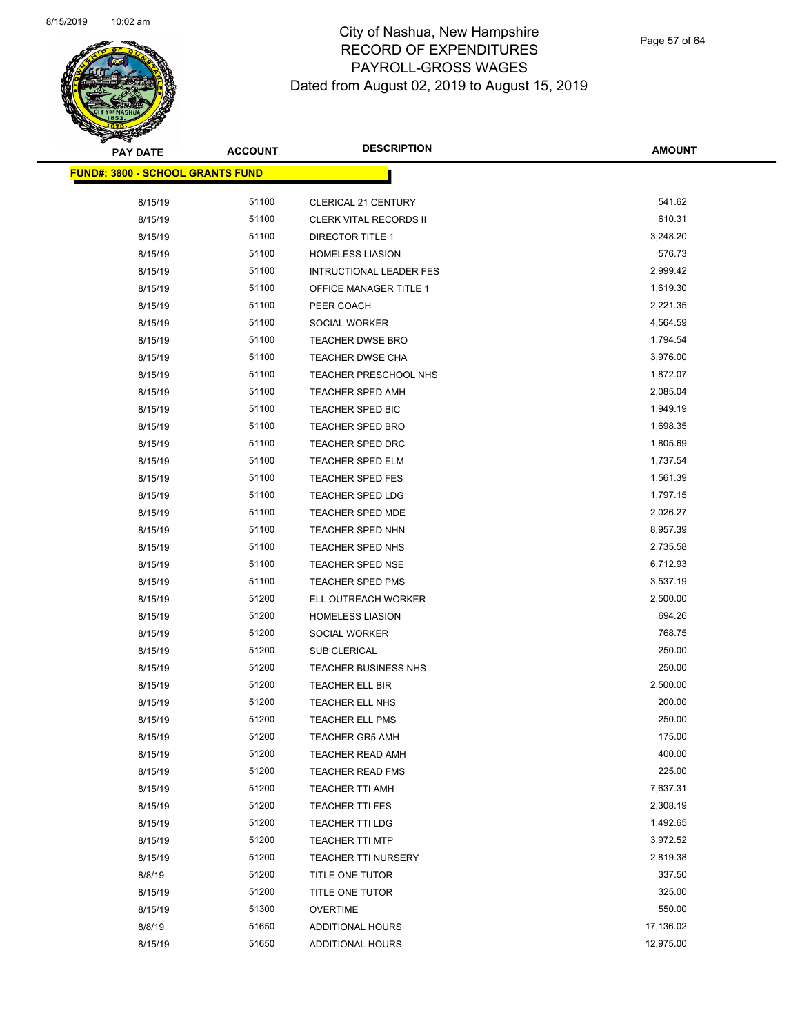

Page 57 of 64

| <b>PAY DATE</b>                         | <b>ACCOUNT</b> | <b>DESCRIPTION</b>             | <b>AMOUNT</b> |
|-----------------------------------------|----------------|--------------------------------|---------------|
| <b>FUND#: 3800 - SCHOOL GRANTS FUND</b> |                |                                |               |
|                                         |                |                                |               |
| 8/15/19                                 | 51100          | <b>CLERICAL 21 CENTURY</b>     | 541.62        |
| 8/15/19                                 | 51100          | <b>CLERK VITAL RECORDS II</b>  | 610.31        |
| 8/15/19                                 | 51100          | <b>DIRECTOR TITLE 1</b>        | 3,248.20      |
| 8/15/19                                 | 51100          | <b>HOMELESS LIASION</b>        | 576.73        |
| 8/15/19                                 | 51100          | <b>INTRUCTIONAL LEADER FES</b> | 2,999.42      |
| 8/15/19                                 | 51100          | OFFICE MANAGER TITLE 1         | 1,619.30      |
| 8/15/19                                 | 51100          | PEER COACH                     | 2,221.35      |
| 8/15/19                                 | 51100          | SOCIAL WORKER                  | 4,564.59      |
| 8/15/19                                 | 51100          | <b>TEACHER DWSE BRO</b>        | 1,794.54      |
| 8/15/19                                 | 51100          | TEACHER DWSE CHA               | 3,976.00      |
| 8/15/19                                 | 51100          | TEACHER PRESCHOOL NHS          | 1,872.07      |
| 8/15/19                                 | 51100          | <b>TEACHER SPED AMH</b>        | 2,085.04      |
| 8/15/19                                 | 51100          | TEACHER SPED BIC               | 1,949.19      |
| 8/15/19                                 | 51100          | TEACHER SPED BRO               | 1,698.35      |
| 8/15/19                                 | 51100          | <b>TEACHER SPED DRC</b>        | 1,805.69      |
| 8/15/19                                 | 51100          | TEACHER SPED ELM               | 1,737.54      |
| 8/15/19                                 | 51100          | <b>TEACHER SPED FES</b>        | 1,561.39      |
| 8/15/19                                 | 51100          | <b>TEACHER SPED LDG</b>        | 1,797.15      |
| 8/15/19                                 | 51100          | <b>TEACHER SPED MDE</b>        | 2,026.27      |
| 8/15/19                                 | 51100          | TEACHER SPED NHN               | 8,957.39      |
| 8/15/19                                 | 51100          | TEACHER SPED NHS               | 2,735.58      |
| 8/15/19                                 | 51100          | <b>TEACHER SPED NSE</b>        | 6,712.93      |
| 8/15/19                                 | 51100          | <b>TEACHER SPED PMS</b>        | 3,537.19      |
| 8/15/19                                 | 51200          | ELL OUTREACH WORKER            | 2,500.00      |
| 8/15/19                                 | 51200          | <b>HOMELESS LIASION</b>        | 694.26        |
| 8/15/19                                 | 51200          | <b>SOCIAL WORKER</b>           | 768.75        |
| 8/15/19                                 | 51200          | SUB CLERICAL                   | 250.00        |
| 8/15/19                                 | 51200          | <b>TEACHER BUSINESS NHS</b>    | 250.00        |
| 8/15/19                                 | 51200          | TEACHER ELL BIR                | 2,500.00      |
| 8/15/19                                 | 51200          | TEACHER ELL NHS                | 200.00        |
| 8/15/19                                 | 51200          | <b>TEACHER ELL PMS</b>         | 250.00        |
| 8/15/19                                 | 51200          | <b>TEACHER GR5 AMH</b>         | 175.00        |
| 8/15/19                                 | 51200          | <b>TEACHER READ AMH</b>        | 400.00        |
| 8/15/19                                 | 51200          | <b>TEACHER READ FMS</b>        | 225.00        |
| 8/15/19                                 | 51200          | TEACHER TTI AMH                | 7,637.31      |
| 8/15/19                                 | 51200          | TEACHER TTI FES                | 2,308.19      |
| 8/15/19                                 | 51200          | <b>TEACHER TTI LDG</b>         | 1,492.65      |
| 8/15/19                                 | 51200          | <b>TEACHER TTI MTP</b>         | 3,972.52      |
| 8/15/19                                 | 51200          | TEACHER TTI NURSERY            | 2,819.38      |
| 8/8/19                                  | 51200          | TITLE ONE TUTOR                | 337.50        |
| 8/15/19                                 | 51200          | TITLE ONE TUTOR                | 325.00        |
| 8/15/19                                 | 51300          | <b>OVERTIME</b>                | 550.00        |
| 8/8/19                                  | 51650          | ADDITIONAL HOURS               | 17,136.02     |
| 8/15/19                                 | 51650          | ADDITIONAL HOURS               | 12,975.00     |
|                                         |                |                                |               |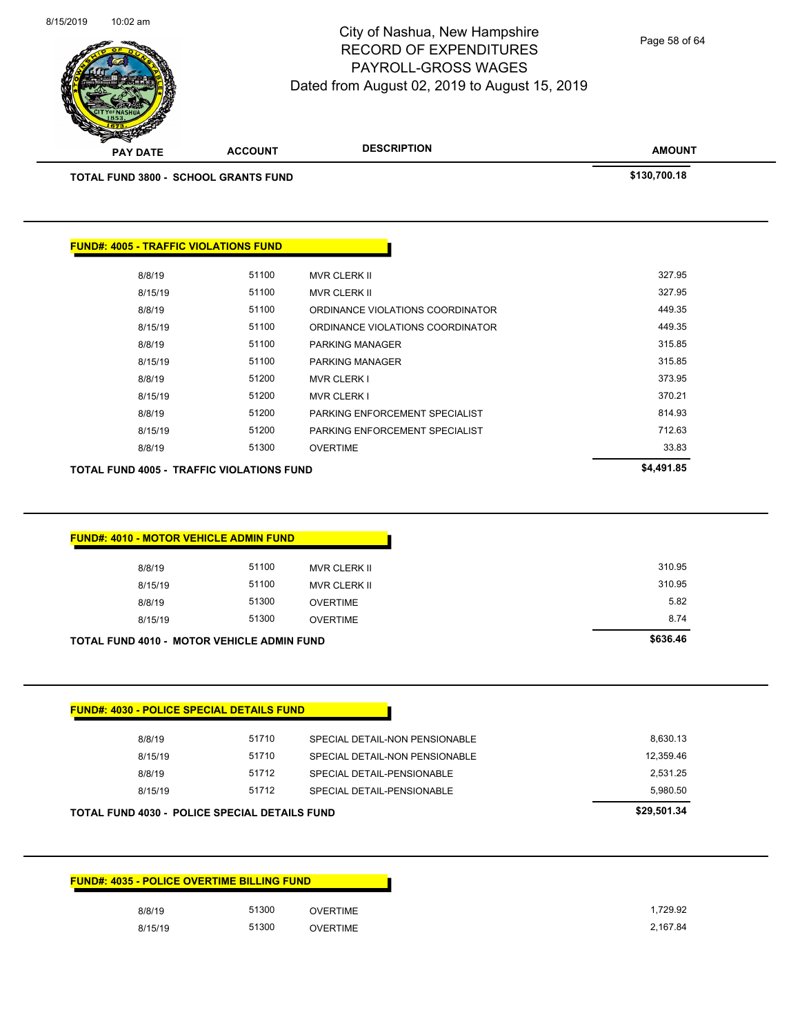| <b>FUND#: 4035 - POLICE OVERTIME BILLING FUND</b> |         |       |                 |  |
|---------------------------------------------------|---------|-------|-----------------|--|
|                                                   | 8/8/19  | 51300 | <b>OVERTIME</b> |  |
|                                                   | 8/15/19 | 51300 | OVERTIME        |  |

| 8/15/19 | 51712 | SPECIAL DETAIL-PENSIONABLE     | 5.980.50  |
|---------|-------|--------------------------------|-----------|
| 8/8/19  | 51712 | SPECIAL DETAIL-PENSIONABLE     | 2.531.25  |
| 8/15/19 | 51710 | SPECIAL DETAIL-NON PENSIONABLE | 12,359.46 |
| 8/8/19  | 51710 | SPECIAL DETAIL-NON PENSIONABLE | 8.630.13  |

| <b>FUND#: 4010 - MOTOR VEHICLE ADMIN FUND</b> |          |                     |        |
|-----------------------------------------------|----------|---------------------|--------|
|                                               |          |                     |        |
| 8/8/19                                        | 51100    | MVR CLERK II        | 310.95 |
| 8/15/19                                       | 51100    | <b>MVR CLERK II</b> | 310.95 |
| 8/8/19                                        | 51300    | <b>OVERTIME</b>     | 5.82   |
| 8/15/19                                       | 51300    | <b>OVERTIME</b>     | 8.74   |
| TOTAL FUND 4010 - MOTOR VEHICLE ADMIN FUND    | \$636.46 |                     |        |

| TOTAL FUND 3800 - SCHOOL GRANTS FUND         | \$130,700.18 |                                  |        |
|----------------------------------------------|--------------|----------------------------------|--------|
|                                              |              |                                  |        |
| <b>FUND#: 4005 - TRAFFIC VIOLATIONS FUND</b> |              |                                  |        |
| 8/8/19                                       | 51100        | <b>MVR CLERK II</b>              | 327.95 |
| 8/15/19                                      | 51100        | <b>MVR CLERK II</b>              | 327.95 |
| 8/8/19                                       | 51100        | ORDINANCE VIOLATIONS COORDINATOR | 449.35 |
| 8/15/19                                      | 51100        | ORDINANCE VIOLATIONS COORDINATOR | 449.35 |
| 8/8/19                                       | 51100        | <b>PARKING MANAGER</b>           | 315.85 |
| 8/15/19                                      | 51100        | <b>PARKING MANAGER</b>           | 315.85 |
| 8/8/19                                       | 51200        | <b>MVR CLERK I</b>               | 373.95 |
| 8/15/19                                      | 51200        | <b>MVR CLERK I</b>               | 370.21 |
| 8/8/19                                       | 51200        | PARKING ENFORCEMENT SPECIALIST   | 814.93 |
| 8/15/19                                      | 51200        | PARKING ENFORCEMENT SPECIALIST   | 712.63 |
| 8/8/19                                       | 51300        | <b>OVERTIME</b>                  | 33.83  |
| TOTAL FUND 4005 - TRAFFIC VIOLATIONS FUND    | \$4,491.85   |                                  |        |



8/15/2019 10:02 am

#### City of Nashua, New Hampshire RECORD OF EXPENDITURES PAYROLL-GROSS WAGES Dated from August 02, 2019 to August 15, 2019

Page 58 of 64

**AMOUNT**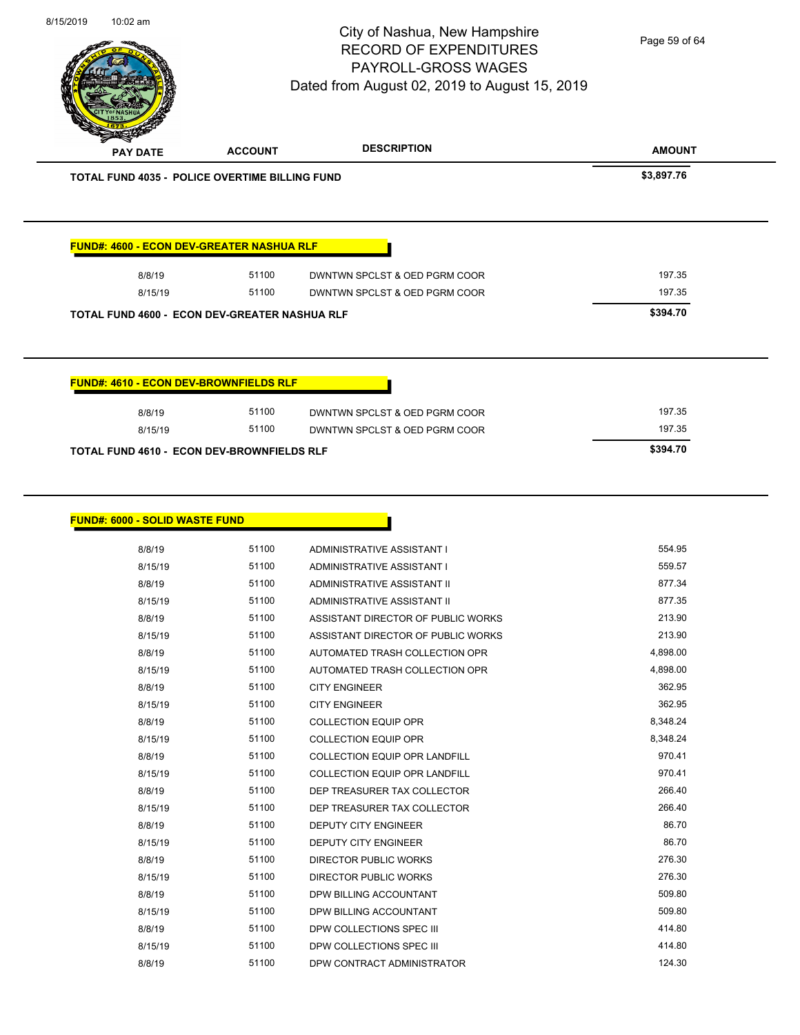Page 59 of 64

| <b>PAY DATE</b>                                       | <b>ACCOUNT</b> | <b>DESCRIPTION</b>            | <b>AMOUNT</b> |
|-------------------------------------------------------|----------------|-------------------------------|---------------|
| <b>TOTAL FUND 4035 - POLICE OVERTIME BILLING FUND</b> | \$3,897.76     |                               |               |
|                                                       |                |                               |               |
| <b>FUND#: 4600 - ECON DEV-GREATER NASHUA RLF</b>      |                |                               |               |
| 8/8/19                                                | 51100          | DWNTWN SPCLST & OED PGRM COOR | 197.35        |
| 8/15/19                                               | 51100          | DWNTWN SPCLST & OED PGRM COOR | 197.35        |
| <b>TOTAL FUND 4600 - ECON DEV-GREATER NASHUA RLF</b>  | \$394.70       |                               |               |
|                                                       |                |                               |               |
|                                                       |                |                               |               |
| <b>FUND#: 4610 - ECON DEV-BROWNFIELDS RLF</b>         |                |                               |               |
| 8/8/19                                                | 51100          | DWNTWN SPCLST & OED PGRM COOR | 197.35        |

| <b>FUND#: 6000 - SOLID WASTE FUND</b> |       |                                      |          |
|---------------------------------------|-------|--------------------------------------|----------|
| 8/8/19                                | 51100 | ADMINISTRATIVE ASSISTANT I           | 554.95   |
| 8/15/19                               | 51100 | ADMINISTRATIVE ASSISTANT I           | 559.57   |
| 8/8/19                                | 51100 | ADMINISTRATIVE ASSISTANT II          | 877.34   |
| 8/15/19                               | 51100 | ADMINISTRATIVE ASSISTANT II          | 877.35   |
| 8/8/19                                | 51100 | ASSISTANT DIRECTOR OF PUBLIC WORKS   | 213.90   |
| 8/15/19                               | 51100 | ASSISTANT DIRECTOR OF PUBLIC WORKS   | 213.90   |
| 8/8/19                                | 51100 | AUTOMATED TRASH COLLECTION OPR       | 4,898.00 |
| 8/15/19                               | 51100 | AUTOMATED TRASH COLLECTION OPR       | 4,898.00 |
| 8/8/19                                | 51100 | <b>CITY ENGINEER</b>                 | 362.95   |
| 8/15/19                               | 51100 | <b>CITY ENGINEER</b>                 | 362.95   |
| 8/8/19                                | 51100 | <b>COLLECTION EQUIP OPR</b>          | 8,348.24 |
| 8/15/19                               | 51100 | <b>COLLECTION EQUIP OPR</b>          | 8,348.24 |
| 8/8/19                                | 51100 | <b>COLLECTION EQUIP OPR LANDFILL</b> | 970.41   |
| 8/15/19                               | 51100 | <b>COLLECTION EQUIP OPR LANDFILL</b> | 970.41   |
| 8/8/19                                | 51100 | DEP TREASURER TAX COLLECTOR          | 266.40   |
| 8/15/19                               | 51100 | DEP TREASURER TAX COLLECTOR          | 266.40   |
| 8/8/19                                | 51100 | DEPUTY CITY ENGINEER                 | 86.70    |
| 8/15/19                               | 51100 | <b>DEPUTY CITY ENGINEER</b>          | 86.70    |
| 8/8/19                                | 51100 | <b>DIRECTOR PUBLIC WORKS</b>         | 276.30   |
| 8/15/19                               | 51100 | <b>DIRECTOR PUBLIC WORKS</b>         | 276.30   |
| 8/8/19                                | 51100 | DPW BILLING ACCOUNTANT               | 509.80   |
| 8/15/19                               | 51100 | DPW BILLING ACCOUNTANT               | 509.80   |
| 8/8/19                                | 51100 | DPW COLLECTIONS SPEC III             | 414.80   |
| 8/15/19                               | 51100 | DPW COLLECTIONS SPEC III             | 414.80   |
| 8/8/19                                | 51100 | DPW CONTRACT ADMINISTRATOR           | 124.30   |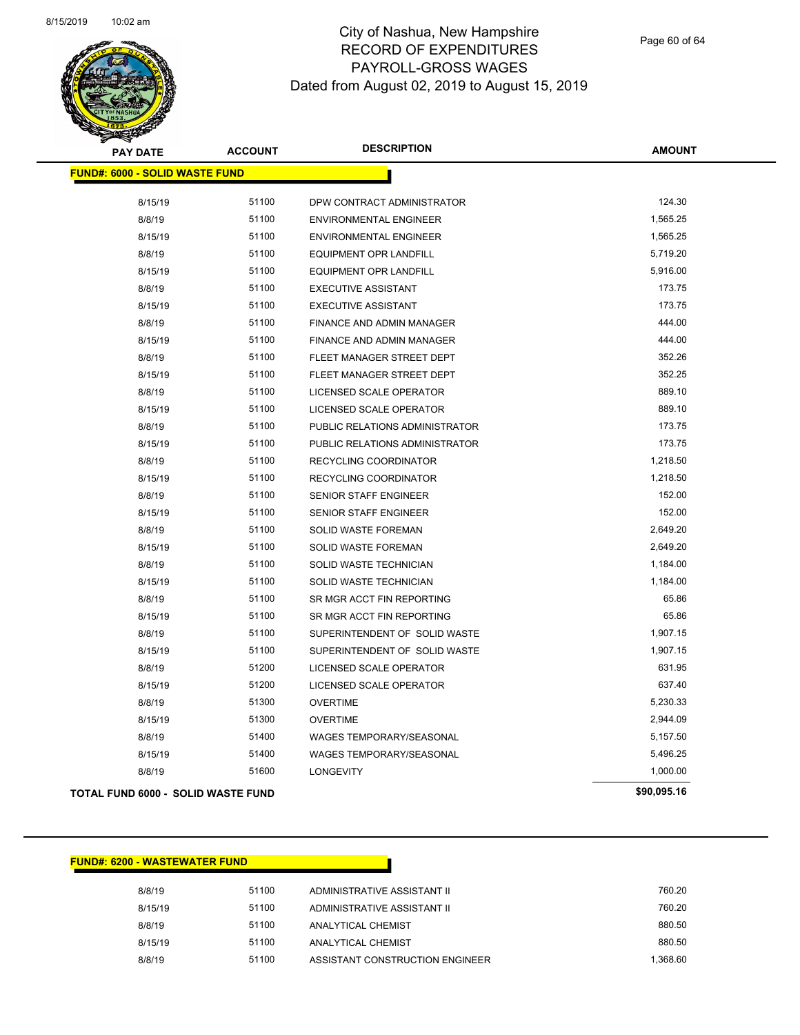

Page 60 of 64

| <b>PAY DATE</b>                       | <b>ACCOUNT</b> | <b>DESCRIPTION</b>             | <b>AMOUNT</b> |
|---------------------------------------|----------------|--------------------------------|---------------|
| <b>FUND#: 6000 - SOLID WASTE FUND</b> |                |                                |               |
| 8/15/19                               | 51100          | DPW CONTRACT ADMINISTRATOR     | 124.30        |
| 8/8/19                                | 51100          | <b>ENVIRONMENTAL ENGINEER</b>  | 1,565.25      |
| 8/15/19                               | 51100          | ENVIRONMENTAL ENGINEER         | 1,565.25      |
| 8/8/19                                | 51100          | <b>EQUIPMENT OPR LANDFILL</b>  | 5,719.20      |
| 8/15/19                               | 51100          | EQUIPMENT OPR LANDFILL         | 5,916.00      |
| 8/8/19                                | 51100          | <b>EXECUTIVE ASSISTANT</b>     | 173.75        |
| 8/15/19                               | 51100          | <b>EXECUTIVE ASSISTANT</b>     | 173.75        |
| 8/8/19                                | 51100          | FINANCE AND ADMIN MANAGER      | 444.00        |
| 8/15/19                               | 51100          | FINANCE AND ADMIN MANAGER      | 444.00        |
| 8/8/19                                | 51100          | FLEET MANAGER STREET DEPT      | 352.26        |
| 8/15/19                               | 51100          | FLEET MANAGER STREET DEPT      | 352.25        |
| 8/8/19                                | 51100          | LICENSED SCALE OPERATOR        | 889.10        |
| 8/15/19                               | 51100          | LICENSED SCALE OPERATOR        | 889.10        |
| 8/8/19                                | 51100          | PUBLIC RELATIONS ADMINISTRATOR | 173.75        |
| 8/15/19                               | 51100          | PUBLIC RELATIONS ADMINISTRATOR | 173.75        |
| 8/8/19                                | 51100          | RECYCLING COORDINATOR          | 1,218.50      |
| 8/15/19                               | 51100          | RECYCLING COORDINATOR          | 1,218.50      |
| 8/8/19                                | 51100          | SENIOR STAFF ENGINEER          | 152.00        |
| 8/15/19                               | 51100          | SENIOR STAFF ENGINEER          | 152.00        |
| 8/8/19                                | 51100          | SOLID WASTE FOREMAN            | 2,649.20      |
| 8/15/19                               | 51100          | SOLID WASTE FOREMAN            | 2,649.20      |
| 8/8/19                                | 51100          | SOLID WASTE TECHNICIAN         | 1,184.00      |
| 8/15/19                               | 51100          | SOLID WASTE TECHNICIAN         | 1,184.00      |
| 8/8/19                                | 51100          | SR MGR ACCT FIN REPORTING      | 65.86         |
| 8/15/19                               | 51100          | SR MGR ACCT FIN REPORTING      | 65.86         |
| 8/8/19                                | 51100          | SUPERINTENDENT OF SOLID WASTE  | 1,907.15      |
| 8/15/19                               | 51100          | SUPERINTENDENT OF SOLID WASTE  | 1,907.15      |
| 8/8/19                                | 51200          | LICENSED SCALE OPERATOR        | 631.95        |
| 8/15/19                               | 51200          | LICENSED SCALE OPERATOR        | 637.40        |
| 8/8/19                                | 51300          | <b>OVERTIME</b>                | 5,230.33      |
| 8/15/19                               | 51300          | <b>OVERTIME</b>                | 2,944.09      |
| 8/8/19                                | 51400          | WAGES TEMPORARY/SEASONAL       | 5,157.50      |
| 8/15/19                               | 51400          | WAGES TEMPORARY/SEASONAL       | 5,496.25      |
| 8/8/19                                | 51600          | <b>LONGEVITY</b>               | 1,000.00      |
| TOTAL FUND 6000 - SOLID WASTE FUND    |                |                                | \$90,095.16   |

#### **FUND#: 6200 - WASTEWATER FUND**

| 8/8/19  | 51100 | ADMINISTRATIVE ASSISTANT II     | 760.20   |
|---------|-------|---------------------------------|----------|
| 8/15/19 | 51100 | ADMINISTRATIVE ASSISTANT II     | 760.20   |
| 8/8/19  | 51100 | ANALYTICAL CHEMIST              | 880.50   |
| 8/15/19 | 51100 | ANALYTICAL CHEMIST              | 880.50   |
| 8/8/19  | 51100 | ASSISTANT CONSTRUCTION ENGINEER | 1.368.60 |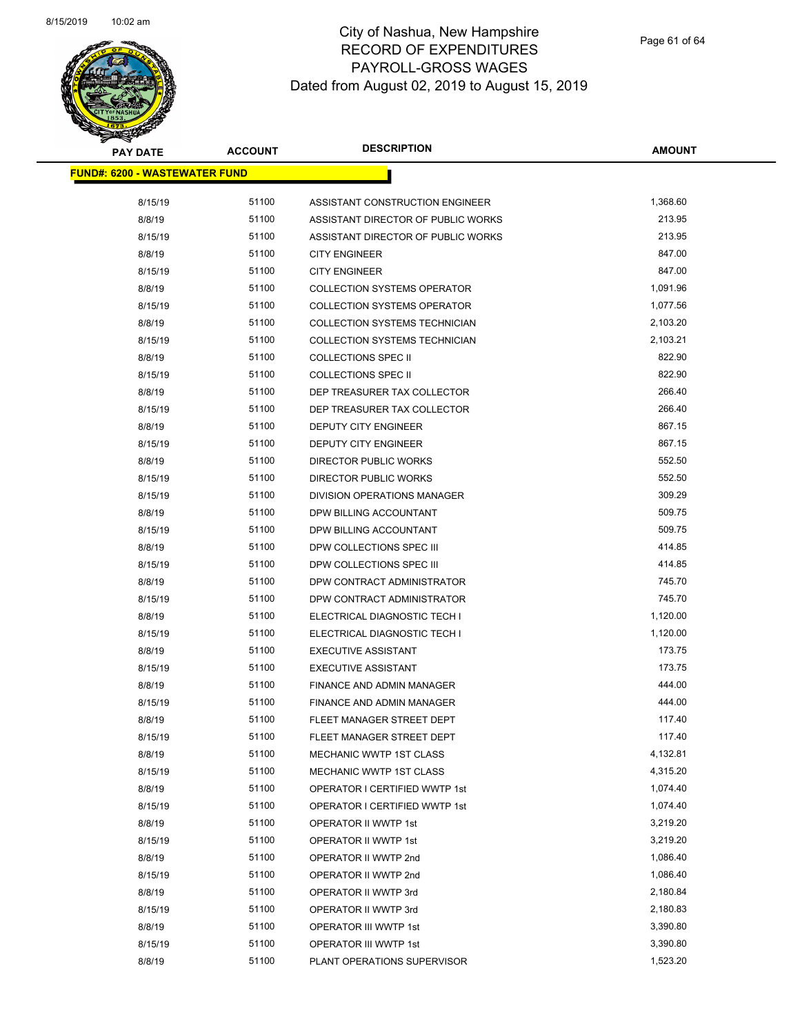

| <b>PAY DATE</b>                       | <b>ACCOUNT</b> | <b>DESCRIPTION</b>                                            | <b>AMOUNT</b>    |
|---------------------------------------|----------------|---------------------------------------------------------------|------------------|
| <u> FUND#: 6200 - WASTEWATER FUND</u> |                |                                                               |                  |
|                                       |                |                                                               |                  |
| 8/15/19                               | 51100          | ASSISTANT CONSTRUCTION ENGINEER                               | 1,368.60         |
| 8/8/19                                | 51100          | ASSISTANT DIRECTOR OF PUBLIC WORKS                            | 213.95           |
| 8/15/19                               | 51100          | ASSISTANT DIRECTOR OF PUBLIC WORKS                            | 213.95           |
| 8/8/19                                | 51100          | <b>CITY ENGINEER</b>                                          | 847.00           |
| 8/15/19                               | 51100          | <b>CITY ENGINEER</b>                                          | 847.00           |
| 8/8/19                                | 51100          | <b>COLLECTION SYSTEMS OPERATOR</b>                            | 1,091.96         |
| 8/15/19                               | 51100          | <b>COLLECTION SYSTEMS OPERATOR</b>                            | 1,077.56         |
| 8/8/19                                | 51100          | COLLECTION SYSTEMS TECHNICIAN                                 | 2,103.20         |
| 8/15/19                               | 51100          | COLLECTION SYSTEMS TECHNICIAN                                 | 2,103.21         |
| 8/8/19                                | 51100          | <b>COLLECTIONS SPEC II</b>                                    | 822.90           |
| 8/15/19                               | 51100          | <b>COLLECTIONS SPEC II</b>                                    | 822.90           |
| 8/8/19                                | 51100          | DEP TREASURER TAX COLLECTOR                                   | 266.40           |
| 8/15/19                               | 51100          | DEP TREASURER TAX COLLECTOR                                   | 266.40           |
| 8/8/19                                | 51100          | DEPUTY CITY ENGINEER                                          | 867.15           |
| 8/15/19                               | 51100          | DEPUTY CITY ENGINEER                                          | 867.15           |
| 8/8/19                                | 51100          | <b>DIRECTOR PUBLIC WORKS</b>                                  | 552.50           |
| 8/15/19                               | 51100          | <b>DIRECTOR PUBLIC WORKS</b>                                  | 552.50           |
| 8/15/19                               | 51100          | DIVISION OPERATIONS MANAGER                                   | 309.29           |
| 8/8/19                                | 51100          | DPW BILLING ACCOUNTANT                                        | 509.75           |
| 8/15/19                               | 51100          | DPW BILLING ACCOUNTANT                                        | 509.75           |
| 8/8/19                                | 51100          | DPW COLLECTIONS SPEC III                                      | 414.85           |
| 8/15/19                               | 51100          | DPW COLLECTIONS SPEC III                                      | 414.85           |
| 8/8/19                                | 51100          | DPW CONTRACT ADMINISTRATOR                                    | 745.70           |
| 8/15/19                               | 51100          | DPW CONTRACT ADMINISTRATOR                                    | 745.70           |
| 8/8/19                                | 51100          | ELECTRICAL DIAGNOSTIC TECH I                                  | 1,120.00         |
| 8/15/19                               | 51100          | ELECTRICAL DIAGNOSTIC TECH I                                  | 1,120.00         |
| 8/8/19                                | 51100          | <b>EXECUTIVE ASSISTANT</b>                                    | 173.75           |
| 8/15/19                               | 51100          | <b>EXECUTIVE ASSISTANT</b>                                    | 173.75<br>444.00 |
| 8/8/19                                | 51100<br>51100 | FINANCE AND ADMIN MANAGER                                     | 444.00           |
| 8/15/19                               | 51100          | <b>FINANCE AND ADMIN MANAGER</b><br>FLEET MANAGER STREET DEPT | 117.40           |
| 8/8/19                                | 51100          |                                                               | 117.40           |
| 8/15/19                               | 51100          | FLEET MANAGER STREET DEPT                                     | 4,132.81         |
| 8/8/19<br>8/15/19                     | 51100          | <b>MECHANIC WWTP 1ST CLASS</b>                                | 4,315.20         |
| 8/8/19                                | 51100          | MECHANIC WWTP 1ST CLASS<br>OPERATOR I CERTIFIED WWTP 1st      | 1,074.40         |
| 8/15/19                               | 51100          | OPERATOR I CERTIFIED WWTP 1st                                 | 1,074.40         |
| 8/8/19                                | 51100          | OPERATOR II WWTP 1st                                          | 3,219.20         |
| 8/15/19                               | 51100          |                                                               | 3,219.20         |
|                                       | 51100          | OPERATOR II WWTP 1st                                          | 1,086.40         |
| 8/8/19<br>8/15/19                     | 51100          | OPERATOR II WWTP 2nd<br>OPERATOR II WWTP 2nd                  | 1,086.40         |
| 8/8/19                                | 51100          | OPERATOR II WWTP 3rd                                          | 2,180.84         |
| 8/15/19                               | 51100          | OPERATOR II WWTP 3rd                                          | 2,180.83         |
| 8/8/19                                | 51100          | OPERATOR III WWTP 1st                                         | 3,390.80         |
| 8/15/19                               | 51100          |                                                               | 3,390.80         |
| 8/8/19                                | 51100          | OPERATOR III WWTP 1st                                         | 1,523.20         |
|                                       |                | PLANT OPERATIONS SUPERVISOR                                   |                  |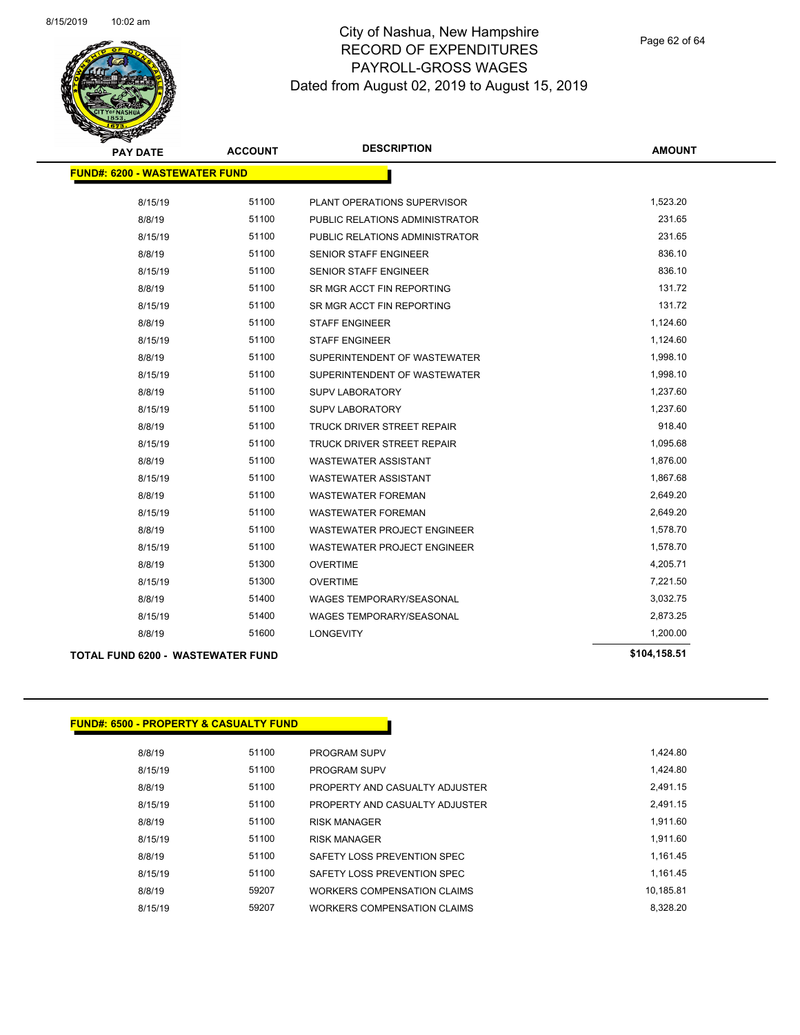

| <b>PAY DATE</b>                          | <b>ACCOUNT</b> | <b>DESCRIPTION</b>                 | <b>AMOUNT</b> |
|------------------------------------------|----------------|------------------------------------|---------------|
| <b>FUND#: 6200 - WASTEWATER FUND</b>     |                |                                    |               |
| 8/15/19                                  | 51100          | PLANT OPERATIONS SUPERVISOR        | 1,523.20      |
| 8/8/19                                   | 51100          | PUBLIC RELATIONS ADMINISTRATOR     | 231.65        |
| 8/15/19                                  | 51100          | PUBLIC RELATIONS ADMINISTRATOR     | 231.65        |
| 8/8/19                                   | 51100          | <b>SENIOR STAFF ENGINEER</b>       | 836.10        |
| 8/15/19                                  | 51100          | SENIOR STAFF ENGINEER              | 836.10        |
| 8/8/19                                   | 51100          | SR MGR ACCT FIN REPORTING          | 131.72        |
| 8/15/19                                  | 51100          | SR MGR ACCT FIN REPORTING          | 131.72        |
| 8/8/19                                   | 51100          | <b>STAFF ENGINEER</b>              | 1,124.60      |
| 8/15/19                                  | 51100          | <b>STAFF ENGINEER</b>              | 1,124.60      |
| 8/8/19                                   | 51100          | SUPERINTENDENT OF WASTEWATER       | 1,998.10      |
| 8/15/19                                  | 51100          | SUPERINTENDENT OF WASTEWATER       | 1,998.10      |
| 8/8/19                                   | 51100          | <b>SUPV LABORATORY</b>             | 1,237.60      |
| 8/15/19                                  | 51100          | <b>SUPV LABORATORY</b>             | 1,237.60      |
| 8/8/19                                   | 51100          | <b>TRUCK DRIVER STREET REPAIR</b>  | 918.40        |
| 8/15/19                                  | 51100          | <b>TRUCK DRIVER STREET REPAIR</b>  | 1,095.68      |
| 8/8/19                                   | 51100          | <b>WASTEWATER ASSISTANT</b>        | 1,876.00      |
| 8/15/19                                  | 51100          | WASTEWATER ASSISTANT               | 1,867.68      |
| 8/8/19                                   | 51100          | <b>WASTEWATER FOREMAN</b>          | 2,649.20      |
| 8/15/19                                  | 51100          | <b>WASTEWATER FOREMAN</b>          | 2,649.20      |
| 8/8/19                                   | 51100          | WASTEWATER PROJECT ENGINEER        | 1,578.70      |
| 8/15/19                                  | 51100          | <b>WASTEWATER PROJECT ENGINEER</b> | 1,578.70      |
| 8/8/19                                   | 51300          | <b>OVERTIME</b>                    | 4,205.71      |
| 8/15/19                                  | 51300          | <b>OVERTIME</b>                    | 7,221.50      |
| 8/8/19                                   | 51400          | <b>WAGES TEMPORARY/SEASONAL</b>    | 3,032.75      |
| 8/15/19                                  | 51400          | <b>WAGES TEMPORARY/SEASONAL</b>    | 2,873.25      |
| 8/8/19                                   | 51600          | <b>LONGEVITY</b>                   | 1,200.00      |
| <b>TOTAL FUND 6200 - WASTEWATER FUND</b> |                |                                    | \$104,158.51  |

|--|

| 8/8/19  | 51100 | <b>PROGRAM SUPV</b>            | 1.424.80  |
|---------|-------|--------------------------------|-----------|
| 8/15/19 | 51100 | <b>PROGRAM SUPV</b>            | 1.424.80  |
| 8/8/19  | 51100 | PROPERTY AND CASUALTY ADJUSTER | 2.491.15  |
| 8/15/19 | 51100 | PROPERTY AND CASUALTY ADJUSTER | 2.491.15  |
| 8/8/19  | 51100 | <b>RISK MANAGER</b>            | 1.911.60  |
| 8/15/19 | 51100 | <b>RISK MANAGER</b>            | 1.911.60  |
| 8/8/19  | 51100 | SAFETY LOSS PREVENTION SPEC    | 1.161.45  |
| 8/15/19 | 51100 | SAFETY LOSS PREVENTION SPEC    | 1.161.45  |
| 8/8/19  | 59207 | WORKERS COMPENSATION CLAIMS    | 10.185.81 |
| 8/15/19 | 59207 | WORKERS COMPENSATION CLAIMS    | 8.328.20  |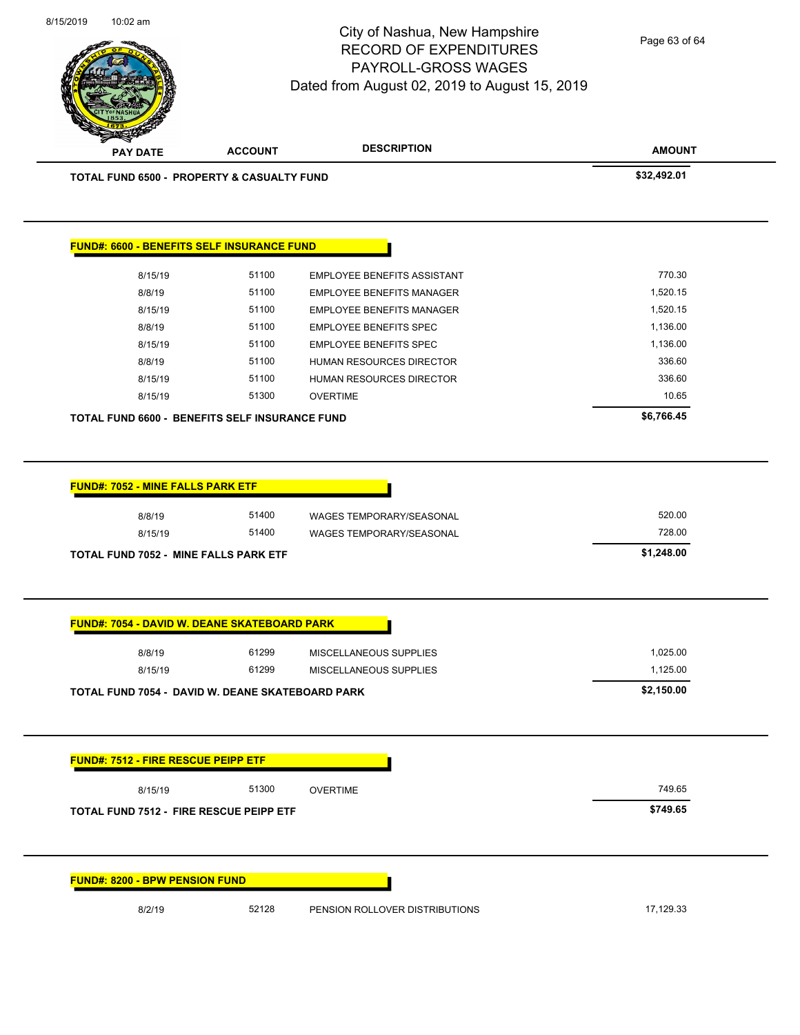

Page 63 of 64

| \$32,492.01<br><b>TOTAL FUND 6500 - PROPERTY &amp; CASUALTY FUND</b><br><b>FUND#: 6600 - BENEFITS SELF INSURANCE FUND</b><br>770.30<br>51100<br><b>EMPLOYEE BENEFITS ASSISTANT</b><br>8/15/19<br>51100<br>1,520.15<br>8/8/19<br><b>EMPLOYEE BENEFITS MANAGER</b><br>51100<br>1,520.15<br>8/15/19<br><b>EMPLOYEE BENEFITS MANAGER</b><br>8/8/19<br>51100<br><b>EMPLOYEE BENEFITS SPEC</b><br>1,136.00<br>51100<br>8/15/19<br><b>EMPLOYEE BENEFITS SPEC</b><br>1,136.00<br>51100<br>336.60<br>8/8/19<br>HUMAN RESOURCES DIRECTOR<br>336.60<br>51100<br>8/15/19<br>HUMAN RESOURCES DIRECTOR<br>10.65<br>51300<br>8/15/19<br><b>OVERTIME</b><br>\$6,766.45<br><b>TOTAL FUND 6600 - BENEFITS SELF INSURANCE FUND</b><br>FUND#: 7052 - MINE FALLS PARK ETF<br>520.00<br>8/8/19<br>51400<br>WAGES TEMPORARY/SEASONAL<br>728.00<br>8/15/19<br>51400<br>WAGES TEMPORARY/SEASONAL<br>\$1,248.00<br>TOTAL FUND 7052 - MINE FALLS PARK ETF<br><b>FUND#: 7054 - DAVID W. DEANE SKATEBOARD PARK</b><br>61299<br>1,025.00<br>8/8/19<br>MISCELLANEOUS SUPPLIES<br>1,125.00<br>61299<br>8/15/19<br>MISCELLANEOUS SUPPLIES<br>\$2,150.00<br>TOTAL FUND 7054 - DAVID W. DEANE SKATEBOARD PARK<br><b>FUND#: 7512 - FIRE RESCUE PEIPP ETF</b><br>749.65<br>8/15/19<br>51300<br><b>OVERTIME</b><br>\$749.65<br><b>TOTAL FUND 7512 - FIRE RESCUE PEIPP ETF</b><br><b>FUND#: 8200 - BPW PENSION FUND</b><br>8/2/19<br>52128<br>17,129.33<br>PENSION ROLLOVER DISTRIBUTIONS | <b>ACCOUNT</b> | <b>DESCRIPTION</b> | <b>AMOUNT</b> |
|----------------------------------------------------------------------------------------------------------------------------------------------------------------------------------------------------------------------------------------------------------------------------------------------------------------------------------------------------------------------------------------------------------------------------------------------------------------------------------------------------------------------------------------------------------------------------------------------------------------------------------------------------------------------------------------------------------------------------------------------------------------------------------------------------------------------------------------------------------------------------------------------------------------------------------------------------------------------------------------------------------------------------------------------------------------------------------------------------------------------------------------------------------------------------------------------------------------------------------------------------------------------------------------------------------------------------------------------------------------------------------------------------------------------------------------------------|----------------|--------------------|---------------|
|                                                                                                                                                                                                                                                                                                                                                                                                                                                                                                                                                                                                                                                                                                                                                                                                                                                                                                                                                                                                                                                                                                                                                                                                                                                                                                                                                                                                                                                    |                |                    |               |
|                                                                                                                                                                                                                                                                                                                                                                                                                                                                                                                                                                                                                                                                                                                                                                                                                                                                                                                                                                                                                                                                                                                                                                                                                                                                                                                                                                                                                                                    |                |                    |               |
|                                                                                                                                                                                                                                                                                                                                                                                                                                                                                                                                                                                                                                                                                                                                                                                                                                                                                                                                                                                                                                                                                                                                                                                                                                                                                                                                                                                                                                                    |                |                    |               |
|                                                                                                                                                                                                                                                                                                                                                                                                                                                                                                                                                                                                                                                                                                                                                                                                                                                                                                                                                                                                                                                                                                                                                                                                                                                                                                                                                                                                                                                    |                |                    |               |
|                                                                                                                                                                                                                                                                                                                                                                                                                                                                                                                                                                                                                                                                                                                                                                                                                                                                                                                                                                                                                                                                                                                                                                                                                                                                                                                                                                                                                                                    |                |                    |               |
|                                                                                                                                                                                                                                                                                                                                                                                                                                                                                                                                                                                                                                                                                                                                                                                                                                                                                                                                                                                                                                                                                                                                                                                                                                                                                                                                                                                                                                                    |                |                    |               |
|                                                                                                                                                                                                                                                                                                                                                                                                                                                                                                                                                                                                                                                                                                                                                                                                                                                                                                                                                                                                                                                                                                                                                                                                                                                                                                                                                                                                                                                    |                |                    |               |
|                                                                                                                                                                                                                                                                                                                                                                                                                                                                                                                                                                                                                                                                                                                                                                                                                                                                                                                                                                                                                                                                                                                                                                                                                                                                                                                                                                                                                                                    |                |                    |               |
|                                                                                                                                                                                                                                                                                                                                                                                                                                                                                                                                                                                                                                                                                                                                                                                                                                                                                                                                                                                                                                                                                                                                                                                                                                                                                                                                                                                                                                                    |                |                    |               |
|                                                                                                                                                                                                                                                                                                                                                                                                                                                                                                                                                                                                                                                                                                                                                                                                                                                                                                                                                                                                                                                                                                                                                                                                                                                                                                                                                                                                                                                    |                |                    |               |
|                                                                                                                                                                                                                                                                                                                                                                                                                                                                                                                                                                                                                                                                                                                                                                                                                                                                                                                                                                                                                                                                                                                                                                                                                                                                                                                                                                                                                                                    |                |                    |               |
|                                                                                                                                                                                                                                                                                                                                                                                                                                                                                                                                                                                                                                                                                                                                                                                                                                                                                                                                                                                                                                                                                                                                                                                                                                                                                                                                                                                                                                                    |                |                    |               |
|                                                                                                                                                                                                                                                                                                                                                                                                                                                                                                                                                                                                                                                                                                                                                                                                                                                                                                                                                                                                                                                                                                                                                                                                                                                                                                                                                                                                                                                    |                |                    |               |
|                                                                                                                                                                                                                                                                                                                                                                                                                                                                                                                                                                                                                                                                                                                                                                                                                                                                                                                                                                                                                                                                                                                                                                                                                                                                                                                                                                                                                                                    |                |                    |               |
|                                                                                                                                                                                                                                                                                                                                                                                                                                                                                                                                                                                                                                                                                                                                                                                                                                                                                                                                                                                                                                                                                                                                                                                                                                                                                                                                                                                                                                                    |                |                    |               |
|                                                                                                                                                                                                                                                                                                                                                                                                                                                                                                                                                                                                                                                                                                                                                                                                                                                                                                                                                                                                                                                                                                                                                                                                                                                                                                                                                                                                                                                    |                |                    |               |
|                                                                                                                                                                                                                                                                                                                                                                                                                                                                                                                                                                                                                                                                                                                                                                                                                                                                                                                                                                                                                                                                                                                                                                                                                                                                                                                                                                                                                                                    |                |                    |               |
|                                                                                                                                                                                                                                                                                                                                                                                                                                                                                                                                                                                                                                                                                                                                                                                                                                                                                                                                                                                                                                                                                                                                                                                                                                                                                                                                                                                                                                                    |                |                    |               |
|                                                                                                                                                                                                                                                                                                                                                                                                                                                                                                                                                                                                                                                                                                                                                                                                                                                                                                                                                                                                                                                                                                                                                                                                                                                                                                                                                                                                                                                    |                |                    |               |
|                                                                                                                                                                                                                                                                                                                                                                                                                                                                                                                                                                                                                                                                                                                                                                                                                                                                                                                                                                                                                                                                                                                                                                                                                                                                                                                                                                                                                                                    |                |                    |               |
|                                                                                                                                                                                                                                                                                                                                                                                                                                                                                                                                                                                                                                                                                                                                                                                                                                                                                                                                                                                                                                                                                                                                                                                                                                                                                                                                                                                                                                                    |                |                    |               |
|                                                                                                                                                                                                                                                                                                                                                                                                                                                                                                                                                                                                                                                                                                                                                                                                                                                                                                                                                                                                                                                                                                                                                                                                                                                                                                                                                                                                                                                    |                |                    |               |
|                                                                                                                                                                                                                                                                                                                                                                                                                                                                                                                                                                                                                                                                                                                                                                                                                                                                                                                                                                                                                                                                                                                                                                                                                                                                                                                                                                                                                                                    |                |                    |               |
|                                                                                                                                                                                                                                                                                                                                                                                                                                                                                                                                                                                                                                                                                                                                                                                                                                                                                                                                                                                                                                                                                                                                                                                                                                                                                                                                                                                                                                                    |                |                    |               |
|                                                                                                                                                                                                                                                                                                                                                                                                                                                                                                                                                                                                                                                                                                                                                                                                                                                                                                                                                                                                                                                                                                                                                                                                                                                                                                                                                                                                                                                    |                |                    |               |
|                                                                                                                                                                                                                                                                                                                                                                                                                                                                                                                                                                                                                                                                                                                                                                                                                                                                                                                                                                                                                                                                                                                                                                                                                                                                                                                                                                                                                                                    |                |                    |               |
|                                                                                                                                                                                                                                                                                                                                                                                                                                                                                                                                                                                                                                                                                                                                                                                                                                                                                                                                                                                                                                                                                                                                                                                                                                                                                                                                                                                                                                                    |                |                    |               |